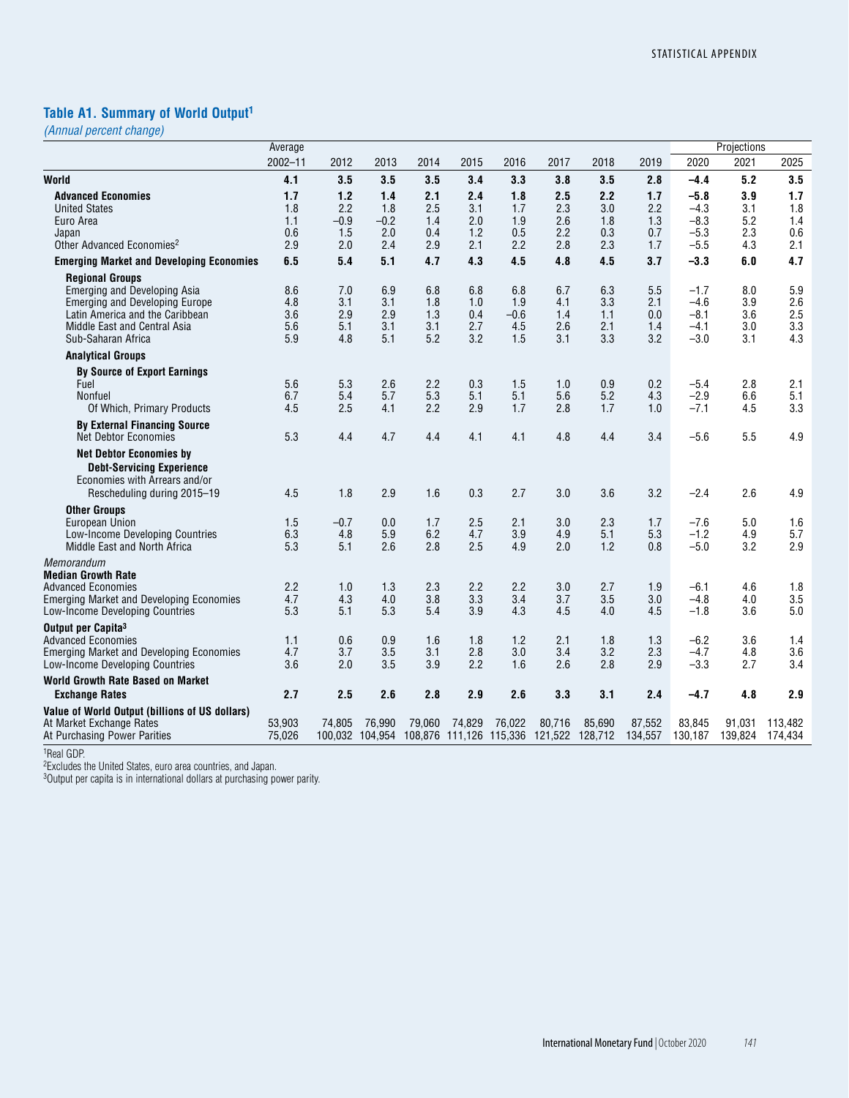# **Table A1. Summary of World Output1**

*(Annual percent change)*

|                                                                                                                                                                                                 | Average                         |                                    |                                    |                                 |                                 |                                    |                                                                   |                                 |                                 |                                                | Projections                     |                                 |
|-------------------------------------------------------------------------------------------------------------------------------------------------------------------------------------------------|---------------------------------|------------------------------------|------------------------------------|---------------------------------|---------------------------------|------------------------------------|-------------------------------------------------------------------|---------------------------------|---------------------------------|------------------------------------------------|---------------------------------|---------------------------------|
|                                                                                                                                                                                                 | $2002 - 11$                     | 2012                               | 2013                               | 2014                            | 2015                            | 2016                               | 2017                                                              | 2018                            | 2019                            | 2020                                           | 2021                            | 2025                            |
| World                                                                                                                                                                                           | 4.1                             | 3.5                                | 3.5                                | 3.5                             | 3.4                             | 3.3                                | 3.8                                                               | 3.5                             | 2.8                             | $-4.4$                                         | 5.2                             | 3.5                             |
| <b>Advanced Economies</b><br><b>United States</b><br>Euro Area<br>Japan<br>Other Advanced Economies <sup>2</sup>                                                                                | 1.7<br>1.8<br>1.1<br>0.6<br>2.9 | 1.2<br>2.2<br>$-0.9$<br>1.5<br>2.0 | 1.4<br>1.8<br>$-0.2$<br>2.0<br>2.4 | 2.1<br>2.5<br>1.4<br>0.4<br>2.9 | 2.4<br>3.1<br>2.0<br>1.2<br>2.1 | 1.8<br>1.7<br>1.9<br>0.5<br>2.2    | 2.5<br>2.3<br>2.6<br>2.2<br>2.8                                   | 2.2<br>3.0<br>1.8<br>0.3<br>2.3 | 1.7<br>2.2<br>1.3<br>0.7<br>1.7 | $-5.8$<br>$-4.3$<br>$-8.3$<br>$-5.3$<br>$-5.5$ | 3.9<br>3.1<br>5.2<br>2.3<br>4.3 | 1.7<br>1.8<br>1.4<br>0.6<br>2.1 |
| <b>Emerging Market and Developing Economies</b>                                                                                                                                                 | 6.5                             | 5.4                                | 5.1                                | 4.7                             | 4.3                             | 4.5                                | 4.8                                                               | 4.5                             | 3.7                             | $-3.3$                                         | 6.0                             | 4.7                             |
| <b>Regional Groups</b><br><b>Emerging and Developing Asia</b><br><b>Emerging and Developing Europe</b><br>Latin America and the Caribbean<br>Middle East and Central Asia<br>Sub-Saharan Africa | 8.6<br>4.8<br>3.6<br>5.6<br>5.9 | 7.0<br>3.1<br>2.9<br>5.1<br>4.8    | 6.9<br>3.1<br>2.9<br>3.1<br>5.1    | 6.8<br>1.8<br>1.3<br>3.1<br>5.2 | 6.8<br>1.0<br>0.4<br>2.7<br>3.2 | 6.8<br>1.9<br>$-0.6$<br>4.5<br>1.5 | 6.7<br>4.1<br>1.4<br>2.6<br>3.1                                   | 6.3<br>3.3<br>1.1<br>2.1<br>3.3 | 5.5<br>2.1<br>0.0<br>1.4<br>3.2 | $-1.7$<br>$-4.6$<br>$-8.1$<br>$-4.1$<br>$-3.0$ | 8.0<br>3.9<br>3.6<br>3.0<br>3.1 | 5.9<br>2.6<br>2.5<br>3.3<br>4.3 |
| <b>Analytical Groups</b>                                                                                                                                                                        |                                 |                                    |                                    |                                 |                                 |                                    |                                                                   |                                 |                                 |                                                |                                 |                                 |
| <b>By Source of Export Earnings</b><br>Fuel<br><b>Nonfuel</b><br>Of Which, Primary Products                                                                                                     | 5.6<br>6.7<br>4.5               | 5.3<br>5.4<br>2.5                  | 2.6<br>5.7<br>4.1                  | 2.2<br>5.3<br>2.2               | 0.3<br>5.1<br>2.9               | 1.5<br>5.1<br>1.7                  | 1.0<br>5.6<br>2.8                                                 | 0.9<br>5.2<br>1.7               | 0.2<br>4.3<br>1.0               | $-5.4$<br>$-2.9$<br>$-7.1$                     | 2.8<br>6.6<br>4.5               | 2.1<br>5.1<br>3.3               |
| <b>By External Financing Source</b><br><b>Net Debtor Economies</b>                                                                                                                              | 5.3                             | 4.4                                | 4.7                                | 4.4                             | 4.1                             | 4.1                                | 4.8                                                               | 4.4                             | 3.4                             | $-5.6$                                         | 5.5                             | 4.9                             |
| <b>Net Debtor Economies by</b><br><b>Debt-Servicing Experience</b><br>Economies with Arrears and/or<br>Rescheduling during 2015-19                                                              | 4.5                             | 1.8                                | 2.9                                | 1.6                             | 0.3                             | 2.7                                | 3.0                                                               | 3.6                             | 3.2                             | $-2.4$                                         | 2.6                             | 4.9                             |
| <b>Other Groups</b><br>European Union<br>Low-Income Developing Countries<br>Middle East and North Africa                                                                                        | 1.5<br>6.3<br>5.3               | $-0.7$<br>4.8<br>5.1               | 0.0<br>5.9<br>2.6                  | 1.7<br>6.2<br>2.8               | 2.5<br>4.7<br>2.5               | 2.1<br>3.9<br>4.9                  | 3.0<br>4.9<br>2.0                                                 | 2.3<br>5.1<br>1.2               | 1.7<br>5.3<br>0.8               | $-7.6$<br>$-1.2$<br>$-5.0$                     | 5.0<br>4.9<br>3.2               | 1.6<br>5.7<br>2.9               |
| Memorandum<br><b>Median Growth Rate</b><br><b>Advanced Economies</b><br><b>Emerging Market and Developing Economies</b><br>Low-Income Developing Countries                                      | 2.2<br>4.7<br>5.3               | 1.0<br>4.3<br>5.1                  | 1.3<br>4.0<br>5.3                  | 2.3<br>3.8<br>5.4               | 2.2<br>3.3<br>3.9               | 2.2<br>3.4<br>4.3                  | 3.0<br>3.7<br>4.5                                                 | 2.7<br>3.5<br>4.0               | 1.9<br>3.0<br>4.5               | $-6.1$<br>$-4.8$<br>$-1.8$                     | 4.6<br>4.0<br>3.6               | 1.8<br>3.5<br>5.0               |
| Output per Capita <sup>3</sup><br><b>Advanced Economies</b><br><b>Emerging Market and Developing Economies</b><br>Low-Income Developing Countries                                               | 1.1<br>4.7<br>3.6               | 0.6<br>3.7<br>2.0                  | 0.9<br>3.5<br>3.5                  | 1.6<br>3.1<br>3.9               | 1.8<br>2.8<br>2.2               | 1.2<br>3.0<br>1.6                  | 2.1<br>3.4<br>2.6                                                 | 1.8<br>3.2<br>2.8               | 1.3<br>2.3<br>2.9               | $-6.2$<br>$-4.7$<br>$-3.3$                     | 3.6<br>4.8<br>2.7               | 1.4<br>3.6<br>3.4               |
| <b>World Growth Rate Based on Market</b>                                                                                                                                                        |                                 |                                    |                                    |                                 |                                 |                                    |                                                                   |                                 |                                 |                                                |                                 |                                 |
| <b>Exchange Rates</b>                                                                                                                                                                           | 2.7                             | 2.5                                | 2.6                                | 2.8                             | 2.9                             | 2.6                                | 3.3                                                               | 3.1                             | 2.4                             | $-4.7$                                         | 4.8                             | 2.9                             |
| Value of World Output (billions of US dollars)<br>At Market Exchange Rates<br>At Purchasing Power Parities                                                                                      | 53,903<br>75,026                | 74.805                             | 76.990                             | 79,060                          | 74,829                          | 76,022                             | 80,716<br>100,032 104,954 108,876 111,126 115,336 121,522 128,712 | 85,690                          | 87,552<br>134,557               | 83,845<br>130,187                              | 91.031<br>139,824               | 113.482<br>174.434              |

1Real GDP.

<sup>2</sup>Excludes the United States, euro area countries, and Japan.

<sup>3</sup>Output per capita is in international dollars at purchasing power parity.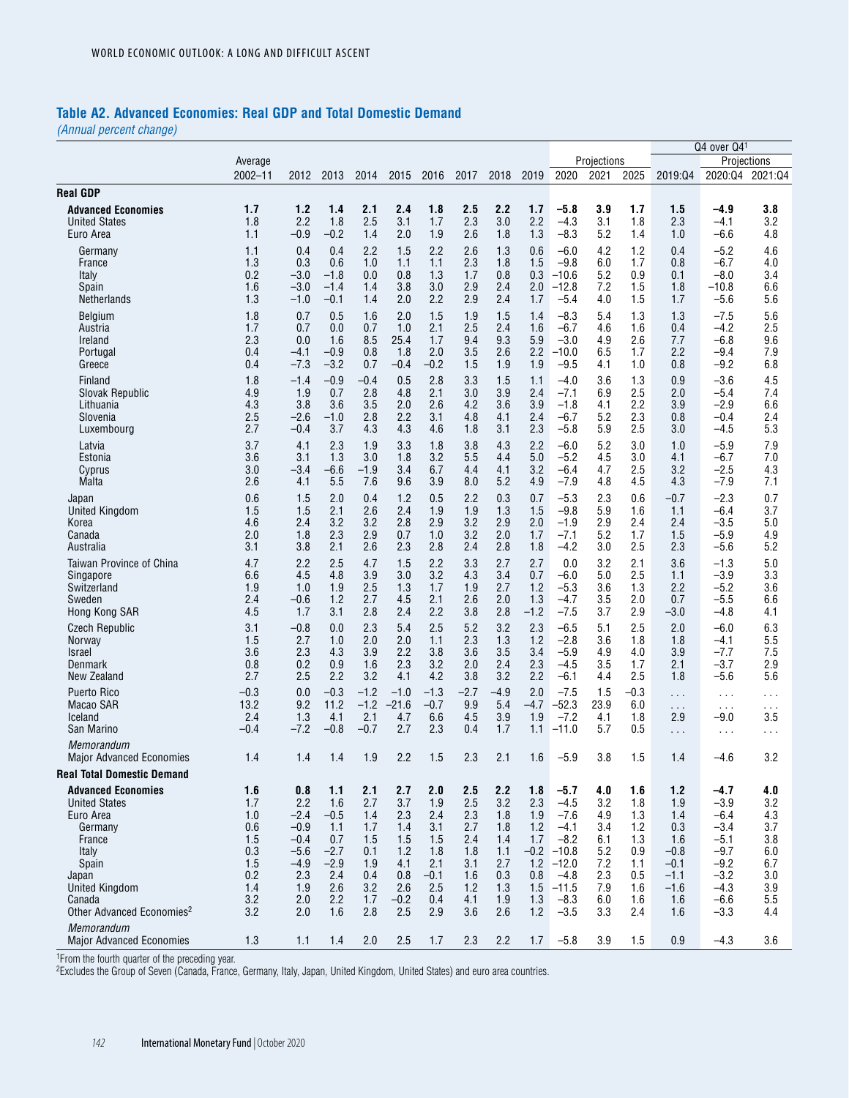#### **Table A2. Advanced Economies: Real GDP and Total Domestic Demand**

*(Annual percent change)*

|                                                                                                                                                                                                          |                                                                           |                                                                                          |                                                                                    |                                                                           |                                                                              |                                                                              |                                                                           |                                                                           |                                                             |                                                                                                                         |                                                                           |                                                                           |                                                                                       | Q4 over Q41                                                                                              |                                                                           |
|----------------------------------------------------------------------------------------------------------------------------------------------------------------------------------------------------------|---------------------------------------------------------------------------|------------------------------------------------------------------------------------------|------------------------------------------------------------------------------------|---------------------------------------------------------------------------|------------------------------------------------------------------------------|------------------------------------------------------------------------------|---------------------------------------------------------------------------|---------------------------------------------------------------------------|-------------------------------------------------------------|-------------------------------------------------------------------------------------------------------------------------|---------------------------------------------------------------------------|---------------------------------------------------------------------------|---------------------------------------------------------------------------------------|----------------------------------------------------------------------------------------------------------|---------------------------------------------------------------------------|
|                                                                                                                                                                                                          | Average                                                                   |                                                                                          |                                                                                    |                                                                           |                                                                              |                                                                              |                                                                           |                                                                           |                                                             |                                                                                                                         | Projections                                                               |                                                                           |                                                                                       |                                                                                                          | Projections                                                               |
|                                                                                                                                                                                                          | $2002 - 11$                                                               | 2012                                                                                     | 2013                                                                               | 2014                                                                      | 2015                                                                         | 2016                                                                         | 2017                                                                      | 2018                                                                      | 2019                                                        | 2020                                                                                                                    | 2021                                                                      | 2025                                                                      | 2019:04                                                                               | 2020:04                                                                                                  | 2021:04                                                                   |
| <b>Real GDP</b>                                                                                                                                                                                          |                                                                           |                                                                                          |                                                                                    |                                                                           |                                                                              |                                                                              |                                                                           |                                                                           |                                                             |                                                                                                                         |                                                                           |                                                                           |                                                                                       |                                                                                                          |                                                                           |
| <b>Advanced Economies</b>                                                                                                                                                                                | 1.7                                                                       | 1.2                                                                                      | 1.4                                                                                | 2.1                                                                       | 2.4                                                                          | 1.8                                                                          | 2.5                                                                       | 2.2                                                                       | 1.7                                                         | $-5.8$                                                                                                                  | 3.9                                                                       | 1.7                                                                       | 1.5                                                                                   | -4.9                                                                                                     | 3.8                                                                       |
| <b>United States</b>                                                                                                                                                                                     | 1.8                                                                       | 2.2                                                                                      | 1.8                                                                                | 2.5                                                                       | 3.1                                                                          | 1.7                                                                          | 2.3                                                                       | 3.0                                                                       | 2.2                                                         | $-4.3$                                                                                                                  | 3.1                                                                       | 1.8                                                                       | 2.3                                                                                   | $-4.1$                                                                                                   | 3.2                                                                       |
| Euro Area                                                                                                                                                                                                | 1.1                                                                       | $-0.9$                                                                                   | -0.2                                                                               | 1.4                                                                       | 2.0                                                                          | 1.9                                                                          | 2.6                                                                       | 1.8                                                                       | 1.3                                                         | $-8.3$                                                                                                                  | 5.2                                                                       | 1.4                                                                       | 1.0                                                                                   | $-6.6$                                                                                                   | 4.8                                                                       |
| Germany                                                                                                                                                                                                  | 1.1                                                                       | 0.4                                                                                      | 0.4                                                                                | 2.2                                                                       | 1.5                                                                          | 2.2                                                                          | 2.6                                                                       | 1.3                                                                       | 0.6                                                         | $-6.0$                                                                                                                  | 4.2                                                                       | 1.2                                                                       | 0.4                                                                                   | $-5.2$                                                                                                   | 4.6                                                                       |
| France                                                                                                                                                                                                   | 1.3                                                                       | 0.3                                                                                      | 0.6                                                                                | 1.0                                                                       | 1.1                                                                          | 1.1                                                                          | 2.3                                                                       | 1.8                                                                       | 1.5                                                         | $-9.8$                                                                                                                  | 6.0                                                                       | 1.7                                                                       | 0.8                                                                                   | $-6.7$                                                                                                   | 4.0                                                                       |
| Italy                                                                                                                                                                                                    | 0.2                                                                       | $-3.0$                                                                                   | $-1.8$                                                                             | 0.0                                                                       | 0.8                                                                          | 1.3                                                                          | 1.7                                                                       | 0.8                                                                       | 0.3                                                         | $-10.6$                                                                                                                 | 5.2                                                                       | 0.9                                                                       | 0.1                                                                                   | $-8.0$                                                                                                   | 3.4                                                                       |
| Spain                                                                                                                                                                                                    | 1.6                                                                       | $-3.0$                                                                                   | $-1.4$                                                                             | 1.4                                                                       | 3.8                                                                          | 3.0                                                                          | 2.9                                                                       | 2.4                                                                       | 2.0                                                         | $-12.8$                                                                                                                 | 7.2                                                                       | 1.5                                                                       | 1.8                                                                                   | $-10.8$                                                                                                  | 6.6                                                                       |
| Netherlands                                                                                                                                                                                              | 1.3                                                                       | $-1.0$                                                                                   | $-0.1$                                                                             | 1.4                                                                       | 2.0                                                                          | 2.2                                                                          | 2.9                                                                       | 2.4                                                                       | 1.7                                                         | $-5.4$                                                                                                                  | 4.0                                                                       | 1.5                                                                       | 1.7                                                                                   | $-5.6$                                                                                                   | 5.6                                                                       |
| Belgium                                                                                                                                                                                                  | 1.8                                                                       | 0.7                                                                                      | 0.5                                                                                | 1.6                                                                       | 2.0                                                                          | 1.5                                                                          | 1.9                                                                       | 1.5                                                                       | 1.4                                                         | $-8.3$                                                                                                                  | 5.4                                                                       | 1.3                                                                       | 1.3                                                                                   | $-7.5$                                                                                                   | 5.6                                                                       |
| Austria                                                                                                                                                                                                  | 1.7                                                                       | 0.7                                                                                      | 0.0                                                                                | 0.7                                                                       | 1.0                                                                          | 2.1                                                                          | 2.5                                                                       | 2.4                                                                       | 1.6                                                         | $-6.7$                                                                                                                  | 4.6                                                                       | 1.6                                                                       | 0.4                                                                                   | $-4.2$                                                                                                   | 2.5                                                                       |
| Ireland                                                                                                                                                                                                  | 2.3                                                                       | 0.0                                                                                      | 1.6                                                                                | 8.5                                                                       | 25.4                                                                         | 1.7                                                                          | 9.4                                                                       | 9.3                                                                       | 5.9                                                         | $-3.0$                                                                                                                  | 4.9                                                                       | 2.6                                                                       | 7.7                                                                                   | $-6.8$                                                                                                   | 9.6                                                                       |
| Portugal                                                                                                                                                                                                 | 0.4                                                                       | $-4.1$                                                                                   | $-0.9$                                                                             | 0.8                                                                       | 1.8                                                                          | 2.0                                                                          | 3.5                                                                       | 2.6                                                                       | 2.2                                                         | $-10.0$                                                                                                                 | 6.5                                                                       | 1.7                                                                       | 2.2                                                                                   | $-9.4$                                                                                                   | 7.9                                                                       |
| Greece                                                                                                                                                                                                   | 0.4                                                                       | $-7.3$                                                                                   | $-3.2$                                                                             | 0.7                                                                       | $-0.4$                                                                       | $-0.2$                                                                       | 1.5                                                                       | 1.9                                                                       | 1.9                                                         | $-9.5$                                                                                                                  | 4.1                                                                       | 1.0                                                                       | 0.8                                                                                   | $-9.2$                                                                                                   | 6.8                                                                       |
| Finland                                                                                                                                                                                                  | 1.8                                                                       | $-1.4$                                                                                   | $-0.9$                                                                             | $-0.4$                                                                    | 0.5                                                                          | 2.8                                                                          | 3.3                                                                       | 1.5                                                                       | 1.1                                                         | $-4.0$                                                                                                                  | 3.6                                                                       | 1.3                                                                       | 0.9                                                                                   | $-3.6$                                                                                                   | 4.5                                                                       |
| Slovak Republic                                                                                                                                                                                          | 4.9                                                                       | 1.9                                                                                      | 0.7                                                                                | 2.8                                                                       | 4.8                                                                          | 2.1                                                                          | 3.0                                                                       | 3.9                                                                       | 2.4                                                         | $-7.1$                                                                                                                  | 6.9                                                                       | 2.5                                                                       | 2.0                                                                                   | $-5.4$                                                                                                   | 7.4                                                                       |
| Lithuania                                                                                                                                                                                                | 4.3                                                                       | 3.8                                                                                      | 3.6                                                                                | 3.5                                                                       | 2.0                                                                          | 2.6                                                                          | 4.2                                                                       | 3.6                                                                       | 3.9                                                         | $-1.8$                                                                                                                  | 4.1                                                                       | 2.2                                                                       | 3.9                                                                                   | $-2.9$                                                                                                   | 6.6                                                                       |
| Slovenia                                                                                                                                                                                                 | 2.5                                                                       | $-2.6$                                                                                   | $-1.0$                                                                             | 2.8                                                                       | 2.2                                                                          | 3.1                                                                          | 4.8                                                                       | 4.1                                                                       | 2.4                                                         | $-6.7$                                                                                                                  | 5.2                                                                       | 2.3                                                                       | 0.8                                                                                   | $-0.4$                                                                                                   | 2.4                                                                       |
| Luxembourg                                                                                                                                                                                               | 2.7                                                                       | $-0.4$                                                                                   | 3.7                                                                                | 4.3                                                                       | 4.3                                                                          | 4.6                                                                          | 1.8                                                                       | 3.1                                                                       | 2.3                                                         | -5.8                                                                                                                    | 5.9                                                                       | 2.5                                                                       | 3.0                                                                                   | $-4.5$                                                                                                   | 5.3                                                                       |
| Latvia                                                                                                                                                                                                   | 3.7                                                                       | 4.1                                                                                      | 2.3                                                                                | 1.9                                                                       | 3.3                                                                          | 1.8                                                                          | 3.8                                                                       | 4.3                                                                       | 2.2                                                         | $-6.0$                                                                                                                  | 5.2                                                                       | 3.0                                                                       | 1.0                                                                                   | $-5.9$                                                                                                   | 7.9                                                                       |
| Estonia                                                                                                                                                                                                  | 3.6                                                                       | 3.1                                                                                      | 1.3                                                                                | 3.0                                                                       | 1.8                                                                          | 3.2                                                                          | 5.5                                                                       | 4.4                                                                       | 5.0                                                         | $-5.2$                                                                                                                  | 4.5                                                                       | 3.0                                                                       | 4.1                                                                                   | $-6.7$                                                                                                   | 7.0                                                                       |
| Cyprus                                                                                                                                                                                                   | 3.0                                                                       | $-3.4$                                                                                   | -6.6                                                                               | -1.9                                                                      | 3.4                                                                          | 6.7                                                                          | 4.4                                                                       | 4.1                                                                       | 3.2                                                         | -6.4                                                                                                                    | 4.7                                                                       | 2.5                                                                       | 3.2                                                                                   | $-2.5$                                                                                                   | 4.3                                                                       |
| Malta                                                                                                                                                                                                    | 2.6                                                                       | 4.1                                                                                      | 5.5                                                                                | 7.6                                                                       | 9.6                                                                          | 3.9                                                                          | 8.0                                                                       | 5.2                                                                       | 4.9                                                         | $-7.9$                                                                                                                  | 4.8                                                                       | 4.5                                                                       | 4.3                                                                                   | $-7.9$                                                                                                   | 7.1                                                                       |
| Japan                                                                                                                                                                                                    | 0.6                                                                       | 1.5                                                                                      | 2.0                                                                                | 0.4                                                                       | 1.2                                                                          | 0.5                                                                          | 2.2                                                                       | 0.3                                                                       | 0.7                                                         | $-5.3$                                                                                                                  | 2.3                                                                       | 0.6                                                                       | $-0.7$                                                                                | $-2.3$                                                                                                   | 0.7                                                                       |
| <b>United Kingdom</b>                                                                                                                                                                                    | 1.5                                                                       | 1.5                                                                                      | 2.1                                                                                | 2.6                                                                       | 2.4                                                                          | 1.9                                                                          | 1.9                                                                       | 1.3                                                                       | 1.5                                                         | $-9.8$                                                                                                                  | 5.9                                                                       | 1.6                                                                       | 1.1                                                                                   | $-6.4$                                                                                                   | 3.7                                                                       |
| Korea                                                                                                                                                                                                    | 4.6                                                                       | 2.4                                                                                      | 3.2                                                                                | 3.2                                                                       | 2.8                                                                          | 2.9                                                                          | 3.2                                                                       | 2.9                                                                       | 2.0                                                         | $-1.9$                                                                                                                  | 2.9                                                                       | 2.4                                                                       | 2.4                                                                                   | $-3.5$                                                                                                   | 5.0                                                                       |
| Canada                                                                                                                                                                                                   | 2.0                                                                       | 1.8                                                                                      | 2.3                                                                                | 2.9                                                                       | 0.7                                                                          | 1.0                                                                          | 3.2                                                                       | 2.0                                                                       | 1.7                                                         | $-7.1$                                                                                                                  | 5.2                                                                       | 1.7                                                                       | 1.5                                                                                   | $-5.9$                                                                                                   | 4.9                                                                       |
| Australia                                                                                                                                                                                                | 3.1                                                                       | 3.8                                                                                      | 2.1                                                                                | 2.6                                                                       | 2.3                                                                          | 2.8                                                                          | 2.4                                                                       | 2.8                                                                       | 1.8                                                         | $-4.2$                                                                                                                  | 3.0                                                                       | 2.5                                                                       | 2.3                                                                                   | $-5.6$                                                                                                   | 5.2                                                                       |
| Taiwan Province of China                                                                                                                                                                                 | 4.7                                                                       | 2.2                                                                                      | 2.5                                                                                | 4.7                                                                       | 1.5                                                                          | 2.2                                                                          | 3.3                                                                       | 2.7                                                                       | 2.7                                                         | 0.0                                                                                                                     | 3.2                                                                       | 2.1                                                                       | 3.6                                                                                   | $-1.3$                                                                                                   | 5.0                                                                       |
| Singapore                                                                                                                                                                                                | 6.6                                                                       | 4.5                                                                                      | 4.8                                                                                | 3.9                                                                       | 3.0                                                                          | 3.2                                                                          | 4.3                                                                       | 3.4                                                                       | 0.7                                                         | $-6.0$                                                                                                                  | 5.0                                                                       | 2.5                                                                       | 1.1                                                                                   | $-3.9$                                                                                                   | 3.3                                                                       |
| Switzerland                                                                                                                                                                                              | 1.9                                                                       | 1.0                                                                                      | 1.9                                                                                | 2.5                                                                       | 1.3                                                                          | 1.7                                                                          | 1.9                                                                       | 2.7                                                                       | 1.2                                                         | $-5.3$                                                                                                                  | 3.6                                                                       | 1.3                                                                       | 2.2                                                                                   | $-5.2$                                                                                                   | 3.6                                                                       |
| Sweden                                                                                                                                                                                                   | 2.4                                                                       | $-0.6$                                                                                   | 1.2                                                                                | 2.7                                                                       | 4.5                                                                          | 2.1                                                                          | 2.6                                                                       | 2.0                                                                       | 1.3                                                         | -4.7                                                                                                                    | 3.5                                                                       | 2.0                                                                       | 0.7                                                                                   | $-5.5$                                                                                                   | 6.6                                                                       |
| Hong Kong SAR                                                                                                                                                                                            | 4.5                                                                       | 1.7                                                                                      | 3.1                                                                                | 2.8                                                                       | 2.4                                                                          | 2.2                                                                          | 3.8                                                                       | 2.8                                                                       | $-1.2$                                                      | $-7.5$                                                                                                                  | 3.7                                                                       | 2.9                                                                       | $-3.0$                                                                                | $-4.8$                                                                                                   | 4.1                                                                       |
| <b>Czech Republic</b>                                                                                                                                                                                    | 3.1                                                                       | $-0.8$                                                                                   | 0.0                                                                                | 2.3                                                                       | 5.4                                                                          | 2.5                                                                          | 5.2                                                                       | 3.2                                                                       | 2.3                                                         | $-6.5$                                                                                                                  | 5.1                                                                       | 2.5                                                                       | 2.0                                                                                   | $-6.0$                                                                                                   | 6.3                                                                       |
| Norway                                                                                                                                                                                                   | 1.5                                                                       | 2.7                                                                                      | 1.0                                                                                | 2.0                                                                       | 2.0                                                                          | 1.1                                                                          | 2.3                                                                       | 1.3                                                                       | 1.2                                                         | $-2.8$                                                                                                                  | 3.6                                                                       | 1.8                                                                       | 1.8                                                                                   | $-4.1$                                                                                                   | 5.5                                                                       |
| <b>Israel</b>                                                                                                                                                                                            | 3.6                                                                       | 2.3                                                                                      | 4.3                                                                                | 3.9                                                                       | 2.2                                                                          | 3.8                                                                          | 3.6                                                                       | 3.5                                                                       | 3.4                                                         | $-5.9$                                                                                                                  | 4.9                                                                       | 4.0                                                                       | 3.9                                                                                   | $-7.7$                                                                                                   | 7.5                                                                       |
| Denmark                                                                                                                                                                                                  | 0.8                                                                       | 0.2                                                                                      | 0.9                                                                                | 1.6                                                                       | 2.3                                                                          | 3.2                                                                          | 2.0                                                                       | 2.4                                                                       | 2.3                                                         | $-4.5$                                                                                                                  | 3.5                                                                       | 1.7                                                                       | 2.1                                                                                   | $-3.7$                                                                                                   | 2.9                                                                       |
| New Zealand                                                                                                                                                                                              | 2.7                                                                       | 2.5                                                                                      | 2.2                                                                                | 3.2                                                                       | 4.1                                                                          | 4.2                                                                          | 3.8                                                                       | 3.2                                                                       | 2.2                                                         | $-6.1$                                                                                                                  | 4.4                                                                       | 2.5                                                                       | 1.8                                                                                   | $-5.6$                                                                                                   | 5.6                                                                       |
| <b>Puerto Rico</b>                                                                                                                                                                                       | $-0.3$                                                                    | 0.0                                                                                      | $-0.3$                                                                             | $-1.2$                                                                    | $-1.0$                                                                       | $-1.3$                                                                       | $-2.7$                                                                    | $-4.9$                                                                    | 2.0                                                         | $-7.5$                                                                                                                  | 1.5                                                                       | $-0.3$                                                                    | $\sim$                                                                                | $\cdots$                                                                                                 | .                                                                         |
| Macao SAR                                                                                                                                                                                                | 13.2                                                                      | 9.2                                                                                      | 11.2                                                                               | $-1.2$                                                                    | $-21.6$                                                                      | $-0.7$                                                                       | 9.9                                                                       | 5.4                                                                       | $-4.7$                                                      | $-52.3$                                                                                                                 | 23.9                                                                      | 6.0                                                                       | .                                                                                     | $\sim$ $\sim$ $\sim$                                                                                     | $\cdots$                                                                  |
| Iceland                                                                                                                                                                                                  | 2.4                                                                       | 1.3                                                                                      | 4.1                                                                                | 2.1                                                                       | 4.7                                                                          | 6.6                                                                          | 4.5                                                                       | 3.9                                                                       | 1.9                                                         | $-7.2$                                                                                                                  | 4.1                                                                       | 1.8                                                                       | 2.9                                                                                   | $-9.0$                                                                                                   | 3.5                                                                       |
| San Marino                                                                                                                                                                                               | -0.4                                                                      | $-7.2$                                                                                   | $-0.8$                                                                             | -0.7                                                                      | 2.7                                                                          | 2.3                                                                          | 0.4                                                                       | 1.7                                                                       | 1.1                                                         | $-11.0$                                                                                                                 | 5.7                                                                       | 0.5                                                                       | .                                                                                     | $\cdots$                                                                                                 | .                                                                         |
| Memorandum<br><b>Major Advanced Economies</b>                                                                                                                                                            | 1.4                                                                       | 1.4                                                                                      | 1.4                                                                                | 1.9                                                                       | 2.2                                                                          | 1.5                                                                          | 2.3                                                                       | 2.1                                                                       | 1.6                                                         | $-5.9$                                                                                                                  | 3.8                                                                       | 1.5                                                                       | 1.4                                                                                   | $-4.6$                                                                                                   | 3.2                                                                       |
| <b>Real Total Domestic Demand</b>                                                                                                                                                                        |                                                                           |                                                                                          |                                                                                    |                                                                           |                                                                              |                                                                              |                                                                           |                                                                           |                                                             |                                                                                                                         |                                                                           |                                                                           |                                                                                       |                                                                                                          |                                                                           |
| <b>Advanced Economies</b><br><b>United States</b><br>Euro Area<br>Germany<br>France<br>Italy<br>Spain<br>Japan<br><b>United Kingdom</b><br>Canada<br>Other Advanced Economies <sup>2</sup><br>Memorandum | 1.6<br>1.7<br>1.0<br>0.6<br>1.5<br>0.3<br>1.5<br>0.2<br>1.4<br>3.2<br>3.2 | 0.8<br>2.2<br>$-2.4$<br>$-0.9$<br>$-0.4$<br>$-5.6$<br>$-4.9$<br>2.3<br>1.9<br>2.0<br>2.0 | 1.1<br>1.6<br>$-0.5$<br>1.1<br>0.7<br>$-2.7$<br>$-2.9$<br>2.4<br>2.6<br>2.2<br>1.6 | 2.1<br>2.7<br>1.4<br>1.7<br>1.5<br>0.1<br>1.9<br>0.4<br>3.2<br>1.7<br>2.8 | 2.7<br>3.7<br>2.3<br>1.4<br>1.5<br>1.2<br>4.1<br>0.8<br>2.6<br>$-0.2$<br>2.5 | 2.0<br>1.9<br>2.4<br>3.1<br>1.5<br>1.8<br>2.1<br>$-0.1$<br>2.5<br>0.4<br>2.9 | 2.5<br>2.5<br>2.3<br>2.7<br>2.4<br>1.8<br>3.1<br>1.6<br>1.2<br>4.1<br>3.6 | 2.2<br>3.2<br>1.8<br>1.8<br>1.4<br>1.1<br>2.7<br>0.3<br>1.3<br>1.9<br>2.6 | 1.8<br>2.3<br>1.9<br>1.2<br>1.7<br>0.8<br>1.5<br>1.3<br>1.2 | $-5.7$<br>$-4.5$<br>$-7.6$<br>$-4.1$<br>$-8.2$<br>$-0.2 -10.8$<br>$1.2 - 12.0$<br>$-4.8$<br>$-11.5$<br>$-8.3$<br>$-3.5$ | 4.0<br>3.2<br>4.9<br>3.4<br>6.1<br>5.2<br>7.2<br>2.3<br>7.9<br>6.0<br>3.3 | 1.6<br>1.8<br>1.3<br>1.2<br>1.3<br>0.9<br>1.1<br>0.5<br>1.6<br>1.6<br>2.4 | 1.2<br>1.9<br>1.4<br>0.3<br>1.6<br>$-0.8$<br>$-0.1$<br>$-1.1$<br>$-1.6$<br>1.6<br>1.6 | -4.7<br>$-3.9$<br>$-6.4$<br>$-3.4$<br>$-5.1$<br>$-9.7$<br>$-9.2$<br>$-3.2$<br>$-4.3$<br>$-6.6$<br>$-3.3$ | 4.0<br>3.2<br>4.3<br>3.7<br>3.8<br>6.0<br>6.7<br>3.0<br>3.9<br>5.5<br>4.4 |
| <b>Major Advanced Economies</b>                                                                                                                                                                          | 1.3                                                                       | 1.1                                                                                      | 1.4                                                                                | 2.0                                                                       | 2.5                                                                          | 1.7                                                                          | 2.3                                                                       | 2.2                                                                       | 1.7                                                         | $-5.8$                                                                                                                  | 3.9                                                                       | 1.5                                                                       | 0.9                                                                                   | $-4.3$                                                                                                   | 3.6                                                                       |

1From the fourth quarter of the preceding year.

2Excludes the Group of Seven (Canada, France, Germany, Italy, Japan, United Kingdom, United States) and euro area countries.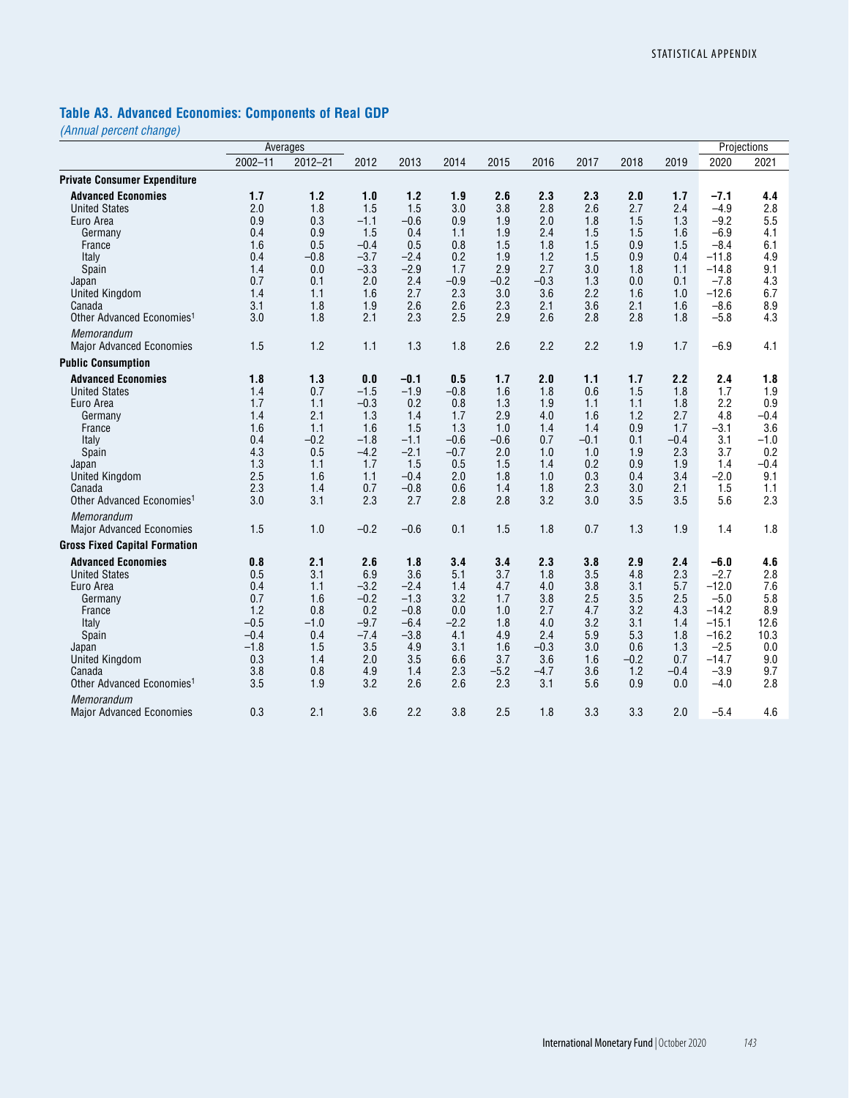# **Table A3. Advanced Economies: Components of Real GDP**

|                                                                                                                                                                                                          |                                                                                    | Averages                                                                            |                                                                                                 |                                                                                                       |                                                                                           |                                                                                     |                                                                                  |                                                                                     |                                                                                  |                                                                                     |                                                                                                                 | Projections                                                                               |
|----------------------------------------------------------------------------------------------------------------------------------------------------------------------------------------------------------|------------------------------------------------------------------------------------|-------------------------------------------------------------------------------------|-------------------------------------------------------------------------------------------------|-------------------------------------------------------------------------------------------------------|-------------------------------------------------------------------------------------------|-------------------------------------------------------------------------------------|----------------------------------------------------------------------------------|-------------------------------------------------------------------------------------|----------------------------------------------------------------------------------|-------------------------------------------------------------------------------------|-----------------------------------------------------------------------------------------------------------------|-------------------------------------------------------------------------------------------|
|                                                                                                                                                                                                          | $2002 - 11$                                                                        | $2012 - 21$                                                                         | 2012                                                                                            | 2013                                                                                                  | 2014                                                                                      | 2015                                                                                | 2016                                                                             | 2017                                                                                | 2018                                                                             | 2019                                                                                | 2020                                                                                                            | 2021                                                                                      |
| <b>Private Consumer Expenditure</b>                                                                                                                                                                      |                                                                                    |                                                                                     |                                                                                                 |                                                                                                       |                                                                                           |                                                                                     |                                                                                  |                                                                                     |                                                                                  |                                                                                     |                                                                                                                 |                                                                                           |
| <b>Advanced Economies</b><br><b>United States</b>                                                                                                                                                        | 1.7<br>2.0                                                                         | $1.2$<br>1.8                                                                        | 1.0<br>1.5                                                                                      | 1.2<br>1.5                                                                                            | 1.9<br>3.0                                                                                | 2.6<br>3.8                                                                          | 2.3<br>2.8                                                                       | 2.3<br>2.6                                                                          | 2.0<br>2.7                                                                       | 1.7<br>2.4                                                                          | $-7.1$<br>$-4.9$                                                                                                | 4.4<br>2.8                                                                                |
| Euro Area<br>Germany<br>France                                                                                                                                                                           | 0.9<br>0.4<br>1.6                                                                  | 0.3<br>0.9<br>0.5                                                                   | $-1.1$<br>1.5<br>$-0.4$                                                                         | $-0.6$<br>0.4<br>0.5                                                                                  | 0.9<br>1.1<br>0.8                                                                         | 1.9<br>1.9<br>1.5                                                                   | 2.0<br>2.4<br>1.8                                                                | 1.8<br>1.5<br>1.5                                                                   | 1.5<br>1.5<br>0.9                                                                | 1.3<br>1.6<br>1.5                                                                   | $-9.2$<br>$-6.9$<br>$-8.4$                                                                                      | 5.5<br>4.1<br>6.1                                                                         |
| Italy<br>Spain<br>Japan                                                                                                                                                                                  | 0.4<br>1.4<br>0.7                                                                  | $-0.8$<br>0.0<br>0.1                                                                | $-3.7$<br>$-3.3$<br>2.0                                                                         | $-2.4$<br>$-2.9$<br>2.4                                                                               | 0.2<br>1.7<br>$-0.9$                                                                      | 1.9<br>2.9<br>$-0.2$                                                                | 1.2<br>2.7<br>$-0.3$                                                             | 1.5<br>3.0<br>1.3                                                                   | 0.9<br>1.8<br>0.0                                                                | 0.4<br>1.1<br>0.1                                                                   | $-11.8$<br>$-14.8$<br>$-7.8$                                                                                    | 4.9<br>9.1<br>4.3                                                                         |
| <b>United Kingdom</b><br>Canada<br>Other Advanced Economies <sup>1</sup>                                                                                                                                 | 1.4<br>3.1<br>3.0                                                                  | 1.1<br>1.8<br>1.8                                                                   | 1.6<br>1.9<br>2.1                                                                               | 2.7<br>2.6<br>2.3                                                                                     | 2.3<br>2.6<br>2.5                                                                         | 3.0<br>2.3<br>2.9                                                                   | 3.6<br>2.1<br>2.6                                                                | 2.2<br>3.6<br>2.8                                                                   | 1.6<br>2.1<br>2.8                                                                | 1.0<br>1.6<br>1.8                                                                   | $-12.6$<br>$-8.6$<br>$-5.8$                                                                                     | 6.7<br>8.9<br>4.3                                                                         |
| Memorandum<br><b>Major Advanced Economies</b>                                                                                                                                                            | 1.5                                                                                | 1.2                                                                                 | 1.1                                                                                             | 1.3                                                                                                   | 1.8                                                                                       | 2.6                                                                                 | 2.2                                                                              | 2.2                                                                                 | 1.9                                                                              | 1.7                                                                                 | $-6.9$                                                                                                          | 4.1                                                                                       |
| <b>Public Consumption</b>                                                                                                                                                                                |                                                                                    |                                                                                     |                                                                                                 |                                                                                                       |                                                                                           |                                                                                     |                                                                                  |                                                                                     |                                                                                  |                                                                                     |                                                                                                                 |                                                                                           |
| <b>Advanced Economies</b><br><b>United States</b><br>Euro Area<br>Germany<br>France<br>Italy<br>Spain<br>Japan<br><b>United Kingdom</b><br>Canada<br>Other Advanced Economies <sup>1</sup><br>Memorandum | 1.8<br>1.4<br>1.7<br>1.4<br>1.6<br>0.4<br>4.3<br>1.3<br>2.5<br>2.3<br>3.0<br>1.5   | 1.3<br>0.7<br>1.1<br>2.1<br>1.1<br>$-0.2$<br>0.5<br>1.1<br>1.6<br>1.4<br>3.1<br>1.0 | 0.0<br>$-1.5$<br>$-0.3$<br>1.3<br>1.6<br>$-1.8$<br>$-4.2$<br>1.7<br>1.1<br>0.7<br>2.3<br>$-0.2$ | $-0.1$<br>$-1.9$<br>0.2<br>1.4<br>1.5<br>$-1.1$<br>$-2.1$<br>1.5<br>$-0.4$<br>$-0.8$<br>2.7<br>$-0.6$ | 0.5<br>$-0.8$<br>0.8<br>1.7<br>1.3<br>$-0.6$<br>$-0.7$<br>0.5<br>2.0<br>0.6<br>2.8<br>0.1 | 1.7<br>1.6<br>1.3<br>2.9<br>1.0<br>$-0.6$<br>2.0<br>1.5<br>1.8<br>1.4<br>2.8<br>1.5 | 2.0<br>1.8<br>1.9<br>4.0<br>1.4<br>0.7<br>1.0<br>1.4<br>1.0<br>1.8<br>3.2<br>1.8 | 1.1<br>0.6<br>1.1<br>1.6<br>1.4<br>$-0.1$<br>1.0<br>0.2<br>0.3<br>2.3<br>3.0<br>0.7 | 1.7<br>1.5<br>1.1<br>1.2<br>0.9<br>0.1<br>1.9<br>0.9<br>0.4<br>3.0<br>3.5<br>1.3 | 2.2<br>1.8<br>1.8<br>2.7<br>1.7<br>$-0.4$<br>2.3<br>1.9<br>3.4<br>2.1<br>3.5<br>1.9 | 2.4<br>1.7<br>2.2<br>4.8<br>$-3.1$<br>3.1<br>3.7<br>1.4<br>$-2.0$<br>1.5<br>5.6<br>1.4                          | 1.8<br>1.9<br>0.9<br>$-0.4$<br>3.6<br>$-1.0$<br>0.2<br>$-0.4$<br>9.1<br>1.1<br>2.3<br>1.8 |
| <b>Major Advanced Economies</b><br><b>Gross Fixed Capital Formation</b>                                                                                                                                  |                                                                                    |                                                                                     |                                                                                                 |                                                                                                       |                                                                                           |                                                                                     |                                                                                  |                                                                                     |                                                                                  |                                                                                     |                                                                                                                 |                                                                                           |
| <b>Advanced Economies</b><br><b>United States</b><br>Euro Area<br>Germany<br>France<br>Italy<br>Spain<br>Japan<br><b>United Kingdom</b><br>Canada<br>Other Advanced Economies <sup>1</sup>               | 0.8<br>0.5<br>0.4<br>0.7<br>1.2<br>$-0.5$<br>$-0.4$<br>$-1.8$<br>0.3<br>3.8<br>3.5 | 2.1<br>3.1<br>1.1<br>1.6<br>0.8<br>$-1.0$<br>0.4<br>1.5<br>1.4<br>0.8<br>1.9        | 2.6<br>6.9<br>$-3.2$<br>$-0.2$<br>0.2<br>$-9.7$<br>$-7.4$<br>3.5<br>2.0<br>4.9<br>3.2           | 1.8<br>3.6<br>$-2.4$<br>$-1.3$<br>$-0.8$<br>$-6.4$<br>$-3.8$<br>4.9<br>3.5<br>1.4<br>2.6              | 3.4<br>5.1<br>1.4<br>3.2<br>0.0<br>$-2.2$<br>4.1<br>3.1<br>6.6<br>2.3<br>2.6              | 3.4<br>3.7<br>4.7<br>1.7<br>1.0<br>1.8<br>4.9<br>1.6<br>3.7<br>$-5.2$<br>2.3        | 2.3<br>1.8<br>4.0<br>3.8<br>2.7<br>4.0<br>2.4<br>$-0.3$<br>3.6<br>$-4.7$<br>3.1  | 3.8<br>3.5<br>3.8<br>2.5<br>4.7<br>3.2<br>5.9<br>3.0<br>1.6<br>3.6<br>5.6           | 2.9<br>4.8<br>3.1<br>3.5<br>3.2<br>3.1<br>5.3<br>0.6<br>$-0.2$<br>1.2<br>0.9     | 2.4<br>2.3<br>5.7<br>2.5<br>4.3<br>1.4<br>1.8<br>1.3<br>0.7<br>$-0.4$<br>0.0        | $-6.0$<br>$-2.7$<br>$-12.0$<br>$-5.0$<br>$-14.2$<br>$-15.1$<br>$-16.2$<br>$-2.5$<br>$-14.7$<br>$-3.9$<br>$-4.0$ | 4.6<br>2.8<br>7.6<br>5.8<br>8.9<br>12.6<br>10.3<br>0.0<br>9.0<br>9.7<br>2.8               |
| <b>Memorandum</b><br><b>Major Advanced Economies</b>                                                                                                                                                     | 0.3                                                                                | 2.1                                                                                 | 3.6                                                                                             | 2.2                                                                                                   | 3.8                                                                                       | 2.5                                                                                 | 1.8                                                                              | 3.3                                                                                 | 3.3                                                                              | 2.0                                                                                 | $-5.4$                                                                                                          | 4.6                                                                                       |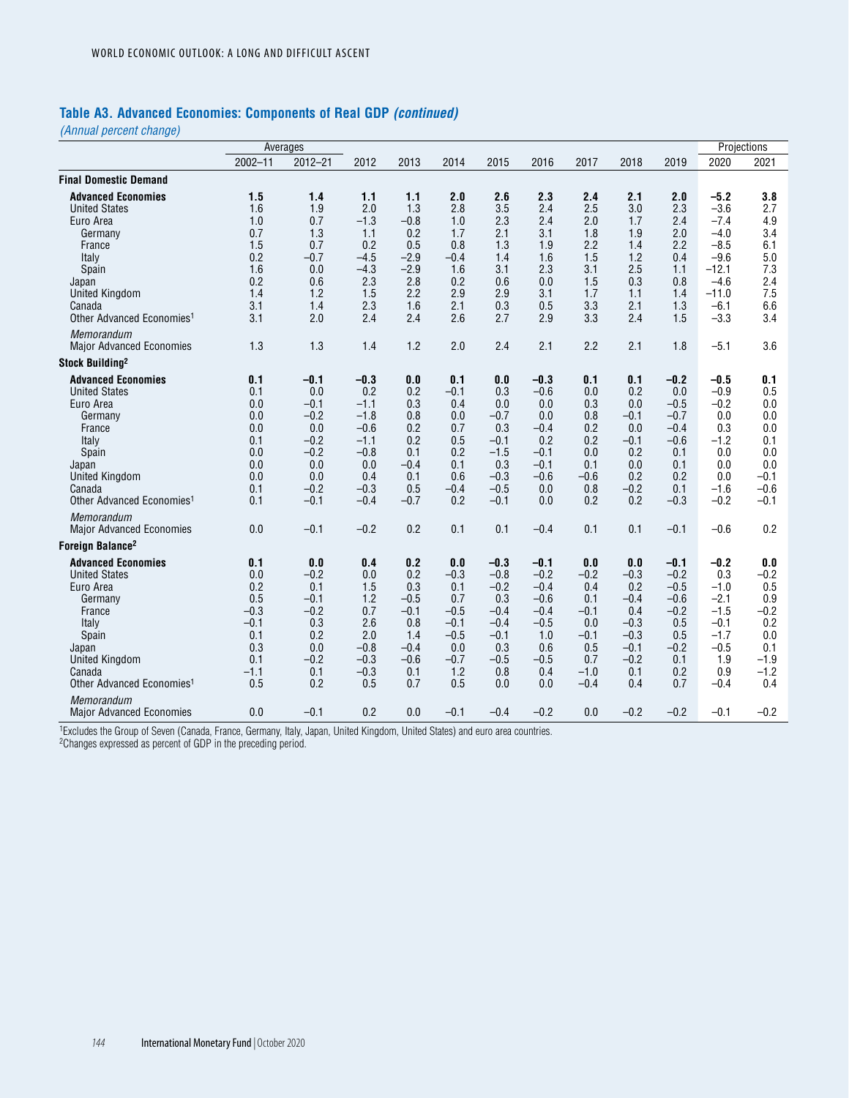### **Table A3. Advanced Economies: Components of Real GDP** *(continued)*

*(Annual percent change)*

|                                                                                                                                                                                            |                                                                                    | Averages                                                                                       |                                                                                                   |                                                                                       |                                                                                          |                                                                                                |                                                                                                |                                                                                          |                                                                                             |                                                                                             |                                                                                                              | Projections                                                                           |
|--------------------------------------------------------------------------------------------------------------------------------------------------------------------------------------------|------------------------------------------------------------------------------------|------------------------------------------------------------------------------------------------|---------------------------------------------------------------------------------------------------|---------------------------------------------------------------------------------------|------------------------------------------------------------------------------------------|------------------------------------------------------------------------------------------------|------------------------------------------------------------------------------------------------|------------------------------------------------------------------------------------------|---------------------------------------------------------------------------------------------|---------------------------------------------------------------------------------------------|--------------------------------------------------------------------------------------------------------------|---------------------------------------------------------------------------------------|
|                                                                                                                                                                                            | $2002 - 11$                                                                        | $2012 - 21$                                                                                    | 2012                                                                                              | 2013                                                                                  | 2014                                                                                     | 2015                                                                                           | 2016                                                                                           | 2017                                                                                     | 2018                                                                                        | 2019                                                                                        | 2020                                                                                                         | 2021                                                                                  |
| <b>Final Domestic Demand</b>                                                                                                                                                               |                                                                                    |                                                                                                |                                                                                                   |                                                                                       |                                                                                          |                                                                                                |                                                                                                |                                                                                          |                                                                                             |                                                                                             |                                                                                                              |                                                                                       |
| <b>Advanced Economies</b><br><b>United States</b><br>Euro Area<br>Germany<br>France<br>Italy<br>Spain<br>Japan<br><b>United Kingdom</b><br>Canada<br>Other Advanced Economies <sup>1</sup> | 1.5<br>1.6<br>1.0<br>0.7<br>1.5<br>0.2<br>1.6<br>0.2<br>1.4<br>3.1<br>3.1          | 1.4<br>1.9<br>0.7<br>1.3<br>0.7<br>$-0.7$<br>0.0<br>0.6<br>1.2<br>1.4<br>2.0                   | 1.1<br>2.0<br>$-1.3$<br>1.1<br>0.2<br>$-4.5$<br>$-4.3$<br>2.3<br>1.5<br>2.3<br>2.4                | 1.1<br>1.3<br>$-0.8$<br>0.2<br>0.5<br>$-2.9$<br>$-2.9$<br>2.8<br>2.2<br>1.6<br>2.4    | 2.0<br>2.8<br>1.0<br>1.7<br>0.8<br>$-0.4$<br>1.6<br>0.2<br>2.9<br>2.1<br>2.6             | 2.6<br>3.5<br>2.3<br>2.1<br>1.3<br>1.4<br>3.1<br>0.6<br>2.9<br>0.3<br>2.7                      | 2.3<br>2.4<br>2.4<br>3.1<br>1.9<br>1.6<br>2.3<br>0.0<br>3.1<br>0.5<br>2.9                      | 2.4<br>2.5<br>2.0<br>1.8<br>2.2<br>1.5<br>3.1<br>1.5<br>1.7<br>3.3<br>3.3                | 2.1<br>3.0<br>1.7<br>1.9<br>1.4<br>1.2<br>2.5<br>0.3<br>1.1<br>2.1<br>2.4                   | 2.0<br>2.3<br>2.4<br>2.0<br>2.2<br>0.4<br>1.1<br>0.8<br>1.4<br>1.3<br>1.5                   | $-5.2$<br>$-3.6$<br>$-7.4$<br>$-4.0$<br>$-8.5$<br>$-9.6$<br>$-12.1$<br>$-4.6$<br>$-11.0$<br>$-6.1$<br>$-3.3$ | 3.8<br>2.7<br>4.9<br>3.4<br>6.1<br>5.0<br>7.3<br>2.4<br>7.5<br>6.6<br>3.4             |
| Memorandum<br><b>Major Advanced Economies</b>                                                                                                                                              | 1.3                                                                                | 1.3                                                                                            | 1.4                                                                                               | 1.2                                                                                   | 2.0                                                                                      | 2.4                                                                                            | 2.1                                                                                            | 2.2                                                                                      | 2.1                                                                                         | 1.8                                                                                         | $-5.1$                                                                                                       | 3.6                                                                                   |
| Stock Building <sup>2</sup>                                                                                                                                                                |                                                                                    |                                                                                                |                                                                                                   |                                                                                       |                                                                                          |                                                                                                |                                                                                                |                                                                                          |                                                                                             |                                                                                             |                                                                                                              |                                                                                       |
| <b>Advanced Economies</b><br><b>United States</b><br>Euro Area<br>Germany<br>France<br>Italy<br>Spain<br>Japan<br><b>United Kingdom</b><br>Canada<br>Other Advanced Economies <sup>1</sup> | 0.1<br>0.1<br>0.0<br>0.0<br>0.0<br>0.1<br>0.0<br>0.0<br>0.0<br>0.1<br>0.1          | $-0.1$<br>0.0<br>$-0.1$<br>$-0.2$<br>0.0<br>$-0.2$<br>$-0.2$<br>0.0<br>0.0<br>$-0.2$<br>$-0.1$ | $-0.3$<br>0.2<br>$-1.1$<br>$-1.8$<br>$-0.6$<br>$-1.1$<br>$-0.8$<br>0.0<br>0.4<br>$-0.3$<br>$-0.4$ | 0.0<br>0.2<br>0.3<br>0.8<br>0.2<br>0.2<br>0.1<br>$-0.4$<br>0.1<br>0.5<br>$-0.7$       | 0.1<br>$-0.1$<br>0.4<br>0.0<br>0.7<br>0.5<br>0.2<br>0.1<br>0.6<br>$-0.4$<br>0.2          | 0.0<br>0.3<br>0.0<br>$-0.7$<br>0.3<br>$-0.1$<br>$-1.5$<br>0.3<br>$-0.3$<br>$-0.5$<br>$-0.1$    | $-0.3$<br>$-0.6$<br>0.0<br>0.0<br>$-0.4$<br>0.2<br>$-0.1$<br>$-0.1$<br>$-0.6$<br>0.0<br>0.0    | 0.1<br>0.0<br>0.3<br>0.8<br>0.2<br>0.2<br>0.0<br>0.1<br>$-0.6$<br>0.8<br>0.2             | 0.1<br>0.2<br>0.0<br>$-0.1$<br>0.0<br>$-0.1$<br>0.2<br>0.0<br>0.2<br>$-0.2$<br>0.2          | $-0.2$<br>0.0<br>$-0.5$<br>$-0.7$<br>$-0.4$<br>$-0.6$<br>0.1<br>0.1<br>0.2<br>0.1<br>$-0.3$ | $-0.5$<br>$-0.9$<br>$-0.2$<br>0.0<br>0.3<br>$-1.2$<br>0.0<br>0.0<br>0.0<br>$-1.6$<br>$-0.2$                  | 0.1<br>0.5<br>0.0<br>0.0<br>0.0<br>0.1<br>0.0<br>0.0<br>$-0.1$<br>$-0.6$<br>$-0.1$    |
| Memorandum<br><b>Major Advanced Economies</b>                                                                                                                                              | 0.0                                                                                | $-0.1$                                                                                         | $-0.2$                                                                                            | 0.2                                                                                   | 0.1                                                                                      | 0.1                                                                                            | $-0.4$                                                                                         | 0.1                                                                                      | 0.1                                                                                         | $-0.1$                                                                                      | $-0.6$                                                                                                       | 0.2                                                                                   |
| Foreign Balance <sup>2</sup>                                                                                                                                                               |                                                                                    |                                                                                                |                                                                                                   |                                                                                       |                                                                                          |                                                                                                |                                                                                                |                                                                                          |                                                                                             |                                                                                             |                                                                                                              |                                                                                       |
| <b>Advanced Economies</b><br><b>United States</b><br>Euro Area<br>Germany<br>France<br>Italy<br>Spain<br>Japan<br><b>United Kingdom</b><br>Canada<br>Other Advanced Economies <sup>1</sup> | 0.1<br>0.0<br>0.2<br>0.5<br>$-0.3$<br>$-0.1$<br>0.1<br>0.3<br>0.1<br>$-1.1$<br>0.5 | 0.0<br>$-0.2$<br>0.1<br>$-0.1$<br>$-0.2$<br>0.3<br>0.2<br>0.0<br>$-0.2$<br>0.1<br>0.2          | 0.4<br>0.0<br>1.5<br>1.2<br>0.7<br>2.6<br>2.0<br>$-0.8$<br>$-0.3$<br>$-0.3$<br>0.5                | 0.2<br>0.2<br>0.3<br>$-0.5$<br>$-0.1$<br>0.8<br>1.4<br>$-0.4$<br>$-0.6$<br>0.1<br>0.7 | 0.0<br>$-0.3$<br>0.1<br>0.7<br>$-0.5$<br>$-0.1$<br>$-0.5$<br>0.0<br>$-0.7$<br>1.2<br>0.5 | $-0.3$<br>$-0.8$<br>$-0.2$<br>0.3<br>$-0.4$<br>$-0.4$<br>$-0.1$<br>0.3<br>$-0.5$<br>0.8<br>0.0 | $-0.1$<br>$-0.2$<br>$-0.4$<br>$-0.6$<br>$-0.4$<br>$-0.5$<br>1.0<br>0.6<br>$-0.5$<br>0.4<br>0.0 | 0.0<br>$-0.2$<br>0.4<br>0.1<br>$-0.1$<br>0.0<br>$-0.1$<br>0.5<br>0.7<br>$-1.0$<br>$-0.4$ | 0.0<br>$-0.3$<br>0.2<br>$-0.4$<br>0.4<br>$-0.3$<br>$-0.3$<br>$-0.1$<br>$-0.2$<br>0.1<br>0.4 | $-0.1$<br>$-0.2$<br>$-0.5$<br>$-0.6$<br>$-0.2$<br>0.5<br>0.5<br>$-0.2$<br>0.1<br>0.2<br>0.7 | $-0.2$<br>0.3<br>$-1.0$<br>$-2.1$<br>$-1.5$<br>$-0.1$<br>$-1.7$<br>$-0.5$<br>1.9<br>0.9<br>$-0.4$            | 0.0<br>$-0.2$<br>0.5<br>0.9<br>$-0.2$<br>0.2<br>0.0<br>0.1<br>$-1.9$<br>$-1.2$<br>0.4 |
| <b>Memorandum</b><br><b>Major Advanced Economies</b>                                                                                                                                       | 0.0                                                                                | $-0.1$                                                                                         | 0.2                                                                                               | 0.0                                                                                   | -0.1                                                                                     | $-0.4$                                                                                         | $-0.2$                                                                                         | 0.0                                                                                      | $-0.2$                                                                                      | $-0.2$                                                                                      | $-0.1$                                                                                                       | $-0.2$                                                                                |

1Excludes the Group of Seven (Canada, France, Germany, Italy, Japan, United Kingdom, United States) and euro area countries.

<sup>2</sup>Changes expressed as percent of GDP in the preceding period.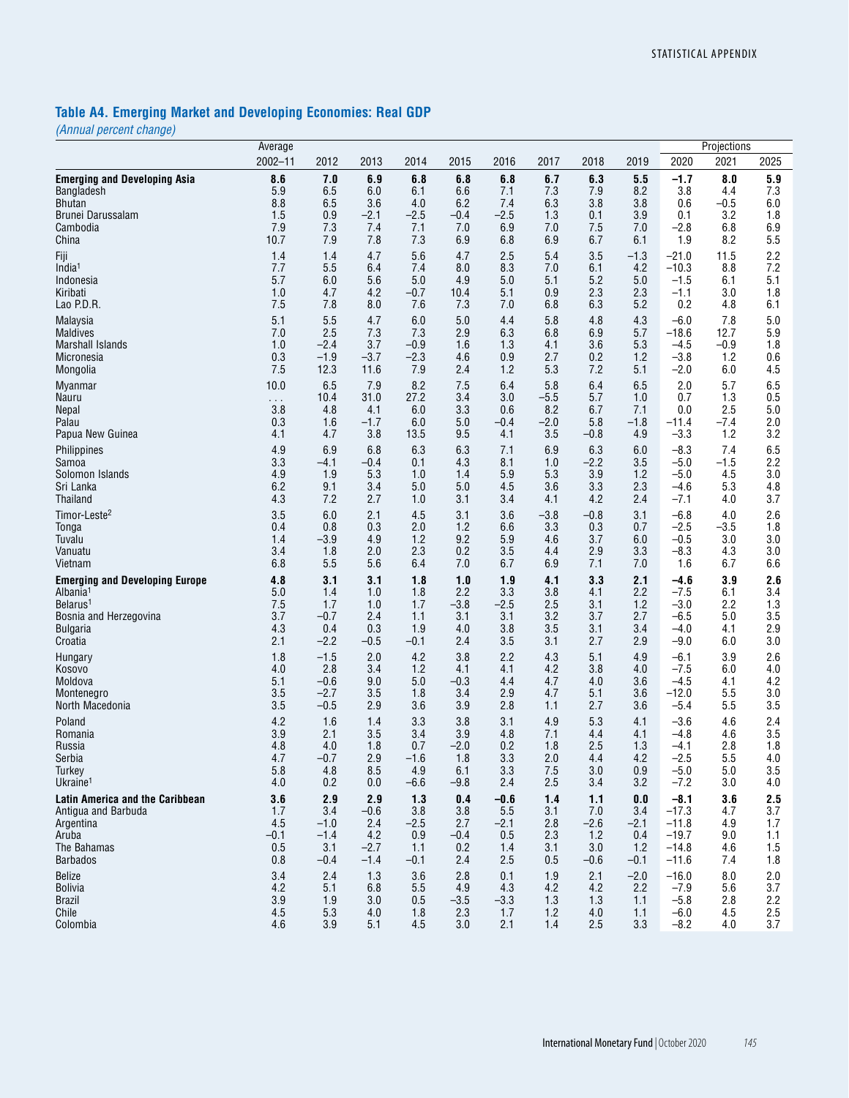# **Table A4. Emerging Market and Developing Economies: Real GDP**

|                                       | Average       |        |        |        |        |        |        |        |        |         | Projections |         |
|---------------------------------------|---------------|--------|--------|--------|--------|--------|--------|--------|--------|---------|-------------|---------|
|                                       | $2002 - 11$   | 2012   | 2013   | 2014   | 2015   | 2016   | 2017   | 2018   | 2019   | 2020    | 2021        | 2025    |
| <b>Emerging and Developing Asia</b>   | 8.6           | 7.0    | 6.9    | 6.8    | 6.8    | 6.8    | 6.7    | 6.3    | 5.5    | $-1.7$  | 8.0         | 5.9     |
| Bangladesh                            | 5.9           | 6.5    | 6.0    | 6.1    | 6.6    | 7.1    | 7.3    | 7.9    | 8.2    | 3.8     | 4.4         | 7.3     |
| Bhutan                                | 8.8           | 6.5    | 3.6    | 4.0    | 6.2    | 7.4    | 6.3    | 3.8    | 3.8    | 0.6     | $-0.5$      | 6.0     |
| Brunei Darussalam                     | 1.5           | 0.9    | $-2.1$ | $-2.5$ | $-0.4$ | $-2.5$ | 1.3    | 0.1    | 3.9    | 0.1     | 3.2         | 1.8     |
| Cambodia                              | 7.9           | 7.3    | 7.4    | 7.1    | 7.0    | 6.9    | 7.0    | 7.5    | 7.0    | $-2.8$  | 6.8         | 6.9     |
| China                                 | 10.7          | 7.9    | 7.8    | 7.3    | 6.9    | 6.8    | 6.9    | 6.7    | 6.1    | 1.9     | 8.2         | 5.5     |
| Fiji                                  | 1.4           | 1.4    | 4.7    | 5.6    | 4.7    | 2.5    | 5.4    | 3.5    | $-1.3$ | $-21.0$ | 11.5        | 2.2     |
| India <sup>1</sup>                    | 7.7           | 5.5    | 6.4    | 7.4    | 8.0    | 8.3    | 7.0    | 6.1    | 4.2    | $-10.3$ | 8.8         | 7.2     |
| Indonesia                             | 5.7           | 6.0    | 5.6    | 5.0    | 4.9    | 5.0    | 5.1    | 5.2    | 5.0    | $-1.5$  | 6.1         | 5.1     |
| Kiribati                              | 1.0           | 4.7    | 4.2    | $-0.7$ | 10.4   | 5.1    | 0.9    | 2.3    | 2.3    | $-1.1$  | 3.0         | 1.8     |
| Lao P.D.R.                            | 7.5           | 7.8    | 8.0    | 7.6    | 7.3    | 7.0    | 6.8    | 6.3    | 5.2    | 0.2     | 4.8         | 6.1     |
| Malaysia                              | 5.1           | 5.5    | 4.7    | 6.0    | 5.0    | 4.4    | 5.8    | 4.8    | 4.3    | $-6.0$  | 7.8         | 5.0     |
| <b>Maldives</b>                       | 7.0           | 2.5    | 7.3    | 7.3    | 2.9    | 6.3    | 6.8    | 6.9    | 5.7    | $-18.6$ | 12.7        | $5.9\,$ |
| <b>Marshall Islands</b>               | 1.0           | $-2.4$ | 3.7    | $-0.9$ | 1.6    | 1.3    | 4.1    | 3.6    | 5.3    | $-4.5$  | $-0.9$      | 1.8     |
| Micronesia                            | 0.3           | $-1.9$ | $-3.7$ | $-2.3$ | 4.6    | 0.9    | 2.7    | 0.2    | 1.2    | $-3.8$  | 1.2         | 0.6     |
| Mongolia                              | 7.5           | 12.3   | 11.6   | 7.9    | 2.4    | 1.2    | 5.3    | 7.2    | 5.1    | $-2.0$  | 6.0         | 4.5     |
| <b>Myanmar</b>                        | 10.0          | 6.5    | 7.9    | 8.2    | 7.5    | 6.4    | 5.8    | 6.4    | 6.5    | 2.0     | 5.7         | 6.5     |
| Nauru                                 | $\sim$ $\sim$ | 10.4   | 31.0   | 27.2   | 3.4    | 3.0    | $-5.5$ | 5.7    | 1.0    | 0.7     | 1.3         | 0.5     |
| Nepal                                 | 3.8           | 4.8    | 4.1    | 6.0    | 3.3    | 0.6    | 8.2    | 6.7    | 7.1    | 0.0     | 2.5         | 5.0     |
| Palau                                 | 0.3           | 1.6    | $-1.7$ | 6.0    | 5.0    | $-0.4$ | $-2.0$ | 5.8    | $-1.8$ | $-11.4$ | $-7.4$      | 2.0     |
| Papua New Guinea                      | 4.1           | 4.7    | 3.8    | 13.5   | 9.5    | 4.1    | 3.5    | $-0.8$ | 4.9    | $-3.3$  | 1.2         | 3.2     |
| Philippines                           | 4.9           | 6.9    | 6.8    | 6.3    | 6.3    | 7.1    | 6.9    | 6.3    | 6.0    | $-8.3$  | 7.4         | 6.5     |
| Samoa                                 | 3.3           | $-4.1$ | $-0.4$ | 0.1    | 4.3    | 8.1    | 1.0    | $-2.2$ | 3.5    | $-5.0$  | $-1.5$      | 2.2     |
| Solomon Islands                       | 4.9           | 1.9    | 5.3    | 1.0    | 1.4    | 5.9    | 5.3    | 3.9    | 1.2    | $-5.0$  | 4.5         | 3.0     |
| Sri Lanka                             | 6.2           | 9.1    | 3.4    | 5.0    | 5.0    | 4.5    | 3.6    | 3.3    | 2.3    | $-4.6$  | 5.3         | 4.8     |
| <b>Thailand</b>                       | 4.3           | 7.2    | 2.7    | 1.0    | 3.1    | 3.4    | 4.1    | 4.2    | 2.4    | $-7.1$  | 4.0         | 3.7     |
| Timor-Leste <sup>2</sup>              | 3.5           | 6.0    | 2.1    | 4.5    | 3.1    | 3.6    | $-3.8$ | $-0.8$ | 3.1    | $-6.8$  | 4.0         | 2.6     |
| Tonga                                 | 0.4           | 0.8    | 0.3    | 2.0    | 1.2    | 6.6    | 3.3    | 0.3    | 0.7    | $-2.5$  | $-3.5$      | 1.8     |
| Tuvalu                                | 1.4           | $-3.9$ | 4.9    | 1.2    | 9.2    | 5.9    | 4.6    | 3.7    | 6.0    | $-0.5$  | 3.0         | 3.0     |
| Vanuatu                               | 3.4           | 1.8    | 2.0    | 2.3    | 0.2    | 3.5    | 4.4    | 2.9    | 3.3    | $-8.3$  | 4.3         | 3.0     |
| Vietnam                               | 6.8           | 5.5    | 5.6    | 6.4    | 7.0    | 6.7    | 6.9    | 7.1    | 7.0    | 1.6     | 6.7         | 6.6     |
| <b>Emerging and Developing Europe</b> | 4.8           | 3.1    | 3.1    | 1.8    | 1.0    | 1.9    | 4.1    | 3.3    | 2.1    | $-4.6$  | 3.9         | 2.6     |
| Albania <sup>1</sup>                  | 5.0           | 1.4    | 1.0    | 1.8    | 2.2    | 3.3    | 3.8    | 4.1    | 2.2    | $-7.5$  | 6.1         | 3.4     |
| Belarus <sup>1</sup>                  | 7.5           | 1.7    | 1.0    | 1.7    | $-3.8$ | $-2.5$ | 2.5    | 3.1    | 1.2    | $-3.0$  | 2.2         | 1.3     |
| Bosnia and Herzegovina                | 3.7           | $-0.7$ | 2.4    | 1.1    | 3.1    | 3.1    | 3.2    | 3.7    | 2.7    | $-6.5$  | 5.0         | 3.5     |
| <b>Bulgaria</b>                       | 4.3           | 0.4    | 0.3    | 1.9    | 4.0    | 3.8    | 3.5    | 3.1    | 3.4    | $-4.0$  | 4.1         | 2.9     |
| Croatia                               | 2.1           | $-2.2$ | $-0.5$ | $-0.1$ | 2.4    | 3.5    | 3.1    | 2.7    | 2.9    | $-9.0$  | 6.0         | 3.0     |
| Hungary                               | 1.8           | $-1.5$ | 2.0    | 4.2    | 3.8    | 2.2    | 4.3    | 5.1    | 4.9    | $-6.1$  | 3.9         | 2.6     |
| Kosovo                                | 4.0           | 2.8    | 3.4    | 1.2    | 4.1    | 4.1    | 4.2    | 3.8    | 4.0    | $-7.5$  | 6.0         | 4.0     |
| Moldova                               | 5.1           | $-0.6$ | 9.0    | 5.0    | $-0.3$ | 4.4    | 4.7    | 4.0    | 3.6    | $-4.5$  | 4.1         | 4.2     |
| Montenegro                            | 3.5           | $-2.7$ | 3.5    | 1.8    | 3.4    | 2.9    | 4.7    | 5.1    | 3.6    | $-12.0$ | 5.5         | 3.0     |
| North Macedonia                       | 3.5           | $-0.5$ | 2.9    | 3.6    | 3.9    | 2.8    | 1.1    | 2.7    | 3.6    | $-5.4$  | 5.5         | 3.5     |
| Poland                                | 4.2           | 1.6    | 1.4    | 3.3    | 3.8    | 3.1    | 4.9    | 5.3    | 4.1    | $-3.6$  | 4.6         | 2.4     |
| Romania                               | 3.9           | 2.1    | 3.5    | 3.4    | 3.9    | 4.8    | 7.1    | 4.4    | 4.1    | $-4.8$  | 4.6         | 3.5     |
| Russia                                | 4.8           | 4.0    | 1.8    | 0.7    | $-2.0$ | 0.2    | 1.8    | 2.5    | 1.3    | -4.1    | 2.8         | 1.8     |
| Serbia                                | 4.7           | $-0.7$ | 2.9    | $-1.6$ | 1.8    | 3.3    | 2.0    | 4.4    | 4.2    | $-2.5$  | 5.5         | 4.0     |
| Turkey                                | 5.8           | 4.8    | 8.5    | 4.9    | 6.1    | 3.3    | 7.5    | 3.0    | 0.9    | $-5.0$  | 5.0         | 3.5     |
| Ukraine <sup>1</sup>                  | 4.0           | 0.2    | 0.0    | $-6.6$ | $-9.8$ | 2.4    | 2.5    | 3.4    | 3.2    | $-7.2$  | 3.0         | 4.0     |
| Latin America and the Caribbean       | 3.6           | 2.9    | 2.9    | 1.3    | 0.4    | $-0.6$ | 1.4    | 1.1    | 0.0    | $-8.1$  | 3.6         | 2.5     |
| Antigua and Barbuda                   | 1.7           | 3.4    | $-0.6$ | 3.8    | 3.8    | 5.5    | 3.1    | 7.0    | 3.4    | $-17.3$ | 4.7         | 3.7     |
| Argentina                             | 4.5           | $-1.0$ | 2.4    | $-2.5$ | 2.7    | $-2.1$ | 2.8    | $-2.6$ | $-2.1$ | $-11.8$ | 4.9         | 1.7     |
| Aruba                                 | -0.1          | $-1.4$ | 4.2    | 0.9    | $-0.4$ | 0.5    | 2.3    | 1.2    | 0.4    | $-19.7$ | 9.0         | 1.1     |
| The Bahamas                           | 0.5           | 3.1    | $-2.7$ | 1.1    | 0.2    | 1.4    | 3.1    | 3.0    | 1.2    | $-14.8$ | 4.6         | 1.5     |
| <b>Barbados</b>                       | 0.8           | $-0.4$ | $-1.4$ | $-0.1$ | 2.4    | 2.5    | 0.5    | $-0.6$ | $-0.1$ | $-11.6$ | 7.4         | 1.8     |
| <b>Belize</b>                         | 3.4           | 2.4    | 1.3    | 3.6    | 2.8    | 0.1    | 1.9    | 2.1    | $-2.0$ | $-16.0$ | 8.0         | 2.0     |
| <b>Bolivia</b>                        | 4.2           | 5.1    | 6.8    | 5.5    | 4.9    | 4.3    | 4.2    | 4.2    | 2.2    | $-7.9$  | 5.6         | 3.7     |
| <b>Brazil</b>                         | 3.9           | 1.9    | 3.0    | 0.5    | $-3.5$ | $-3.3$ | 1.3    | 1.3    | 1.1    | $-5.8$  | 2.8         | 2.2     |
| Chile                                 | 4.5           | 5.3    | 4.0    | 1.8    | 2.3    | 1.7    | $1.2$  | 4.0    | 1.1    | $-6.0$  | 4.5         | 2.5     |
| Colombia                              | 4.6           | 3.9    | 5.1    | 4.5    | 3.0    | 2.1    | 1.4    | 2.5    | 3.3    | $-8.2$  | 4.0         | 3.7     |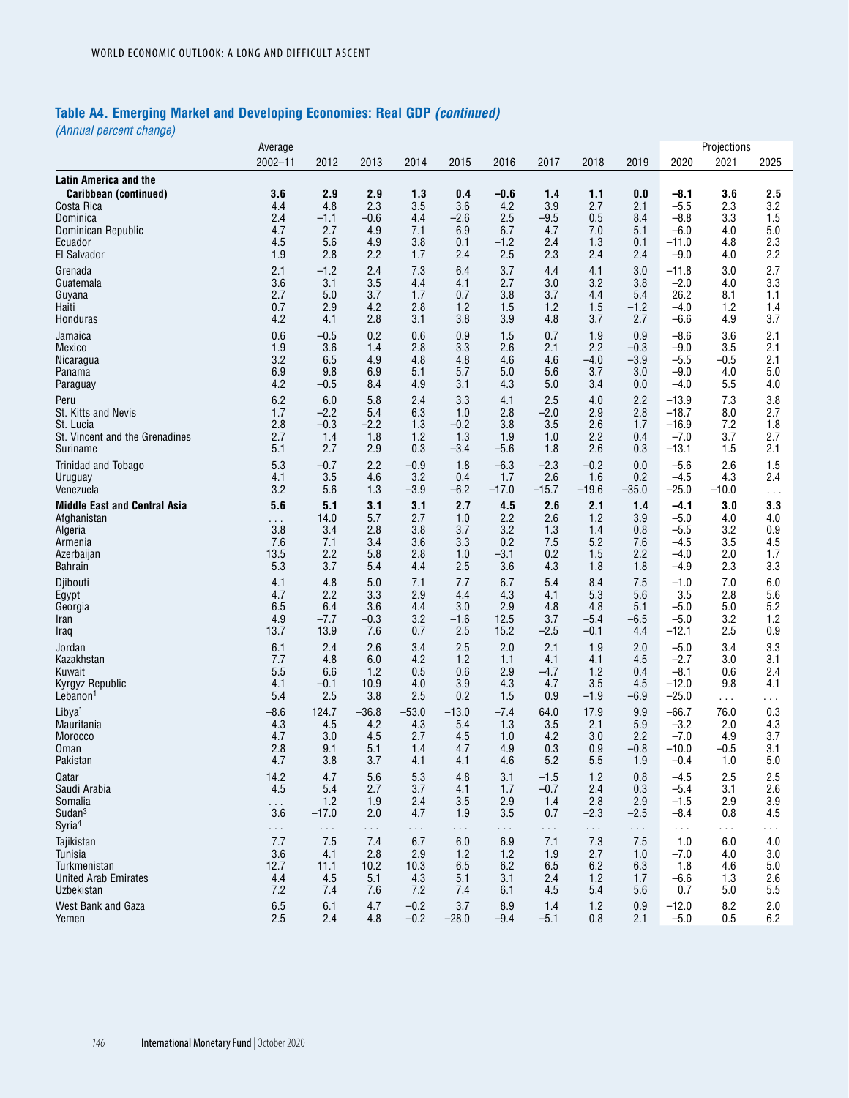# **Table A4. Emerging Market and Developing Economies: Real GDP** *(continued)*

|                                     | Average              |               |            |                  |                |               |               |            |                      |                    | Projections |            |
|-------------------------------------|----------------------|---------------|------------|------------------|----------------|---------------|---------------|------------|----------------------|--------------------|-------------|------------|
|                                     | $2002 - 11$          | 2012          | 2013       | 2014             | 2015           | 2016          | 2017          | 2018       | 2019                 | 2020               | 2021        | 2025       |
| <b>Latin America and the</b>        |                      |               |            |                  |                |               |               |            |                      |                    |             |            |
| Caribbean (continued)               | 3.6                  | 2.9           | 2.9        | 1.3              | 0.4            | $-0.6$        | 1.4           | 1.1        | 0.0                  | $-8.1$             | 3.6         | 2.5        |
| Costa Rica                          | 4.4                  | 4.8           | 2.3        | 3.5              | 3.6            | 4.2           | 3.9           | 2.7        | 2.1                  | $-5.5$             | 2.3         | 3.2        |
| Dominica                            | 2.4                  | $-1.1$        | $-0.6$     | 4.4              | $-2.6$         | 2.5           | $-9.5$        | 0.5        | 8.4                  | $-8.8$             | 3.3         | 1.5        |
| Dominican Republic                  | 4.7                  | 2.7           | 4.9        | 7.1              | 6.9            | 6.7           | 4.7           | 7.0        | 5.1                  | $-6.0$             | 4.0         | 5.0        |
| Ecuador<br>El Salvador              | 4.5<br>1.9           | 5.6<br>2.8    | 4.9<br>2.2 | 3.8<br>1.7       | 0.1<br>2.4     | $-1.2$<br>2.5 | 2.4<br>2.3    | 1.3<br>2.4 | 0.1<br>2.4           | $-11.0$<br>$-9.0$  | 4.8<br>4.0  | 2.3<br>2.2 |
|                                     |                      |               |            |                  |                |               |               |            |                      |                    |             |            |
| Grenada<br>Guatemala                | 2.1<br>3.6           | $-1.2$<br>3.1 | 2.4<br>3.5 | 7.3<br>4.4       | 6.4<br>4.1     | 3.7<br>2.7    | 4.4<br>3.0    | 4.1<br>3.2 | 3.0<br>3.8           | $-11.8$<br>$-2.0$  | 3.0<br>4.0  | 2.7<br>3.3 |
| Guyana                              | 2.7                  | 5.0           | 3.7        | 1.7              | 0.7            | 3.8           | 3.7           | 4.4        | 5.4                  | 26.2               | 8.1         | 1.1        |
| Haiti                               | 0.7                  | 2.9           | 4.2        | 2.8              | 1.2            | 1.5           | 1.2           | 1.5        | $-1.2$               | $-4.0$             | 1.2         | 1.4        |
| Honduras                            | 4.2                  | 4.1           | 2.8        | 3.1              | 3.8            | 3.9           | 4.8           | 3.7        | 2.7                  | $-6.6$             | 4.9         | 3.7        |
| Jamaica                             | 0.6                  | $-0.5$        | 0.2        | 0.6              | 0.9            | 1.5           | 0.7           | 1.9        | 0.9                  | $-8.6$             | 3.6         | 2.1        |
| Mexico                              | 1.9                  | 3.6           | 1.4        | 2.8              | 3.3            | 2.6           | 2.1           | 2.2        | $-0.3$               | $-9.0$             | 3.5         | 2.1        |
| Nicaragua                           | 3.2                  | 6.5           | 4.9        | 4.8              | 4.8            | 4.6           | 4.6           | $-4.0$     | $-3.9$               | $-5.5$             | $-0.5$      | 2.1        |
| Panama                              | 6.9                  | 9.8           | 6.9        | 5.1              | 5.7            | 5.0           | 5.6           | 3.7        | 3.0                  | $-9.0$             | 4.0         | 5.0        |
| Paraguay                            | 4.2                  | $-0.5$        | 8.4        | 4.9              | 3.1            | 4.3           | 5.0           | 3.4        | 0.0                  | $-4.0$             | 5.5         | 4.0        |
| Peru<br>St. Kitts and Nevis         | 6.2<br>1.7           | 6.0<br>$-2.2$ | 5.8<br>5.4 | 2.4<br>6.3       | 3.3<br>1.0     | 4.1<br>2.8    | 2.5<br>$-2.0$ | 4.0<br>2.9 | 2.2<br>2.8           | $-13.9$<br>$-18.7$ | 7.3<br>8.0  | 3.8<br>2.7 |
| St. Lucia                           | 2.8                  | $-0.3$        | $-2.2$     | 1.3              | $-0.2$         | 3.8           | 3.5           | 2.6        | 1.7                  | $-16.9$            | 7.2         | 1.8        |
| St. Vincent and the Grenadines      | 2.7                  | 1.4           | 1.8        | 1.2              | 1.3            | 1.9           | 1.0           | 2.2        | 0.4                  | $-7.0$             | 3.7         | 2.7        |
| Suriname                            | 5.1                  | 2.7           | 2.9        | 0.3              | -3.4           | $-5.6$        | 1.8           | 2.6        | 0.3                  | $-13.1$            | 1.5         | 2.1        |
| <b>Trinidad and Tobago</b>          | 5.3                  | $-0.7$        | 2.2        | $-0.9$           | 1.8            | $-6.3$        | $-2.3$        | $-0.2$     | 0.0                  | $-5.6$             | 2.6         | 1.5        |
| Uruguay                             | 4.1                  | 3.5           | 4.6        | 3.2              | 0.4            | 1.7           | 2.6           | 1.6        | 0.2                  | $-4.5$             | 4.3         | 2.4        |
| Venezuela                           | 3.2                  | 5.6           | 1.3        | $-3.9$           | $-6.2$         | $-17.0$       | $-15.7$       | $-19.6$    | $-35.0$              | $-25.0$            | $-10.0$     | $\sim$ .   |
| <b>Middle East and Central Asia</b> | 5.6                  | 5.1           | 3.1        | 3.1              | 2.7            | 4.5           | 2.6           | 2.1        | 1.4                  | -4.1               | 3.0         | 3.3        |
| Afghanistan                         | $\sim 10$            | 14.0          | 5.7        | 2.7              | 1.0            | 2.2           | 2.6           | 1.2        | 3.9                  | $-5.0$             | 4.0         | 4.0        |
| Algeria                             | 3.8                  | 3.4<br>7.1    | 2.8<br>3.4 | 3.8<br>3.6       | 3.7<br>3.3     | 3.2           | 1.3<br>7.5    | 1.4<br>5.2 | 0.8<br>7.6           | $-5.5$             | 3.2<br>3.5  | 0.9        |
| Armenia<br>Azerbaijan               | 7.6<br>13.5          | 2.2           | 5.8        | 2.8              | 1.0            | 0.2<br>$-3.1$ | 0.2           | 1.5        | 2.2                  | -4.5<br>$-4.0$     | 2.0         | 4.5<br>1.7 |
| <b>Bahrain</b>                      | 5.3                  | 3.7           | 5.4        | 4.4              | 2.5            | 3.6           | 4.3           | 1.8        | 1.8                  | $-4.9$             | 2.3         | 3.3        |
| Djibouti                            | 4.1                  | 4.8           | 5.0        | 7.1              | 7.7            | 6.7           | 5.4           | 8.4        | 7.5                  | $-1.0$             | 7.0         | 6.0        |
| Egypt                               | 4.7                  | 2.2           | 3.3        | 2.9              | 4.4            | 4.3           | 4.1           | 5.3        | 5.6                  | 3.5                | 2.8         | 5.6        |
| Georgia                             | 6.5                  | 6.4           | 3.6        | 4.4              | 3.0            | 2.9           | 4.8           | 4.8        | 5.1                  | $-5.0$             | 5.0         | 5.2        |
| Iran                                | 4.9                  | $-7.7$        | $-0.3$     | 3.2              | -1.6           | 12.5          | 3.7           | $-5.4$     | -6.5                 | $-5.0$             | 3.2         | 1.2        |
| Iraq                                | 13.7                 | 13.9          | 7.6        | 0.7              | 2.5            | 15.2          | $-2.5$        | $-0.1$     | 4.4                  | $-12.1$            | 2.5         | 0.9        |
| Jordan                              | 6.1                  | 2.4           | 2.6        | 3.4              | 2.5            | 2.0           | 2.1           | 1.9        | 2.0                  | $-5.0$             | 3.4         | 3.3        |
| Kazakhstan<br>Kuwait                | 7.7<br>5.5           | 4.8<br>6.6    | 6.0<br>1.2 | 4.2<br>0.5       | 1.2<br>0.6     | 1.1<br>2.9    | 4.1<br>$-4.7$ | 4.1<br>1.2 | 4.5<br>0.4           | $-2.7$<br>$-8.1$   | 3.0<br>0.6  | 3.1<br>2.4 |
| Kyrgyz Republic                     | 4.1                  | $-0.1$        | 10.9       | 4.0              | 3.9            | 4.3           | 4.7           | 3.5        | 4.5                  | $-12.0$            | 9.8         | 4.1        |
| Lebanon <sup>1</sup>                | 5.4                  | 2.5           | 3.8        | 2.5              | 0.2            | 1.5           | 0.9           | $-1.9$     | -6.9                 | $-25.0$            | $\sim$ .    | i i s      |
| Libya <sup>1</sup>                  | $-8.6$               | 124.7         | $-36.8$    | $-53.0$          | $-13.0$        | $-7.4$        | 64.0          | 17.9       | 9.9                  | $-66.7$            | 76.0        | 0.3        |
| Mauritania                          | 4.3                  | 4.5           | 4.2        | 4.3              | 5.4            | 1.3           | 3.5           | 2.1        | 5.9                  | $-3.2$             | 2.0         | 4.3        |
| Morocco                             | 4.7                  | 3.0           | 4.5        | 2.7              | 4.5            | 1.0           | 4.2           | 3.0        | 2.2                  | $-7.0$             | 4.9         | 3.7        |
| Oman                                | 2.8                  | 9.1           | 5.1        | 1.4              | 4.7            | 4.9           | 0.3           | 0.9        | $-0.8$               | $-10.0$            | $-0.5$      | 3.1        |
| Pakistan                            | 4.7                  | 3.8           | 3.7        | 4.1              | 4.1            | 4.6           | 5.2           | 5.5        | 1.9                  | -0.4               | 1.0         | 5.0        |
| Qatar                               | 14.2                 | 4.7           | 5.6        | 5.3              | 4.8            | 3.1           | $-1.5$        | 1.2        | 0.8                  | $-4.5$             | 2.5         | 2.5        |
| Saudi Arabia<br>Somalia             | 4.5<br>$\sim$ $\sim$ | 5.4<br>1.2    | 2.7<br>1.9 | 3.7<br>2.4       | 4.1<br>3.5     | 1.7<br>2.9    | $-0.7$<br>1.4 | 2.4<br>2.8 | 0.3<br>2.9           | $-5.4$<br>$-1.5$   | 3.1<br>2.9  | 2.6<br>3.9 |
| Sudan <sup>3</sup>                  | 3.6                  | $-17.0$       | 2.0        | 4.7              | 1.9            | 3.5           | 0.7           | $-2.3$     | $-2.5$               | $-8.4$             | 0.8         | 4.5        |
| Syria <sup>4</sup>                  | $\sim$ $\sim$        | $\sim$ $\sim$ | $\ddotsc$  | .                | $\sim$ .       | $\cdots$      | $\sim$ .      | $\sim$ .   | $\sim$ $\sim$ $\sim$ | $\sim 100$         | $\cdots$    | $\cdots$   |
| Tajikistan                          | 7.7                  | 7.5           | 7.4        | 6.7              | 6.0            | 6.9           | 7.1           | 7.3        | 7.5                  | 1.0                | 6.0         | 4.0        |
| Tunisia                             | 3.6                  | 4.1           | 2.8        | 2.9              | 1.2            | 1.2           | 1.9           | 2.7        | 1.0                  | $-7.0$             | 4.0         | 3.0        |
| Turkmenistan                        | 12.7                 | 11.1          | 10.2       | 10.3             | 6.5            | 6.2           | 6.5           | 6.2        | 6.3                  | 1.8                | 4.6         | 5.0        |
| United Arab Emirates                | 4.4                  | 4.5           | 5.1        | 4.3              | 5.1            | 3.1           | 2.4           | 1.2        | 1.7                  | $-6.6$             | 1.3         | 2.6        |
| Uzbekistan                          | 7.2                  | 7.4           | 7.6        | 7.2              | 7.4            | 6.1           | 4.5           | 5.4        | 5.6                  | 0.7                | 5.0         | 5.5        |
| West Bank and Gaza<br>Yemen         | 6.5<br>2.5           | 6.1<br>2.4    | 4.7<br>4.8 | $-0.2$<br>$-0.2$ | 3.7<br>$-28.0$ | 8.9<br>$-9.4$ | 1.4<br>$-5.1$ | 1.2<br>0.8 | 0.9<br>2.1           | $-12.0$<br>$-5.0$  | 8.2<br>0.5  | 2.0<br>6.2 |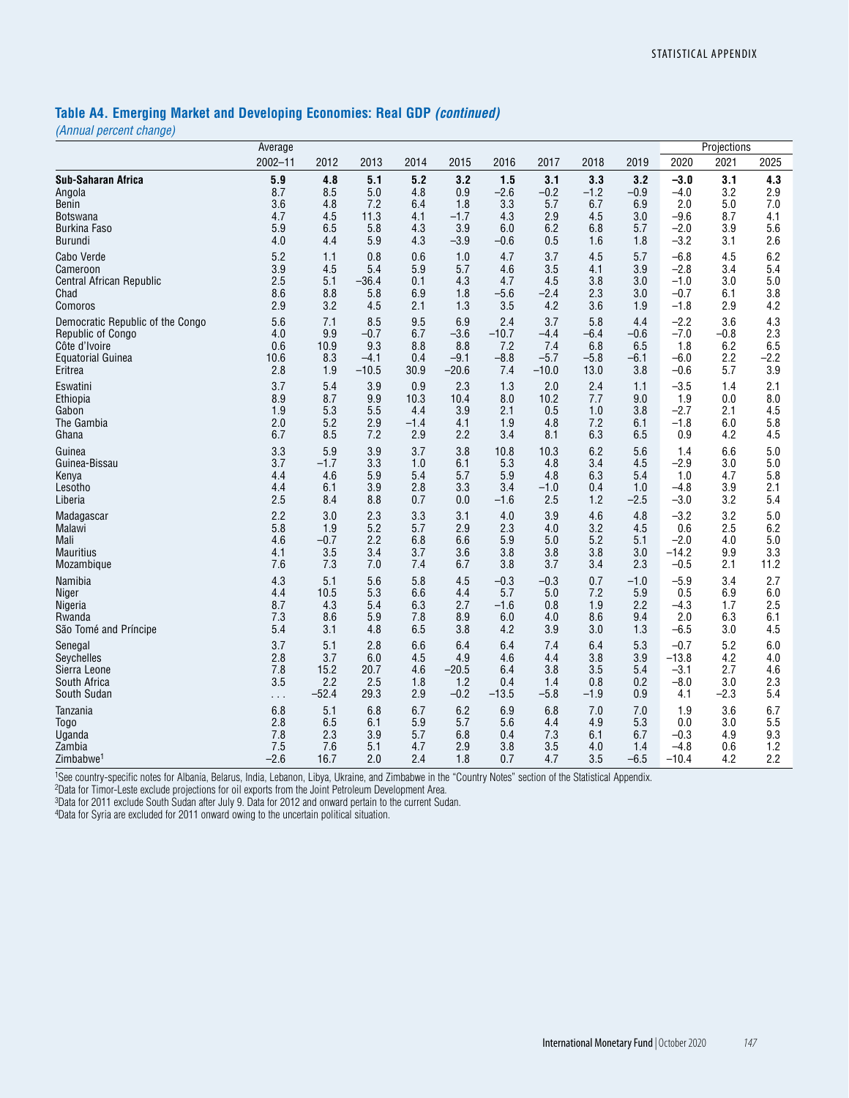### **Table A4. Emerging Market and Developing Economies: Real GDP** *(continued)*

*(Annual percent change)*

|                                  | Average     |         |         |        |         |         |         |        |        |         | Projections |        |
|----------------------------------|-------------|---------|---------|--------|---------|---------|---------|--------|--------|---------|-------------|--------|
|                                  | $2002 - 11$ | 2012    | 2013    | 2014   | 2015    | 2016    | 2017    | 2018   | 2019   | 2020    | 2021        | 2025   |
| <b>Sub-Saharan Africa</b>        | 5.9         | 4.8     | 5.1     | 5.2    | 3.2     | 1.5     | 3.1     | 3.3    | 3.2    | $-3.0$  | 3.1         | 4.3    |
| Angola                           | 8.7         | 8.5     | 5.0     | 4.8    | 0.9     | $-2.6$  | $-0.2$  | $-1.2$ | $-0.9$ | $-4.0$  | 3.2         | 2.9    |
| Benin                            | 3.6         | 4.8     | 7.2     | 6.4    | 1.8     | 3.3     | 5.7     | 6.7    | 6.9    | 2.0     | 5.0         | 7.0    |
| <b>Botswana</b>                  | 4.7         | 4.5     | 11.3    | 4.1    | $-1.7$  | 4.3     | 2.9     | 4.5    | 3.0    | $-9.6$  | 8.7         | 4.1    |
| <b>Burkina Faso</b>              | 5.9         | 6.5     | 5.8     | 4.3    | 3.9     | 6.0     | 6.2     | 6.8    | 5.7    | $-2.0$  | 3.9         | 5.6    |
| Burundi                          | 4.0         | 4.4     | 5.9     | 4.3    | $-3.9$  | $-0.6$  | 0.5     | 1.6    | 1.8    | $-3.2$  | 3.1         | 2.6    |
| Cabo Verde                       | 5.2         | 1.1     | 0.8     | 0.6    | 1.0     | 4.7     | 3.7     | 4.5    | 5.7    | $-6.8$  | 4.5         | 6.2    |
| Cameroon                         | 3.9         | 4.5     | 5.4     | 5.9    | 5.7     | 4.6     | 3.5     | 4.1    | 3.9    | $-2.8$  | 3.4         | 5.4    |
| Central African Republic         | 2.5         | 5.1     | $-36.4$ | 0.1    | 4.3     | 4.7     | 4.5     | 3.8    | 3.0    | $-1.0$  | 3.0         | 5.0    |
| Chad                             | 8.6         | 8.8     | 5.8     | 6.9    | 1.8     | $-5.6$  | -2.4    | 2.3    | 3.0    | $-0.7$  | 6.1         | 3.8    |
| Comoros                          | 2.9         | 3.2     | 4.5     | 2.1    | 1.3     | 3.5     | 4.2     | 3.6    | 1.9    | $-1.8$  | 2.9         | 4.2    |
| Democratic Republic of the Congo | 5.6         | 7.1     | 8.5     | 9.5    | 6.9     | 2.4     | 3.7     | 5.8    | 4.4    | $-2.2$  | 3.6         | 4.3    |
| Republic of Congo                | 4.0         | 9.9     | $-0.7$  | 6.7    | $-3.6$  | $-10.7$ | $-4.4$  | $-6.4$ | $-0.6$ | $-7.0$  | $-0.8$      | 2.3    |
| Côte d'Ivoire                    | 0.6         | 10.9    | 9.3     | 8.8    | 8.8     | 7.2     | 7.4     | 6.8    | 6.5    | 1.8     | 6.2         | 6.5    |
| <b>Equatorial Guinea</b>         | 10.6        | 8.3     | $-4.1$  | 0.4    | $-9.1$  | $-8.8$  | $-5.7$  | $-5.8$ | $-6.1$ | $-6.0$  | 2.2         | $-2.2$ |
| Eritrea                          | 2.8         | 1.9     | $-10.5$ | 30.9   | $-20.6$ | 7.4     | $-10.0$ | 13.0   | 3.8    | $-0.6$  | 5.7         | 3.9    |
| Eswatini                         | 3.7         | 5.4     | 3.9     | 0.9    | 2.3     | 1.3     | 2.0     | 2.4    | 1.1    | $-3.5$  | 1.4         | 2.1    |
| Ethiopia                         | 8.9         | 8.7     | 9.9     | 10.3   | 10.4    | 8.0     | 10.2    | 7.7    | 9.0    | 1.9     | 0.0         | 8.0    |
| Gabon                            | 1.9         | 5.3     | 5.5     | 4.4    | 3.9     | 2.1     | 0.5     | 1.0    | 3.8    | $-2.7$  | 2.1         | 4.5    |
| The Gambia                       | 2.0         | 5.2     | 2.9     | $-1.4$ | 4.1     | 1.9     | 4.8     | 7.2    | 6.1    | $-1.8$  | 6.0         | 5.8    |
| Ghana                            | 6.7         | 8.5     | 7.2     | 2.9    | 2.2     | 3.4     | 8.1     | 6.3    | 6.5    | 0.9     | 4.2         | 4.5    |
| Guinea                           | 3.3         | 5.9     | 3.9     | 3.7    | 3.8     | 10.8    | 10.3    | 6.2    | 5.6    | 1.4     | 6.6         | 5.0    |
| Guinea-Bissau                    | 3.7         | $-1.7$  | 3.3     | 1.0    | 6.1     | 5.3     | 4.8     | 3.4    | 4.5    | $-2.9$  | 3.0         | 5.0    |
| Kenya                            | 4.4         | 4.6     | 5.9     | 5.4    | 5.7     | 5.9     | 4.8     | 6.3    | 5.4    | 1.0     | 4.7         | 5.8    |
| Lesotho                          | 4.4         | 6.1     | 3.9     | 2.8    | 3.3     | 3.4     | $-1.0$  | 0.4    | 1.0    | $-4.8$  | 3.9         | 2.1    |
| Liberia                          | 2.5         | 8.4     | 8.8     | 0.7    | 0.0     | $-1.6$  | 2.5     | 1.2    | $-2.5$ | $-3.0$  | 3.2         | 5.4    |
| Madagascar                       | 2.2         | 3.0     | 2.3     | 3.3    | 3.1     | 4.0     | 3.9     | 4.6    | 4.8    | $-3.2$  | 3.2         | 5.0    |
| Malawi                           | 5.8         | 1.9     | 5.2     | 5.7    | 2.9     | 2.3     | 4.0     | 3.2    | 4.5    | 0.6     | 2.5         | 6.2    |
| Mali                             | 4.6         | $-0.7$  | 2.2     | 6.8    | 6.6     | 5.9     | 5.0     | 5.2    | 5.1    | $-2.0$  | 4.0         | 5.0    |
| <b>Mauritius</b>                 | 4.1         | 3.5     | 3.4     | 3.7    | 3.6     | 3.8     | 3.8     | 3.8    | 3.0    | $-14.2$ | 9.9         | 3.3    |
| Mozambique                       | 7.6         | 7.3     | 7.0     | 7.4    | 6.7     | 3.8     | 3.7     | 3.4    | 2.3    | $-0.5$  | 2.1         | 11.2   |
| Namibia                          | 4.3         | 5.1     | 5.6     | 5.8    | 4.5     | $-0.3$  | $-0.3$  | 0.7    | $-1.0$ | $-5.9$  | 3.4         | 2.7    |
| Niger                            | 4.4         | 10.5    | 5.3     | 6.6    | 4.4     | 5.7     | 5.0     | 7.2    | 5.9    | 0.5     | 6.9         | 6.0    |
| Nigeria                          | 8.7         | 4.3     | 5.4     | 6.3    | 2.7     | $-1.6$  | 0.8     | 1.9    | 2.2    | $-4.3$  | 1.7         | 2.5    |
| Rwanda                           | 7.3         | 8.6     | 5.9     | 7.8    | 8.9     | 6.0     | 4.0     | 8.6    | 9.4    | 2.0     | 6.3         | 6.1    |
| São Tomé and Príncipe            | 5.4         | 3.1     | 4.8     | 6.5    | 3.8     | 4.2     | 3.9     | 3.0    | 1.3    | $-6.5$  | 3.0         | 4.5    |
| Senegal                          | 3.7         | 5.1     | 2.8     | 6.6    | 6.4     | 6.4     | 7.4     | 6.4    | 5.3    | $-0.7$  | 5.2         | 6.0    |
| Seychelles                       | 2.8         | 3.7     | 6.0     | 4.5    | 4.9     | 4.6     | 4.4     | 3.8    | 3.9    | $-13.8$ | 4.2         | 4.0    |
| Sierra Leone                     | 7.8         | 15.2    | 20.7    | 4.6    | $-20.5$ | 6.4     | 3.8     | 3.5    | 5.4    | $-3.1$  | 2.7         | 4.6    |
| South Africa                     | 3.5         | 2.2     | 2.5     | 1.8    | 1.2     | 0.4     | 1.4     | 0.8    | 0.2    | $-8.0$  | 3.0         | 2.3    |
| South Sudan                      | .           | $-52.4$ | 29.3    | 2.9    | $-0.2$  | $-13.5$ | $-5.8$  | $-1.9$ | 0.9    | 4.1     | $-2.3$      | 5.4    |
| Tanzania                         | 6.8         | 5.1     | 6.8     | 6.7    | 6.2     | 6.9     | 6.8     | 7.0    | 7.0    | 1.9     | 3.6         | 6.7    |
| Togo                             | 2.8         | 6.5     | 6.1     | 5.9    | 5.7     | 5.6     | 4.4     | 4.9    | 5.3    | 0.0     | 3.0         | 5.5    |
| Uganda                           | 7.8         | 2.3     | 3.9     | 5.7    | 6.8     | 0.4     | 7.3     | 6.1    | 6.7    | $-0.3$  | 4.9         | 9.3    |
| Zambia                           | 7.5         | 7.6     | 5.1     | 4.7    | 2.9     | 3.8     | 3.5     | 4.0    | 1.4    | $-4.8$  | 0.6         | 1.2    |
| Zimbabwe <sup>1</sup>            | $-2.6$      | 16.7    | 2.0     | 2.4    | 1.8     | 0.7     | 4.7     | 3.5    | $-6.5$ | $-10.4$ | 4.2         | 2.2    |

1See country-specific notes for Albania, Belarus, India, Lebanon, Libya, Ukraine, and Zimbabwe in the "Country Notes" section of the Statistical Appendix.

2Data for Timor-Leste exclude projections for oil exports from the Joint Petroleum Development Area.

3Data for 2011 exclude South Sudan after July 9. Data for 2012 and onward pertain to the current Sudan.

4Data for Syria are excluded for 2011 onward owing to the uncertain political situation.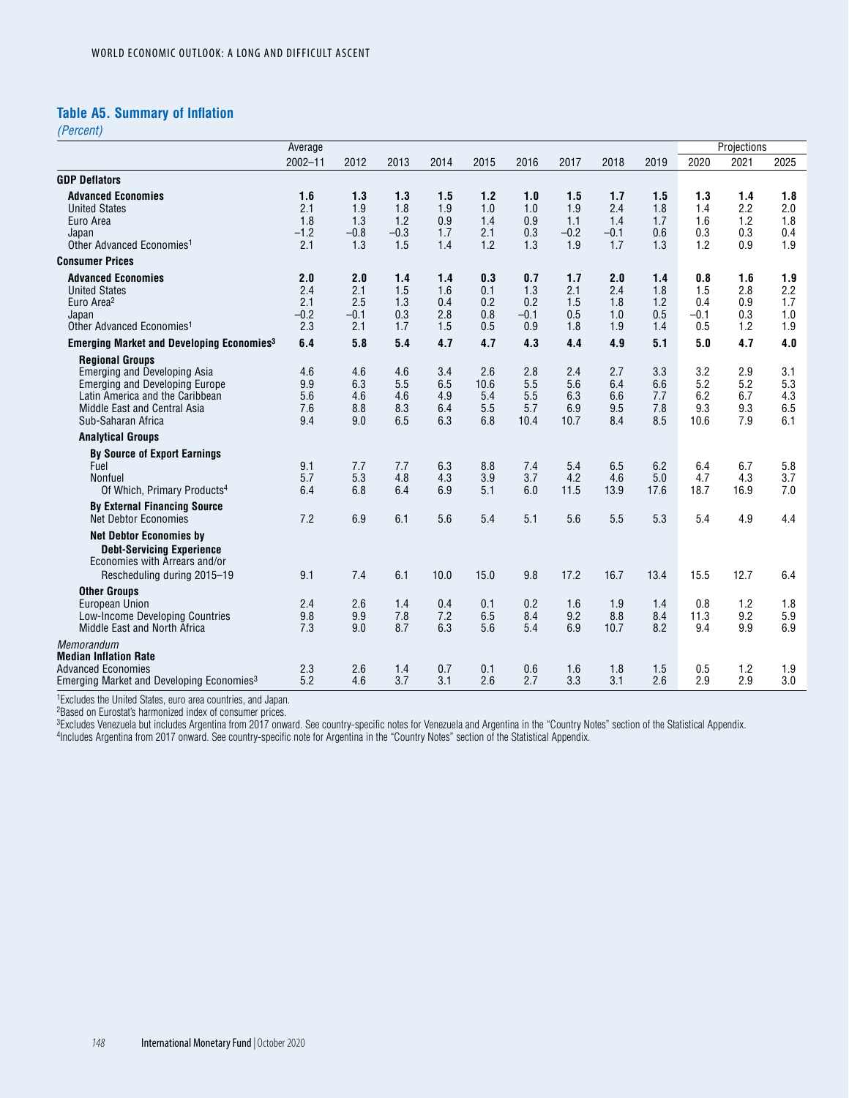### **Table A5. Summary of Inflation**

*(Percent)*

|                                                                                                                                                                                                 | Average                            |                                    |                                    |                                 |                                  |                                    |                                    |                                    |                                 |                                    | Projections                     |                                 |
|-------------------------------------------------------------------------------------------------------------------------------------------------------------------------------------------------|------------------------------------|------------------------------------|------------------------------------|---------------------------------|----------------------------------|------------------------------------|------------------------------------|------------------------------------|---------------------------------|------------------------------------|---------------------------------|---------------------------------|
|                                                                                                                                                                                                 | $2002 - 11$                        | 2012                               | 2013                               | 2014                            | 2015                             | 2016                               | 2017                               | 2018                               | 2019                            | 2020                               | 2021                            | 2025                            |
| <b>GDP Deflators</b>                                                                                                                                                                            |                                    |                                    |                                    |                                 |                                  |                                    |                                    |                                    |                                 |                                    |                                 |                                 |
| <b>Advanced Economies</b><br><b>United States</b><br>Euro Area<br>Japan<br>Other Advanced Economies <sup>1</sup>                                                                                | 1.6<br>2.1<br>1.8<br>$-1.2$<br>2.1 | 1.3<br>1.9<br>1.3<br>$-0.8$<br>1.3 | 1.3<br>1.8<br>1.2<br>$-0.3$<br>1.5 | 1.5<br>1.9<br>0.9<br>1.7<br>1.4 | 1.2<br>1.0<br>1.4<br>2.1<br>1.2  | 1.0<br>1.0<br>0.9<br>0.3<br>1.3    | 1.5<br>1.9<br>1.1<br>$-0.2$<br>1.9 | 1.7<br>2.4<br>1.4<br>$-0.1$<br>1.7 | 1.5<br>1.8<br>1.7<br>0.6<br>1.3 | 1.3<br>1.4<br>1.6<br>0.3<br>1.2    | 1.4<br>2.2<br>1.2<br>0.3<br>0.9 | 1.8<br>2.0<br>1.8<br>0.4<br>1.9 |
| <b>Consumer Prices</b>                                                                                                                                                                          |                                    |                                    |                                    |                                 |                                  |                                    |                                    |                                    |                                 |                                    |                                 |                                 |
| <b>Advanced Economies</b><br><b>United States</b><br>Euro Area <sup>2</sup><br>Japan<br>Other Advanced Economies <sup>1</sup>                                                                   | 2.0<br>2.4<br>2.1<br>$-0.2$<br>2.3 | 2.0<br>2.1<br>2.5<br>$-0.1$<br>2.1 | 1.4<br>1.5<br>1.3<br>0.3<br>1.7    | 1.4<br>1.6<br>0.4<br>2.8<br>1.5 | 0.3<br>0.1<br>0.2<br>0.8<br>0.5  | 0.7<br>1.3<br>0.2<br>$-0.1$<br>0.9 | 1.7<br>2.1<br>1.5<br>0.5<br>1.8    | 2.0<br>2.4<br>1.8<br>1.0<br>1.9    | 1.4<br>1.8<br>1.2<br>0.5<br>1.4 | 0.8<br>1.5<br>0.4<br>$-0.1$<br>0.5 | 1.6<br>2.8<br>0.9<br>0.3<br>1.2 | 1.9<br>2.2<br>1.7<br>1.0<br>1.9 |
| <b>Emerging Market and Developing Economies<sup>3</sup></b>                                                                                                                                     | 6.4                                | 5.8                                | 5.4                                | 4.7                             | 4.7                              | 4.3                                | 4.4                                | 4.9                                | 5.1                             | 5.0                                | 4.7                             | 4.0                             |
| <b>Regional Groups</b><br><b>Emerging and Developing Asia</b><br><b>Emerging and Developing Europe</b><br>Latin America and the Caribbean<br>Middle East and Central Asia<br>Sub-Saharan Africa | 4.6<br>9.9<br>5.6<br>7.6<br>9.4    | 4.6<br>6.3<br>4.6<br>8.8<br>9.0    | 4.6<br>5.5<br>4.6<br>8.3<br>6.5    | 3.4<br>6.5<br>4.9<br>6.4<br>6.3 | 2.6<br>10.6<br>5.4<br>5.5<br>6.8 | 2.8<br>5.5<br>5.5<br>5.7<br>10.4   | 2.4<br>5.6<br>6.3<br>6.9<br>10.7   | 2.7<br>6.4<br>6.6<br>9.5<br>8.4    | 3.3<br>6.6<br>7.7<br>7.8<br>8.5 | 3.2<br>5.2<br>6.2<br>9.3<br>10.6   | 2.9<br>5.2<br>6.7<br>9.3<br>7.9 | 3.1<br>5.3<br>4.3<br>6.5<br>6.1 |
| <b>Analytical Groups</b>                                                                                                                                                                        |                                    |                                    |                                    |                                 |                                  |                                    |                                    |                                    |                                 |                                    |                                 |                                 |
| <b>By Source of Export Earnings</b><br>Fuel<br>Nonfuel<br>Of Which, Primary Products <sup>4</sup>                                                                                               | 9.1<br>5.7<br>6.4                  | 7.7<br>5.3<br>6.8                  | 7.7<br>4.8<br>6.4                  | 6.3<br>4.3<br>6.9               | 8.8<br>3.9<br>5.1                | 7.4<br>3.7<br>6.0                  | 5.4<br>4.2<br>11.5                 | 6.5<br>4.6<br>13.9                 | 6.2<br>5.0<br>17.6              | 6.4<br>4.7<br>18.7                 | 6.7<br>4.3<br>16.9              | 5.8<br>3.7<br>7.0               |
| <b>By External Financing Source</b><br><b>Net Debtor Economies</b>                                                                                                                              | 7.2                                | 6.9                                | 6.1                                | 5.6                             | 5.4                              | 5.1                                | 5.6                                | 5.5                                | 5.3                             | 5.4                                | 4.9                             | 4.4                             |
| <b>Net Debtor Economies by</b><br><b>Debt-Servicing Experience</b><br>Economies with Arrears and/or<br>Rescheduling during 2015-19                                                              | 9.1                                | 7.4                                | 6.1                                | 10.0                            | 15.0                             | 9.8                                | 17.2                               | 16.7                               | 13.4                            | 15.5                               | 12.7                            | 6.4                             |
| <b>Other Groups</b><br>European Union<br>Low-Income Developing Countries<br>Middle East and North Africa                                                                                        | 2.4<br>9.8<br>7.3                  | 2.6<br>9.9<br>9.0                  | 1.4<br>7.8<br>8.7                  | 0.4<br>7.2<br>6.3               | 0.1<br>6.5<br>5.6                | 0.2<br>8.4<br>5.4                  | 1.6<br>9.2<br>6.9                  | 1.9<br>8.8<br>10.7                 | 1.4<br>8.4<br>8.2               | 0.8<br>11.3<br>9.4                 | 1.2<br>9.2<br>9.9               | 1.8<br>5.9<br>6.9               |
| Memorandum<br><b>Median Inflation Rate</b><br><b>Advanced Economies</b><br>Emerging Market and Developing Economies <sup>3</sup>                                                                | 2.3<br>5.2                         | 2.6<br>4.6                         | 1.4<br>3.7                         | 0.7<br>3.1                      | 0.1<br>2.6                       | 0.6<br>2.7                         | 1.6<br>3.3                         | 1.8<br>3.1                         | 1.5<br>2.6                      | 0.5<br>2.9                         | 1.2<br>2.9                      | 1.9<br>3.0                      |

1Excludes the United States, euro area countries, and Japan.

2Based on Eurostat's harmonized index of consumer prices.

3Excludes Venezuela but includes Argentina from 2017 onward. See country-specific notes for Venezuela and Argentina in the "Country Notes" section of the Statistical Appendix.

4Includes Argentina from 2017 onward. See country-specific note for Argentina in the "Country Notes" section of the Statistical Appendix.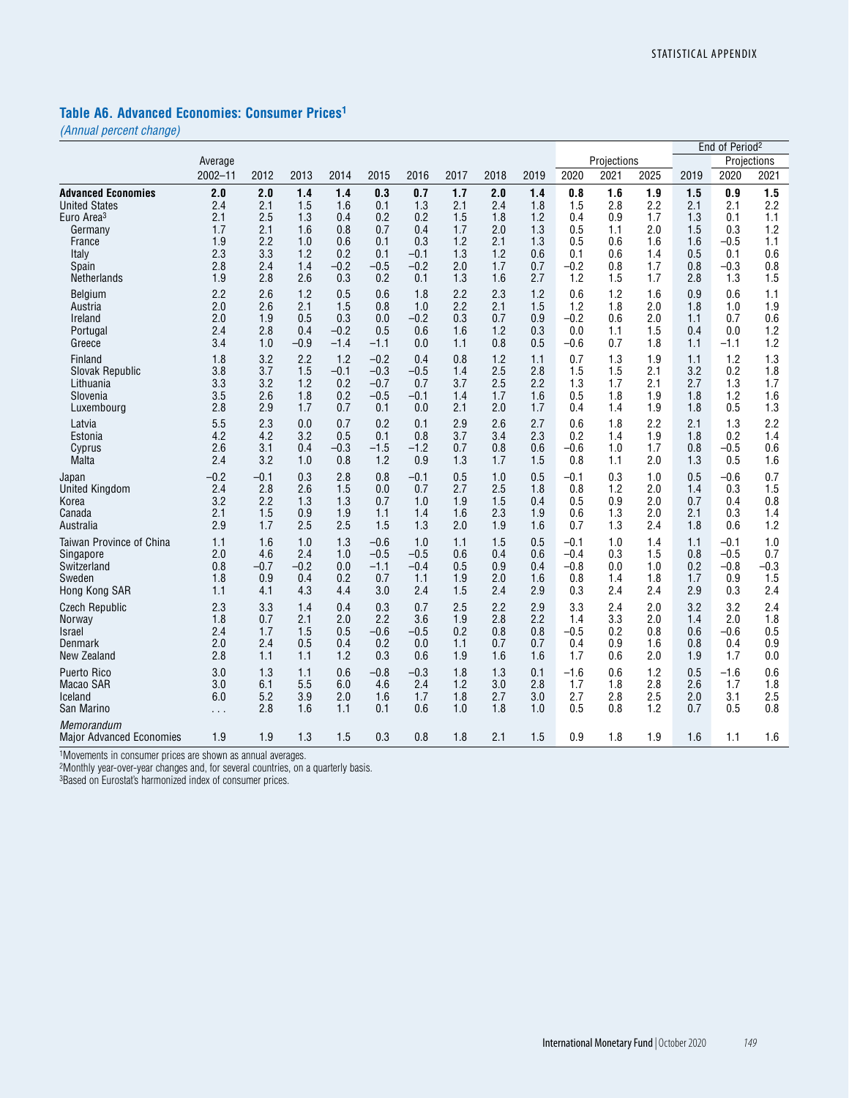### **Table A6. Advanced Economies: Consumer Prices1**

*(Annual percent change)*

|                                        |                      |        |        |        |        |        |      |      |      |        |             |      |      | End of Period <sup>2</sup> |             |
|----------------------------------------|----------------------|--------|--------|--------|--------|--------|------|------|------|--------|-------------|------|------|----------------------------|-------------|
|                                        | Average              |        |        |        |        |        |      |      |      |        | Projections |      |      |                            | Projections |
|                                        | $2002 - 11$          | 2012   | 2013   | 2014   | 2015   | 2016   | 2017 | 2018 | 2019 | 2020   | 2021        | 2025 | 2019 | 2020                       | 2021        |
| <b>Advanced Economies</b>              | 2.0                  | 2.0    | 1.4    | 1.4    | 0.3    | 0.7    | 1.7  | 2.0  | 1.4  | 0.8    | 1.6         | 1.9  | 1.5  | 0.9                        | 1.5         |
| <b>United States</b>                   | 2.4                  | 2.1    | 1.5    | 1.6    | 0.1    | 1.3    | 2.1  | 2.4  | 1.8  | 1.5    | 2.8         | 2.2  | 2.1  | 2.1                        | 2.2         |
| Euro Area <sup>3</sup>                 | 2.1                  | 2.5    | 1.3    | 0.4    | 0.2    | 0.2    | 1.5  | 1.8  | 1.2  | 0.4    | 0.9         | 1.7  | 1.3  | 0.1                        | 1.1         |
| Germany                                | 1.7                  | 2.1    | 1.6    | 0.8    | 0.7    | 0.4    | 1.7  | 2.0  | 1.3  | 0.5    | 1.1         | 2.0  | 1.5  | 0.3                        | 1.2         |
| France                                 | 1.9                  | 2.2    | 1.0    | 0.6    | 0.1    | 0.3    | 1.2  | 2.1  | 1.3  | 0.5    | 0.6         | 1.6  | 1.6  | $-0.5$                     | 1.1         |
| Italy                                  | 2.3                  | 3.3    | 1.2    | 0.2    | 0.1    | $-0.1$ | 1.3  | 1.2  | 0.6  | 0.1    | 0.6         | 1.4  | 0.5  | 0.1                        | 0.6         |
| Spain                                  | 2.8                  | 2.4    | 1.4    | $-0.2$ | $-0.5$ | $-0.2$ | 2.0  | 1.7  | 0.7  | $-0.2$ | 0.8         | 1.7  | 0.8  | $-0.3$                     | 0.8         |
| Netherlands                            | 1.9                  | 2.8    | 2.6    | 0.3    | 0.2    | 0.1    | 1.3  | 1.6  | 2.7  | 1.2    | 1.5         | 1.7  | 2.8  | 1.3                        | 1.5         |
| Belgium                                | 2.2                  | 2.6    | 1.2    | 0.5    | 0.6    | 1.8    | 2.2  | 2.3  | 1.2  | 0.6    | 1.2         | 1.6  | 0.9  | 0.6                        | 1.1         |
| Austria                                | 2.0                  | 2.6    | 2.1    | 1.5    | 0.8    | 1.0    | 2.2  | 2.1  | 1.5  | 1.2    | 1.8         | 2.0  | 1.8  | 1.0                        | 1.9         |
| Ireland                                | 2.0                  | 1.9    | 0.5    | 0.3    | 0.0    | $-0.2$ | 0.3  | 0.7  | 0.9  | $-0.2$ | 0.6         | 2.0  | 1.1  | 0.7                        | 0.6         |
| Portugal                               | 2.4                  | 2.8    | 0.4    | $-0.2$ | 0.5    | 0.6    | 1.6  | 1.2  | 0.3  | 0.0    | 1.1         | 1.5  | 0.4  | 0.0                        | 1.2         |
| Greece                                 | 3.4                  | 1.0    | $-0.9$ | $-1.4$ | $-1.1$ | 0.0    | 1.1  | 0.8  | 0.5  | $-0.6$ | 0.7         | 1.8  | 1.1  | -1.1                       | 1.2         |
| Finland                                | 1.8                  | 3.2    | 2.2    | 1.2    | $-0.2$ | 0.4    | 0.8  | 1.2  | 1.1  | 0.7    | 1.3         | 1.9  | 1.1  | 1.2                        | 1.3         |
| Slovak Republic                        | 3.8                  | 3.7    | 1.5    | $-0.1$ | $-0.3$ | $-0.5$ | 1.4  | 2.5  | 2.8  | 1.5    | 1.5         | 2.1  | 3.2  | 0.2                        | 1.8         |
| Lithuania                              | 3.3                  | 3.2    | 1.2    | 0.2    | $-0.7$ | 0.7    | 3.7  | 2.5  | 2.2  | 1.3    | 1.7         | 2.1  | 2.7  | 1.3                        | 1.7         |
| Slovenia                               | 3.5                  | 2.6    | 1.8    | 0.2    | $-0.5$ | $-0.1$ | 1.4  | 1.7  | 1.6  | 0.5    | 1.8         | 1.9  | 1.8  | 1.2                        | 1.6         |
| Luxembourg                             | 2.8                  | 2.9    | 1.7    | 0.7    | 0.1    | 0.0    | 2.1  | 2.0  | 1.7  | 0.4    | 1.4         | 1.9  | 1.8  | 0.5                        | 1.3         |
| Latvia                                 | 5.5                  | 2.3    | 0.0    | 0.7    | 0.2    | 0.1    | 2.9  | 2.6  | 2.7  | 0.6    | 1.8         | 2.2  | 2.1  | 1.3                        | 2.2         |
| Estonia                                | 4.2                  | 4.2    | 3.2    | 0.5    | 0.1    | 0.8    | 3.7  | 3.4  | 2.3  | 0.2    | 1.4         | 1.9  | 1.8  | 0.2                        | 1.4         |
| Cyprus                                 | 2.6                  | 3.1    | 0.4    | $-0.3$ | $-1.5$ | $-1.2$ | 0.7  | 0.8  | 0.6  | $-0.6$ | 1.0         | 1.7  | 0.8  | $-0.5$                     | 0.6         |
| Malta                                  | 2.4                  | 3.2    | 1.0    | 0.8    | 1.2    | 0.9    | 1.3  | 1.7  | 1.5  | 0.8    | 1.1         | 2.0  | 1.3  | 0.5                        | 1.6         |
| Japan                                  | -0.2                 | $-0.1$ | 0.3    | 2.8    | 0.8    | $-0.1$ | 0.5  | 1.0  | 0.5  | -0.1   | 0.3         | 1.0  | 0.5  | -0.6                       | 0.7         |
| <b>United Kingdom</b>                  | 2.4                  | 2.8    | 2.6    | 1.5    | 0.0    | 0.7    | 2.7  | 2.5  | 1.8  | 0.8    | 1.2         | 2.0  | 1.4  | 0.3                        | 1.5         |
| Korea                                  | 3.2                  | 2.2    | 1.3    | 1.3    | 0.7    | 1.0    | 1.9  | 1.5  | 0.4  | 0.5    | 0.9         | 2.0  | 0.7  | 0.4                        | 0.8         |
| Canada                                 | 2.1                  | 1.5    | 0.9    | 1.9    | 1.1    | 1.4    | 1.6  | 2.3  | 1.9  | 0.6    | 1.3         | 2.0  | 2.1  | 0.3                        | 1.4         |
| Australia                              | 2.9                  | 1.7    | 2.5    | 2.5    | 1.5    | 1.3    | 2.0  | 1.9  | 1.6  | 0.7    | 1.3         | 2.4  | 1.8  | 0.6                        | 1.2         |
| Taiwan Province of China               | 1.1                  | 1.6    | 1.0    | 1.3    | $-0.6$ | 1.0    | 1.1  | 1.5  | 0.5  | -0.1   | 1.0         | 1.4  | 1.1  | -0.1                       | 1.0         |
| Singapore                              | 2.0                  | 4.6    | 2.4    | 1.0    | $-0.5$ | $-0.5$ | 0.6  | 0.4  | 0.6  | $-0.4$ | 0.3         | 1.5  | 0.8  | $-0.5$                     | 0.7         |
| Switzerland                            | 0.8                  | $-0.7$ | $-0.2$ | 0.0    | $-1.1$ | $-0.4$ | 0.5  | 0.9  | 0.4  | $-0.8$ | 0.0         | 1.0  | 0.2  | $-0.8$                     | $-0.3$      |
| Sweden                                 | 1.8                  | 0.9    | 0.4    | 0.2    | 0.7    | 1.1    | 1.9  | 2.0  | 1.6  | 0.8    | 1.4         | 1.8  | 1.7  | 0.9                        | 1.5         |
| Hong Kong SAR                          | 1.1                  | 4.1    | 4.3    | 4.4    | 3.0    | 2.4    | 1.5  | 2.4  | 2.9  | 0.3    | 2.4         | 2.4  | 2.9  | 0.3                        | 2.4         |
| <b>Czech Republic</b>                  | 2.3                  | 3.3    | 1.4    | 0.4    | 0.3    | 0.7    | 2.5  | 2.2  | 2.9  | 3.3    | 2.4         | 2.0  | 3.2  | 3.2                        | 2.4         |
| Norway                                 | 1.8                  | 0.7    | 2.1    | 2.0    | 2.2    | 3.6    | 1.9  | 2.8  | 2.2  | 1.4    | 3.3         | 2.0  | 1.4  | 2.0                        | 1.8         |
| Israel                                 | 2.4                  | 1.7    | 1.5    | 0.5    | $-0.6$ | $-0.5$ | 0.2  | 0.8  | 0.8  | $-0.5$ | 0.2         | 0.8  | 0.6  | $-0.6$                     | 0.5         |
| Denmark                                | 2.0                  | 2.4    | 0.5    | 0.4    | 0.2    | 0.0    | 1.1  | 0.7  | 0.7  | 0.4    | 0.9         | 1.6  | 0.8  | 0.4                        | 0.9         |
| New Zealand                            | 2.8                  | 1.1    | 1.1    | 1.2    | 0.3    | 0.6    | 1.9  | 1.6  | 1.6  | 1.7    | 0.6         | 2.0  | 1.9  | 1.7                        | 0.0         |
| <b>Puerto Rico</b>                     | 3.0                  | 1.3    | 1.1    | 0.6    | $-0.8$ | $-0.3$ | 1.8  | 1.3  | 0.1  | $-1.6$ | 0.6         | 1.2  | 0.5  | $-1.6$                     | 0.6         |
| Macao SAR                              | 3.0                  | 6.1    | 5.5    | 6.0    | 4.6    | 2.4    | 1.2  | 3.0  | 2.8  | 1.7    | 1.8         | 2.8  | 2.6  | 1.7                        | 1.8         |
| lceland                                | 6.0                  | 5.2    | 3.9    | 2.0    | 1.6    | 1.7    | 1.8  | 2.7  | 3.0  | 2.7    | 2.8         | 2.5  | 2.0  | 3.1                        | 2.5         |
| San Marino                             | $\sim$ $\sim$ $\sim$ | 2.8    | 1.6    | 1.1    | 0.1    | 0.6    | 1.0  | 1.8  | 1.0  | 0.5    | 0.8         | 1.2  | 0.7  | 0.5                        | 0.8         |
| Memorandum<br>Major Advanced Economies | 1.9                  | 1.9    | 1.3    | 1.5    | 0.3    | 0.8    | 1.8  | 2.1  | 1.5  | 0.9    | 1.8         | 1.9  | 1.6  | 1.1                        | 1.6         |

1Movements in consumer prices are shown as annual averages.

2Monthly year-over-year changes and, for several countries, on a quarterly basis.

3Based on Eurostat's harmonized index of consumer prices.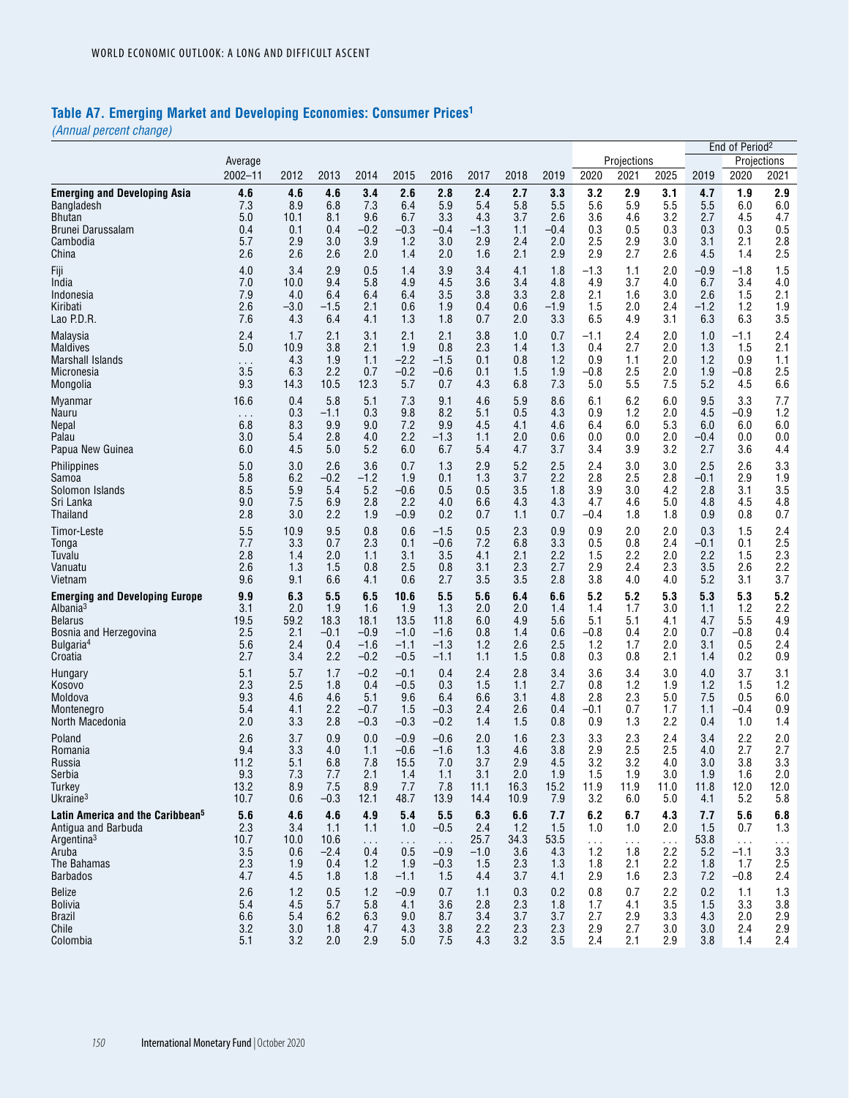# **Table A7. Emerging Market and Developing Economies: Consumer Prices1**

| Projections<br>Average<br>$2002 - 11$<br>2020<br>2021<br>2025<br>2019<br>2020<br>2012<br>2013<br>2014<br>2015<br>2016<br>2017<br>2018<br>2019<br>2.8<br><b>Emerging and Developing Asia</b><br>4.6<br>4.6<br>4.6<br>3.4<br>2.6<br>2.4<br>2.7<br>3.3<br>3.2<br>2.9<br>3.1<br>4.7<br>1.9<br>5.5<br>7.3<br>8.9<br>6.8<br>7.3<br>6.4<br>5.9<br>5.4<br>5.8<br>5.5<br>5.6<br>5.9<br>5.5<br>6.0<br>Bangladesh<br>4.3<br>4.6<br>3.2<br>5.0<br>8.1<br>9.6<br>6.7<br>3.3<br>3.7<br>2.6<br>3.6<br>2.7<br>4.5<br>Bhutan<br>10.1<br>0.4<br>0.1<br>$-0.2$<br>$-0.3$<br>0.5<br>0.3<br>0.3<br>0.4<br>$-0.4$<br>$-1.3$<br>1.1<br>$-0.4$<br>0.3<br>0.3<br>Brunei Darussalam<br>3.9<br>3.0<br>Cambodia<br>5.7<br>2.9<br>3.0<br>1.2<br>3.0<br>2.9<br>2.4<br>2.0<br>2.5<br>2.9<br>3.1<br>2.1<br>2.6<br>2.6<br>2.6<br>2.0<br>2.0<br>1.6<br>2.1<br>2.9<br>2.9<br>2.7<br>2.6<br>4.5<br>1.4<br>China<br>1.4<br>4.0<br>3.4<br>Fiji<br>2.9<br>0.5<br>1.4<br>3.9<br>3.4<br>4.1<br>1.8<br>-1.3<br>1.1<br>2.0<br>$-0.9$<br>-1.8<br>7.0<br>India<br>10.0<br>9.4<br>5.8<br>4.9<br>4.5<br>3.6<br>3.4<br>4.8<br>4.9<br>3.7<br>4.0<br>6.7<br>3.4<br>7.9<br>6.4<br>3.3<br>2.8<br>3.0<br>4.0<br>6.4<br>6.4<br>3.5<br>3.8<br>2.1<br>1.6<br>2.6<br>1.5<br>Indonesia<br>2.6<br>$-1.2$<br>$-3.0$<br>-1.5<br>2.1<br>0.6<br>1.9<br>0.6<br>$-1.9$<br>1.5<br>2.0<br>2.4<br>1.2<br>Kiribati<br>0.4<br>Lao P.D.R.<br>7.6<br>4.3<br>6.4<br>1.3<br>2.0<br>6.5<br>4.9<br>3.1<br>6.3<br>4.1<br>1.8<br>0.7<br>3.3<br>6.3<br>2.4<br>2.1<br>2.1<br>3.8<br>2.0<br>1.7<br>3.1<br>2.1<br>1.0<br>0.7<br>-1.1<br>2.4<br>1.0<br>-1.1<br>Malaysia | Projections<br>2021<br>2.9<br>6.0<br>4.7<br>0.5<br>2.8<br>2.5<br>1.5<br>4.0<br>2.1<br>1.9<br>3.5<br>2.4<br>2.1<br>1.1<br>2.5<br>6.6<br>7.7<br>1.2<br>6.0<br>0.0<br>4.4<br>3.3 |
|--------------------------------------------------------------------------------------------------------------------------------------------------------------------------------------------------------------------------------------------------------------------------------------------------------------------------------------------------------------------------------------------------------------------------------------------------------------------------------------------------------------------------------------------------------------------------------------------------------------------------------------------------------------------------------------------------------------------------------------------------------------------------------------------------------------------------------------------------------------------------------------------------------------------------------------------------------------------------------------------------------------------------------------------------------------------------------------------------------------------------------------------------------------------------------------------------------------------------------------------------------------------------------------------------------------------------------------------------------------------------------------------------------------------------------------------------------------------------------------------------------------------------------------------------------------------------------------|-------------------------------------------------------------------------------------------------------------------------------------------------------------------------------|
|                                                                                                                                                                                                                                                                                                                                                                                                                                                                                                                                                                                                                                                                                                                                                                                                                                                                                                                                                                                                                                                                                                                                                                                                                                                                                                                                                                                                                                                                                                                                                                                      |                                                                                                                                                                               |
|                                                                                                                                                                                                                                                                                                                                                                                                                                                                                                                                                                                                                                                                                                                                                                                                                                                                                                                                                                                                                                                                                                                                                                                                                                                                                                                                                                                                                                                                                                                                                                                      |                                                                                                                                                                               |
|                                                                                                                                                                                                                                                                                                                                                                                                                                                                                                                                                                                                                                                                                                                                                                                                                                                                                                                                                                                                                                                                                                                                                                                                                                                                                                                                                                                                                                                                                                                                                                                      |                                                                                                                                                                               |
|                                                                                                                                                                                                                                                                                                                                                                                                                                                                                                                                                                                                                                                                                                                                                                                                                                                                                                                                                                                                                                                                                                                                                                                                                                                                                                                                                                                                                                                                                                                                                                                      |                                                                                                                                                                               |
|                                                                                                                                                                                                                                                                                                                                                                                                                                                                                                                                                                                                                                                                                                                                                                                                                                                                                                                                                                                                                                                                                                                                                                                                                                                                                                                                                                                                                                                                                                                                                                                      |                                                                                                                                                                               |
|                                                                                                                                                                                                                                                                                                                                                                                                                                                                                                                                                                                                                                                                                                                                                                                                                                                                                                                                                                                                                                                                                                                                                                                                                                                                                                                                                                                                                                                                                                                                                                                      |                                                                                                                                                                               |
|                                                                                                                                                                                                                                                                                                                                                                                                                                                                                                                                                                                                                                                                                                                                                                                                                                                                                                                                                                                                                                                                                                                                                                                                                                                                                                                                                                                                                                                                                                                                                                                      |                                                                                                                                                                               |
|                                                                                                                                                                                                                                                                                                                                                                                                                                                                                                                                                                                                                                                                                                                                                                                                                                                                                                                                                                                                                                                                                                                                                                                                                                                                                                                                                                                                                                                                                                                                                                                      |                                                                                                                                                                               |
|                                                                                                                                                                                                                                                                                                                                                                                                                                                                                                                                                                                                                                                                                                                                                                                                                                                                                                                                                                                                                                                                                                                                                                                                                                                                                                                                                                                                                                                                                                                                                                                      |                                                                                                                                                                               |
|                                                                                                                                                                                                                                                                                                                                                                                                                                                                                                                                                                                                                                                                                                                                                                                                                                                                                                                                                                                                                                                                                                                                                                                                                                                                                                                                                                                                                                                                                                                                                                                      |                                                                                                                                                                               |
|                                                                                                                                                                                                                                                                                                                                                                                                                                                                                                                                                                                                                                                                                                                                                                                                                                                                                                                                                                                                                                                                                                                                                                                                                                                                                                                                                                                                                                                                                                                                                                                      |                                                                                                                                                                               |
| 5.0<br>2.7<br>10.9<br>3.8<br>2.1<br>1.9<br>0.8<br>2.3<br>1.4<br>1.3<br>0.4<br>2.0<br>1.3<br>1.5<br><b>Maldives</b><br><b>Marshall Islands</b><br>4.3<br>1.9<br>$-2.2$<br>-1.5<br>0.1<br>0.8<br>1.2<br>0.9<br>1.1<br>2.0<br>1.2<br>0.9<br>1.1<br>$\cdots$                                                                                                                                                                                                                                                                                                                                                                                                                                                                                                                                                                                                                                                                                                                                                                                                                                                                                                                                                                                                                                                                                                                                                                                                                                                                                                                             |                                                                                                                                                                               |
| 3.5<br>6.3<br>2.2<br>0.7<br>$-0.2$<br>-0.6<br>1.5<br>1.9<br>-0.8<br>2.5<br>2.0<br>1.9<br>-0.8<br>Micronesia<br>0.1                                                                                                                                                                                                                                                                                                                                                                                                                                                                                                                                                                                                                                                                                                                                                                                                                                                                                                                                                                                                                                                                                                                                                                                                                                                                                                                                                                                                                                                                   |                                                                                                                                                                               |
| 5.5<br>5.2<br>Mongolia<br>9.3<br>14.3<br>10.5<br>12.3<br>5.7<br>4.3<br>6.8<br>7.3<br>5.0<br>7.5<br>4.5<br>0.7<br>16.6<br>5.8<br>8.6<br>9.5                                                                                                                                                                                                                                                                                                                                                                                                                                                                                                                                                                                                                                                                                                                                                                                                                                                                                                                                                                                                                                                                                                                                                                                                                                                                                                                                                                                                                                           |                                                                                                                                                                               |
| 0.4<br>5.1<br>7.3<br>9.1<br>4.6<br>5.9<br>6.1<br>6.2<br>6.0<br>3.3<br>Myanmar<br>0.3<br>8.2<br>4.3<br>1.2<br>2.0<br>4.5<br>$-1.1$<br>0.3<br>9.8<br>5.1<br>0.5<br>0.9<br>-0.9<br>Nauru<br>$\sim$ $\sim$ $\sim$                                                                                                                                                                                                                                                                                                                                                                                                                                                                                                                                                                                                                                                                                                                                                                                                                                                                                                                                                                                                                                                                                                                                                                                                                                                                                                                                                                        |                                                                                                                                                                               |
| 6.8<br>8.3<br>9.9<br>9.0<br>7.2<br>9.9<br>4.5<br>4.1<br>4.6<br>6.4<br>6.0<br>5.3<br>6.0<br>6.0<br><b>Nepal</b>                                                                                                                                                                                                                                                                                                                                                                                                                                                                                                                                                                                                                                                                                                                                                                                                                                                                                                                                                                                                                                                                                                                                                                                                                                                                                                                                                                                                                                                                       |                                                                                                                                                                               |
| 2.2<br>2.0<br>Palau<br>3.0<br>5.4<br>2.8<br>4.0<br>-1.3<br>1.1<br>2.0<br>0.6<br>0.0<br>0.0<br>$-0.4$<br>0.0<br>6.0<br>4.5<br>5.0<br>5.2<br>6.0<br>4.7<br>3.4<br>3.9<br>3.2<br>2.7<br>3.6<br>Papua New Guinea<br>6.7<br>5.4<br>3.7                                                                                                                                                                                                                                                                                                                                                                                                                                                                                                                                                                                                                                                                                                                                                                                                                                                                                                                                                                                                                                                                                                                                                                                                                                                                                                                                                    |                                                                                                                                                                               |
| 3.6<br>5.2<br>2.5<br>Philippines<br>5.0<br>3.0<br>2.6<br>0.7<br>1.3<br>2.9<br>2.4<br>3.0<br>3.0<br>2.5<br>2.6                                                                                                                                                                                                                                                                                                                                                                                                                                                                                                                                                                                                                                                                                                                                                                                                                                                                                                                                                                                                                                                                                                                                                                                                                                                                                                                                                                                                                                                                        |                                                                                                                                                                               |
| 5.8<br>6.2<br>$-0.2$<br>3.7<br>2.8<br>$-1.2$<br>1.9<br>0.1<br>1.3<br>2.2<br>2.8<br>2.5<br>$-0.1$<br>2.9<br>Samoa                                                                                                                                                                                                                                                                                                                                                                                                                                                                                                                                                                                                                                                                                                                                                                                                                                                                                                                                                                                                                                                                                                                                                                                                                                                                                                                                                                                                                                                                     | 1.9                                                                                                                                                                           |
| 8.5<br>5.9<br>5.2<br>3.5<br>5.4<br>$-0.6$<br>0.5<br>0.5<br>1.8<br>3.9<br>3.0<br>4.2<br>2.8<br>3.1<br>Solomon Islands<br>9.0<br>2.2<br>7.5<br>6.9<br>2.8<br>4.0<br>6.6<br>4.3<br>4.3<br>4.7<br>4.6<br>5.0<br>4.8<br>4.5<br>Sri Lanka                                                                                                                                                                                                                                                                                                                                                                                                                                                                                                                                                                                                                                                                                                                                                                                                                                                                                                                                                                                                                                                                                                                                                                                                                                                                                                                                                  | 3.5<br>4.8                                                                                                                                                                    |
| Thailand<br>2.8<br>3.0<br>2.2<br>1.9<br>$-0.9$<br>0.2<br>0.7<br>0.7<br>1.8<br>1.8<br>0.9<br>0.8<br>1.1<br>-0.4                                                                                                                                                                                                                                                                                                                                                                                                                                                                                                                                                                                                                                                                                                                                                                                                                                                                                                                                                                                                                                                                                                                                                                                                                                                                                                                                                                                                                                                                       | 0.7                                                                                                                                                                           |
| 5.5<br>10.9<br>9.5<br>0.5<br>2.3<br>0.9<br>1.5<br>Timor-Leste<br>0.8<br>0.6<br>-1.5<br>0.9<br>2.0<br>2.0<br>0.3                                                                                                                                                                                                                                                                                                                                                                                                                                                                                                                                                                                                                                                                                                                                                                                                                                                                                                                                                                                                                                                                                                                                                                                                                                                                                                                                                                                                                                                                      | 2.4                                                                                                                                                                           |
| 3.3<br>2.3<br>7.2<br>3.3<br>0.5<br>0.8<br>2.4<br>7.7<br>0.7<br>0.1<br>$-0.6$<br>6.8<br>$-0.1$<br>0.1<br>Tonga<br>2.8<br>1.4<br>2.0<br>3.1<br>3.5<br>4.1<br>2.1<br>2.2<br>1.5<br>2.2<br>2.0<br>2.2<br>1.5<br>Tuvalu<br>1.1                                                                                                                                                                                                                                                                                                                                                                                                                                                                                                                                                                                                                                                                                                                                                                                                                                                                                                                                                                                                                                                                                                                                                                                                                                                                                                                                                            | 2.5<br>2.3                                                                                                                                                                    |
| 3.5<br>Vanuatu<br>2.6<br>1.3<br>1.5<br>2.5<br>0.8<br>2.3<br>2.7<br>2.9<br>2.3<br>2.6<br>0.8<br>3.1<br>2.4                                                                                                                                                                                                                                                                                                                                                                                                                                                                                                                                                                                                                                                                                                                                                                                                                                                                                                                                                                                                                                                                                                                                                                                                                                                                                                                                                                                                                                                                            | 2.2                                                                                                                                                                           |
| 9.6<br>0.6<br>9.1<br>6.6<br>4.1<br>2.7<br>3.5<br>3.5<br>2.8<br>3.8<br>4.0<br>4.0<br>5.2<br>3.1<br>Vietnam                                                                                                                                                                                                                                                                                                                                                                                                                                                                                                                                                                                                                                                                                                                                                                                                                                                                                                                                                                                                                                                                                                                                                                                                                                                                                                                                                                                                                                                                            | 3.7                                                                                                                                                                           |
| 9.9<br>6.3<br>5.5<br>10.6<br>5.5<br>5.6<br>6.4<br>6.6<br>5.2<br>5.2<br>5.3<br>5.3<br>5.3<br>6.5<br><b>Emerging and Developing Europe</b><br>Albania <sup>3</sup><br>3.1<br>2.0<br>1.3<br>2.0<br>3.0<br>1.2<br>1.9<br>1.6<br>1.9<br>2.0<br>1.4<br>1.4<br>1.7<br>1.1                                                                                                                                                                                                                                                                                                                                                                                                                                                                                                                                                                                                                                                                                                                                                                                                                                                                                                                                                                                                                                                                                                                                                                                                                                                                                                                   | 5.2<br>2.2                                                                                                                                                                    |
| 19.5<br>59.2<br>18.3<br>18.1<br>6.0<br>4.9<br>5.1<br>5.1<br>4.1<br>4.7<br>5.5<br><b>Belarus</b><br>13.5<br>11.8<br>5.6                                                                                                                                                                                                                                                                                                                                                                                                                                                                                                                                                                                                                                                                                                                                                                                                                                                                                                                                                                                                                                                                                                                                                                                                                                                                                                                                                                                                                                                               | 4.9                                                                                                                                                                           |
| 2.5<br>2.1<br>$-0.1$<br>$-0.9$<br>$-1.0$<br>-1.6<br>0.8<br>1.4<br>0.6<br>$-0.8$<br>0.4<br>2.0<br>0.7<br>$-0.8$<br>Bosnia and Herzegovina                                                                                                                                                                                                                                                                                                                                                                                                                                                                                                                                                                                                                                                                                                                                                                                                                                                                                                                                                                                                                                                                                                                                                                                                                                                                                                                                                                                                                                             | 0.4                                                                                                                                                                           |
| Bulgaria <sup>4</sup><br>5.6<br>2.4<br>0.4<br>$-1.6$<br>$-1.1$<br>$-1.3$<br>1.2<br>2.6<br>2.5<br>1.2<br>1.7<br>2.0<br>3.1<br>0.5<br>Croatia<br>2.7<br>3.4<br>2.2<br>$-0.2$<br>1.5<br>0.8<br>0.3<br>2.1<br>0.2<br>$-0.5$<br>-1.1<br>1.1<br>0.8<br>1.4                                                                                                                                                                                                                                                                                                                                                                                                                                                                                                                                                                                                                                                                                                                                                                                                                                                                                                                                                                                                                                                                                                                                                                                                                                                                                                                                 | 2.4<br>0.9                                                                                                                                                                    |
| 5.1<br>5.7<br>1.7<br>$-0.2$<br>2.4<br>2.8<br>3.4<br>3.6<br>3.0<br>4.0<br>3.7<br>$-0.1$<br>0.4<br>3.4<br>Hungary                                                                                                                                                                                                                                                                                                                                                                                                                                                                                                                                                                                                                                                                                                                                                                                                                                                                                                                                                                                                                                                                                                                                                                                                                                                                                                                                                                                                                                                                      | 3.1                                                                                                                                                                           |
| 2.3<br>2.5<br>0.3<br>1.5<br>2.7<br>1.2<br>1.9<br>1.2<br>1.8<br>0.4<br>$-0.5$<br>1.1<br>0.8<br>1.5<br>Kosovo                                                                                                                                                                                                                                                                                                                                                                                                                                                                                                                                                                                                                                                                                                                                                                                                                                                                                                                                                                                                                                                                                                                                                                                                                                                                                                                                                                                                                                                                          | 1.2                                                                                                                                                                           |
| 9.3<br>7.5<br>Moldova<br>4.6<br>4.6<br>5.1<br>9.6<br>6.4<br>6.6<br>3.1<br>4.8<br>2.8<br>2.3<br>5.0<br>0.5<br>5.4<br>2.2<br>$-0.7$<br>1.5<br>$-0.3$<br>2.6<br>0.4<br>-0.1<br>0.7<br>1.7<br>1.1<br>-0.4<br>4.1<br>2.4<br>Montenegro                                                                                                                                                                                                                                                                                                                                                                                                                                                                                                                                                                                                                                                                                                                                                                                                                                                                                                                                                                                                                                                                                                                                                                                                                                                                                                                                                    | 6.0<br>0.9                                                                                                                                                                    |
| 2.0<br>3.3<br>2.8<br>$-0.3$<br>$-0.3$<br>$-0.2$<br>1.4<br>1.5<br>0.8<br>0.9<br>1.3<br>2.2<br>North Macedonia<br>0.4<br>1.0                                                                                                                                                                                                                                                                                                                                                                                                                                                                                                                                                                                                                                                                                                                                                                                                                                                                                                                                                                                                                                                                                                                                                                                                                                                                                                                                                                                                                                                           | 1.4                                                                                                                                                                           |
| 2.6<br>3.7<br>2.4<br>2.2<br>0.9<br>0.0<br>$-0.9$<br>$-0.6$<br>2.0<br>1.6<br>2.3<br>3.3<br>2.3<br>3.4<br>Poland                                                                                                                                                                                                                                                                                                                                                                                                                                                                                                                                                                                                                                                                                                                                                                                                                                                                                                                                                                                                                                                                                                                                                                                                                                                                                                                                                                                                                                                                       | 2.0                                                                                                                                                                           |
| 2.9<br>2.5<br>2.5<br>9.4<br>3.3<br>4.0<br>$-0.6$<br>1.3<br>4.6<br>3.8<br>4.0<br>2.7<br>Romania<br>1.1<br>$-1.6$<br>11.2<br>3.2<br>5.1<br>6.8<br>7.8<br>15.5<br>7.0<br>3.7<br>2.9<br>4.5<br>3.2<br>4.0<br>3.0<br>3.8<br>Russia                                                                                                                                                                                                                                                                                                                                                                                                                                                                                                                                                                                                                                                                                                                                                                                                                                                                                                                                                                                                                                                                                                                                                                                                                                                                                                                                                        | 2.7<br>3.3                                                                                                                                                                    |
| Serbia<br>9.3<br>2.1<br>3.1<br>1.5<br>1.9<br>3.0<br>7.3<br>7.7<br>1.4<br>1.1<br>2.0<br>1.9<br>1.9<br>1.6                                                                                                                                                                                                                                                                                                                                                                                                                                                                                                                                                                                                                                                                                                                                                                                                                                                                                                                                                                                                                                                                                                                                                                                                                                                                                                                                                                                                                                                                             | 2.0                                                                                                                                                                           |
| 13.2<br>7.5<br>8.9<br>7.7<br>7.8<br>11.0<br>Turkey<br>8.9<br>11.1<br>16.3<br>15.2<br>11.9<br>11.9<br>11.8<br>12.0<br>Ukraine <sup>3</sup><br>10.7<br>0.6<br>$-0.3$<br>12.1<br>48.7<br>13.9<br>14.4<br>10.9<br>7.9<br>3.2<br>6.0<br>5.0<br>4.1<br>5.2                                                                                                                                                                                                                                                                                                                                                                                                                                                                                                                                                                                                                                                                                                                                                                                                                                                                                                                                                                                                                                                                                                                                                                                                                                                                                                                                 | 12.0<br>5.8                                                                                                                                                                   |
| 5.6<br>4.6<br>4.6<br>4.9<br>5.4<br>5.5<br>7.7<br>6.2<br>6.7<br>4.3<br>5.6<br>Latin America and the Caribbean <sup>5</sup><br>6.3<br>6.6<br>7.7                                                                                                                                                                                                                                                                                                                                                                                                                                                                                                                                                                                                                                                                                                                                                                                                                                                                                                                                                                                                                                                                                                                                                                                                                                                                                                                                                                                                                                       | 6.8                                                                                                                                                                           |
| 2.3<br>3.4<br>1.0<br>2.0<br>Antigua and Barbuda<br>1.1<br>1.1<br>1.0<br>$-0.5$<br>2.4<br>1.2<br>1.5<br>1.0<br>1.5<br>0.7                                                                                                                                                                                                                                                                                                                                                                                                                                                                                                                                                                                                                                                                                                                                                                                                                                                                                                                                                                                                                                                                                                                                                                                                                                                                                                                                                                                                                                                             | 1.3                                                                                                                                                                           |
| Argentina <sup>3</sup><br>10.7<br>25.7<br>34.3<br>53.5<br>53.8<br>10.0<br>10.6<br>$\sim 10$<br>$\cdots$<br>$\sim$ .<br>$\sim$ .<br>$\sim$ $\sim$<br>$\sim$ $\sim$<br>$\cdots$<br>3.5<br>$-2.4$<br>0.5<br>2.2<br>Aruba<br>0.6<br>0.4<br>$-0.9$<br>$-1.0$<br>3.6<br>4.3<br>1.2<br>1.8<br>5.2<br>$-1.1$                                                                                                                                                                                                                                                                                                                                                                                                                                                                                                                                                                                                                                                                                                                                                                                                                                                                                                                                                                                                                                                                                                                                                                                                                                                                                 | $\cdots$<br>3.3                                                                                                                                                               |
| The Bahamas<br>2.3<br>1.2<br>1.9<br>2.2<br>1.9<br>0.4<br>$-0.3$<br>1.5<br>2.3<br>1.3<br>1.8<br>2.1<br>1.8<br>1.7                                                                                                                                                                                                                                                                                                                                                                                                                                                                                                                                                                                                                                                                                                                                                                                                                                                                                                                                                                                                                                                                                                                                                                                                                                                                                                                                                                                                                                                                     | 2.5                                                                                                                                                                           |
| 4.7<br>4.5<br>2.3<br><b>Barbados</b><br>1.8<br>1.8<br>$-1.1$<br>1.5<br>4.4<br>3.7<br>4.1<br>2.9<br>1.6<br>7.2<br>$-0.8$                                                                                                                                                                                                                                                                                                                                                                                                                                                                                                                                                                                                                                                                                                                                                                                                                                                                                                                                                                                                                                                                                                                                                                                                                                                                                                                                                                                                                                                              | 2.4                                                                                                                                                                           |
| 2.2<br>Belize<br>2.6<br>0.5<br>1.2<br>0.7<br>0.2<br>1.2<br>$-0.9$<br>0.7<br>1.1<br>0.3<br>0.2<br>0.8<br>1.1<br><b>Bolivia</b><br>5.4<br>4.5<br>5.7<br>5.8<br>3.5<br>1.5<br>4.1<br>3.6<br>2.8<br>2.3<br>1.8<br>1.7<br>4.1<br>3.3                                                                                                                                                                                                                                                                                                                                                                                                                                                                                                                                                                                                                                                                                                                                                                                                                                                                                                                                                                                                                                                                                                                                                                                                                                                                                                                                                      | 1.3<br>3.8                                                                                                                                                                    |
| 6.6<br>5.4<br>6.2<br>2.7<br><b>Brazil</b><br>6.3<br>9.0<br>3.4<br>3.7<br>3.7<br>2.9<br>3.3<br>4.3<br>2.0<br>8.7                                                                                                                                                                                                                                                                                                                                                                                                                                                                                                                                                                                                                                                                                                                                                                                                                                                                                                                                                                                                                                                                                                                                                                                                                                                                                                                                                                                                                                                                      | 2.9                                                                                                                                                                           |
| 3.2<br>2.2<br>2.9<br>2.7<br>Chile<br>3.0<br>1.8<br>4.7<br>4.3<br>3.8<br>2.3<br>2.3<br>3.0<br>3.0<br>2.4<br>Colombia<br>2.0<br>2.9<br>3.2<br>2.1<br>2.9<br>3.8<br>5.1<br>3.2<br>5.0<br>7.5<br>4.3<br>3.5<br>2.4<br>1.4                                                                                                                                                                                                                                                                                                                                                                                                                                                                                                                                                                                                                                                                                                                                                                                                                                                                                                                                                                                                                                                                                                                                                                                                                                                                                                                                                                | 2.9<br>2.4                                                                                                                                                                    |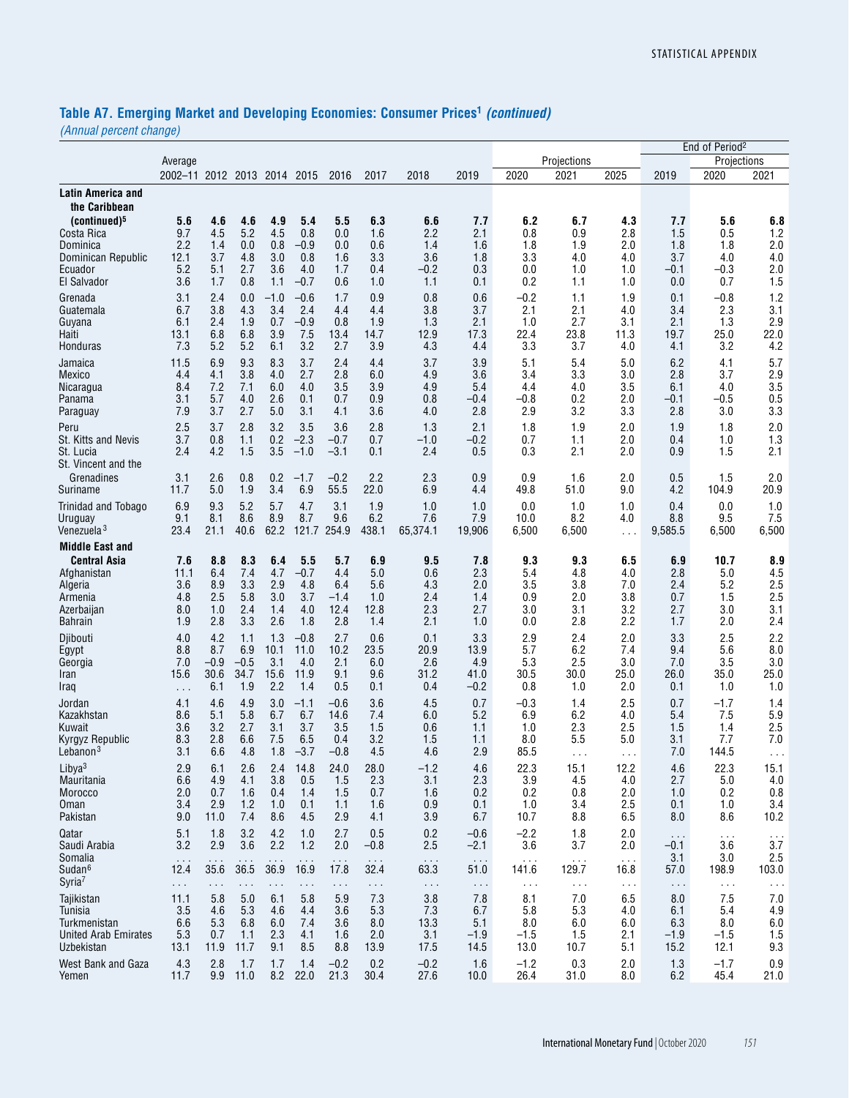# **Table A7. Emerging Market and Developing Economies: Consumer Prices1** *(continued)*

|                                                                                                                                |                                                    |                                                      |                                                   |                                                  |                                                    |                                                        |                                                     |                                                              |                                                        |                                                           |                                                          |                                                  |                                                        | End of Period <sup>2</sup>                                     |                                                  |
|--------------------------------------------------------------------------------------------------------------------------------|----------------------------------------------------|------------------------------------------------------|---------------------------------------------------|--------------------------------------------------|----------------------------------------------------|--------------------------------------------------------|-----------------------------------------------------|--------------------------------------------------------------|--------------------------------------------------------|-----------------------------------------------------------|----------------------------------------------------------|--------------------------------------------------|--------------------------------------------------------|----------------------------------------------------------------|--------------------------------------------------|
|                                                                                                                                | Average                                            |                                                      |                                                   |                                                  |                                                    |                                                        |                                                     |                                                              |                                                        |                                                           | Projections                                              |                                                  |                                                        | Projections                                                    |                                                  |
|                                                                                                                                | 2002-11 2012 2013 2014                             |                                                      |                                                   |                                                  | 2015                                               | 2016                                                   | 2017                                                | 2018                                                         | 2019                                                   | 2020                                                      | 2021                                                     | 2025                                             | 2019                                                   | 2020                                                           | 2021                                             |
| Latin America and<br>the Caribbean                                                                                             |                                                    |                                                      |                                                   |                                                  |                                                    |                                                        |                                                     |                                                              |                                                        |                                                           |                                                          |                                                  |                                                        |                                                                |                                                  |
| (continued) <sup>5</sup><br>Costa Rica<br>Dominica<br>Dominican Republic<br>Ecuador<br>El Salvador                             | 5.6<br>9.7<br>2.2<br>12.1<br>5.2<br>3.6            | 4.6<br>4.5<br>1.4<br>3.7<br>5.1<br>1.7               | 4.6<br>5.2<br>0.0<br>4.8<br>2.7<br>0.8            | 4.9<br>4.5<br>0.8<br>3.0<br>3.6<br>1.1           | 5.4<br>0.8<br>$-0.9$<br>0.8<br>4.0<br>$-0.7$       | 5.5<br>0.0<br>0.0<br>1.6<br>1.7<br>0.6                 | 6.3<br>1.6<br>0.6<br>3.3<br>0.4<br>1.0              | 6.6<br>2.2<br>1.4<br>3.6<br>-0.2<br>1.1                      | 7.7<br>2.1<br>1.6<br>1.8<br>0.3<br>0.1                 | 6.2<br>0.8<br>1.8<br>3.3<br>0.0<br>0.2                    | 6.7<br>0.9<br>1.9<br>4.0<br>1.0<br>1.1                   | 4.3<br>2.8<br>2.0<br>4.0<br>1.0<br>1.0           | 7.7<br>1.5<br>1.8<br>3.7<br>$-0.1$<br>0.0              | 5.6<br>0.5<br>1.8<br>4.0<br>$-0.3$<br>0.7                      | 6.8<br>1.2<br>2.0<br>4.0<br>2.0<br>1.5           |
| Grenada<br>Guatemala<br>Guyana<br>Haiti<br>Honduras                                                                            | 3.1<br>6.7<br>6.1<br>13.1<br>7.3                   | 2.4<br>3.8<br>2.4<br>6.8<br>5.2                      | 0.0<br>4.3<br>1.9<br>6.8<br>5.2                   | $-1.0$<br>3.4<br>0.7<br>3.9<br>6.1               | $-0.6$<br>2.4<br>$-0.9$<br>7.5<br>3.2              | 1.7<br>4.4<br>0.8<br>13.4<br>2.7                       | 0.9<br>4.4<br>1.9<br>14.7<br>3.9                    | 0.8<br>3.8<br>1.3<br>12.9<br>4.3                             | 0.6<br>3.7<br>2.1<br>17.3<br>4.4                       | $-0.2$<br>2.1<br>1.0<br>22.4<br>3.3                       | 1.1<br>2.1<br>2.7<br>23.8<br>3.7                         | 1.9<br>4.0<br>3.1<br>11.3<br>4.0                 | 0.1<br>3.4<br>2.1<br>19.7<br>4.1                       | $-0.8$<br>2.3<br>1.3<br>25.0<br>3.2                            | 1.2<br>3.1<br>2.9<br>22.0<br>4.2                 |
| Jamaica<br><b>Mexico</b><br>Nicaragua<br>Panama<br>Paraguay<br>Peru                                                            | 11.5<br>4.4<br>8.4<br>3.1<br>7.9<br>2.5            | 6.9<br>4.1<br>7.2<br>5.7<br>3.7<br>3.7               | 9.3<br>3.8<br>7.1<br>4.0<br>2.7<br>2.8            | 8.3<br>4.0<br>6.0<br>2.6<br>5.0<br>3.2           | 3.7<br>2.7<br>4.0<br>0.1<br>3.1<br>3.5             | 2.4<br>2.8<br>3.5<br>0.7<br>4.1<br>3.6                 | 4.4<br>6.0<br>3.9<br>0.9<br>3.6<br>2.8              | 3.7<br>4.9<br>4.9<br>0.8<br>4.0<br>1.3                       | 3.9<br>3.6<br>5.4<br>$-0.4$<br>2.8<br>2.1              | 5.1<br>3.4<br>4.4<br>-0.8<br>2.9<br>1.8                   | 5.4<br>3.3<br>4.0<br>0.2<br>3.2<br>1.9                   | 5.0<br>3.0<br>3.5<br>2.0<br>3.3<br>2.0           | 6.2<br>2.8<br>6.1<br>$-0.1$<br>2.8<br>1.9              | 4.1<br>3.7<br>4.0<br>$-0.5$<br>3.0<br>1.8                      | 5.7<br>2.9<br>3.5<br>0.5<br>3.3<br>2.0           |
| St. Kitts and Nevis<br>St. Lucia<br>St. Vincent and the                                                                        | 3.7<br>2.4                                         | 0.8<br>4.2                                           | 1.1<br>1.5                                        | 0.2<br>3.5                                       | $-2.3$<br>$-1.0$                                   | $-0.7$<br>$-3.1$                                       | 0.7<br>0.1                                          | $-1.0$<br>2.4                                                | -0.2<br>0.5                                            | 0.7<br>0.3                                                | 1.1<br>2.1                                               | 2.0<br>2.0                                       | 0.4<br>0.9                                             | 1.0<br>1.5                                                     | 1.3<br>2.1                                       |
| Grenadines<br>Suriname                                                                                                         | 3.1<br>11.7                                        | 2.6<br>5.0                                           | 0.8<br>1.9                                        | 0.2<br>3.4                                       | $-1.7$<br>6.9                                      | $-0.2$<br>55.5                                         | 2.2<br>22.0                                         | 2.3<br>6.9                                                   | 0.9<br>4.4                                             | 0.9<br>49.8                                               | 1.6<br>51.0                                              | 2.0<br>9.0                                       | 0.5<br>4.2                                             | 1.5<br>104.9                                                   | 2.0<br>20.9                                      |
| Trinidad and Tobago<br>Uruguay<br>Venezuela <sup>3</sup>                                                                       | 6.9<br>9.1<br>23.4                                 | 9.3<br>8.1<br>21.1                                   | 5.2<br>8.6<br>40.6                                | 5.7<br>8.9<br>62.2                               | 4.7<br>8.7<br>121.7 254.9                          | 3.1<br>9.6                                             | 1.9<br>6.2<br>438.1                                 | 1.0<br>7.6<br>65,374.1                                       | 1.0<br>7.9<br>19,906                                   | 0.0<br>10.0<br>6,500                                      | 1.0<br>8.2<br>6,500                                      | 1.0<br>4.0<br>.                                  | 0.4<br>8.8<br>9,585.5                                  | 0.0<br>9.5<br>6,500                                            | 1.0<br>7.5<br>6,500                              |
| <b>Middle East and</b><br><b>Central Asia</b><br>Afghanistan<br>Algeria<br>Armenia<br>Azerbaijan<br><b>Bahrain</b>             | 7.6<br>11.1<br>3.6<br>4.8<br>8.0<br>1.9            | 8.8<br>6.4<br>8.9<br>2.5<br>1.0<br>2.8               | 8.3<br>7.4<br>3.3<br>5.8<br>2.4<br>3.3            | 6.4<br>4.7<br>2.9<br>3.0<br>1.4<br>2.6           | 5.5<br>$-0.7$<br>4.8<br>3.7<br>4.0<br>1.8          | 5.7<br>4.4<br>6.4<br>$-1.4$<br>12.4<br>2.8             | 6.9<br>5.0<br>5.6<br>1.0<br>12.8<br>1.4             | 9.5<br>0.6<br>4.3<br>2.4<br>2.3<br>2.1                       | 7.8<br>2.3<br>2.0<br>1.4<br>2.7<br>1.0                 | 9.3<br>5.4<br>3.5<br>0.9<br>3.0<br>0.0                    | 9.3<br>4.8<br>3.8<br>2.0<br>3.1<br>2.8                   | 6.5<br>4.0<br>7.0<br>3.8<br>3.2<br>2.2           | 6.9<br>2.8<br>2.4<br>0.7<br>2.7<br>1.7                 | 10.7<br>5.0<br>5.2<br>1.5<br>3.0<br>2.0                        | 8.9<br>4.5<br>2.5<br>2.5<br>3.1<br>2.4           |
| Djibouti<br>Egypt<br>Georgia<br>Iran<br>Iraq                                                                                   | 4.0<br>8.8<br>7.0<br>15.6<br>$\cdots$              | 4.2<br>8.7<br>$-0.9$<br>30.6<br>6.1                  | 1.1<br>6.9<br>$-0.5$<br>34.7<br>1.9               | 1.3<br>10.1<br>3.1<br>15.6<br>2.2                | $-0.8$<br>11.0<br>4.0<br>11.9<br>1.4               | 2.7<br>10.2<br>2.1<br>9.1<br>0.5                       | 0.6<br>23.5<br>6.0<br>9.6<br>0.1                    | 0.1<br>20.9<br>2.6<br>31.2<br>0.4                            | 3.3<br>13.9<br>4.9<br>41.0<br>$-0.2$                   | 2.9<br>5.7<br>5.3<br>30.5<br>0.8                          | 2.4<br>6.2<br>2.5<br>30.0<br>1.0                         | 2.0<br>7.4<br>3.0<br>25.0<br>2.0                 | 3.3<br>9.4<br>7.0<br>26.0<br>0.1                       | 2.5<br>5.6<br>3.5<br>35.0<br>1.0                               | 2.2<br>8.0<br>3.0<br>25.0<br>1.0                 |
| Jordan<br>Kazakhstan<br>Kuwait<br>Kyrgyz Republic<br>Lebanon <sup>3</sup>                                                      | 4.1<br>8.6<br>3.6<br>8.3<br>3.1                    | 4.6<br>5.1<br>3.2<br>2.8<br>6.6                      | 4.9<br>5.8<br>2.7<br>6.6<br>4.8                   | 3.0<br>6.7<br>3.1<br>7.5<br>1.8                  | $-1.1$<br>6.7<br>3.7<br>6.5<br>$-3.7$              | $-0.6$<br>14.6<br>3.5<br>0.4<br>$-0.8$                 | 3.6<br>7.4<br>1.5<br>3.2<br>4.5                     | 4.5<br>6.0<br>0.6<br>1.5<br>4.6                              | 0.7<br>5.2<br>1.1<br>1.1<br>2.9                        | $-0.3$<br>6.9<br>1.0<br>8.0<br>85.5                       | 1.4<br>6.2<br>2.3<br>5.5<br>$\cdots$                     | 2.5<br>4.0<br>2.5<br>5.0<br>.                    | 0.7<br>5.4<br>1.5<br>3.1<br>7.0                        | $-1.7$<br>7.5<br>1.4<br>7.7<br>144.5                           | 1.4<br>5.9<br>2.5<br>7.0<br>$\cdots$             |
| Libya $3$<br>Mauritania<br>Morocco<br>Oman<br>Pakistan                                                                         | 2.9<br>6.6<br>2.0<br>3.4<br>9.0                    | 6.1<br>4.9<br>0.7<br>2.9<br>11.0                     | 2.6<br>4.1<br>1.6<br>1.2<br>7.4                   | 2.4<br>3.8<br>0.4<br>1.0<br>8.6                  | 14.8<br>0.5<br>1.4<br>0.1<br>4.5                   | 24.0<br>1.5<br>1.5<br>1.1<br>2.9                       | 28.0<br>2.3<br>0.7<br>1.6<br>4.1                    | $-1.2$<br>3.1<br>1.6<br>0.9<br>3.9                           | 4.6<br>2.3<br>0.2<br>0.1<br>6.7                        | 22.3<br>3.9<br>0.2<br>1.0<br>10.7                         | 15.1<br>4.5<br>0.8<br>3.4<br>8.8                         | 12.2<br>4.0<br>2.0<br>2.5<br>6.5                 | 4.6<br>2.7<br>1.0<br>0.1<br>8.0                        | 22.3<br>5.0<br>0.2<br>1.0<br>8.6                               | 15.1<br>4.0<br>0.8<br>3.4<br>10.2                |
| Qatar<br>Saudi Arabia<br>Somalia<br>Sudan <sup>6</sup>                                                                         | 5.1<br>3.2<br>$\sim$ $\sim$ $\sim$<br>12.4         | 1.8<br>2.9<br>$\sim$ $\sim$<br>35.6                  | 3.2<br>3.6<br>$\sim$ $\sim$<br>36.5               | 4.2<br>2.2<br>.<br>36.9                          | 1.0<br>$1.2$<br>16.9                               | 2.7<br>2.0<br>$\sim$ $\sim$<br>17.8                    | 0.5<br>$-0.8$<br>$\sim$ $\sim$ $\sim$<br>32.4       | 0.2<br>2.5<br>$\sim$ $\sim$ $\sim$<br>63.3                   | $-0.6$<br>$-2.1$<br>$\sim$ $\sim$ $\sim$<br>51.0       | $-2.2$<br>3.6<br>141.6                                    | 1.8<br>3.7<br>$\sim$ $\sim$<br>129.7                     | 2.0<br>2.0<br>$\sim$ $\sim$ $\sim$<br>16.8       | $\sim$ $\sim$ $\sim$<br>$-0.1$<br>3.1<br>57.0          | .<br>3.6<br>3.0<br>198.9                                       | $\sim$ $\sim$ $\sim$<br>3.7<br>2.5<br>103.0      |
| Syria <sup>7</sup><br>Tajikistan<br>Tunisia<br>Turkmenistan<br><b>United Arab Emirates</b><br>Uzbekistan<br>West Bank and Gaza | $\sim$<br>11.1<br>3.5<br>6.6<br>5.3<br>13.1<br>4.3 | $\ddotsc$<br>5.8<br>4.6<br>5.3<br>0.7<br>11.9<br>2.8 | $\sim$<br>5.0<br>5.3<br>6.8<br>1.1<br>11.7<br>1.7 | $\sim$<br>6.1<br>4.6<br>6.0<br>2.3<br>9.1<br>1.7 | $\cdots$<br>5.8<br>4.4<br>7.4<br>4.1<br>8.5<br>1.4 | $\ddotsc$<br>5.9<br>3.6<br>3.6<br>1.6<br>8.8<br>$-0.2$ | $\sim$ .<br>7.3<br>5.3<br>8.0<br>2.0<br>13.9<br>0.2 | $\sim$ $\sim$<br>3.8<br>7.3<br>13.3<br>3.1<br>17.5<br>$-0.2$ | $\ldots$<br>7.8<br>6.7<br>5.1<br>$-1.9$<br>14.5<br>1.6 | $\ldots$<br>8.1<br>5.8<br>8.0<br>$-1.5$<br>13.0<br>$-1.2$ | $\sim$ $\sim$<br>7.0<br>5.3<br>6.0<br>1.5<br>10.7<br>0.3 | $\sim$ $\sim$<br>6.5<br>4.0<br>6.0<br>2.1<br>5.1 | $\sim$ .<br>8.0<br>6.1<br>6.3<br>$-1.9$<br>15.2<br>1.3 | $\sim$ $\sim$<br>7.5<br>5.4<br>8.0<br>$-1.5$<br>12.1<br>$-1.7$ | $\sim$ $\sim$<br>7.0<br>4.9<br>6.0<br>1.5<br>9.3 |
| Yemen                                                                                                                          | 11.7                                               | 9.9                                                  | 11.0                                              | 8.2                                              | 22.0                                               | 21.3                                                   | 30.4                                                | 27.6                                                         | 10.0                                                   | 26.4                                                      | 31.0                                                     | 2.0<br>8.0                                       | 6.2                                                    | 45.4                                                           | 0.9<br>21.0                                      |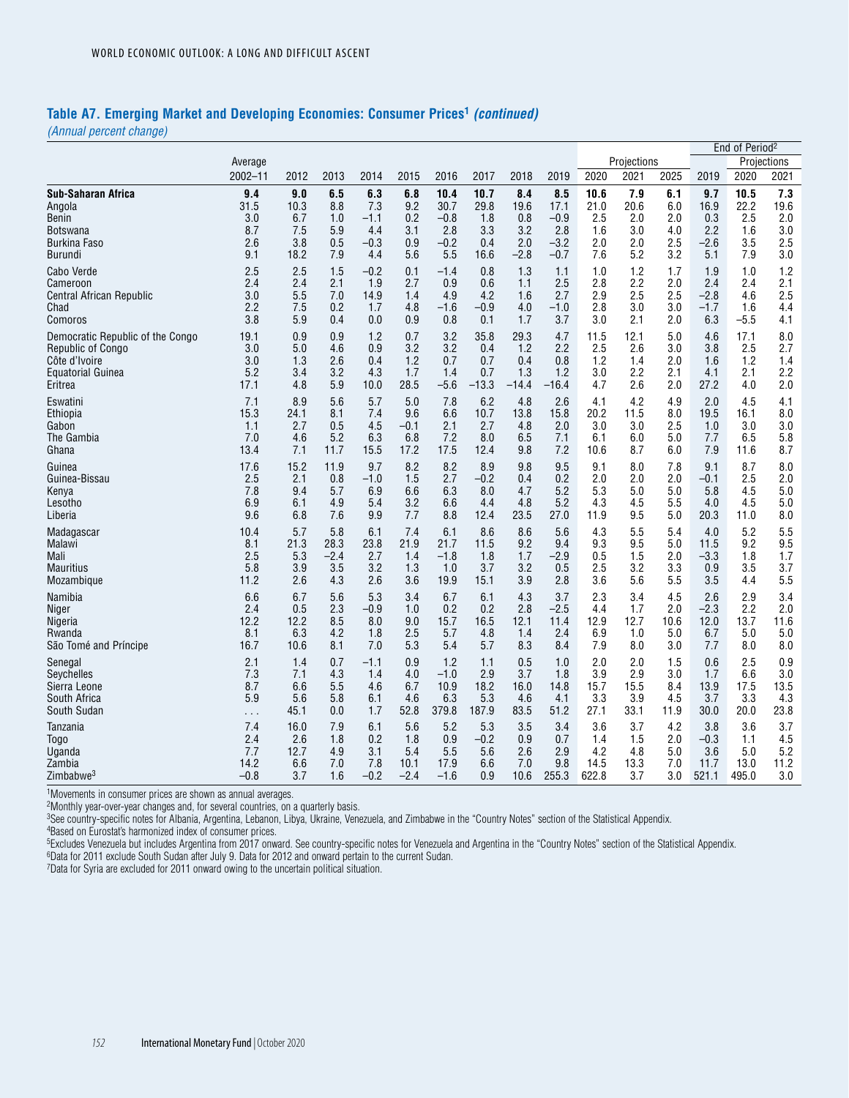### **Table A7. Emerging Market and Developing Economies: Consumer Prices1** *(continued)*

*(Annual percent change)*

|                                  |          |      |        |        |        |        |         |         |         |       |             |      |        | End of Period <sup>2</sup> |             |
|----------------------------------|----------|------|--------|--------|--------|--------|---------|---------|---------|-------|-------------|------|--------|----------------------------|-------------|
|                                  | Average  |      |        |        |        |        |         |         |         |       | Projections |      |        |                            | Projections |
|                                  | 2002-11  | 2012 | 2013   | 2014   | 2015   | 2016   | 2017    | 2018    | 2019    | 2020  | 2021        | 2025 | 2019   | 2020                       | 2021        |
| Sub-Saharan Africa               | 9.4      | 9.0  | 6.5    | 6.3    | 6.8    | 10.4   | 10.7    | 8.4     | 8.5     | 10.6  | 7.9         | 6.1  | 9.7    | 10.5                       | 7.3         |
| Angola                           | 31.5     | 10.3 | 8.8    | 7.3    | 9.2    | 30.7   | 29.8    | 19.6    | 17.1    | 21.0  | 20.6        | 6.0  | 16.9   | 22.2                       | 19.6        |
| Benin                            | 3.0      | 6.7  | 1.0    | $-1.1$ | 0.2    | $-0.8$ | 1.8     | 0.8     | $-0.9$  | 2.5   | 2.0         | 2.0  | 0.3    | 2.5                        | 2.0         |
| <b>Botswana</b>                  | 8.7      | 7.5  | 5.9    | 4.4    | 3.1    | 2.8    | 3.3     | 3.2     | 2.8     | 1.6   | 3.0         | 4.0  | 2.2    | 1.6                        | 3.0         |
| <b>Burkina Faso</b>              | 2.6      | 3.8  | 0.5    | $-0.3$ | 0.9    | $-0.2$ | 0.4     | 2.0     | $-3.2$  | 2.0   | 2.0         | 2.5  | $-2.6$ | 3.5                        | 2.5         |
| <b>Burundi</b>                   | 9.1      | 18.2 | 7.9    | 4.4    | 5.6    | 5.5    | 16.6    | -2.8    | $-0.7$  | 7.6   | 5.2         | 3.2  | 5.1    | 7.9                        | 3.0         |
| Cabo Verde                       | 2.5      | 2.5  | 1.5    | $-0.2$ | 0.1    | $-1.4$ | 0.8     | 1.3     | 1.1     | 1.0   | 1.2         | 1.7  | 1.9    | 1.0                        | 1.2         |
| Cameroon                         | 2.4      | 2.4  | 2.1    | 1.9    | 2.7    | 0.9    | 0.6     | 1.1     | 2.5     | 2.8   | 2.2         | 2.0  | 2.4    | 2.4                        | 2.1         |
| Central African Republic         | 3.0      | 5.5  | 7.0    | 14.9   | 1.4    | 4.9    | 4.2     | 1.6     | 2.7     | 2.9   | 2.5         | 2.5  | $-2.8$ | 4.6                        | 2.5         |
| Chad                             | 2.2      | 7.5  | 0.2    | 1.7    | 4.8    | $-1.6$ | $-0.9$  | 4.0     | $-1.0$  | 2.8   | 3.0         | 3.0  | $-1.7$ | 1.6                        | 4.4         |
| Comoros                          | 3.8      | 5.9  | 0.4    | 0.0    | 0.9    | 0.8    | 0.1     | 1.7     | 3.7     | 3.0   | 2.1         | 2.0  | 6.3    | $-5.5$                     | 4.1         |
| Democratic Republic of the Congo | 19.1     | 0.9  | 0.9    | 1.2    | 0.7    | 3.2    | 35.8    | 29.3    | 4.7     | 11.5  | 12.1        | 5.0  | 4.6    | 17.1                       | 8.0         |
| <b>Republic of Congo</b>         | 3.0      | 5.0  | 4.6    | 0.9    | 3.2    | 3.2    | 0.4     | 1.2     | 2.2     | 2.5   | 2.6         | 3.0  | 3.8    | 2.5                        | 2.7         |
| Côte d'Ivoire                    | 3.0      | 1.3  | 2.6    | 0.4    | 1.2    | 0.7    | 0.7     | 0.4     | 0.8     | 1.2   | 1.4         | 2.0  | 1.6    | 1.2                        | 1.4         |
| <b>Equatorial Guinea</b>         | 5.2      | 3.4  | 3.2    | 4.3    | 1.7    | 1.4    | 0.7     | 1.3     | 1.2     | 3.0   | 2.2         | 2.1  | 4.1    | 2.1                        | 2.2         |
| Eritrea                          | 17.1     | 4.8  | 5.9    | 10.0   | 28.5   | $-5.6$ | $-13.3$ | $-14.4$ | $-16.4$ | 4.7   | 2.6         | 2.0  | 27.2   | 4.0                        | 2.0         |
| Eswatini                         | 7.1      | 8.9  | 5.6    | 5.7    | 5.0    | 7.8    | 6.2     | 4.8     | 2.6     | 4.1   | 4.2         | 4.9  | 2.0    | 4.5                        | 4.1         |
| Ethiopia                         | 15.3     | 24.1 | 8.1    | 7.4    | 9.6    | 6.6    | 10.7    | 13.8    | 15.8    | 20.2  | 11.5        | 8.0  | 19.5   | 16.1                       | 8.0         |
| Gabon                            | 1.1      | 2.7  | 0.5    | 4.5    | $-0.1$ | 2.1    | 2.7     | 4.8     | 2.0     | 3.0   | 3.0         | 2.5  | 1.0    | 3.0                        | 3.0         |
| The Gambia                       | 7.0      | 4.6  | 5.2    | 6.3    | 6.8    | 7.2    | 8.0     | 6.5     | 7.1     | 6.1   | 6.0         | 5.0  | 7.7    | 6.5                        | 5.8         |
| Ghana                            | 13.4     | 7.1  | 11.7   | 15.5   | 17.2   | 17.5   | 12.4    | 9.8     | 7.2     | 10.6  | 8.7         | 6.0  | 7.9    | 11.6                       | 8.7         |
| Guinea                           | 17.6     | 15.2 | 11.9   | 9.7    | 8.2    | 8.2    | 8.9     | 9.8     | 9.5     | 9.1   | 8.0         | 7.8  | 9.1    | 8.7                        | 8.0         |
| Guinea-Bissau                    | 2.5      | 2.1  | 0.8    | $-1.0$ | 1.5    | 2.7    | $-0.2$  | 0.4     | 0.2     | 2.0   | 2.0         | 2.0  | $-0.1$ | 2.5                        | 2.0         |
| Kenya                            | 7.8      | 9.4  | 5.7    | 6.9    | 6.6    | 6.3    | 8.0     | 4.7     | 5.2     | 5.3   | 5.0         | 5.0  | 5.8    | 4.5                        | 5.0         |
| Lesotho                          | 6.9      | 6.1  | 4.9    | 5.4    | 3.2    | 6.6    | 4.4     | 4.8     | 5.2     | 4.3   | 4.5         | 5.5  | 4.0    | 4.5                        | 5.0         |
| Liberia                          | 9.6      | 6.8  | 7.6    | 9.9    | 7.7    | 8.8    | 12.4    | 23.5    | 27.0    | 11.9  | 9.5         | 5.0  | 20.3   | 11.0                       | 8.0         |
| Madagascar                       | 10.4     | 5.7  | 5.8    | 6.1    | 7.4    | 6.1    | 8.6     | 8.6     | 5.6     | 4.3   | 5.5         | 5.4  | 4.0    | 5.2                        | 5.5         |
| Malawi                           | 8.1      | 21.3 | 28.3   | 23.8   | 21.9   | 21.7   | 11.5    | 9.2     | 9.4     | 9.3   | 9.5         | 5.0  | 11.5   | 9.2                        | 9.5         |
| Mali                             | 2.5      | 5.3  | $-2.4$ | 2.7    | 1.4    | $-1.8$ | 1.8     | 1.7     | $-2.9$  | 0.5   | 1.5         | 2.0  | $-3.3$ | 1.8                        | 1.7         |
| <b>Mauritius</b>                 | 5.8      | 3.9  | 3.5    | 3.2    | 1.3    | 1.0    | 3.7     | 3.2     | 0.5     | 2.5   | 3.2         | 3.3  | 0.9    | 3.5                        | 3.7         |
| Mozambique                       | 11.2     | 2.6  | 4.3    | 2.6    | 3.6    | 19.9   | 15.1    | 3.9     | 2.8     | 3.6   | 5.6         | 5.5  | 3.5    | 4.4                        | 5.5         |
| Namibia                          | 6.6      | 6.7  | 5.6    | 5.3    | 3.4    | 6.7    | 6.1     | 4.3     | 3.7     | 2.3   | 3.4         | 4.5  | 2.6    | 2.9                        | 3.4         |
| Niger                            | 2.4      | 0.5  | 2.3    | $-0.9$ | 1.0    | 0.2    | 0.2     | 2.8     | $-2.5$  | 4.4   | 1.7         | 2.0  | $-2.3$ | 2.2                        | 2.0         |
| Nigeria                          | 12.2     | 12.2 | 8.5    | 8.0    | 9.0    | 15.7   | 16.5    | 12.1    | 11.4    | 12.9  | 12.7        | 10.6 | 12.0   | 13.7                       | 11.6        |
| Rwanda                           | 8.1      | 6.3  | 4.2    | 1.8    | 2.5    | 5.7    | 4.8     | 1.4     | 2.4     | 6.9   | 1.0         | 5.0  | 6.7    | 5.0                        | 5.0         |
| São Tomé and Príncipe            | 16.7     | 10.6 | 8.1    | 7.0    | 5.3    | 5.4    | 5.7     | 8.3     | 8.4     | 7.9   | 8.0         | 3.0  | 7.7    | 8.0                        | 8.0         |
| Senegal                          | 2.1      | 1.4  | 0.7    | $-1.1$ | 0.9    | 1.2    | 1.1     | 0.5     | 1.0     | 2.0   | 2.0         | 1.5  | 0.6    | 2.5                        | 0.9         |
| Seychelles                       | 7.3      | 7.1  | 4.3    | 1.4    | 4.0    | $-1.0$ | 2.9     | 3.7     | 1.8     | 3.9   | 2.9         | 3.0  | 1.7    | 6.6                        | 3.0         |
| Sierra Leone                     | 8.7      | 6.6  | 5.5    | 4.6    | 6.7    | 10.9   | 18.2    | 16.0    | 14.8    | 15.7  | 15.5        | 8.4  | 13.9   | 17.5                       | 13.5        |
| South Africa                     | 5.9      | 5.6  | 5.8    | 6.1    | 4.6    | 6.3    | 5.3     | 4.6     | 4.1     | 3.3   | 3.9         | 4.5  | 3.7    | 3.3                        | 4.3         |
| South Sudan                      | $\sim$ . | 45.1 | 0.0    | 1.7    | 52.8   | 379.8  | 187.9   | 83.5    | 51.2    | 27.1  | 33.1        | 11.9 | 30.0   | 20.0                       | 23.8        |
| Tanzania                         | 7.4      | 16.0 | 7.9    | 6.1    | 5.6    | 5.2    | 5.3     | 3.5     | 3.4     | 3.6   | 3.7         | 4.2  | 3.8    | 3.6                        | 3.7         |
| <b>Togo</b>                      | 2.4      | 2.6  | 1.8    | 0.2    | 1.8    | 0.9    | $-0.2$  | 0.9     | 0.7     | 1.4   | 1.5         | 2.0  | $-0.3$ | 1.1                        | 4.5         |
| Uganda                           | 7.7      | 12.7 | 4.9    | 3.1    | 5.4    | 5.5    | 5.6     | 2.6     | 2.9     | 4.2   | 4.8         | 5.0  | 3.6    | 5.0                        | 5.2         |
| Zambia                           | 14.2     | 6.6  | 7.0    | 7.8    | 10.1   | 17.9   | 6.6     | 7.0     | 9.8     | 14.5  | 13.3        | 7.0  | 11.7   | 13.0                       | 11.2        |
| Zimbabwe <sup>3</sup>            | $-0.8$   | 3.7  | 1.6    | $-0.2$ | $-2.4$ | $-1.6$ | 0.9     | 10.6    | 255.3   | 622.8 | 3.7         | 3.0  | 521.1  | 495.0                      | 3.0         |

1Movements in consumer prices are shown as annual averages.

2Monthly year-over-year changes and, for several countries, on a quarterly basis.

3See country-specific notes for Albania, Argentina, Lebanon, Libya, Ukraine, Venezuela, and Zimbabwe in the "Country Notes" section of the Statistical Appendix.

4Based on Eurostat's harmonized index of consumer prices.

5Excludes Venezuela but includes Argentina from 2017 onward. See country-specific notes for Venezuela and Argentina in the "Country Notes" section of the Statistical Appendix.

6Data for 2011 exclude South Sudan after July 9. Data for 2012 and onward pertain to the current Sudan.

7Data for Syria are excluded for 2011 onward owing to the uncertain political situation.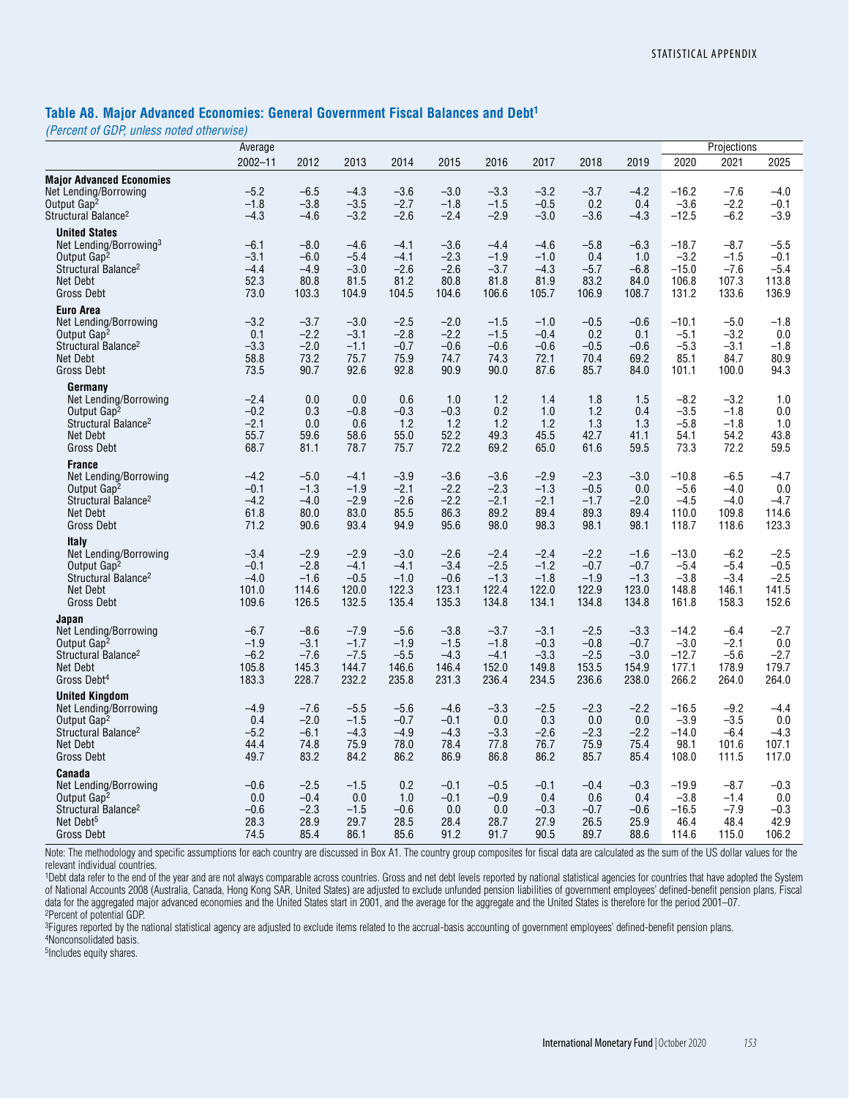### **Table A8. Major Advanced Economies: General Government Fiscal Balances and Debt1**

*(Percent of GDP, unless noted otherwise)*

|                                                                                                                                                           | Average                                      |                                              |                                              |                                              |                                              |                                              | Projections                                  |                                              |                                              |                                                |                                              |                                              |
|-----------------------------------------------------------------------------------------------------------------------------------------------------------|----------------------------------------------|----------------------------------------------|----------------------------------------------|----------------------------------------------|----------------------------------------------|----------------------------------------------|----------------------------------------------|----------------------------------------------|----------------------------------------------|------------------------------------------------|----------------------------------------------|----------------------------------------------|
|                                                                                                                                                           | $2002 - 11$                                  | 2012                                         | 2013                                         | 2014                                         | 2015                                         | 2016                                         | 2017                                         | 2018                                         | 2019                                         | 2020                                           | 2021                                         | 2025                                         |
| <b>Major Advanced Economies</b><br>Net Lending/Borrowing<br>Output Gap <sup>2</sup><br>Structural Balance <sup>2</sup>                                    | $-5.2$<br>$-1.8$<br>$-4.3$                   | $-6.5$<br>$-3.8$<br>$-4.6$                   | $-4.3$<br>$-3.5$<br>$-3.2$                   | $-3.6$<br>$-2.7$<br>$-2.6$                   | $-3.0$<br>$-1.8$<br>$-2.4$                   | $-3.3$<br>$-1.5$<br>$-2.9$                   | $-3.2$<br>$-0.5$<br>$-3.0$                   | $-3.7$<br>0.2<br>$-3.6$                      | $-4.2$<br>0.4<br>$-4.3$                      | $-16.2$<br>$-3.6$<br>$-12.5$                   | $-7.6$<br>$-2.2$<br>$-6.2$                   | $-4.0$<br>$-0.1$<br>$-3.9$                   |
| <b>United States</b><br>Net Lending/Borrowing <sup>3</sup><br>Output Gap <sup>2</sup><br>Structural Balance <sup>2</sup><br>Net Debt<br><b>Gross Debt</b> | $-6.1$<br>$-3.1$<br>$-4.4$<br>52.3<br>73.0   | $-8.0$<br>$-6.0$<br>$-4.9$<br>80.8<br>103.3  | $-4.6$<br>$-5.4$<br>$-3.0$<br>81.5<br>104.9  | $-4.1$<br>$-4.1$<br>$-2.6$<br>81.2<br>104.5  | $-3.6$<br>$-2.3$<br>$-2.6$<br>80.8<br>104.6  | $-4.4$<br>$-1.9$<br>$-3.7$<br>81.8<br>106.6  | $-4.6$<br>$-1.0$<br>$-4.3$<br>81.9<br>105.7  | $-5.8$<br>0.4<br>$-5.7$<br>83.2<br>106.9     | $-6.3$<br>1.0<br>$-6.8$<br>84.0<br>108.7     | $-18.7$<br>$-3.2$<br>$-15.0$<br>106.8<br>131.2 | $-8.7$<br>$-1.5$<br>$-7.6$<br>107.3<br>133.6 | $-5.5$<br>$-0.1$<br>$-5.4$<br>113.8<br>136.9 |
| <b>Euro Area</b><br>Net Lending/Borrowing<br>Output Gap <sup>2</sup><br>Structural Balance <sup>2</sup><br>Net Debt<br><b>Gross Debt</b>                  | $-3.2$<br>0.1<br>$-3.3$<br>58.8<br>73.5      | $-3.7$<br>$-2.2$<br>$-2.0$<br>73.2<br>90.7   | $-3.0$<br>$-3.1$<br>$-1.1$<br>75.7<br>92.6   | $-2.5$<br>$-2.8$<br>$-0.7$<br>75.9<br>92.8   | $-2.0$<br>$-2.2$<br>$-0.6$<br>74.7<br>90.9   | $-1.5$<br>$-1.5$<br>$-0.6$<br>74.3<br>90.0   | $-1.0$<br>$-0.4$<br>$-0.6$<br>72.1<br>87.6   | $-0.5$<br>0.2<br>$-0.5$<br>70.4<br>85.7      | $-0.6$<br>0.1<br>$-0.6$<br>69.2<br>84.0      | $-10.1$<br>$-5.1$<br>$-5.3$<br>85.1<br>101.1   | $-5.0$<br>$-3.2$<br>$-3.1$<br>84.7<br>100.0  | $-1.8$<br>0.0<br>$-1.8$<br>80.9<br>94.3      |
| Germany<br>Net Lending/Borrowing<br>Output Gap <sup>2</sup><br>Structural Balance <sup>2</sup><br><b>Net Debt</b><br>Gross Debt                           | $-2.4$<br>$-0.2$<br>$-2.1$<br>55.7<br>68.7   | 0.0<br>0.3<br>0.0<br>59.6<br>81.1            | 0.0<br>$-0.8$<br>0.6<br>58.6<br>78.7         | 0.6<br>$-0.3$<br>1.2<br>55.0<br>75.7         | 1.0<br>$-0.3$<br>1.2<br>52.2<br>72.2         | 1.2<br>0.2<br>1.2<br>49.3<br>69.2            | 1.4<br>1.0<br>1.2<br>45.5<br>65.0            | 1.8<br>1.2<br>1.3<br>42.7<br>61.6            | 1.5<br>0.4<br>1.3<br>41.1<br>59.5            | $-8.2$<br>$-3.5$<br>$-5.8$<br>54.1<br>73.3     | $-3.2$<br>$-1.8$<br>$-1.8$<br>54.2<br>72.2   | 1.0<br>0.0<br>1.0<br>43.8<br>59.5            |
| <b>France</b><br>Net Lending/Borrowing<br>Output Gap <sup>2</sup><br>Structural Balance <sup>2</sup><br><b>Net Debt</b><br>Gross Debt                     | $-4.2$<br>$-0.1$<br>$-4.2$<br>61.8<br>71.2   | $-5.0$<br>$-1.3$<br>$-4.0$<br>80.0<br>90.6   | -4.1<br>$-1.9$<br>$-2.9$<br>83.0<br>93.4     | $-3.9$<br>$-2.1$<br>$-2.6$<br>85.5<br>94.9   | $-3.6$<br>$-2.2$<br>$-2.2$<br>86.3<br>95.6   | $-3.6$<br>$-2.3$<br>$-2.1$<br>89.2<br>98.0   | $-2.9$<br>$-1.3$<br>$-2.1$<br>89.4<br>98.3   | $-2.3$<br>$-0.5$<br>$-1.7$<br>89.3<br>98.1   | $-3.0$<br>0.0<br>$-2.0$<br>89.4<br>98.1      | $-10.8$<br>$-5.6$<br>$-4.5$<br>110.0<br>118.7  | $-6.5$<br>$-4.0$<br>$-4.0$<br>109.8<br>118.6 | $-4.7$<br>0.0<br>$-4.7$<br>114.6<br>123.3    |
| Italy<br>Net Lending/Borrowing<br>Output Gap <sup>2</sup><br>Structural Balance <sup>2</sup><br>Net Debt<br>Gross Debt                                    | $-3.4$<br>$-0.1$<br>$-4.0$<br>101.0<br>109.6 | $-2.9$<br>$-2.8$<br>$-1.6$<br>114.6<br>126.5 | $-2.9$<br>$-4.1$<br>$-0.5$<br>120.0<br>132.5 | $-3.0$<br>$-4.1$<br>$-1.0$<br>122.3<br>135.4 | $-2.6$<br>$-3.4$<br>$-0.6$<br>123.1<br>135.3 | $-2.4$<br>$-2.5$<br>$-1.3$<br>122.4<br>134.8 | $-2.4$<br>$-1.2$<br>$-1.8$<br>122.0<br>134.1 | $-2.2$<br>$-0.7$<br>$-1.9$<br>122.9<br>134.8 | $-1.6$<br>$-0.7$<br>$-1.3$<br>123.0<br>134.8 | $-13.0$<br>$-5.4$<br>$-3.8$<br>148.8<br>161.8  | $-6.2$<br>$-5.4$<br>$-3.4$<br>146.1<br>158.3 | $-2.5$<br>$-0.5$<br>$-2.5$<br>141.5<br>152.6 |
| Japan<br>Net Lending/Borrowing<br>Output Gap <sup>2</sup><br>Structural Balance <sup>2</sup><br><b>Net Debt</b><br>Gross Debt <sup>4</sup>                | $-6.7$<br>$-1.9$<br>$-6.2$<br>105.8<br>183.3 | $-8.6$<br>$-3.1$<br>$-7.6$<br>145.3<br>228.7 | $-7.9$<br>$-1.7$<br>$-7.5$<br>144.7<br>232.2 | $-5.6$<br>$-1.9$<br>$-5.5$<br>146.6<br>235.8 | $-3.8$<br>$-1.5$<br>$-4.3$<br>146.4<br>231.3 | $-3.7$<br>$-1.8$<br>$-4.1$<br>152.0<br>236.4 | $-3.1$<br>$-0.3$<br>$-3.3$<br>149.8<br>234.5 | $-2.5$<br>$-0.8$<br>$-2.5$<br>153.5<br>236.6 | $-3.3$<br>$-0.7$<br>$-3.0$<br>154.9<br>238.0 | $-14.2$<br>$-3.0$<br>$-12.7$<br>177.1<br>266.2 | $-6.4$<br>$-2.1$<br>$-5.6$<br>178.9<br>264.0 | $-2.7$<br>0.0<br>$-2.7$<br>179.7<br>264.0    |
| <b>United Kingdom</b><br>Net Lending/Borrowing<br>Output Gap <sup>2</sup><br>Structural Balance <sup>2</sup><br>Net Debt<br><b>Gross Debt</b>             | $-4.9$<br>0.4<br>$-5.2$<br>44.4<br>49.7      | $-7.6$<br>$-2.0$<br>$-6.1$<br>74.8<br>83.2   | $-5.5$<br>$-1.5$<br>$-4.3$<br>75.9<br>84.2   | $-5.6$<br>$-0.7$<br>$-4.9$<br>78.0<br>86.2   | $-4.6$<br>$-0.1$<br>$-4.3$<br>78.4<br>86.9   | $-3.3$<br>0.0<br>$-3.3$<br>77.8<br>86.8      | $-2.5$<br>0.3<br>$-2.6$<br>76.7<br>86.2      | $-2.3$<br>0.0<br>$-2.3$<br>75.9<br>85.7      | $-2.2$<br>0.0<br>$-2.2$<br>75.4<br>85.4      | $-16.5$<br>$-3.9$<br>$-14.0$<br>98.1<br>108.0  | $-9.2$<br>$-3.5$<br>$-6.4$<br>101.6<br>111.5 | $-4.4$<br>0.0<br>$-4.3$<br>107.1<br>117.0    |
| Canada<br>Net Lending/Borrowing<br>Output Gap <sup>2</sup><br>Structural Balance <sup>2</sup><br>Net Debt <sup>5</sup><br><b>Gross Debt</b>               | $-0.6$<br>0.0<br>$-0.6$<br>28.3<br>74.5      | $-2.5$<br>$-0.4$<br>$-2.3$<br>28.9<br>85.4   | $-1.5$<br>0.0<br>$-1.5$<br>29.7<br>86.1      | 0.2<br>1.0<br>$-0.6$<br>28.5<br>85.6         | $-0.1$<br>$-0.1$<br>0.0<br>28.4<br>91.2      | $-0.5$<br>$-0.9$<br>0.0<br>28.7<br>91.7      | $-0.1$<br>0.4<br>$-0.3$<br>27.9<br>90.5      | $-0.4$<br>0.6<br>$-0.7$<br>26.5<br>89.7      | $-0.3$<br>0.4<br>$-0.6$<br>25.9<br>88.6      | $-19.9$<br>$-3.8$<br>$-16.5$<br>46.4<br>114.6  | $-8.7$<br>$-1.4$<br>$-7.9$<br>48.4<br>115.0  | $-0.3$<br>0.0<br>$-0.3$<br>42.9<br>106.2     |

Note: The methodology and specific assumptions for each country are discussed in Box A1. The country group composites for fiscal data are calculated as the sum of the US dollar values for the relevant individual countries.

1Debt data refer to the end of the year and are not always comparable across countries. Gross and net debt levels reported by national statistical agencies for countries that have adopted the System of National Accounts 2008 (Australia, Canada, Hong Kong SAR, United States) are adjusted to exclude unfunded pension liabilities of government employees' defined-benefit pension plans. Fiscal data for the aggregated major advanced economies and the United States start in 2001, and the average for the aggregate and the United States is therefore for the period 2001–07. 2Percent of potential GDP.

<sup>3</sup>Figures reported by the national statistical agency are adjusted to exclude items related to the accrual-basis accounting of government employees' defined-benefit pension plans.

4Nonconsolidated basis.

5Includes equity shares.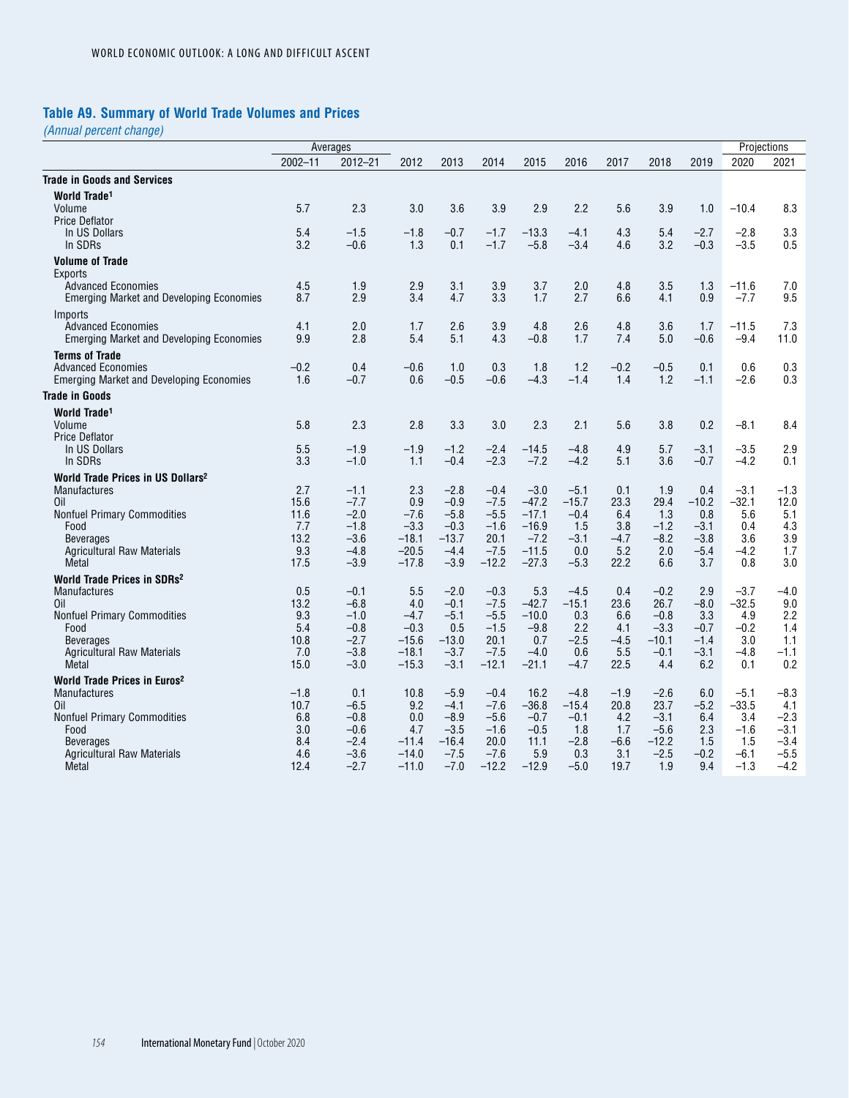# **Table A9. Summary of World Trade Volumes and Prices**

|                                                                              |                | Averages         |                    |                   |                  |                   |                   |                |                |                  |                   | Projections   |
|------------------------------------------------------------------------------|----------------|------------------|--------------------|-------------------|------------------|-------------------|-------------------|----------------|----------------|------------------|-------------------|---------------|
|                                                                              | $2002 - 11$    | $2012 - 21$      | 2012               | 2013              | 2014             | 2015              | 2016              | 2017           | 2018           | 2019             | 2020              | 2021          |
| <b>Trade in Goods and Services</b>                                           |                |                  |                    |                   |                  |                   |                   |                |                |                  |                   |               |
| World Trade <sup>1</sup>                                                     |                |                  |                    |                   |                  |                   |                   |                |                |                  |                   |               |
| Volume                                                                       | 5.7            | 2.3              | 3.0                | 3.6               | 3.9              | 2.9               | 2.2               | 5.6            | 3.9            | 1.0              | $-10.4$           | 8.3           |
| <b>Price Deflator</b>                                                        |                |                  |                    |                   |                  |                   |                   |                |                |                  |                   |               |
| In US Dollars                                                                | 5.4            | $-1.5$           | $-1.8$             | $-0.7$            | $-1.7$           | $-13.3$           | $-4.1$            | 4.3            | 5.4            | $-2.7$           | $-2.8$            | 3.3           |
| In SDRs                                                                      | 3.2            | $-0.6$           | 1.3                | 0.1               | $-1.7$           | $-5.8$            | $-3.4$            | 4.6            | 3.2            | $-0.3$           | $-3.5$            | 0.5           |
| <b>Volume of Trade</b>                                                       |                |                  |                    |                   |                  |                   |                   |                |                |                  |                   |               |
| Exports                                                                      |                |                  |                    |                   |                  |                   |                   |                |                |                  |                   |               |
| <b>Advanced Economies</b><br><b>Emerging Market and Developing Economies</b> | 4.5<br>8.7     | 1.9<br>2.9       | 2.9<br>3.4         | 3.1<br>4.7        | 3.9<br>3.3       | 3.7<br>1.7        | 2.0<br>2.7        | 4.8<br>6.6     | 3.5<br>4.1     | 1.3<br>0.9       | $-11.6$<br>$-7.7$ | 7.0<br>9.5    |
|                                                                              |                |                  |                    |                   |                  |                   |                   |                |                |                  |                   |               |
| Imports<br><b>Advanced Economies</b>                                         | 4.1            | 2.0              | 1.7                | 2.6               | 3.9              | 4.8               | 2.6               | 4.8            | 3.6            | 1.7              | $-11.5$           | 7.3           |
| <b>Emerging Market and Developing Economies</b>                              | 9.9            | 2.8              | 5.4                | 5.1               | 4.3              | $-0.8$            | 1.7               | 7.4            | 5.0            | $-0.6$           | $-9.4$            | 11.0          |
|                                                                              |                |                  |                    |                   |                  |                   |                   |                |                |                  |                   |               |
| <b>Terms of Trade</b><br><b>Advanced Economies</b>                           | $-0.2$         | 0.4              | $-0.6$             | 1.0               | 0.3              | 1.8               | 1.2               | $-0.2$         | $-0.5$         | 0.1              | 0.6               | 0.3           |
| <b>Emerging Market and Developing Economies</b>                              | 1.6            | $-0.7$           | 0.6                | $-0.5$            | $-0.6$           | $-4.3$            | $-1.4$            | 1.4            | 1.2            | $-1.1$           | $-2.6$            | 0.3           |
| <b>Trade in Goods</b>                                                        |                |                  |                    |                   |                  |                   |                   |                |                |                  |                   |               |
|                                                                              |                |                  |                    |                   |                  |                   |                   |                |                |                  |                   |               |
| World Trade <sup>1</sup><br>Volume                                           | 5.8            | 2.3              | 2.8                | 3.3               | 3.0              | 2.3               | 2.1               | 5.6            | 3.8            | 0.2              | $-8.1$            | 8.4           |
| <b>Price Deflator</b>                                                        |                |                  |                    |                   |                  |                   |                   |                |                |                  |                   |               |
| In US Dollars                                                                | 5.5            | $-1.9$           | -1.9               | $-1.2$            | $-2.4$           | $-14.5$           | $-4.8$            | 4.9            | 5.7            | $-3.1$           | $-3.5$            | 2.9           |
| In SDRs                                                                      | 3.3            | $-1.0$           | 1.1                | $-0.4$            | $-2.3$           | $-7.2$            | $-4.2$            | 5.1            | 3.6            | $-0.7$           | $-4.2$            | 0.1           |
| World Trade Prices in US Dollars <sup>2</sup>                                |                |                  |                    |                   |                  |                   |                   |                |                |                  |                   |               |
| <b>Manufactures</b>                                                          | 2.7            | $-1.1$           | 2.3                | $-2.8$            | $-0.4$           | $-3.0$            | $-5.1$            | 0.1            | 1.9            | 0.4              | $-3.1$            | $-1.3$        |
| Oil                                                                          | 15.6           | $-7.7$           | 0.9                | $-0.9$            | $-7.5$           | $-47.2$           | $-15.7$           | 23.3           | 29.4           | $-10.2$          | $-32.1$           | 12.0          |
| <b>Nonfuel Primary Commodities</b>                                           | 11.6           | $-2.0$           | $-7.6$             | $-5.8$            | $-5.5$           | $-17.1$           | $-0.4$            | 6.4            | 1.3            | 0.8              | 5.6               | 5.1           |
| Food                                                                         | 7.7            | $-1.8$           | $-3.3$             | $-0.3$            | $-1.6$           | $-16.9$           | 1.5               | 3.8            | $-1.2$         | $-3.1$           | 0.4               | 4.3           |
| <b>Beverages</b><br><b>Agricultural Raw Materials</b>                        | 13.2<br>9.3    | $-3.6$<br>$-4.8$ | $-18.1$<br>$-20.5$ | $-13.7$<br>$-4.4$ | 20.1<br>$-7.5$   | $-7.2$<br>$-11.5$ | $-3.1$<br>0.0     | $-4.7$<br>5.2  | $-8.2$<br>2.0  | $-3.8$<br>$-5.4$ | 3.6<br>$-4.2$     | 3.9<br>1.7    |
| Metal                                                                        | 17.5           | $-3.9$           | $-17.8$            | $-3.9$            | $-12.2$          | $-27.3$           | $-5.3$            | 22.2           | 6.6            | 3.7              | 0.8               | 3.0           |
| World Trade Prices in SDRs <sup>2</sup>                                      |                |                  |                    |                   |                  |                   |                   |                |                |                  |                   |               |
| <b>Manufactures</b>                                                          | 0.5            | $-0.1$           | 5.5                | $-2.0$            | $-0.3$           | 5.3               | $-4.5$            | 0.4            | $-0.2$         | 2.9              | $-3.7$            | $-4.0$        |
| Oil                                                                          | 13.2           | $-6.8$           | 4.0                | $-0.1$            | $-7.5$           | $-42.7$           | $-15.1$           | 23.6           | 26.7           | $-8.0$           | $-32.5$           | 9.0           |
| <b>Nonfuel Primary Commodities</b>                                           | 9.3            | $-1.0$           | $-4.7$             | $-5.1$            | $-5.5$           | $-10.0$           | 0.3               | 6.6            | $-0.8$         | 3.3              | 4.9               | 2.2           |
| Food                                                                         | 5.4            | $-0.8$           | $-0.3$             | 0.5               | $-1.5$           | $-9.8$            | 2.2               | 4.1            | $-3.3$         | $-0.7$           | $-0.2$            | 1.4           |
| <b>Beverages</b>                                                             | 10.8           | $-2.7$           | $-15.6$            | $-13.0$           | 20.1             | 0.7               | $-2.5$            | $-4.5$         | $-10.1$        | $-1.4$           | 3.0               | 1.1           |
| <b>Agricultural Raw Materials</b>                                            | 7.0            | $-3.8$           | $-18.1$            | $-3.7$            | $-7.5$           | $-4.0$            | 0.6               | 5.5            | $-0.1$         | $-3.1$           | $-4.8$            | $-1.1$        |
| Metal                                                                        | 15.0           | $-3.0$           | $-15.3$            | $-3.1$            | $-12.1$          | $-21.1$           | $-4.7$            | 22.5           | 4.4            | 6.2              | 0.1               | 0.2           |
| World Trade Prices in Euros <sup>2</sup>                                     |                |                  |                    |                   |                  |                   |                   |                |                |                  |                   |               |
| <b>Manufactures</b><br>Oil                                                   | $-1.8$<br>10.7 | 0.1<br>$-6.5$    | 10.8<br>9.2        | $-5.9$<br>$-4.1$  | $-0.4$<br>$-7.6$ | 16.2<br>$-36.8$   | $-4.8$<br>$-15.4$ | $-1.9$<br>20.8 | $-2.6$<br>23.7 | 6.0<br>$-5.2$    | $-5.1$<br>$-33.5$ | $-8.3$<br>4.1 |
| <b>Nonfuel Primary Commodities</b>                                           | 6.8            | $-0.8$           | 0.0                | $-8.9$            | $-5.6$           | $-0.7$            | $-0.1$            | 4.2            | $-3.1$         | 6.4              | 3.4               | $-2.3$        |
| Food                                                                         | 3.0            | $-0.6$           | 4.7                | $-3.5$            | $-1.6$           | $-0.5$            | 1.8               | 1.7            | $-5.6$         | 2.3              | $-1.6$            | $-3.1$        |
| <b>Beverages</b>                                                             | 8.4            | $-2.4$           | $-11.4$            | $-16.4$           | 20.0             | 11.1              | $-2.8$            | $-6.6$         | $-12.2$        | 1.5              | 1.5               | $-3.4$        |
| <b>Agricultural Raw Materials</b>                                            | 4.6            | $-3.6$           | $-14.0$            | $-7.5$            | $-7.6$           | 5.9               | 0.3               | 3.1            | $-2.5$         | $-0.2$           | $-6.1$            | $-5.5$        |
| Metal                                                                        | 12.4           | $-2.7$           | $-11.0$            | $-7.0$            | $-12.2$          | $-12.9$           | $-5.0$            | 19.7           | 1.9            | 9.4              | $-1.3$            | $-4.2$        |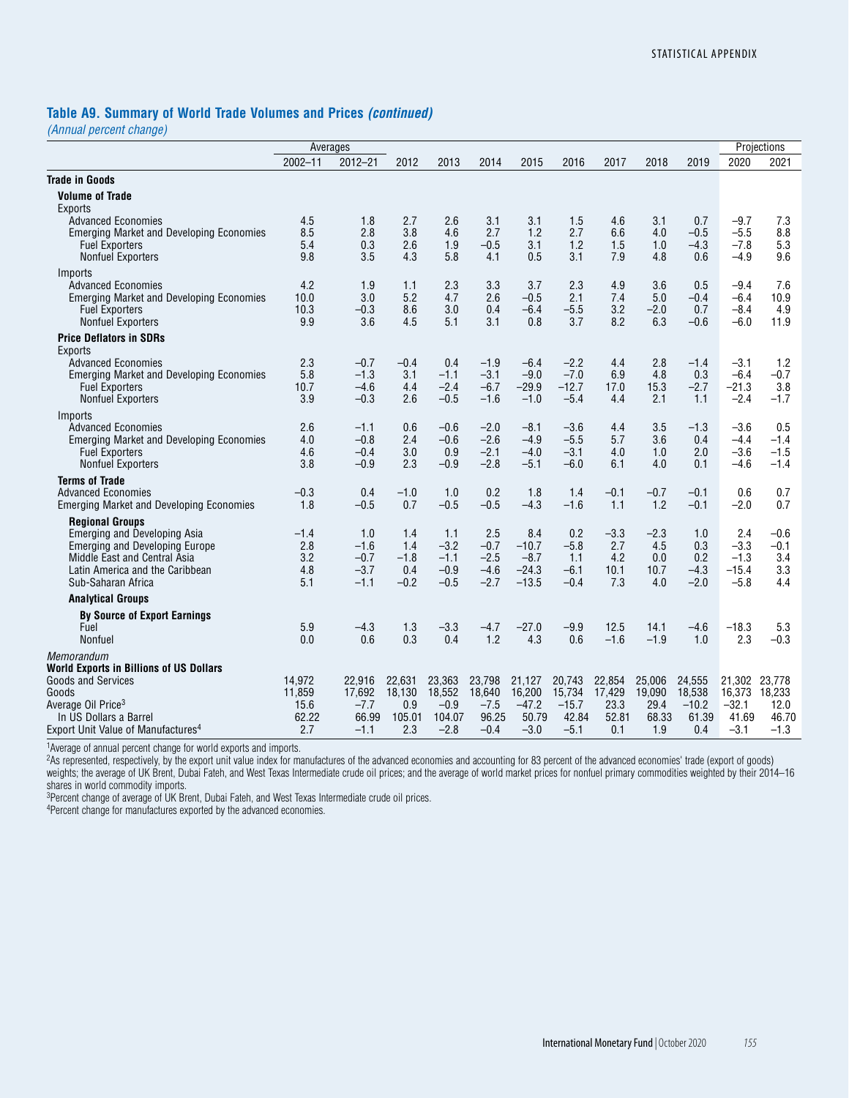### **Table A9. Summary of World Trade Volumes and Prices** *(continued)*

*(Annual percent change)*

|                                                                              | Averages      |                  |               |                  |                  |                   |                  |                | Projections    |                  |                  |                 |
|------------------------------------------------------------------------------|---------------|------------------|---------------|------------------|------------------|-------------------|------------------|----------------|----------------|------------------|------------------|-----------------|
|                                                                              | $2002 - 11$   | $2012 - 21$      | 2012          | 2013             | 2014             | 2015              | 2016             | 2017           | 2018           | 2019             | 2020             | 2021            |
| <b>Trade in Goods</b>                                                        |               |                  |               |                  |                  |                   |                  |                |                |                  |                  |                 |
| <b>Volume of Trade</b><br><b>Exports</b>                                     |               |                  |               |                  |                  |                   |                  |                |                |                  |                  |                 |
| <b>Advanced Economies</b>                                                    | 4.5<br>8.5    | 1.8<br>2.8       | 2.7<br>3.8    | 2.6<br>4.6       | 3.1<br>2.7       | 3.1<br>1.2        | 1.5<br>2.7       | 4.6<br>6.6     | 3.1<br>4.0     | 0.7<br>$-0.5$    | $-9.7$<br>$-5.5$ | 7.3<br>8.8      |
| <b>Emerging Market and Developing Economies</b><br><b>Fuel Exporters</b>     | 5.4           | 0.3              | 2.6           | 1.9              | $-0.5$           | 3.1               | 1.2              | 1.5            | 1.0            | $-4.3$           | $-7.8$           | 5.3             |
| <b>Nonfuel Exporters</b>                                                     | 9.8           | 3.5              | 4.3           | 5.8              | 4.1              | 0.5               | 3.1              | 7.9            | 4.8            | 0.6              | $-4.9$           | 9.6             |
| Imports                                                                      |               |                  |               |                  |                  |                   |                  |                |                |                  |                  |                 |
| <b>Advanced Economies</b><br><b>Emerging Market and Developing Economies</b> | 4.2<br>10.0   | 1.9<br>3.0       | 1.1<br>5.2    | 2.3<br>4.7       | 3.3<br>2.6       | 3.7<br>$-0.5$     | 2.3<br>2.1       | 4.9<br>7.4     | 3.6<br>5.0     | 0.5<br>$-0.4$    | $-9.4$<br>$-6.4$ | 7.6<br>10.9     |
| <b>Fuel Exporters</b>                                                        | 10.3          | $-0.3$           | 8.6           | 3.0              | 0.4              | $-6.4$            | $-5.5$           | 3.2            | $-2.0$         | 0.7              | $-8.4$           | 4.9             |
| <b>Nonfuel Exporters</b>                                                     | 9.9           | 3.6              | 4.5           | 5.1              | 3.1              | 0.8               | 3.7              | 8.2            | 6.3            | $-0.6$           | $-6.0$           | 11.9            |
| <b>Price Deflators in SDRs</b><br>Exports                                    |               |                  |               |                  |                  |                   |                  |                |                |                  |                  |                 |
| <b>Advanced Economies</b>                                                    | 2.3<br>5.8    | $-0.7$<br>$-1.3$ | $-0.4$<br>3.1 | 0.4<br>$-1.1$    | $-1.9$<br>$-3.1$ | $-6.4$<br>$-9.0$  | $-2.2$<br>$-7.0$ | 4.4<br>6.9     | 2.8<br>4.8     | $-1.4$           | $-3.1$<br>$-6.4$ | 1.2<br>$-0.7$   |
| <b>Emerging Market and Developing Economies</b><br><b>Fuel Exporters</b>     | 10.7          | $-4.6$           | 4.4           | $-2.4$           | $-6.7$           | $-29.9$           | $-12.7$          | 17.0           | 15.3           | 0.3<br>$-2.7$    | -21.3            | 3.8             |
| <b>Nonfuel Exporters</b>                                                     | 3.9           | $-0.3$           | 2.6           | $-0.5$           | $-1.6$           | $-1.0$            | $-5.4$           | 4.4            | 2.1            | 1.1              | $-2.4$           | $-1.7$          |
| Imports                                                                      |               |                  |               |                  |                  |                   |                  |                |                |                  |                  |                 |
| <b>Advanced Economies</b><br><b>Emerging Market and Developing Economies</b> | 2.6<br>4.0    | $-1.1$<br>$-0.8$ | 0.6<br>2.4    | $-0.6$<br>$-0.6$ | $-2.0$<br>$-2.6$ | $-8.1$<br>$-4.9$  | $-3.6$<br>$-5.5$ | 4.4<br>5.7     | 3.5<br>3.6     | $-1.3$<br>0.4    | $-3.6$<br>$-4.4$ | 0.5<br>$-1.4$   |
| <b>Fuel Exporters</b>                                                        | 4.6           | $-0.4$           | 3.0           | 0.9              | $-2.1$           | $-4.0$            | $-3.1$           | 4.0            | 1.0            | 2.0              | $-3.6$           | $-1.5$          |
| <b>Nonfuel Exporters</b>                                                     | 3.8           | $-0.9$           | 2.3           | $-0.9$           | $-2.8$           | $-5.1$            | $-6.0$           | 6.1            | 4.0            | 0.1              | $-4.6$           | $-1.4$          |
| <b>Terms of Trade</b><br><b>Advanced Economies</b>                           |               |                  |               |                  | 0.2              |                   |                  |                |                |                  | 0.6              |                 |
| <b>Emerging Market and Developing Economies</b>                              | $-0.3$<br>1.8 | 0.4<br>$-0.5$    | $-1.0$<br>0.7 | 1.0<br>$-0.5$    | $-0.5$           | 1.8<br>$-4.3$     | 1.4<br>$-1.6$    | $-0.1$<br>1.1  | $-0.7$<br>1.2  | $-0.1$<br>$-0.1$ | $-2.0$           | 0.7<br>0.7      |
| <b>Regional Groups</b>                                                       |               |                  |               |                  |                  |                   |                  |                |                |                  |                  |                 |
| Emerging and Developing Asia                                                 | $-1.4$        | 1.0              | 1.4           | 1.1              | 2.5              | 8.4               | 0.2              | $-3.3$         | $-2.3$         | 1.0              | 2.4              | -0.6            |
| <b>Emerging and Developing Europe</b><br>Middle East and Central Asia        | 2.8<br>3.2    | $-1.6$<br>$-0.7$ | 1.4<br>$-1.8$ | $-3.2$<br>$-1.1$ | $-0.7$<br>$-2.5$ | $-10.7$<br>$-8.7$ | $-5.8$<br>1.1    | 2.7<br>4.2     | 4.5<br>0.0     | 0.3<br>0.2       | $-3.3$<br>$-1.3$ | $-0.1$<br>3.4   |
| Latin America and the Caribbean                                              | 4.8           | $-3.7$           | 0.4           | $-0.9$           | $-4.6$           | $-24.3$           | $-6.1$           | 10.1           | 10.7           | $-4.3$           | $-15.4$          | 3.3             |
| Sub-Saharan Africa                                                           | 5.1           | $-1.1$           | $-0.2$        | $-0.5$           | $-2.7$           | $-13.5$           | $-0.4$           | 7.3            | 4.0            | $-2.0$           | $-5.8$           | 4.4             |
| <b>Analytical Groups</b>                                                     |               |                  |               |                  |                  |                   |                  |                |                |                  |                  |                 |
| <b>By Source of Export Earnings</b>                                          |               |                  |               |                  |                  |                   |                  |                |                |                  |                  |                 |
| Fuel<br>Nonfuel                                                              | 5.9<br>0.0    | $-4.3$<br>0.6    | 1.3<br>0.3    | $-3.3$<br>0.4    | $-4.7$<br>1.2    | $-27.0$<br>4.3    | $-9.9$<br>0.6    | 12.5<br>$-1.6$ | 14.1<br>$-1.9$ | $-4.6$<br>1.0    | $-18.3$<br>2.3   | 5.3<br>$-0.3$   |
| Memorandum                                                                   |               |                  |               |                  |                  |                   |                  |                |                |                  |                  |                 |
| <b>World Exports in Billions of US Dollars</b><br><b>Goods and Services</b>  | 14,972        | 22.916           | 22,631        | 23,363           | 23,798           | 21,127            | 20,743           | 22,854         | 25,006         | 24,555           | 21,302 23,778    |                 |
| Goods                                                                        | 11,859        | 17,692           | 18,130        | 18,552           | 18,640           | 16,200            | 15,734           | 17,429         | 19,090         | 18,538           | 16,373 18,233    |                 |
| Average Oil Price <sup>3</sup>                                               | 15.6          | $-7.7$           | 0.9           | $-0.9$           | $-7.5$           | $-47.2$           | $-15.7$          | 23.3           | 29.4           | $-10.2$          | $-32.1$          | 12.0            |
| In US Dollars a Barrel<br>Export Unit Value of Manufactures <sup>4</sup>     | 62.22<br>2.7  | 66.99<br>$-1.1$  | 105.01<br>2.3 | 104.07<br>$-2.8$ | 96.25<br>$-0.4$  | 50.79<br>$-3.0$   | 42.84<br>$-5.1$  | 52.81<br>0.1   | 68.33<br>1.9   | 61.39<br>0.4     | 41.69<br>$-3.1$  | 46.70<br>$-1.3$ |
|                                                                              |               |                  |               |                  |                  |                   |                  |                |                |                  |                  |                 |

1Average of annual percent change for world exports and imports.

2As represented, respectively, by the export unit value index for manufactures of the advanced economies and accounting for 83 percent of the advanced economies' trade (export of goods) weights; the average of UK Brent, Dubai Fateh, and West Texas Intermediate crude oil prices; and the average of world market prices for nonfuel primary commodities weighted by their 2014–16 shares in world commodity imports.

3Percent change of average of UK Brent, Dubai Fateh, and West Texas Intermediate crude oil prices.

4Percent change for manufactures exported by the advanced economies.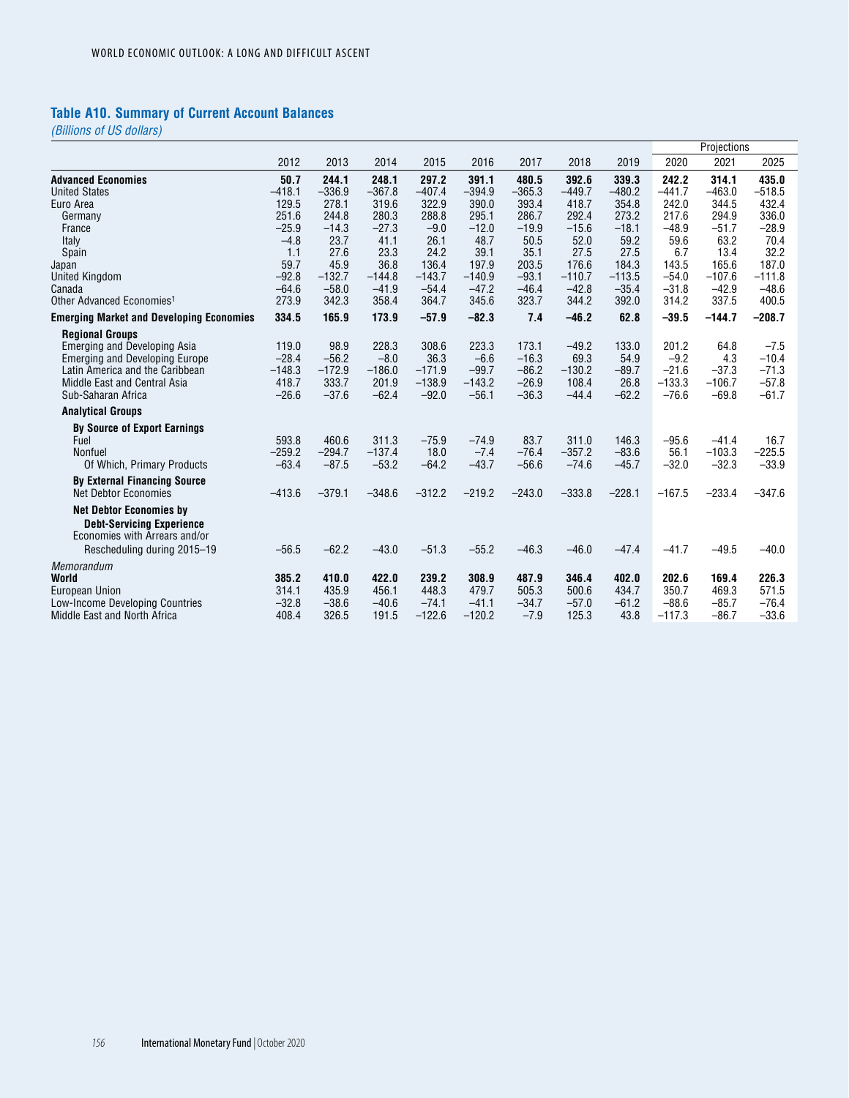# **Table A10. Summary of Current Account Balances**

|                                                 |          |          |          |          |          |          |          |          |          | Projections |          |
|-------------------------------------------------|----------|----------|----------|----------|----------|----------|----------|----------|----------|-------------|----------|
|                                                 | 2012     | 2013     | 2014     | 2015     | 2016     | 2017     | 2018     | 2019     | 2020     | 2021        | 2025     |
| <b>Advanced Economies</b>                       | 50.7     | 244.1    | 248.1    | 297.2    | 391.1    | 480.5    | 392.6    | 339.3    | 242.2    | 314.1       | 435.0    |
| <b>United States</b>                            | $-418.1$ | $-336.9$ | $-367.8$ | $-407.4$ | $-394.9$ | $-365.3$ | $-449.7$ | $-480.2$ | $-441.7$ | $-463.0$    | $-518.5$ |
| Euro Area                                       | 129.5    | 278.1    | 319.6    | 322.9    | 390.0    | 393.4    | 418.7    | 354.8    | 242.0    | 344.5       | 432.4    |
| Germany                                         | 251.6    | 244.8    | 280.3    | 288.8    | 295.1    | 286.7    | 292.4    | 273.2    | 217.6    | 294.9       | 336.0    |
| France                                          | $-25.9$  | $-14.3$  | $-27.3$  | $-9.0$   | $-12.0$  | $-19.9$  | $-15.6$  | $-18.1$  | $-48.9$  | $-51.7$     | $-28.9$  |
| Italy                                           | $-4.8$   | 23.7     | 41.1     | 26.1     | 48.7     | 50.5     | 52.0     | 59.2     | 59.6     | 63.2        | 70.4     |
| Spain                                           | 1.1      | 27.6     | 23.3     | 24.2     | 39.1     | 35.1     | 27.5     | 27.5     | 6.7      | 13.4        | 32.2     |
| Japan                                           | 59.7     | 45.9     | 36.8     | 136.4    | 197.9    | 203.5    | 176.6    | 184.3    | 143.5    | 165.6       | 187.0    |
| <b>United Kingdom</b>                           | $-92.8$  | $-132.7$ | $-144.8$ | $-143.7$ | $-140.9$ | $-93.1$  | $-110.7$ | $-113.5$ | $-54.0$  | $-107.6$    | $-111.8$ |
| Canada                                          | $-64.6$  | $-58.0$  | $-41.9$  | $-54.4$  | $-47.2$  | $-46.4$  | $-42.8$  | $-35.4$  | $-31.8$  | $-42.9$     | $-48.6$  |
| Other Advanced Economies <sup>1</sup>           | 273.9    | 342.3    | 358.4    | 364.7    | 345.6    | 323.7    | 344.2    | 392.0    | 314.2    | 337.5       | 400.5    |
| <b>Emerging Market and Developing Economies</b> | 334.5    | 165.9    | 173.9    | $-57.9$  | $-82.3$  | 7.4      | $-46.2$  | 62.8     | $-39.5$  | $-144.7$    | $-208.7$ |
| <b>Regional Groups</b>                          |          |          |          |          |          |          |          |          |          |             |          |
| <b>Emerging and Developing Asia</b>             | 119.0    | 98.9     | 228.3    | 308.6    | 223.3    | 173.1    | $-49.2$  | 133.0    | 201.2    | 64.8        | $-7.5$   |
| <b>Emerging and Developing Europe</b>           | $-28.4$  | $-56.2$  | $-8.0$   | 36.3     | $-6.6$   | $-16.3$  | 69.3     | 54.9     | $-9.2$   | 4.3         | $-10.4$  |
| Latin America and the Caribbean                 | $-148.3$ | $-172.9$ | $-186.0$ | $-171.9$ | $-99.7$  | $-86.2$  | $-130.2$ | $-89.7$  | $-21.6$  | $-37.3$     | $-71.3$  |
| Middle East and Central Asia                    | 418.7    | 333.7    | 201.9    | $-138.9$ | $-143.2$ | $-26.9$  | 108.4    | 26.8     | $-133.3$ | $-106.7$    | $-57.8$  |
| Sub-Saharan Africa                              | $-26.6$  | $-37.6$  | $-62.4$  | $-92.0$  | $-56.1$  | $-36.3$  | $-44.4$  | $-62.2$  | $-76.6$  | $-69.8$     | $-61.7$  |
| <b>Analytical Groups</b>                        |          |          |          |          |          |          |          |          |          |             |          |
| <b>By Source of Export Earnings</b>             |          |          |          |          |          |          |          |          |          |             |          |
| Fuel                                            | 593.8    | 460.6    | 311.3    | $-75.9$  | $-74.9$  | 83.7     | 311.0    | 146.3    | $-95.6$  | $-41.4$     | 16.7     |
| Nonfuel                                         | $-259.2$ | $-294.7$ | $-137.4$ | 18.0     | $-7.4$   | $-76.4$  | $-357.2$ | $-83.6$  | 56.1     | $-103.3$    | $-225.5$ |
| Of Which, Primary Products                      | $-63.4$  | $-87.5$  | $-53.2$  | $-64.2$  | $-43.7$  | $-56.6$  | $-74.6$  | $-45.7$  | $-32.0$  | $-32.3$     | $-33.9$  |
| <b>By External Financing Source</b>             |          |          |          |          |          |          |          |          |          |             |          |
| <b>Net Debtor Economies</b>                     | $-413.6$ | $-379.1$ | $-348.6$ | $-312.2$ | $-219.2$ | $-243.0$ | $-333.8$ | $-228.1$ | $-167.5$ | $-233.4$    | $-347.6$ |
| <b>Net Debtor Economies by</b>                  |          |          |          |          |          |          |          |          |          |             |          |
| <b>Debt-Servicing Experience</b>                |          |          |          |          |          |          |          |          |          |             |          |
| Economies with Arrears and/or                   |          |          |          |          |          |          |          |          |          |             |          |
| Rescheduling during 2015-19                     | $-56.5$  | $-62.2$  | $-43.0$  | $-51.3$  | $-55.2$  | $-46.3$  | $-46.0$  | $-47.4$  | $-41.7$  | $-49.5$     | $-40.0$  |
|                                                 |          |          |          |          |          |          |          |          |          |             |          |
| Memorandum                                      | 385.2    | 410.0    | 422.0    | 239.2    | 308.9    | 487.9    | 346.4    | 402.0    | 202.6    | 169.4       | 226.3    |
| World<br><b>European Union</b>                  | 314.1    | 435.9    | 456.1    | 448.3    | 479.7    | 505.3    | 500.6    | 434.7    | 350.7    | 469.3       | 571.5    |
| Low-Income Developing Countries                 | $-32.8$  | $-38.6$  | $-40.6$  | $-74.1$  | $-41.1$  | $-34.7$  | $-57.0$  | $-61.2$  | $-88.6$  | $-85.7$     | $-76.4$  |
| Middle East and North Africa                    | 408.4    | 326.5    | 191.5    | $-122.6$ | $-120.2$ | $-7.9$   | 125.3    | 43.8     | $-117.3$ | $-86.7$     | $-33.6$  |
|                                                 |          |          |          |          |          |          |          |          |          |             |          |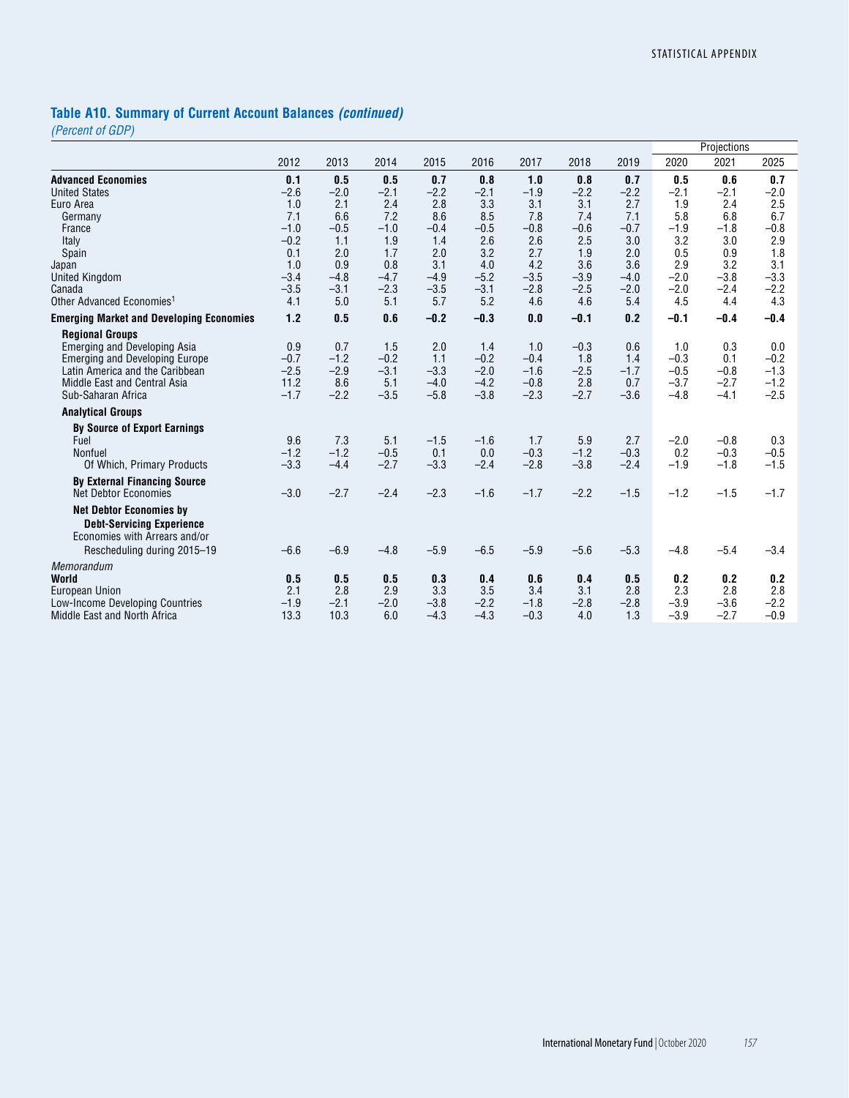# **Table A10. Summary of Current Account Balances** *(continued)*

*(Percent of GDP)*

|                                                 |            |            |               |            |            |            |            |            |            | Projections |            |
|-------------------------------------------------|------------|------------|---------------|------------|------------|------------|------------|------------|------------|-------------|------------|
|                                                 | 2012       | 2013       | 2014          | 2015       | 2016       | 2017       | 2018       | 2019       | 2020       | 2021        | 2025       |
| <b>Advanced Economies</b>                       | 0.1        | 0.5        | 0.5           | 0.7        | 0.8        | 1.0        | 0.8        | 0.7        | 0.5        | 0.6         | 0.7        |
| <b>United States</b>                            | $-2.6$     | $-2.0$     | $-2.1$        | $-2.2$     | $-2.1$     | $-1.9$     | $-2.2$     | $-2.2$     | $-2.1$     | $-2.1$      | $-2.0$     |
| Euro Area                                       | 1.0        | 2.1        | 2.4           | 2.8        | 3.3        | 3.1        | 3.1        | 2.7        | 1.9        | 2.4         | 2.5        |
| Germany                                         | 7.1        | 6.6        | 7.2           | 8.6        | 8.5        | 7.8        | 7.4        | 7.1        | 5.8        | 6.8         | 6.7        |
| France                                          | $-1.0$     | $-0.5$     | $-1.0$        | $-0.4$     | $-0.5$     | $-0.8$     | $-0.6$     | $-0.7$     | $-1.9$     | $-1.8$      | $-0.8$     |
| Italy                                           | $-0.2$     | 1.1        | 1.9           | 1.4        | 2.6        | 2.6        | 2.5        | 3.0        | 3.2        | 3.0         | 2.9        |
| Spain                                           | 0.1        | 2.0        | 1.7           | 2.0        | 3.2        | 2.7        | 1.9        | 2.0        | 0.5        | 0.9         | 1.8        |
| Japan                                           | 1.0        | 0.9        | 0.8           | 3.1        | 4.0        | 4.2        | 3.6        | 3.6        | 2.9        | 3.2         | 3.1        |
| <b>United Kingdom</b>                           | $-3.4$     | $-4.8$     | $-4.7$        | $-4.9$     | $-5.2$     | $-3.5$     | $-3.9$     | $-4.0$     | $-2.0$     | $-3.8$      | $-3.3$     |
| Canada                                          | $-3.5$     | $-3.1$     | $-2.3$        | $-3.5$     | $-3.1$     | $-2.8$     | $-2.5$     | $-2.0$     | $-2.0$     | $-2.4$      | $-2.2$     |
| Other Advanced Economies <sup>1</sup>           | 4.1        | 5.0        | 5.1           | 5.7        | 5.2        | 4.6        | 4.6        | 5.4        | 4.5        | 4.4         | 4.3        |
| <b>Emerging Market and Developing Economies</b> | 1.2        | 0.5        | 0.6           | $-0.2$     | $-0.3$     | 0.0        | $-0.1$     | 0.2        | $-0.1$     | $-0.4$      | $-0.4$     |
| <b>Regional Groups</b>                          |            |            |               |            |            |            |            |            |            |             |            |
| <b>Emerging and Developing Asia</b>             | 0.9        | 0.7        | 1.5           | 2.0        | 1.4        | 1.0        | $-0.3$     | 0.6        | 1.0        | 0.3         | 0.0        |
| <b>Emerging and Developing Europe</b>           | $-0.7$     | $-1.2$     | $-0.2$        | 1.1        | $-0.2$     | $-0.4$     | 1.8        | 1.4        | $-0.3$     | 0.1         | $-0.2$     |
| Latin America and the Caribbean                 | $-2.5$     | $-2.9$     | $-3.1$        | $-3.3$     | $-2.0$     | $-1.6$     | $-2.5$     | $-1.7$     | $-0.5$     | $-0.8$      | $-1.3$     |
| Middle East and Central Asia                    | 11.2       | 8.6        | 5.1           | $-4.0$     | $-4.2$     | $-0.8$     | 2.8        | 0.7        | $-3.7$     | $-2.7$      | $-1.2$     |
| Sub-Saharan Africa                              | $-1.7$     | $-2.2$     | $-3.5$        | $-5.8$     | $-3.8$     | $-2.3$     | $-2.7$     | $-3.6$     | $-4.8$     | $-4.1$      | $-2.5$     |
| <b>Analytical Groups</b>                        |            |            |               |            |            |            |            |            |            |             |            |
| <b>By Source of Export Earnings</b>             |            |            |               |            |            |            |            |            |            |             |            |
| Fuel                                            | 9.6        | 7.3        | 5.1           | $-1.5$     | $-1.6$     | 1.7        | 5.9        | 2.7        | $-2.0$     | $-0.8$      | 0.3        |
| Nonfuel                                         | $-1.2$     | $-1.2$     | $-0.5$        | 0.1        | 0.0        | $-0.3$     | $-1.2$     | $-0.3$     | 0.2        | $-0.3$      | $-0.5$     |
| Of Which, Primary Products                      | $-3.3$     | $-4.4$     | $-2.7$        | $-3.3$     | $-2.4$     | $-2.8$     | $-3.8$     | $-2.4$     | $-1.9$     | $-1.8$      | $-1.5$     |
| <b>By External Financing Source</b>             |            |            |               |            |            |            |            |            |            |             |            |
| <b>Net Debtor Economies</b>                     | $-3.0$     | $-2.7$     | $-2.4$        | $-2.3$     | $-1.6$     | $-1.7$     | $-2.2$     | $-1.5$     | $-1.2$     | $-1.5$      | $-1.7$     |
| <b>Net Debtor Economies by</b>                  |            |            |               |            |            |            |            |            |            |             |            |
| <b>Debt-Servicing Experience</b>                |            |            |               |            |            |            |            |            |            |             |            |
| Economies with Arrears and/or                   |            |            |               |            |            |            |            |            |            |             |            |
| Rescheduling during 2015-19                     | $-6.6$     | $-6.9$     | $-4.8$        | $-5.9$     | $-6.5$     | $-5.9$     | $-5.6$     | $-5.3$     | $-4.8$     | $-5.4$      | $-3.4$     |
|                                                 |            |            |               |            |            |            |            |            |            |             |            |
| Memorandum                                      |            |            |               |            |            |            |            |            |            |             |            |
| World                                           | 0.5<br>2.1 | 0.5<br>2.8 | 0.5           | 0.3<br>3.3 | 0.4<br>3.5 | 0.6<br>3.4 | 0.4<br>3.1 | 0.5<br>2.8 | 0.2<br>2.3 | 0.2<br>2.8  | 0.2<br>2.8 |
| <b>European Union</b>                           | $-1.9$     | $-2.1$     | 2.9<br>$-2.0$ | $-3.8$     | $-2.2$     | $-1.8$     | $-2.8$     | $-2.8$     | $-3.9$     | $-3.6$      | $-2.2$     |
| Low-Income Developing Countries                 | 13.3       | 10.3       |               |            | $-4.3$     |            |            | 1.3        | $-3.9$     |             | $-0.9$     |
| Middle East and North Africa                    |            |            | 6.0           | $-4.3$     |            | $-0.3$     | 4.0        |            |            | $-2.7$      |            |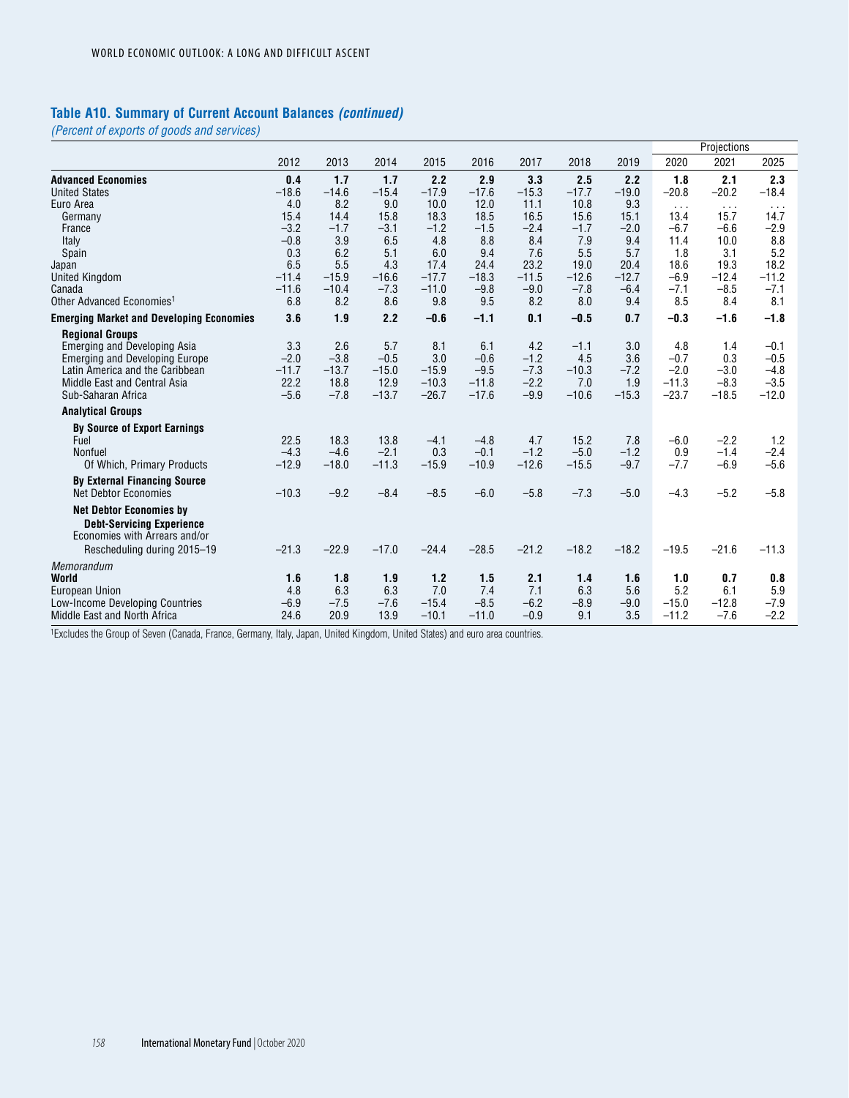### **Table A10. Summary of Current Account Balances** *(continued)*

*(Percent of exports of goods and services)*

| 2012<br>2013<br>2014<br>2015<br>2016<br>2017<br>2020<br>2021<br>2025<br>2018<br>2019<br>1.7<br>2.2<br>2.9<br>3.3<br>2.5<br>2.2<br>2.1<br>2.3<br>0.4<br>1.7<br>1.8<br>$-18.6$<br>$-14.6$<br>$-15.4$<br>$-17.9$<br>$-17.6$<br>$-15.3$<br>$-20.8$<br>$-20.2$<br>$-18.4$<br>$-17.7$<br>$-19.0$<br>4.0<br>8.2<br>9.0<br>10.0<br>12.0<br>11.1<br>10.8<br>9.3<br>$\cdots$<br>$\sim$ $\sim$ $\sim$<br>$\cdots$<br>15.4<br>14.4<br>15.8<br>18.3<br>18.5<br>16.5<br>15.6<br>15.1<br>13.4<br>15.7<br>14.7<br>Germany<br>$-3.2$<br>$-1.7$<br>$-3.1$<br>$-1.2$<br>$-1.5$<br>$-2.4$<br>$-1.7$<br>$-2.0$<br>$-6.7$<br>$-2.9$<br>$-6.6$<br>France<br>3.9<br>8.4<br>$-0.8$<br>6.5<br>4.8<br>8.8<br>7.9<br>9.4<br>11.4<br>10.0<br>8.8<br>Italy<br>0.3<br>6.2<br>9.4<br>7.6<br>5.5<br>5.7<br>1.8<br>5.2<br>5.1<br>6.0<br>3.1<br>Spain<br>5.5<br>23.2<br>18.6<br>6.5<br>4.3<br>17.4<br>19.0<br>20.4<br>19.3<br>18.2<br>24.4<br>$-11.4$<br>$-15.9$<br>$-16.6$<br>$-17.7$<br>$-18.3$<br>$-11.5$<br>$-12.6$<br>$-12.7$<br>$-6.9$<br>$-12.4$<br>$-11.2$<br>$-11.6$<br>$-11.0$<br>$-7.8$<br>$-10.4$<br>$-7.3$<br>$-9.8$<br>$-9.0$<br>$-6.4$<br>$-7.1$<br>$-8.5$<br>$-7.1$<br>Canada<br>8.2<br>8.6<br>9.5<br>8.2<br>8.5<br>Other Advanced Economies <sup>1</sup><br>6.8<br>9.8<br>8.0<br>9.4<br>8.4<br>8.1<br>2.2<br>3.6<br>$-0.6$<br>$-1.1$<br>0.1<br>$-0.5$<br>0.7<br>$-0.3$<br>$-1.6$<br>$-1.8$<br>1.9<br><b>Regional Groups</b><br>3.3<br>2.6<br>5.7<br>8.1<br>6.1<br>4.2<br>3.0<br>4.8<br><b>Emerging and Developing Asia</b><br>$-1.1$<br>1.4<br>$-0.1$<br>3.0<br>$-1.2$<br>4.5<br>$-2.0$<br>$-3.8$<br>$-0.5$<br>$-0.6$<br>3.6<br>$-0.7$<br>0.3<br>$-0.5$<br><b>Emerging and Developing Europe</b><br>$-11.7$<br>$-13.7$<br>$-15.0$<br>$-9.5$<br>$-7.3$<br>$-7.2$<br>$-2.0$<br>Latin America and the Caribbean<br>$-15.9$<br>$-10.3$<br>$-3.0$<br>$-4.8$<br>22.2<br>18.8<br>12.9<br>$-10.3$<br>$-11.8$<br>$-2.2$<br>7.0<br>1.9<br>$-11.3$<br>$-3.5$<br>Middle East and Central Asia<br>$-8.3$<br>$-15.3$<br>$-23.7$<br>$-12.0$<br>$-5.6$<br>$-7.8$<br>$-13.7$<br>$-26.7$<br>$-17.6$<br>$-9.9$<br>$-10.6$<br>$-18.5$<br>Sub-Saharan Africa<br><b>Analytical Groups</b><br><b>By Source of Export Earnings</b><br>22.5<br>18.3<br>13.8<br>$-4.8$<br>4.7<br>15.2<br>7.8<br>$-2.2$<br>1.2<br>Fuel<br>$-4.1$<br>$-6.0$<br>$-4.3$<br>$-2.1$<br>0.3<br>$-0.1$<br>$-1.2$<br>$-1.2$<br>0.9<br>Nonfuel<br>$-4.6$<br>$-5.0$<br>$-1.4$<br>$-2.4$<br>$-11.3$<br>$-10.9$<br>$-12.6$<br>$-15.5$<br>$-6.9$<br>$-12.9$<br>$-18.0$<br>$-15.9$<br>$-9.7$<br>$-7.7$<br>$-5.6$<br>Of Which, Primary Products<br><b>By External Financing Source</b><br>$-9.2$<br>$-8.4$<br>$-8.5$<br>$-5.8$<br>$-7.3$<br>$-5.0$<br>$-4.3$<br>$-5.2$<br>$-5.8$<br><b>Net Debtor Economies</b><br>$-10.3$<br>$-6.0$<br><b>Net Debtor Economies by</b><br><b>Debt-Servicing Experience</b><br>Economies with Arrears and/or<br>$-21.3$<br>$-22.9$<br>$-17.0$<br>$-24.4$<br>$-28.5$<br>$-21.2$<br>$-18.2$<br>$-18.2$<br>$-19.5$<br>$-11.3$<br>$-21.6$<br>Rescheduling during 2015-19<br>Memorandum<br>1.6<br>1.8<br>1.9<br>1.2<br>1.5<br>2.1<br>1.6<br>0.8<br>World<br>1.4<br>1.0<br>0.7<br>6.3<br>6.3<br>7.0<br>7.4<br>7.1<br>6.3<br>5.6<br>5.2<br><b>European Union</b><br>4.8<br>6.1<br>5.9 |                                                 |        |        |        |         |        |        |        |        |         | Projections |        |
|-----------------------------------------------------------------------------------------------------------------------------------------------------------------------------------------------------------------------------------------------------------------------------------------------------------------------------------------------------------------------------------------------------------------------------------------------------------------------------------------------------------------------------------------------------------------------------------------------------------------------------------------------------------------------------------------------------------------------------------------------------------------------------------------------------------------------------------------------------------------------------------------------------------------------------------------------------------------------------------------------------------------------------------------------------------------------------------------------------------------------------------------------------------------------------------------------------------------------------------------------------------------------------------------------------------------------------------------------------------------------------------------------------------------------------------------------------------------------------------------------------------------------------------------------------------------------------------------------------------------------------------------------------------------------------------------------------------------------------------------------------------------------------------------------------------------------------------------------------------------------------------------------------------------------------------------------------------------------------------------------------------------------------------------------------------------------------------------------------------------------------------------------------------------------------------------------------------------------------------------------------------------------------------------------------------------------------------------------------------------------------------------------------------------------------------------------------------------------------------------------------------------------------------------------------------------------------------------------------------------------------------------------------------------------------------------------------------------------------------------------------------------------------------------------------------------------------------------------------------------------------------------------------------------------------------------------------------------------------------------------------------------------------------------------------------------------------------------------------------------------------------------------------------------------------------------------------------------------------------|-------------------------------------------------|--------|--------|--------|---------|--------|--------|--------|--------|---------|-------------|--------|
|                                                                                                                                                                                                                                                                                                                                                                                                                                                                                                                                                                                                                                                                                                                                                                                                                                                                                                                                                                                                                                                                                                                                                                                                                                                                                                                                                                                                                                                                                                                                                                                                                                                                                                                                                                                                                                                                                                                                                                                                                                                                                                                                                                                                                                                                                                                                                                                                                                                                                                                                                                                                                                                                                                                                                                                                                                                                                                                                                                                                                                                                                                                                                                                                                                   |                                                 |        |        |        |         |        |        |        |        |         |             |        |
|                                                                                                                                                                                                                                                                                                                                                                                                                                                                                                                                                                                                                                                                                                                                                                                                                                                                                                                                                                                                                                                                                                                                                                                                                                                                                                                                                                                                                                                                                                                                                                                                                                                                                                                                                                                                                                                                                                                                                                                                                                                                                                                                                                                                                                                                                                                                                                                                                                                                                                                                                                                                                                                                                                                                                                                                                                                                                                                                                                                                                                                                                                                                                                                                                                   | <b>Advanced Economies</b>                       |        |        |        |         |        |        |        |        |         |             |        |
|                                                                                                                                                                                                                                                                                                                                                                                                                                                                                                                                                                                                                                                                                                                                                                                                                                                                                                                                                                                                                                                                                                                                                                                                                                                                                                                                                                                                                                                                                                                                                                                                                                                                                                                                                                                                                                                                                                                                                                                                                                                                                                                                                                                                                                                                                                                                                                                                                                                                                                                                                                                                                                                                                                                                                                                                                                                                                                                                                                                                                                                                                                                                                                                                                                   | <b>United States</b>                            |        |        |        |         |        |        |        |        |         |             |        |
|                                                                                                                                                                                                                                                                                                                                                                                                                                                                                                                                                                                                                                                                                                                                                                                                                                                                                                                                                                                                                                                                                                                                                                                                                                                                                                                                                                                                                                                                                                                                                                                                                                                                                                                                                                                                                                                                                                                                                                                                                                                                                                                                                                                                                                                                                                                                                                                                                                                                                                                                                                                                                                                                                                                                                                                                                                                                                                                                                                                                                                                                                                                                                                                                                                   | Euro Area                                       |        |        |        |         |        |        |        |        |         |             |        |
|                                                                                                                                                                                                                                                                                                                                                                                                                                                                                                                                                                                                                                                                                                                                                                                                                                                                                                                                                                                                                                                                                                                                                                                                                                                                                                                                                                                                                                                                                                                                                                                                                                                                                                                                                                                                                                                                                                                                                                                                                                                                                                                                                                                                                                                                                                                                                                                                                                                                                                                                                                                                                                                                                                                                                                                                                                                                                                                                                                                                                                                                                                                                                                                                                                   |                                                 |        |        |        |         |        |        |        |        |         |             |        |
|                                                                                                                                                                                                                                                                                                                                                                                                                                                                                                                                                                                                                                                                                                                                                                                                                                                                                                                                                                                                                                                                                                                                                                                                                                                                                                                                                                                                                                                                                                                                                                                                                                                                                                                                                                                                                                                                                                                                                                                                                                                                                                                                                                                                                                                                                                                                                                                                                                                                                                                                                                                                                                                                                                                                                                                                                                                                                                                                                                                                                                                                                                                                                                                                                                   |                                                 |        |        |        |         |        |        |        |        |         |             |        |
|                                                                                                                                                                                                                                                                                                                                                                                                                                                                                                                                                                                                                                                                                                                                                                                                                                                                                                                                                                                                                                                                                                                                                                                                                                                                                                                                                                                                                                                                                                                                                                                                                                                                                                                                                                                                                                                                                                                                                                                                                                                                                                                                                                                                                                                                                                                                                                                                                                                                                                                                                                                                                                                                                                                                                                                                                                                                                                                                                                                                                                                                                                                                                                                                                                   |                                                 |        |        |        |         |        |        |        |        |         |             |        |
|                                                                                                                                                                                                                                                                                                                                                                                                                                                                                                                                                                                                                                                                                                                                                                                                                                                                                                                                                                                                                                                                                                                                                                                                                                                                                                                                                                                                                                                                                                                                                                                                                                                                                                                                                                                                                                                                                                                                                                                                                                                                                                                                                                                                                                                                                                                                                                                                                                                                                                                                                                                                                                                                                                                                                                                                                                                                                                                                                                                                                                                                                                                                                                                                                                   |                                                 |        |        |        |         |        |        |        |        |         |             |        |
|                                                                                                                                                                                                                                                                                                                                                                                                                                                                                                                                                                                                                                                                                                                                                                                                                                                                                                                                                                                                                                                                                                                                                                                                                                                                                                                                                                                                                                                                                                                                                                                                                                                                                                                                                                                                                                                                                                                                                                                                                                                                                                                                                                                                                                                                                                                                                                                                                                                                                                                                                                                                                                                                                                                                                                                                                                                                                                                                                                                                                                                                                                                                                                                                                                   | Japan                                           |        |        |        |         |        |        |        |        |         |             |        |
|                                                                                                                                                                                                                                                                                                                                                                                                                                                                                                                                                                                                                                                                                                                                                                                                                                                                                                                                                                                                                                                                                                                                                                                                                                                                                                                                                                                                                                                                                                                                                                                                                                                                                                                                                                                                                                                                                                                                                                                                                                                                                                                                                                                                                                                                                                                                                                                                                                                                                                                                                                                                                                                                                                                                                                                                                                                                                                                                                                                                                                                                                                                                                                                                                                   | United Kingdom                                  |        |        |        |         |        |        |        |        |         |             |        |
|                                                                                                                                                                                                                                                                                                                                                                                                                                                                                                                                                                                                                                                                                                                                                                                                                                                                                                                                                                                                                                                                                                                                                                                                                                                                                                                                                                                                                                                                                                                                                                                                                                                                                                                                                                                                                                                                                                                                                                                                                                                                                                                                                                                                                                                                                                                                                                                                                                                                                                                                                                                                                                                                                                                                                                                                                                                                                                                                                                                                                                                                                                                                                                                                                                   |                                                 |        |        |        |         |        |        |        |        |         |             |        |
|                                                                                                                                                                                                                                                                                                                                                                                                                                                                                                                                                                                                                                                                                                                                                                                                                                                                                                                                                                                                                                                                                                                                                                                                                                                                                                                                                                                                                                                                                                                                                                                                                                                                                                                                                                                                                                                                                                                                                                                                                                                                                                                                                                                                                                                                                                                                                                                                                                                                                                                                                                                                                                                                                                                                                                                                                                                                                                                                                                                                                                                                                                                                                                                                                                   |                                                 |        |        |        |         |        |        |        |        |         |             |        |
|                                                                                                                                                                                                                                                                                                                                                                                                                                                                                                                                                                                                                                                                                                                                                                                                                                                                                                                                                                                                                                                                                                                                                                                                                                                                                                                                                                                                                                                                                                                                                                                                                                                                                                                                                                                                                                                                                                                                                                                                                                                                                                                                                                                                                                                                                                                                                                                                                                                                                                                                                                                                                                                                                                                                                                                                                                                                                                                                                                                                                                                                                                                                                                                                                                   | <b>Emerging Market and Developing Economies</b> |        |        |        |         |        |        |        |        |         |             |        |
|                                                                                                                                                                                                                                                                                                                                                                                                                                                                                                                                                                                                                                                                                                                                                                                                                                                                                                                                                                                                                                                                                                                                                                                                                                                                                                                                                                                                                                                                                                                                                                                                                                                                                                                                                                                                                                                                                                                                                                                                                                                                                                                                                                                                                                                                                                                                                                                                                                                                                                                                                                                                                                                                                                                                                                                                                                                                                                                                                                                                                                                                                                                                                                                                                                   |                                                 |        |        |        |         |        |        |        |        |         |             |        |
|                                                                                                                                                                                                                                                                                                                                                                                                                                                                                                                                                                                                                                                                                                                                                                                                                                                                                                                                                                                                                                                                                                                                                                                                                                                                                                                                                                                                                                                                                                                                                                                                                                                                                                                                                                                                                                                                                                                                                                                                                                                                                                                                                                                                                                                                                                                                                                                                                                                                                                                                                                                                                                                                                                                                                                                                                                                                                                                                                                                                                                                                                                                                                                                                                                   |                                                 |        |        |        |         |        |        |        |        |         |             |        |
|                                                                                                                                                                                                                                                                                                                                                                                                                                                                                                                                                                                                                                                                                                                                                                                                                                                                                                                                                                                                                                                                                                                                                                                                                                                                                                                                                                                                                                                                                                                                                                                                                                                                                                                                                                                                                                                                                                                                                                                                                                                                                                                                                                                                                                                                                                                                                                                                                                                                                                                                                                                                                                                                                                                                                                                                                                                                                                                                                                                                                                                                                                                                                                                                                                   |                                                 |        |        |        |         |        |        |        |        |         |             |        |
|                                                                                                                                                                                                                                                                                                                                                                                                                                                                                                                                                                                                                                                                                                                                                                                                                                                                                                                                                                                                                                                                                                                                                                                                                                                                                                                                                                                                                                                                                                                                                                                                                                                                                                                                                                                                                                                                                                                                                                                                                                                                                                                                                                                                                                                                                                                                                                                                                                                                                                                                                                                                                                                                                                                                                                                                                                                                                                                                                                                                                                                                                                                                                                                                                                   |                                                 |        |        |        |         |        |        |        |        |         |             |        |
|                                                                                                                                                                                                                                                                                                                                                                                                                                                                                                                                                                                                                                                                                                                                                                                                                                                                                                                                                                                                                                                                                                                                                                                                                                                                                                                                                                                                                                                                                                                                                                                                                                                                                                                                                                                                                                                                                                                                                                                                                                                                                                                                                                                                                                                                                                                                                                                                                                                                                                                                                                                                                                                                                                                                                                                                                                                                                                                                                                                                                                                                                                                                                                                                                                   |                                                 |        |        |        |         |        |        |        |        |         |             |        |
|                                                                                                                                                                                                                                                                                                                                                                                                                                                                                                                                                                                                                                                                                                                                                                                                                                                                                                                                                                                                                                                                                                                                                                                                                                                                                                                                                                                                                                                                                                                                                                                                                                                                                                                                                                                                                                                                                                                                                                                                                                                                                                                                                                                                                                                                                                                                                                                                                                                                                                                                                                                                                                                                                                                                                                                                                                                                                                                                                                                                                                                                                                                                                                                                                                   |                                                 |        |        |        |         |        |        |        |        |         |             |        |
|                                                                                                                                                                                                                                                                                                                                                                                                                                                                                                                                                                                                                                                                                                                                                                                                                                                                                                                                                                                                                                                                                                                                                                                                                                                                                                                                                                                                                                                                                                                                                                                                                                                                                                                                                                                                                                                                                                                                                                                                                                                                                                                                                                                                                                                                                                                                                                                                                                                                                                                                                                                                                                                                                                                                                                                                                                                                                                                                                                                                                                                                                                                                                                                                                                   |                                                 |        |        |        |         |        |        |        |        |         |             |        |
|                                                                                                                                                                                                                                                                                                                                                                                                                                                                                                                                                                                                                                                                                                                                                                                                                                                                                                                                                                                                                                                                                                                                                                                                                                                                                                                                                                                                                                                                                                                                                                                                                                                                                                                                                                                                                                                                                                                                                                                                                                                                                                                                                                                                                                                                                                                                                                                                                                                                                                                                                                                                                                                                                                                                                                                                                                                                                                                                                                                                                                                                                                                                                                                                                                   |                                                 |        |        |        |         |        |        |        |        |         |             |        |
|                                                                                                                                                                                                                                                                                                                                                                                                                                                                                                                                                                                                                                                                                                                                                                                                                                                                                                                                                                                                                                                                                                                                                                                                                                                                                                                                                                                                                                                                                                                                                                                                                                                                                                                                                                                                                                                                                                                                                                                                                                                                                                                                                                                                                                                                                                                                                                                                                                                                                                                                                                                                                                                                                                                                                                                                                                                                                                                                                                                                                                                                                                                                                                                                                                   |                                                 |        |        |        |         |        |        |        |        |         |             |        |
|                                                                                                                                                                                                                                                                                                                                                                                                                                                                                                                                                                                                                                                                                                                                                                                                                                                                                                                                                                                                                                                                                                                                                                                                                                                                                                                                                                                                                                                                                                                                                                                                                                                                                                                                                                                                                                                                                                                                                                                                                                                                                                                                                                                                                                                                                                                                                                                                                                                                                                                                                                                                                                                                                                                                                                                                                                                                                                                                                                                                                                                                                                                                                                                                                                   |                                                 |        |        |        |         |        |        |        |        |         |             |        |
|                                                                                                                                                                                                                                                                                                                                                                                                                                                                                                                                                                                                                                                                                                                                                                                                                                                                                                                                                                                                                                                                                                                                                                                                                                                                                                                                                                                                                                                                                                                                                                                                                                                                                                                                                                                                                                                                                                                                                                                                                                                                                                                                                                                                                                                                                                                                                                                                                                                                                                                                                                                                                                                                                                                                                                                                                                                                                                                                                                                                                                                                                                                                                                                                                                   |                                                 |        |        |        |         |        |        |        |        |         |             |        |
|                                                                                                                                                                                                                                                                                                                                                                                                                                                                                                                                                                                                                                                                                                                                                                                                                                                                                                                                                                                                                                                                                                                                                                                                                                                                                                                                                                                                                                                                                                                                                                                                                                                                                                                                                                                                                                                                                                                                                                                                                                                                                                                                                                                                                                                                                                                                                                                                                                                                                                                                                                                                                                                                                                                                                                                                                                                                                                                                                                                                                                                                                                                                                                                                                                   |                                                 |        |        |        |         |        |        |        |        |         |             |        |
|                                                                                                                                                                                                                                                                                                                                                                                                                                                                                                                                                                                                                                                                                                                                                                                                                                                                                                                                                                                                                                                                                                                                                                                                                                                                                                                                                                                                                                                                                                                                                                                                                                                                                                                                                                                                                                                                                                                                                                                                                                                                                                                                                                                                                                                                                                                                                                                                                                                                                                                                                                                                                                                                                                                                                                                                                                                                                                                                                                                                                                                                                                                                                                                                                                   |                                                 |        |        |        |         |        |        |        |        |         |             |        |
|                                                                                                                                                                                                                                                                                                                                                                                                                                                                                                                                                                                                                                                                                                                                                                                                                                                                                                                                                                                                                                                                                                                                                                                                                                                                                                                                                                                                                                                                                                                                                                                                                                                                                                                                                                                                                                                                                                                                                                                                                                                                                                                                                                                                                                                                                                                                                                                                                                                                                                                                                                                                                                                                                                                                                                                                                                                                                                                                                                                                                                                                                                                                                                                                                                   |                                                 |        |        |        |         |        |        |        |        |         |             |        |
|                                                                                                                                                                                                                                                                                                                                                                                                                                                                                                                                                                                                                                                                                                                                                                                                                                                                                                                                                                                                                                                                                                                                                                                                                                                                                                                                                                                                                                                                                                                                                                                                                                                                                                                                                                                                                                                                                                                                                                                                                                                                                                                                                                                                                                                                                                                                                                                                                                                                                                                                                                                                                                                                                                                                                                                                                                                                                                                                                                                                                                                                                                                                                                                                                                   |                                                 |        |        |        |         |        |        |        |        |         |             |        |
|                                                                                                                                                                                                                                                                                                                                                                                                                                                                                                                                                                                                                                                                                                                                                                                                                                                                                                                                                                                                                                                                                                                                                                                                                                                                                                                                                                                                                                                                                                                                                                                                                                                                                                                                                                                                                                                                                                                                                                                                                                                                                                                                                                                                                                                                                                                                                                                                                                                                                                                                                                                                                                                                                                                                                                                                                                                                                                                                                                                                                                                                                                                                                                                                                                   |                                                 |        |        |        |         |        |        |        |        |         |             |        |
|                                                                                                                                                                                                                                                                                                                                                                                                                                                                                                                                                                                                                                                                                                                                                                                                                                                                                                                                                                                                                                                                                                                                                                                                                                                                                                                                                                                                                                                                                                                                                                                                                                                                                                                                                                                                                                                                                                                                                                                                                                                                                                                                                                                                                                                                                                                                                                                                                                                                                                                                                                                                                                                                                                                                                                                                                                                                                                                                                                                                                                                                                                                                                                                                                                   |                                                 |        |        |        |         |        |        |        |        |         |             |        |
|                                                                                                                                                                                                                                                                                                                                                                                                                                                                                                                                                                                                                                                                                                                                                                                                                                                                                                                                                                                                                                                                                                                                                                                                                                                                                                                                                                                                                                                                                                                                                                                                                                                                                                                                                                                                                                                                                                                                                                                                                                                                                                                                                                                                                                                                                                                                                                                                                                                                                                                                                                                                                                                                                                                                                                                                                                                                                                                                                                                                                                                                                                                                                                                                                                   |                                                 |        |        |        |         |        |        |        |        |         |             |        |
|                                                                                                                                                                                                                                                                                                                                                                                                                                                                                                                                                                                                                                                                                                                                                                                                                                                                                                                                                                                                                                                                                                                                                                                                                                                                                                                                                                                                                                                                                                                                                                                                                                                                                                                                                                                                                                                                                                                                                                                                                                                                                                                                                                                                                                                                                                                                                                                                                                                                                                                                                                                                                                                                                                                                                                                                                                                                                                                                                                                                                                                                                                                                                                                                                                   |                                                 |        |        |        |         |        |        |        |        |         |             |        |
|                                                                                                                                                                                                                                                                                                                                                                                                                                                                                                                                                                                                                                                                                                                                                                                                                                                                                                                                                                                                                                                                                                                                                                                                                                                                                                                                                                                                                                                                                                                                                                                                                                                                                                                                                                                                                                                                                                                                                                                                                                                                                                                                                                                                                                                                                                                                                                                                                                                                                                                                                                                                                                                                                                                                                                                                                                                                                                                                                                                                                                                                                                                                                                                                                                   |                                                 |        |        |        |         |        |        |        |        |         |             |        |
|                                                                                                                                                                                                                                                                                                                                                                                                                                                                                                                                                                                                                                                                                                                                                                                                                                                                                                                                                                                                                                                                                                                                                                                                                                                                                                                                                                                                                                                                                                                                                                                                                                                                                                                                                                                                                                                                                                                                                                                                                                                                                                                                                                                                                                                                                                                                                                                                                                                                                                                                                                                                                                                                                                                                                                                                                                                                                                                                                                                                                                                                                                                                                                                                                                   | Low-Income Developing Countries                 | $-6.9$ | $-7.5$ | $-7.6$ | $-15.4$ | $-8.5$ | $-6.2$ | $-8.9$ | $-9.0$ | $-15.0$ | $-12.8$     | $-7.9$ |
| 24.6<br>20.9<br>13.9<br>$-10.1$<br>$-11.0$<br>$-0.9$<br>9.1<br>3.5<br>$-11.2$<br>$-7.6$<br>$-2.2$                                                                                                                                                                                                                                                                                                                                                                                                                                                                                                                                                                                                                                                                                                                                                                                                                                                                                                                                                                                                                                                                                                                                                                                                                                                                                                                                                                                                                                                                                                                                                                                                                                                                                                                                                                                                                                                                                                                                                                                                                                                                                                                                                                                                                                                                                                                                                                                                                                                                                                                                                                                                                                                                                                                                                                                                                                                                                                                                                                                                                                                                                                                                 | Middle East and North Africa                    |        |        |        |         |        |        |        |        |         |             |        |

1Excludes the Group of Seven (Canada, France, Germany, Italy, Japan, United Kingdom, United States) and euro area countries.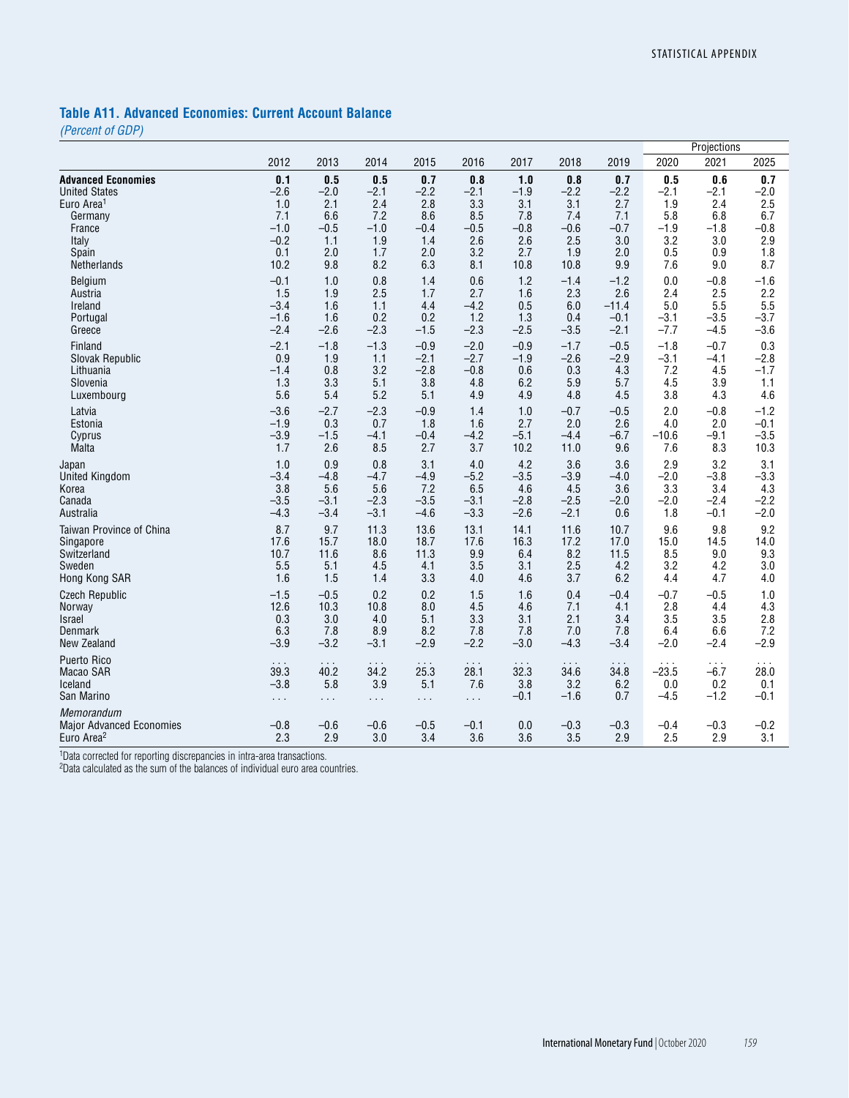# **Table A11. Advanced Economies: Current Account Balance**

*(Percent of GDP)*

|                                                                         |                      |                      |                      |                      |                      |                      |                      |                      |               | Projections   |               |
|-------------------------------------------------------------------------|----------------------|----------------------|----------------------|----------------------|----------------------|----------------------|----------------------|----------------------|---------------|---------------|---------------|
|                                                                         | 2012                 | 2013                 | 2014                 | 2015                 | 2016                 | 2017                 | 2018                 | 2019                 | 2020          | 2021          | 2025          |
| <b>Advanced Economies</b>                                               | 0.1                  | 0.5                  | 0.5                  | 0.7                  | 0.8                  | 1.0                  | 0.8                  | 0.7                  | 0.5           | 0.6           | 0.7           |
| <b>United States</b>                                                    | $-2.6$               | $-2.0$               | $-2.1$               | $-2.2$               | $-2.1$               | $-1.9$               | $-2.2$               | $-2.2$               | $-2.1$        | $-2.1$        | $-2.0$        |
| Euro Area <sup>1</sup>                                                  | 1.0                  | 2.1                  | 2.4                  | 2.8                  | 3.3                  | 3.1                  | 3.1                  | 2.7                  | 1.9           | 2.4           | 2.5           |
| Germany                                                                 | 7.1                  | 6.6                  | 7.2                  | 8.6                  | 8.5                  | 7.8                  | 7.4                  | 7.1                  | 5.8           | 6.8           | 6.7           |
| France                                                                  | $-1.0$               | $-0.5$               | $-1.0$               | $-0.4$               | $-0.5$               | $-0.8$               | $-0.6$               | $-0.7$               | $-1.9$        | $-1.8$        | $-0.8$        |
| Italy                                                                   | $-0.2$               | 1.1                  | 1.9                  | 1.4                  | 2.6                  | 2.6                  | 2.5                  | 3.0                  | 3.2           | 3.0           | 2.9           |
| Spain                                                                   | 0.1                  | 2.0                  | 1.7                  | 2.0                  | 3.2                  | 2.7                  | 1.9                  | 2.0                  | 0.5           | 0.9           | 1.8           |
| Netherlands                                                             | 10.2                 | 9.8                  | 8.2                  | 6.3                  | 8.1                  | 10.8                 | 10.8                 | 9.9                  | 7.6           | 9.0           | 8.7           |
| Belgium                                                                 | $-0.1$               | 1.0                  | 0.8                  | 1.4                  | 0.6                  | 1.2                  | $-1.4$               | $-1.2$               | 0.0           | $-0.8$        | $-1.6$        |
| Austria                                                                 | 1.5                  | 1.9                  | 2.5                  | 1.7                  | 2.7                  | 1.6                  | 2.3                  | 2.6                  | 2.4           | 2.5           | 2.2           |
| Ireland                                                                 | $-3.4$               | 1.6                  | 1.1                  | 4.4                  | $-4.2$               | 0.5                  | 6.0                  | $-11.4$              | 5.0           | 5.5           | 5.5           |
| Portugal                                                                | $-1.6$               | 1.6                  | 0.2                  | 0.2                  | 1.2                  | 1.3                  | 0.4                  | $-0.1$               | $-3.1$        | $-3.5$        | $-3.7$        |
| Greece                                                                  | $-2.4$               | $-2.6$               | $-2.3$               | $-1.5$               | $-2.3$               | $-2.5$               | $-3.5$               | $-2.1$               | $-7.7$        | $-4.5$        | $-3.6$        |
| Finland                                                                 | $-2.1$               | $-1.8$               | $-1.3$               | $-0.9$               | $-2.0$               | $-0.9$               | $-1.7$               | $-0.5$               | $-1.8$        | $-0.7$        | 0.3           |
| Slovak Republic                                                         | 0.9                  | 1.9                  | 1.1                  | $-2.1$               | $-2.7$               | $-1.9$               | $-2.6$               | $-2.9$               | $-3.1$        | $-4.1$        | $-2.8$        |
| Lithuania                                                               | $-1.4$               | 0.8                  | 3.2                  | $-2.8$               | $-0.8$               | 0.6                  | 0.3                  | 4.3                  | 7.2           | 4.5           | $-1.7$        |
| Slovenia                                                                | 1.3                  | 3.3                  | 5.1                  | 3.8                  | 4.8                  | 6.2                  | 5.9                  | 5.7                  | 4.5           | 3.9           | 1.1           |
| Luxembourg                                                              | 5.6                  | 5.4                  | 5.2                  | 5.1                  | 4.9                  | 4.9                  | 4.8                  | 4.5                  | 3.8           | 4.3           | 4.6           |
| Latvia                                                                  | $-3.6$               | $-2.7$               | $-2.3$               | $-0.9$               | 1.4                  | 1.0                  | $-0.7$               | $-0.5$               | 2.0           | $-0.8$        | $-1.2$        |
| Estonia                                                                 | $-1.9$               | 0.3                  | 0.7                  | 1.8                  | 1.6                  | 2.7                  | 2.0                  | 2.6                  | 4.0           | 2.0           | $-0.1$        |
| Cyprus                                                                  | $-3.9$               | $-1.5$               | -4.1                 | $-0.4$               | $-4.2$               | $-5.1$               | $-4.4$               | $-6.7$               | $-10.6$       | $-9.1$        | $-3.5$        |
| Malta                                                                   | 1.7                  | 2.6                  | 8.5                  | 2.7                  | 3.7                  | 10.2                 | 11.0                 | 9.6                  | 7.6           | 8.3           | 10.3          |
| Japan                                                                   | 1.0                  | 0.9                  | 0.8                  | 3.1                  | 4.0                  | 4.2                  | 3.6                  | 3.6                  | 2.9           | 3.2           | 3.1           |
| <b>United Kingdom</b>                                                   | $-3.4$               | $-4.8$               | $-4.7$               | $-4.9$               | $-5.2$               | $-3.5$               | $-3.9$               | $-4.0$               | $-2.0$        | $-3.8$        | $-3.3$        |
| Korea                                                                   | 3.8                  | 5.6                  | 5.6                  | 7.2                  | 6.5                  | 4.6                  | 4.5                  | 3.6                  | 3.3           | 3.4           | 4.3           |
| Canada                                                                  | $-3.5$               | $-3.1$               | $-2.3$               | $-3.5$               | $-3.1$               | $-2.8$               | $-2.5$               | $-2.0$               | $-2.0$        | $-2.4$        | $-2.2$        |
| Australia                                                               | $-4.3$               | $-3.4$               | $-3.1$               | $-4.6$               | $-3.3$               | $-2.6$               | $-2.1$               | 0.6                  | 1.8           | $-0.1$        | $-2.0$        |
| Taiwan Province of China                                                | 8.7                  | 9.7                  | 11.3                 | 13.6                 | 13.1                 | 14.1                 | 11.6                 | 10.7                 | 9.6           | 9.8           | 9.2           |
| Singapore                                                               | 17.6                 | 15.7                 | 18.0                 | 18.7                 | 17.6                 | 16.3                 | 17.2                 | 17.0                 | 15.0          | 14.5          | 14.0          |
| Switzerland                                                             | 10.7                 | 11.6                 | 8.6                  | 11.3                 | 9.9                  | 6.4                  | 8.2                  | 11.5                 | 8.5           | 9.0           | 9.3           |
| Sweden                                                                  | 5.5                  | 5.1                  | 4.5                  | 4.1                  | 3.5                  | 3.1                  | 2.5                  | 4.2                  | 3.2           | 4.2           | 3.0           |
| Hong Kong SAR                                                           | 1.6                  | 1.5                  | 1.4                  | 3.3                  | 4.0                  | 4.6                  | 3.7                  | 6.2                  | 4.4           | 4.7           | 4.0           |
| <b>Czech Republic</b>                                                   | $-1.5$               | $-0.5$               | 0.2                  | 0.2                  | 1.5                  | 1.6                  | 0.4                  | $-0.4$               | $-0.7$        | $-0.5$        | 1.0           |
| Norway                                                                  | 12.6                 | 10.3                 | 10.8                 | 8.0                  | 4.5                  | 4.6                  | 7.1                  | 4.1                  | 2.8           | 4.4           | 4.3           |
| <b>Israel</b>                                                           | 0.3                  | 3.0                  | 4.0                  | 5.1                  | 3.3                  | 3.1                  | 2.1                  | 3.4                  | 3.5           | 3.5           | 2.8           |
| Denmark                                                                 | 6.3                  | 7.8                  | 8.9                  | 8.2                  | 7.8                  | 7.8                  | 7.0                  | 7.8                  | 6.4           | 6.6           | 7.2           |
| New Zealand                                                             | $-3.9$               | $-3.2$               | $-3.1$               | $-2.9$               | $-2.2$               | $-3.0$               | $-4.3$               | $-3.4$               | $-2.0$        | $-2.4$        | $-2.9$        |
| Puerto Rico                                                             | $\sim$ $\sim$ $\sim$ | $\sim$ $\sim$ $\sim$ | $\sim$ $\sim$ $\sim$ | $\sim$ $\sim$ $\sim$ | $\sim$ $\sim$ $\sim$ | $\sim$ $\sim$ $\sim$ | $\sim$ $\sim$ $\sim$ | $\sim$ $\sim$ $\sim$ | $\cdots$      | $\cdots$      | $\cdots$      |
| Macao SAR                                                               | 39.3                 | 40.2                 | 34.2                 | 25.3                 | 28.1                 | 32.3                 | 34.6                 | 34.8                 | $-23.5$       | $-6.7$        | 28.0          |
| Iceland                                                                 | $-3.8$               | 5.8                  | 3.9                  | 5.1                  | 7.6                  | 3.8                  | 3.2                  | 6.2                  | 0.0           | 0.2           | 0.1           |
| San Marino                                                              | $\sim$ $\sim$        | $\sim$ $\sim$ $\sim$ | $\sim$ $\sim$ $\sim$ | $\sim$ $\sim$        | $\sim$ $\sim$        | $-0.1$               | $-1.6$               | 0.7                  | $-4.5$        | $-1.2$        | $-0.1$        |
| Memorandum<br><b>Major Advanced Economies</b><br>Euro Area <sup>2</sup> | $-0.8$<br>2.3        | $-0.6$<br>2.9        | $-0.6$<br>3.0        | $-0.5$<br>3.4        | $-0.1$<br>3.6        | 0.0<br>3.6           | $-0.3$<br>3.5        | $-0.3$<br>2.9        | $-0.4$<br>2.5 | $-0.3$<br>2.9 | $-0.2$<br>3.1 |

<sup>1</sup>Data corrected for reporting discrepancies in intra-area transactions.

2Data calculated as the sum of the balances of individual euro area countries.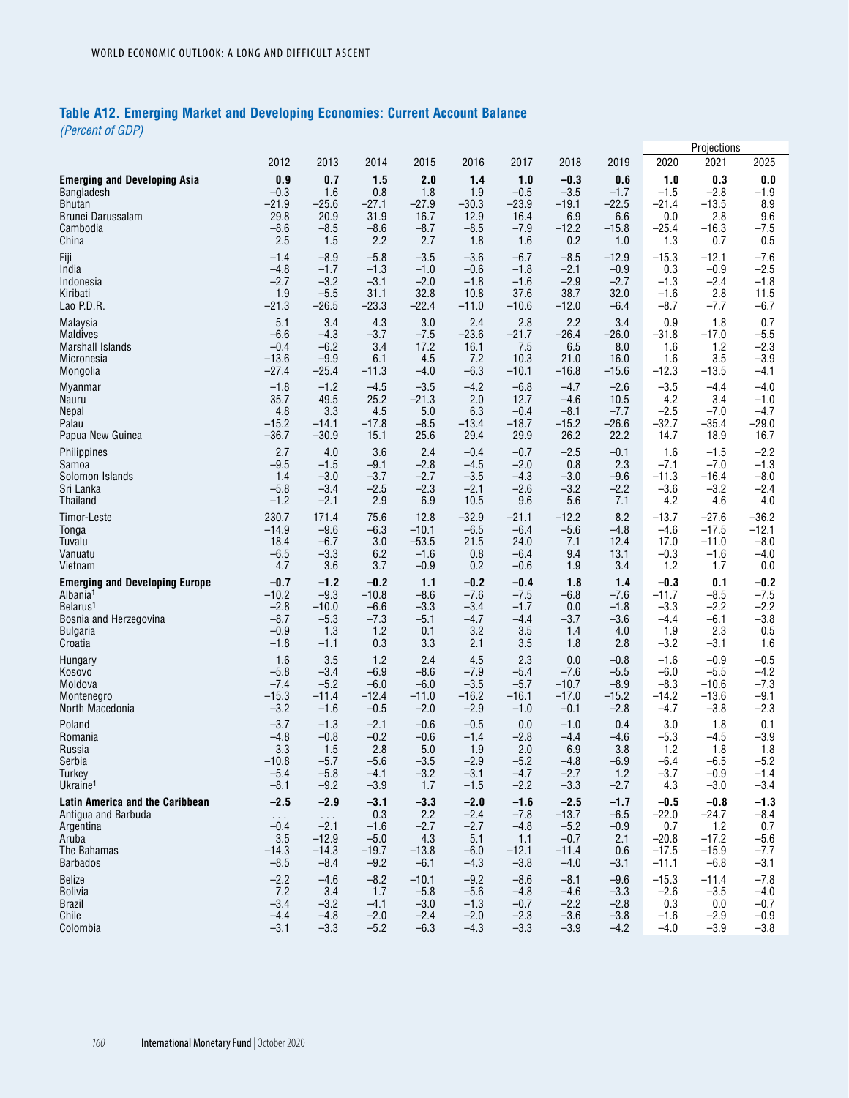# **Table A12. Emerging Market and Developing Economies: Current Account Balance**

*(Percent of GDP)*

|                                       |                      |            |         |         |         |         |         | Projections |         |         |         |
|---------------------------------------|----------------------|------------|---------|---------|---------|---------|---------|-------------|---------|---------|---------|
|                                       | 2012                 | 2013       | 2014    | 2015    | 2016    | 2017    | 2018    | 2019        | 2020    | 2021    | 2025    |
| <b>Emerging and Developing Asia</b>   | 0.9                  | 0.7        | 1.5     | 2.0     | 1.4     | 1.0     | $-0.3$  | 0.6         | 1.0     | 0.3     | 0.0     |
| Bangladesh                            | $-0.3$               | 1.6        | 0.8     | 1.8     | 1.9     | $-0.5$  | $-3.5$  | $-1.7$      | $-1.5$  | $-2.8$  | $-1.9$  |
| Bhutan                                | $-21.9$              | $-25.6$    | $-27.1$ | $-27.9$ | $-30.3$ | $-23.9$ | $-19.1$ | $-22.5$     | $-21.4$ | $-13.5$ | 8.9     |
| Brunei Darussalam                     | 29.8                 | 20.9       | 31.9    | 16.7    | 12.9    | 16.4    | 6.9     | 6.6         | 0.0     | 2.8     | 9.6     |
| Cambodia                              | $-8.6$               | $-8.5$     | $-8.6$  | $-8.7$  | $-8.5$  | $-7.9$  | $-12.2$ | $-15.8$     | $-25.4$ | $-16.3$ | $-7.5$  |
| China                                 | 2.5                  | 1.5        | 2.2     | 2.7     | 1.8     | 1.6     | 0.2     | 1.0         | 1.3     | 0.7     | 0.5     |
| Fiji                                  | $-1.4$               | $-8.9$     | $-5.8$  | $-3.5$  | $-3.6$  | $-6.7$  | $-8.5$  | $-12.9$     | $-15.3$ | $-12.1$ | $-7.6$  |
| India                                 | $-4.8$               | $-1.7$     | $-1.3$  | $-1.0$  | $-0.6$  | $-1.8$  | $-2.1$  | $-0.9$      | 0.3     | $-0.9$  | $-2.5$  |
| Indonesia                             | $-2.7$               | $-3.2$     | $-3.1$  | $-2.0$  | $-1.8$  | $-1.6$  | $-2.9$  | $-2.7$      | $-1.3$  | $-2.4$  | $-1.8$  |
| Kiribati                              | 1.9                  | $-5.5$     | 31.1    | 32.8    | 10.8    | 37.6    | 38.7    | 32.0        | $-1.6$  | 2.8     | 11.5    |
| Lao P.D.R.                            | $-21.3$              | $-26.5$    | $-23.3$ | $-22.4$ | $-11.0$ | $-10.6$ | $-12.0$ | $-6.4$      | $-8.7$  | $-7.7$  | $-6.7$  |
| Malaysia                              | 5.1                  | 3.4        | 4.3     | 3.0     | 2.4     | 2.8     | 2.2     | 3.4         | 0.9     | 1.8     | 0.7     |
| <b>Maldives</b>                       | $-6.6$               | $-4.3$     | $-3.7$  | $-7.5$  | $-23.6$ | $-21.7$ | $-26.4$ | $-26.0$     | $-31.8$ | $-17.0$ | $-5.5$  |
| Marshall Islands                      | $-0.4$               | $-6.2$     | 3.4     | 17.2    | 16.1    | 7.5     | 6.5     | 8.0         | 1.6     | 1.2     | $-2.3$  |
| Micronesia                            | $-13.6$              | $-9.9$     | 6.1     | 4.5     | 7.2     | 10.3    | 21.0    | 16.0        | 1.6     | 3.5     | $-3.9$  |
| Mongolia                              | $-27.4$              | $-25.4$    | $-11.3$ | $-4.0$  | $-6.3$  | $-10.1$ | $-16.8$ | $-15.6$     | $-12.3$ | $-13.5$ | $-4.1$  |
| Myanmar                               | $-1.8$               | $-1.2$     | $-4.5$  | $-3.5$  | $-4.2$  | $-6.8$  | $-4.7$  | $-2.6$      | $-3.5$  | $-4.4$  | $-4.0$  |
| Nauru                                 | 35.7                 | 49.5       | 25.2    | $-21.3$ | 2.0     | 12.7    | $-4.6$  | 10.5        | 4.2     | 3.4     | $-1.0$  |
| <b>Nepal</b>                          | 4.8                  | 3.3        | 4.5     | 5.0     | 6.3     | $-0.4$  | $-8.1$  | $-7.7$      | $-2.5$  | $-7.0$  | $-4.7$  |
| Palau                                 | $-15.2$              | $-14.1$    | $-17.8$ | $-8.5$  | $-13.4$ | $-18.7$ | $-15.2$ | $-26.6$     | $-32.7$ | $-35.4$ | $-29.0$ |
| Papua New Guinea                      | $-36.7$              | $-30.9$    | 15.1    | 25.6    | 29.4    | 29.9    | 26.2    | 22.2        | 14.7    | 18.9    | 16.7    |
| Philippines                           | 2.7                  | 4.0        | 3.6     | 2.4     | $-0.4$  | $-0.7$  | $-2.5$  | $-0.1$      | 1.6     | $-1.5$  | $-2.2$  |
| Samoa                                 | $-9.5$               | $-1.5$     | -9.1    | $-2.8$  | $-4.5$  | $-2.0$  | 0.8     | 2.3         | $-7.1$  | $-7.0$  | $-1.3$  |
| Solomon Islands                       | 1.4                  | $-3.0$     | $-3.7$  | $-2.7$  | $-3.5$  | $-4.3$  | $-3.0$  | $-9.6$      | $-11.3$ | $-16.4$ | $-8.0$  |
| Sri Lanka                             | $-5.8$               | $-3.4$     | $-2.5$  | $-2.3$  | $-2.1$  | $-2.6$  | $-3.2$  | $-2.2$      | $-3.6$  | $-3.2$  | $-2.4$  |
| Thailand                              | $-1.2$               | $-2.1$     | 2.9     | 6.9     | 10.5    | 9.6     | 5.6     | 7.1         | 4.2     | 4.6     | 4.0     |
| Timor-Leste                           | 230.7                | 171.4      | 75.6    | 12.8    | $-32.9$ | $-21.1$ | $-12.2$ | 8.2         | $-13.7$ | $-27.6$ | $-36.2$ |
| Tonga                                 | $-14.9$              | $-9.6$     | $-6.3$  | $-10.1$ | $-6.5$  | $-6.4$  | $-5.6$  | $-4.8$      | $-4.6$  | $-17.5$ | $-12.1$ |
| Tuvalu                                | 18.4                 | $-6.7$     | 3.0     | $-53.5$ | 21.5    | 24.0    | 7.1     | 12.4        | 17.0    | $-11.0$ | $-8.0$  |
| Vanuatu                               | $-6.5$               | $-3.3$     | 6.2     | $-1.6$  | 0.8     | $-6.4$  | 9.4     | 13.1        | $-0.3$  | $-1.6$  | $-4.0$  |
| Vietnam                               | 4.7                  | 3.6        | 3.7     | $-0.9$  | 0.2     | $-0.6$  | 1.9     | 3.4         | 1.2     | 1.7     | 0.0     |
| <b>Emerging and Developing Europe</b> | $-0.7$               | $-1.2$     | $-0.2$  | 1.1     | $-0.2$  | $-0.4$  | 1.8     | $1.4$       | $-0.3$  | 0.1     | $-0.2$  |
| Albania <sup>1</sup>                  | $-10.2$              | $-9.3$     | $-10.8$ | $-8.6$  | $-7.6$  | $-7.5$  | $-6.8$  | $-7.6$      | $-11.7$ | $-8.5$  | $-7.5$  |
| Belarus <sup>1</sup>                  | $-2.8$               | $-10.0$    | $-6.6$  | $-3.3$  | $-3.4$  | $-1.7$  | 0.0     | $-1.8$      | $-3.3$  | $-2.2$  | $-2.2$  |
| Bosnia and Herzegovina                | $-8.7$               | $-5.3$     | $-7.3$  | $-5.1$  | $-4.7$  | $-4.4$  | $-3.7$  | $-3.6$      | $-4.4$  | $-6.1$  | $-3.8$  |
| <b>Bulgaria</b>                       | $-0.9$               | 1.3        | 1.2     | 0.1     | 3.2     | 3.5     | 1.4     | 4.0         | 1.9     | 2.3     | 0.5     |
| Croatia                               | $-1.8$               | $-1.1$     | 0.3     | 3.3     | 2.1     | 3.5     | 1.8     | 2.8         | $-3.2$  | $-3.1$  | 1.6     |
| Hungary                               | 1.6                  | 3.5        | 1.2     | 2.4     | 4.5     | 2.3     | 0.0     | $-0.8$      | $-1.6$  | $-0.9$  | $-0.5$  |
| Kosovo                                | $-5.8$               | $-3.4$     | $-6.9$  | $-8.6$  | $-7.9$  | $-5.4$  | $-7.6$  | $-5.5$      | $-6.0$  | $-5.5$  | $-4.2$  |
| Moldova                               | $-7.4$               | $-5.2$     | $-6.0$  | $-6.0$  | $-3.5$  | $-5.7$  | $-10.7$ | $-8.9$      | $-8.3$  | $-10.6$ | $-7.3$  |
| Montenegro                            | $-15.3$              | $-11.4$    | $-12.4$ | $-11.0$ | $-16.2$ | $-16.1$ | $-17.0$ | $-15.2$     | $-14.2$ | $-13.6$ | $-9.1$  |
| North Macedonia                       | $-3.2$               | $-1.6$     | $-0.5$  | $-2.0$  | $-2.9$  | $-1.0$  | $-0.1$  | $-2.8$      | $-4.7$  | $-3.8$  | $-2.3$  |
| Poland                                | $-3.7$               | $-1.3$     | $-2.1$  | $-0.6$  | $-0.5$  | 0.0     | $-1.0$  | 0.4         | 3.0     | 1.8     | 0.1     |
| Romania                               | $-4.8$               | $-0.8$     | $-0.2$  | $-0.6$  | $-1.4$  | $-2.8$  | $-4.4$  | $-4.6$      | $-5.3$  | $-4.5$  | $-3.9$  |
| Russia                                | 3.3                  | 1.5        | 2.8     | 5.0     | 1.9     | 2.0     | 6.9     | 3.8         | 1.2     | 1.8     | 1.8     |
| Serbia                                | $-10.8$              | $-5.7$     | $-5.6$  | $-3.5$  | $-2.9$  | $-5.2$  | $-4.8$  | $-6.9$      | $-6.4$  | $-6.5$  | $-5.2$  |
| Turkey                                | -5.4                 | $-5.8$     | -4.1    | $-3.2$  | $-3.1$  | $-4.7$  | $-2.7$  | $1.2$       | $-3.7$  | $-0.9$  | $-1.4$  |
| Ukraine <sup>1</sup>                  | $-8.1$               | $-9.2$     | $-3.9$  | 1.7     | $-1.5$  | $-2.2$  | $-3.3$  | $-2.7$      | 4.3     | $-3.0$  | $-3.4$  |
| Latin America and the Caribbean       | $-2.5$               | $-2.9$     | $-3.1$  | $-3.3$  | $-2.0$  | $-1.6$  | $-2.5$  | $-1.7$      | $-0.5$  | $-0.8$  | $-1.3$  |
| Antigua and Barbuda                   | $\sim$ $\sim$ $\sim$ | $\sim 100$ | 0.3     | 2.2     | $-2.4$  | $-7.8$  | $-13.7$ | $-6.5$      | $-22.0$ | $-24.7$ | $-8.4$  |
| Argentina                             | $-0.4$               | $-2.1$     | $-1.6$  | $-2.7$  | $-2.7$  | $-4.8$  | $-5.2$  | $-0.9$      | 0.7     | 1.2     | 0.7     |
| Aruba                                 | 3.5                  | $-12.9$    | $-5.0$  | 4.3     | 5.1     | 1.1     | $-0.7$  | 2.1         | $-20.8$ | $-17.2$ | $-5.6$  |
| The Bahamas                           | $-14.3$              | $-14.3$    | $-19.7$ | $-13.8$ | $-6.0$  | $-12.1$ | $-11.4$ | 0.6         | $-17.5$ | $-15.9$ | $-7.7$  |
| <b>Barbados</b>                       | $-8.5$               | $-8.4$     | $-9.2$  | $-6.1$  | $-4.3$  | $-3.8$  | $-4.0$  | $-3.1$      | $-11.1$ | $-6.8$  | $-3.1$  |
| <b>Belize</b>                         | $-2.2$               | $-4.6$     | $-8.2$  | $-10.1$ | $-9.2$  | $-8.6$  | $-8.1$  | $-9.6$      | $-15.3$ | $-11.4$ | $-7.8$  |
| <b>Bolivia</b>                        | 7.2                  | 3.4        | 1.7     | $-5.8$  | $-5.6$  | $-4.8$  | $-4.6$  | $-3.3$      | $-2.6$  | $-3.5$  | $-4.0$  |
| Brazil                                | $-3.4$               | $-3.2$     | $-4.1$  | $-3.0$  | $-1.3$  | $-0.7$  | $-2.2$  | $-2.8$      | 0.3     | 0.0     | $-0.7$  |
| Chile                                 | $-4.4$               | $-4.8$     | $-2.0$  | $-2.4$  | $-2.0$  | $-2.3$  | $-3.6$  | $-3.8$      | $-1.6$  | $-2.9$  | $-0.9$  |
| Colombia                              | $-3.1$               | $-3.3$     | $-5.2$  | $-6.3$  | $-4.3$  | $-3.3$  | $-3.9$  | $-4.2$      | $-4.0$  | $-3.9$  | $-3.8$  |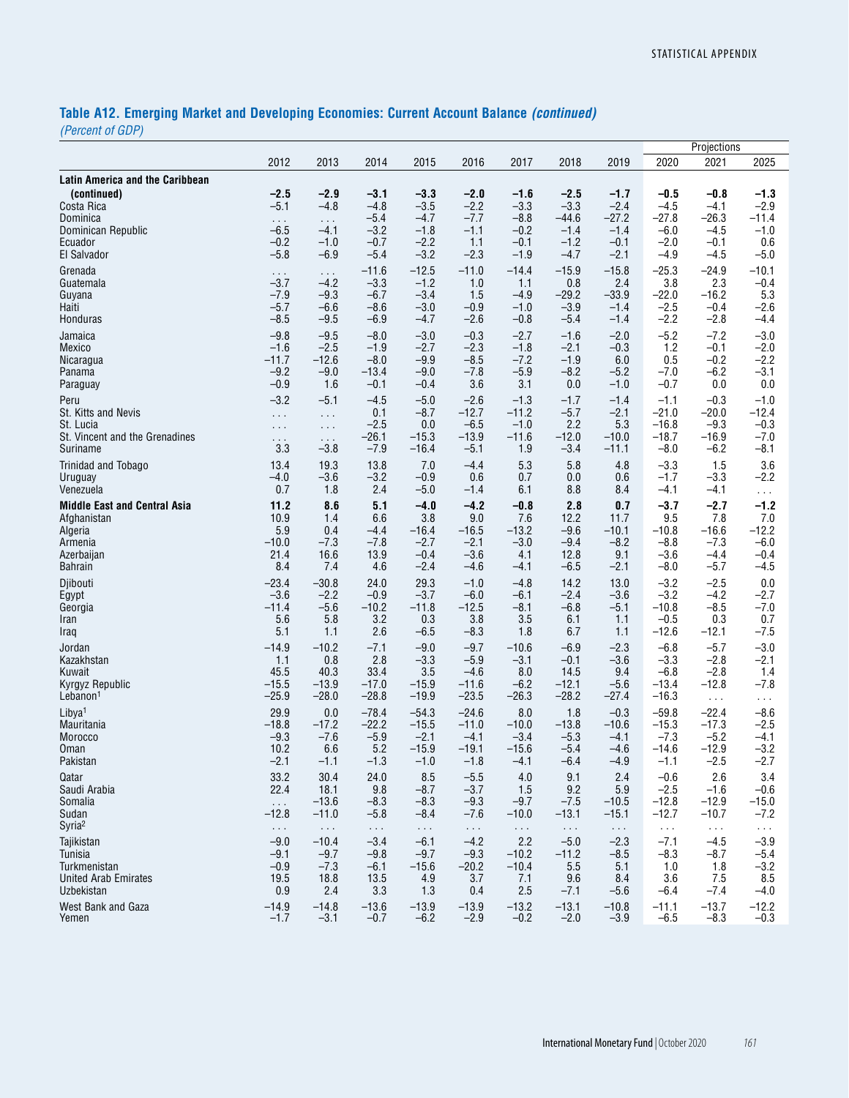# **Table A12. Emerging Market and Developing Economies: Current Account Balance** *(continued)*

*(Percent of GDP)*

|                                                       |                                |                              |                            |                            |                         |                            |                            |                            |                            | Projections                 |                         |
|-------------------------------------------------------|--------------------------------|------------------------------|----------------------------|----------------------------|-------------------------|----------------------------|----------------------------|----------------------------|----------------------------|-----------------------------|-------------------------|
|                                                       | 2012                           | 2013                         | 2014                       | 2015                       | 2016                    | 2017                       | 2018                       | 2019                       | 2020                       | 2021                        | 2025                    |
| <b>Latin America and the Caribbean</b><br>(continued) | $-2.5$                         | $-2.9$                       | $-3.1$                     | $-3.3$                     | $-2.0$                  | $-1.6$                     | $-2.5$                     | $-1.7$                     | $-0.5$                     | $-0.8$                      | $-1.3$                  |
| Costa Rica<br>Dominica                                | $-5.1$<br>$\sim$ $\sim$ $\sim$ | $-4.8$<br>$\sim$ .<br>$-4.1$ | $-4.8$<br>$-5.4$           | $-3.5$<br>$-4.7$           | $-2.2$<br>$-7.7$        | $-3.3$<br>$-8.8$           | $-3.3$<br>$-44.6$          | $-2.4$<br>$-27.2$          | $-4.5$<br>$-27.8$          | $-4.1$<br>$-26.3$<br>$-4.5$ | $-2.9$<br>$-11.4$       |
| Dominican Republic<br>Ecuador<br>El Salvador          | $-6.5$<br>$-0.2$<br>$-5.8$     | $-1.0$<br>$-6.9$             | $-3.2$<br>$-0.7$<br>$-5.4$ | $-1.8$<br>$-2.2$<br>$-3.2$ | $-1.1$<br>1.1<br>$-2.3$ | $-0.2$<br>$-0.1$<br>$-1.9$ | $-1.4$<br>$-1.2$<br>$-4.7$ | $-1.4$<br>$-0.1$<br>$-2.1$ | $-6.0$<br>$-2.0$<br>$-4.9$ | $-0.1$<br>$-4.5$            | $-1.0$<br>0.6<br>$-5.0$ |
| Grenada                                               | $\sim$ $\sim$ $\sim$           | $\sim$ $\sim$ $\sim$         | $-11.6$                    | $-12.5$                    | $-11.0$                 | $-14.4$                    | $-15.9$                    | $-15.8$                    | $-25.3$                    | $-24.9$                     | $-10.1$                 |
| Guatemala                                             | $-3.7$                         | $-4.2$                       | $-3.3$                     | $-1.2$                     | 1.0                     | 1.1                        | 0.8                        | 2.4                        | 3.8                        | 2.3                         | $-0.4$                  |
| Guyana                                                | $-7.9$                         | $-9.3$                       | $-6.7$                     | $-3.4$                     | 1.5                     | $-4.9$                     | $-29.2$                    | $-33.9$                    | $-22.0$                    | $-16.2$                     | 5.3                     |
| Haiti                                                 | $-5.7$                         | $-6.6$                       | $-8.6$                     | $-3.0$                     | $-0.9$                  | $-1.0$                     | $-3.9$                     | $-1.4$                     | $-2.5$                     | $-0.4$                      | $-2.6$                  |
| Honduras                                              | $-8.5$                         | $-9.5$                       | $-6.9$                     | $-4.7$                     | $-2.6$                  | $-0.8$                     | $-5.4$                     | $-1.4$                     | $-2.2$                     | $-2.8$                      | $-4.4$                  |
| Jamaica                                               | $-9.8$                         | $-9.5$                       | $-8.0$                     | $-3.0$                     | $-0.3$                  | $-2.7$                     | $-1.6$                     | $-2.0$                     | $-5.2$                     | $-7.2$                      | $-3.0$                  |
| Mexico                                                | $-1.6$                         | $-2.5$                       | $-1.9$                     | $-2.7$                     | $-2.3$                  | $-1.8$                     | $-2.1$                     | $-0.3$                     | 1.2                        | $-0.1$                      | $-2.0$                  |
| Nicaragua                                             | $-11.7$                        | $-12.6$                      | $-8.0$                     | $-9.9$                     | $-8.5$                  | $-7.2$                     | $-1.9$                     | 6.0                        | 0.5                        | $-0.2$                      | $-2.2$                  |
| Panama                                                | $-9.2$                         | $-9.0$                       | $-13.4$                    | $-9.0$                     | $-7.8$                  | $-5.9$                     | $-8.2$                     | $-5.2$                     | $-7.0$                     | $-6.2$                      | $-3.1$                  |
| Paraguay                                              | $-0.9$                         | 1.6                          | $-0.1$                     | $-0.4$                     | 3.6                     | 3.1                        | 0.0                        | $-1.0$                     | $-0.7$                     | 0.0                         | 0.0                     |
| Peru                                                  | $-3.2$                         | $-5.1$                       | $-4.5$                     | $-5.0$                     | $-2.6$                  | $-1.3$                     | $-1.7$                     | $-1.4$                     | $-1.1$                     | $-0.3$                      | $-1.0$                  |
| St. Kitts and Nevis                                   | $\sim$ $\sim$ $\sim$           | $\cdots$                     | 0.1                        | $-8.7$                     | $-12.7$                 | $-11.2$                    | $-5.7$                     | $-2.1$                     | $-21.0$                    | $-20.0$                     | $-12.4$                 |
| St. Lucia                                             | $\sim$ $\sim$ $\sim$           | $\sim$ $\sim$ $\sim$         | $-2.5$                     | 0.0                        | $-6.5$                  | $-1.0$                     | 2.2                        | 5.3                        | $-16.8$                    | $-9.3$                      | $-0.3$                  |
| St. Vincent and the Grenadines                        | $\sim$ $\sim$                  | $\sim$ $\sim$ $\sim$         | $-26.1$                    | $-15.3$                    | $-13.9$                 | $-11.6$                    | $-12.0$                    | $-10.0$                    | $-18.7$                    | $-16.9$                     | $-7.0$                  |
| Suriname                                              | 3.3                            | $-3.8$                       | $-7.9$                     | $-16.4$                    | $-5.1$                  | 1.9                        | $-3.4$                     | $-11.1$                    | $-8.0$                     | $-6.2$                      | $-8.1$                  |
| Trinidad and Tobago                                   | 13.4                           | 19.3                         | 13.8                       | 7.0                        | $-4.4$                  | 5.3                        | 5.8                        | 4.8                        | $-3.3$                     | 1.5                         | 3.6                     |
| Uruguay                                               | $-4.0$                         | $-3.6$                       | $-3.2$                     | $-0.9$                     | 0.6                     | 0.7                        | 0.0                        | 0.6                        | $-1.7$                     | $-3.3$                      | $-2.2$                  |
| Venezuela                                             | 0.7                            | 1.8                          | 2.4                        | $-5.0$                     | $-1.4$                  | 6.1                        | 8.8                        | 8.4                        | $-4.1$                     | $-4.1$                      | $\ddotsc$               |
| <b>Middle East and Central Asia</b>                   | 11.2                           | 8.6                          | 5.1                        | $-4.0$                     | $-4.2$                  | $-0.8$                     | 2.8                        | 0.7                        | $-3.7$                     | $-2.7$                      | $-1.2$                  |
| Afghanistan                                           | 10.9                           | 1.4                          | 6.6                        | 3.8                        | 9.0                     | 7.6                        | 12.2                       | 11.7                       | 9.5                        | 7.8                         | 7.0                     |
| Algeria                                               | 5.9                            | 0.4                          | $-4.4$                     | $-16.4$                    | $-16.5$                 | $-13.2$                    | $-9.6$                     | $-10.1$                    | $-10.8$                    | $-16.6$                     | $-12.2$                 |
| Armenia                                               | $-10.0$                        | $-7.3$                       | $-7.8$                     | $-2.7$                     | $-2.1$                  | $-3.0$                     | $-9.4$                     | $-8.2$                     | $-8.8$                     | $-7.3$                      | $-6.0$                  |
| Azerbaijan                                            | 21.4                           | 16.6                         | 13.9                       | $-0.4$                     | $-3.6$                  | 4.1                        | 12.8                       | 9.1                        | $-3.6$                     | $-4.4$                      | $-0.4$                  |
| Bahrain                                               | 8.4                            | 7.4                          | 4.6                        | $-2.4$                     | $-4.6$                  | $-4.1$                     | $-6.5$                     | $-2.1$                     | $-8.0$                     | $-5.7$                      | $-4.5$                  |
| Djibouti                                              | $-23.4$                        | $-30.8$                      | 24.0                       | 29.3                       | $-1.0$                  | $-4.8$                     | 14.2                       | 13.0                       | $-3.2$                     | $-2.5$                      | 0.0                     |
| Egypt                                                 | $-3.6$                         | $-2.2$                       | $-0.9$                     | $-3.7$                     | $-6.0$                  | $-6.1$                     | $-2.4$                     | $-3.6$                     | $-3.2$                     | $-4.2$                      | $-2.7$                  |
| Georgia                                               | $-11.4$                        | $-5.6$                       | $-10.2$                    | $-11.8$                    | $-12.5$                 | $-8.1$                     | $-6.8$                     | $-5.1$                     | $-10.8$                    | $-8.5$                      | $-7.0$                  |
| Iran                                                  | 5.6                            | 5.8                          | 3.2                        | 0.3                        | 3.8                     | 3.5                        | 6.1                        | 1.1                        | $-0.5$                     | 0.3                         | 0.7                     |
| Iraq                                                  | 5.1                            | 1.1                          | 2.6                        | $-6.5$                     | $-8.3$                  | 1.8                        | 6.7                        | 1.1                        | $-12.6$                    | $-12.1$                     | $-7.5$                  |
| Jordan                                                | $-14.9$                        | $-10.2$                      | $-7.1$                     | $-9.0$                     | $-9.7$                  | $-10.6$                    | $-6.9$                     | $-2.3$                     | $-6.8$                     | $-5.7$                      | $-3.0$                  |
| Kazakhstan                                            | 1.1                            | 0.8                          | 2.8                        | $-3.3$                     | $-5.9$                  | $-3.1$                     | $-0.1$                     | $-3.6$                     | $-3.3$                     | $-2.8$                      | $-2.1$                  |
| Kuwait                                                | 45.5                           | 40.3                         | 33.4                       | 3.5                        | $-4.6$                  | 8.0                        | 14.5                       | 9.4                        | $-6.8$                     | $-2.8$                      | 1.4                     |
| Kyrgyz Republic                                       | $-15.5$                        | $-13.9$                      | $-17.0$                    | $-15.9$                    | $-11.6$                 | $-6.2$                     | $-12.1$                    | $-5.6$                     | $-13.4$                    | $-12.8$                     | $-7.8$                  |
| Lebanon <sup>1</sup>                                  | $-25.9$                        | $-28.0$                      | $-28.8$                    | $-19.9$                    | $-23.5$                 | $-26.3$                    | $-28.2$                    | $-27.4$                    | $-16.3$                    | $\sim$ $\sim$               | $\sim$ $\sim$           |
| Libya <sup>1</sup>                                    | 29.9                           | 0.0                          | $-78.4$                    | $-54.3$                    | $-24.6$                 | 8.0                        | 1.8                        | $-0.3$                     | $-59.8$                    | $-22.4$                     | $-8.6$                  |
| Mauritania                                            | $-18.8$                        | $-17.2$                      | $-22.2$                    | $-15.5$                    | $-11.0$                 | $-10.0$                    | $-13.8$                    | $-10.6$                    | $-15.3$                    | $-17.3$                     | $-2.5$                  |
| Morocco                                               | $-9.3$                         | $-7.6$                       | $-5.9$                     | $-2.1$                     | $-4.1$                  | $-3.4$                     | $-5.3$                     | $-4.1$                     | $-7.3$                     | $-5.2$                      | $-4.1$                  |
| Oman                                                  | 10.2                           | 6.6                          | 5.2                        | $-15.9$                    | $-19.1$                 | $-15.6$                    | $-5.4$                     | $-4.6$                     | $-14.6$                    | $-12.9$                     | $-3.2$                  |
| Pakistan                                              | $-2.1$                         | $-1.1$                       | $-1.3$                     | $-1.0$                     | $-1.8$                  | $-4.1$                     | $-6.4$                     | $-4.9$                     | $-1.1$                     | $-2.5$                      | $-2.7$                  |
| Qatar                                                 | 33.2                           | 30.4                         | 24.0                       | 8.5                        | $-5.5$                  | 4.0                        | 9.1                        | 2.4                        | $-0.6$                     | 2.6                         | 3.4                     |
| Saudi Arabia                                          | 22.4                           | 18.1                         | 9.8                        | $-8.7$                     | $-3.7$                  | 1.5                        | 9.2                        | 5.9                        | $-2.5$                     | $-1.6$                      | $-0.6$                  |
| Somalia                                               | $\sim 100$                     | $-13.6$                      | $-8.3$                     | $-8.3$                     | $-9.3$                  | $-9.7$                     | $-7.5$                     | $-10.5$                    | $-12.8$                    | $-12.9$                     | $-15.0$                 |
| Sudan                                                 | $-12.8$                        | $-11.0$                      | $-5.8$                     | $-8.4$                     | $-7.6$                  | $-10.0$                    | $-13.1$                    | $-15.1$                    | $-12.7$                    | $-10.7$                     | $-7.2$                  |
| Syria <sup>2</sup>                                    | $\sim$ $\sim$                  | $\epsilon$ .                 | $\sim$                     | $\sim$ $\sim$              | $\ldots$                | $\sim$ $\sim$              | $\sim$ $\sim$              | $\sim$ $\sim$              | $\sim$ $\sim$              | $\sim$ $\sim$               | $\sim$ $\sim$           |
| Tajikistan                                            | $-9.0$                         | $-10.4$                      | $-3.4$                     | $-6.1$                     | $-4.2$                  | 2.2                        | $-5.0$                     | $-2.3$                     | $-7.1$                     | $-4.5$                      | $-3.9$                  |
| Tunisia                                               | $-9.1$                         | $-9.7$                       | $-9.8$                     | $-9.7$                     | $-9.3$                  | $-10.2$                    | $-11.2$                    | $-8.5$                     | $-8.3$                     | $-8.7$                      | $-5.4$                  |
| Turkmenistan                                          | $-0.9$                         | $-7.3$                       | $-6.1$                     | $-15.6$                    | $-20.2$                 | $-10.4$                    | 5.5                        | 5.1                        | 1.0                        | 1.8                         | $-3.2$                  |
| <b>United Arab Emirates</b>                           | 19.5                           | 18.8                         | 13.5                       | 4.9                        | 3.7                     | 7.1                        | 9.6                        | 8.4                        | 3.6                        | 7.5                         | 8.5                     |
| Uzbekistan                                            | 0.9                            | 2.4                          | 3.3                        | 1.3                        | 0.4                     | 2.5                        | $-7.1$                     | $-5.6$                     | $-6.4$                     | $-7.4$                      | $-4.0$                  |
| West Bank and Gaza                                    | $-14.9$                        | $-14.8$                      | $-13.6$                    | $-13.9$                    | $-13.9$                 | $-13.2$                    | $-13.1$                    | $-10.8$                    | $-11.1$                    | $-13.7$                     | $-12.2$                 |
| Yemen                                                 | $-1.7$                         | $-3.1$                       | $-0.7$                     | $-6.2$                     | $-2.9$                  | $-0.2$                     | $-2.0$                     | $-3.9$                     | $-6.5$                     | $-8.3$                      | $-0.3$                  |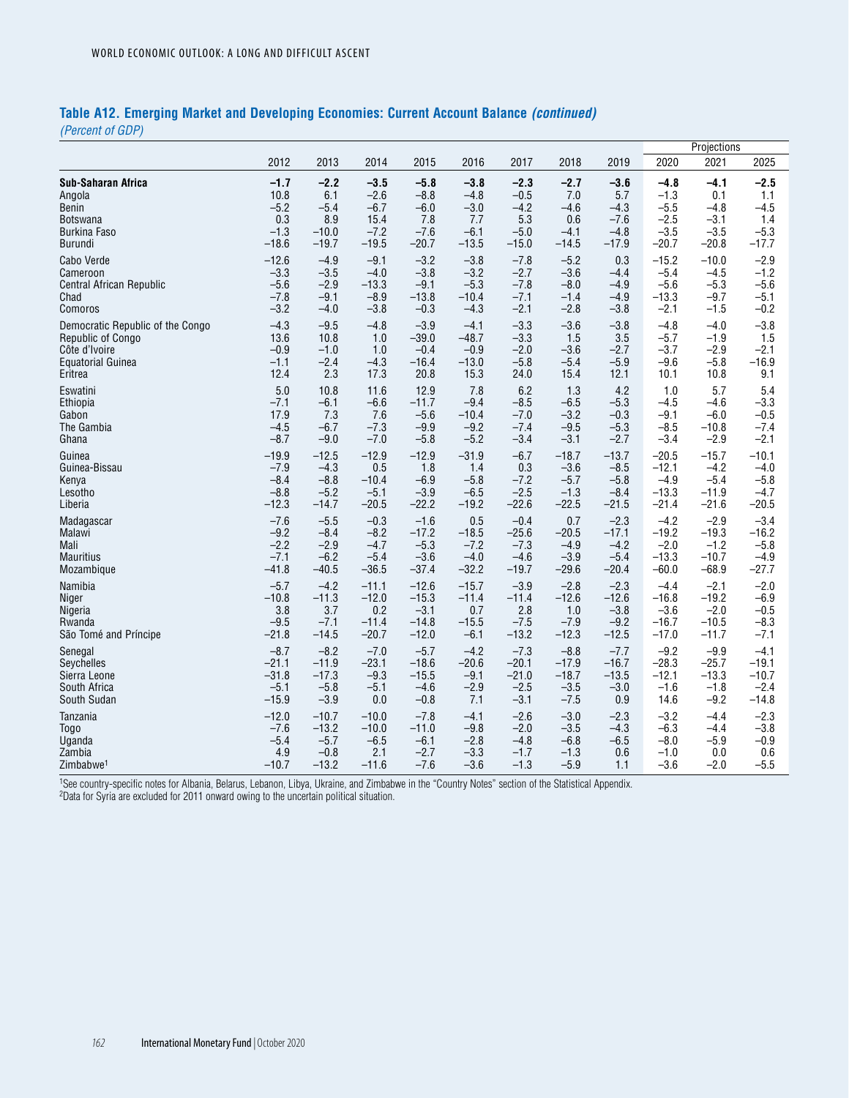### **Table A12. Emerging Market and Developing Economies: Current Account Balance** *(continued)*

*(Percent of GDP)*

|                                  |         |         |         |         |         |         |         |         | Projections |         |         |
|----------------------------------|---------|---------|---------|---------|---------|---------|---------|---------|-------------|---------|---------|
|                                  | 2012    | 2013    | 2014    | 2015    | 2016    | 2017    | 2018    | 2019    | 2020        | 2021    | 2025    |
| Sub-Saharan Africa               | $-1.7$  | $-2.2$  | $-3.5$  | $-5.8$  | $-3.8$  | $-2.3$  | $-2.7$  | $-3.6$  | $-4.8$      | $-4.1$  | $-2.5$  |
| Angola                           | 10.8    | 6.1     | $-2.6$  | $-8.8$  | $-4.8$  | $-0.5$  | 7.0     | 5.7     | $-1.3$      | 0.1     | 1.1     |
| Benin                            | $-5.2$  | $-5.4$  | $-6.7$  | $-6.0$  | $-3.0$  | $-4.2$  | $-4.6$  | $-4.3$  | $-5.5$      | $-4.8$  | $-4.5$  |
| <b>Botswana</b>                  | 0.3     | 8.9     | 15.4    | 7.8     | 7.7     | 5.3     | 0.6     | $-7.6$  | $-2.5$      | $-3.1$  | 1.4     |
| <b>Burkina Faso</b>              | $-1.3$  | $-10.0$ | $-7.2$  | $-7.6$  | $-6.1$  | $-5.0$  | $-4.1$  | $-4.8$  | $-3.5$      | $-3.5$  | $-5.3$  |
| Burundi                          | $-18.6$ | $-19.7$ | $-19.5$ | $-20.7$ | $-13.5$ | $-15.0$ | $-14.5$ | $-17.9$ | $-20.7$     | $-20.8$ | $-17.7$ |
| Cabo Verde                       | $-12.6$ | $-4.9$  | $-9.1$  | $-3.2$  | $-3.8$  | $-7.8$  | $-5.2$  | 0.3     | $-15.2$     | $-10.0$ | $-2.9$  |
| Cameroon                         | $-3.3$  | $-3.5$  | $-4.0$  | $-3.8$  | $-3.2$  | $-2.7$  | $-3.6$  | $-4.4$  | $-5.4$      | $-4.5$  | $-1.2$  |
| <b>Central African Republic</b>  | $-5.6$  | $-2.9$  | $-13.3$ | $-9.1$  | $-5.3$  | $-7.8$  | $-8.0$  | $-4.9$  | $-5.6$      | $-5.3$  | $-5.6$  |
| Chad                             | $-7.8$  | $-9.1$  | $-8.9$  | $-13.8$ | $-10.4$ | $-7.1$  | $-1.4$  | $-4.9$  | $-13.3$     | $-9.7$  | $-5.1$  |
| Comoros                          | $-3.2$  | $-4.0$  | $-3.8$  | $-0.3$  | $-4.3$  | $-2.1$  | $-2.8$  | $-3.8$  | $-2.1$      | $-1.5$  | $-0.2$  |
| Democratic Republic of the Congo | $-4.3$  | $-9.5$  | $-4.8$  | $-3.9$  | $-4.1$  | $-3.3$  | $-3.6$  | $-3.8$  | $-4.8$      | $-4.0$  | $-3.8$  |
| Republic of Congo                | 13.6    | 10.8    | 1.0     | $-39.0$ | $-48.7$ | $-3.3$  | 1.5     | 3.5     | $-5.7$      | $-1.9$  | 1.5     |
| Côte d'Ivoire                    | $-0.9$  | $-1.0$  | 1.0     | $-0.4$  | $-0.9$  | $-2.0$  | $-3.6$  | $-2.7$  | $-3.7$      | $-2.9$  | $-2.1$  |
| <b>Equatorial Guinea</b>         | $-1.1$  | $-2.4$  | $-4.3$  | $-16.4$ | $-13.0$ | $-5.8$  | $-5.4$  | $-5.9$  | $-9.6$      | $-5.8$  | $-16.9$ |
| Eritrea                          | 12.4    | 2.3     | 17.3    | 20.8    | 15.3    | 24.0    | 15.4    | 12.1    | 10.1        | 10.8    | 9.1     |
| Eswatini                         | 5.0     | 10.8    | 11.6    | 12.9    | 7.8     | 6.2     | 1.3     | 4.2     | 1.0         | 5.7     | 5.4     |
| Ethiopia                         | $-7.1$  | $-6.1$  | $-6.6$  | $-11.7$ | $-9.4$  | $-8.5$  | $-6.5$  | $-5.3$  | $-4.5$      | $-4.6$  | $-3.3$  |
| Gabon                            | 17.9    | 7.3     | 7.6     | $-5.6$  | $-10.4$ | $-7.0$  | $-3.2$  | $-0.3$  | $-9.1$      | $-6.0$  | $-0.5$  |
| The Gambia                       | $-4.5$  | $-6.7$  | $-7.3$  | $-9.9$  | $-9.2$  | $-7.4$  | $-9.5$  | $-5.3$  | $-8.5$      | $-10.8$ | $-7.4$  |
| Ghana                            | $-8.7$  | $-9.0$  | $-7.0$  | $-5.8$  | $-5.2$  | $-3.4$  | $-3.1$  | $-2.7$  | $-3.4$      | $-2.9$  | $-2.1$  |
| Guinea                           | $-19.9$ | $-12.5$ | $-12.9$ | $-12.9$ | $-31.9$ | $-6.7$  | $-18.7$ | $-13.7$ | $-20.5$     | $-15.7$ | $-10.1$ |
| Guinea-Bissau                    | $-7.9$  | $-4.3$  | 0.5     | 1.8     | 1.4     | 0.3     | $-3.6$  | $-8.5$  | $-12.1$     | $-4.2$  | $-4.0$  |
| Kenya                            | $-8.4$  | $-8.8$  | $-10.4$ | $-6.9$  | $-5.8$  | $-7.2$  | $-5.7$  | $-5.8$  | $-4.9$      | $-5.4$  | $-5.8$  |
| Lesotho                          | $-8.8$  | $-5.2$  | $-5.1$  | $-3.9$  | $-6.5$  | $-2.5$  | $-1.3$  | $-8.4$  | $-13.3$     | $-11.9$ | $-4.7$  |
| Liberia                          | $-12.3$ | $-14.7$ | $-20.5$ | $-22.2$ | $-19.2$ | $-22.6$ | $-22.5$ | $-21.5$ | $-21.4$     | $-21.6$ | $-20.5$ |
| Madagascar                       | $-7.6$  | $-5.5$  | $-0.3$  | $-1.6$  | 0.5     | $-0.4$  | 0.7     | $-2.3$  | $-4.2$      | $-2.9$  | $-3.4$  |
| Malawi                           | $-9.2$  | $-8.4$  | $-8.2$  | $-17.2$ | $-18.5$ | $-25.6$ | $-20.5$ | $-17.1$ | $-19.2$     | $-19.3$ | $-16.2$ |
| Mali                             | $-2.2$  | $-2.9$  | $-4.7$  | $-5.3$  | $-7.2$  | $-7.3$  | $-4.9$  | $-4.2$  | $-2.0$      | $-1.2$  | $-5.8$  |
| <b>Mauritius</b>                 | $-7.1$  | $-6.2$  | $-5.4$  | $-3.6$  | $-4.0$  | $-4.6$  | $-3.9$  | $-5.4$  | $-13.3$     | $-10.7$ | $-4.9$  |
| Mozambique                       | $-41.8$ | $-40.5$ | $-36.5$ | $-37.4$ | $-32.2$ | $-19.7$ | $-29.6$ | $-20.4$ | $-60.0$     | $-68.9$ | $-27.7$ |
| Namibia                          | $-5.7$  | $-4.2$  | $-11.1$ | $-12.6$ | $-15.7$ | $-3.9$  | $-2.8$  | $-2.3$  | $-4.4$      | $-2.1$  | $-2.0$  |
| Niger                            | $-10.8$ | $-11.3$ | $-12.0$ | $-15.3$ | $-11.4$ | $-11.4$ | $-12.6$ | $-12.6$ | $-16.8$     | $-19.2$ | $-6.9$  |
| Nigeria                          | 3.8     | 3.7     | 0.2     | $-3.1$  | 0.7     | 2.8     | 1.0     | $-3.8$  | $-3.6$      | $-2.0$  | $-0.5$  |
| Rwanda                           | $-9.5$  | $-7.1$  | $-11.4$ | $-14.8$ | $-15.5$ | $-7.5$  | $-7.9$  | $-9.2$  | $-16.7$     | $-10.5$ | $-8.3$  |
| São Tomé and Príncipe            | $-21.8$ | $-14.5$ | $-20.7$ | $-12.0$ | $-6.1$  | $-13.2$ | $-12.3$ | $-12.5$ | $-17.0$     | $-11.7$ | $-7.1$  |
| Senegal                          | $-8.7$  | $-8.2$  | $-7.0$  | $-5.7$  | $-4.2$  | $-7.3$  | $-8.8$  | $-7.7$  | $-9.2$      | $-9.9$  | $-4.1$  |
| Seychelles                       | $-21.1$ | $-11.9$ | $-23.1$ | $-18.6$ | $-20.6$ | $-20.1$ | $-17.9$ | $-16.7$ | $-28.3$     | $-25.7$ | $-19.1$ |
| Sierra Leone                     | $-31.8$ | $-17.3$ | $-9.3$  | $-15.5$ | $-9.1$  | $-21.0$ | $-18.7$ | $-13.5$ | $-12.1$     | $-13.3$ | $-10.7$ |
| South Africa                     | $-5.1$  | $-5.8$  | $-5.1$  | $-4.6$  | $-2.9$  | $-2.5$  | $-3.5$  | $-3.0$  | $-1.6$      | $-1.8$  | $-2.4$  |
| South Sudan                      | $-15.9$ | $-3.9$  | 0.0     | $-0.8$  | 7.1     | $-3.1$  | $-7.5$  | 0.9     | 14.6        | $-9.2$  | $-14.8$ |
| Tanzania                         | $-12.0$ | $-10.7$ | $-10.0$ | $-7.8$  | $-4.1$  | $-2.6$  | $-3.0$  | $-2.3$  | $-3.2$      | $-4.4$  | $-2.3$  |
| <b>Togo</b>                      | $-7.6$  | $-13.2$ | $-10.0$ | $-11.0$ | $-9.8$  | $-2.0$  | $-3.5$  | $-4.3$  | $-6.3$      | $-4.4$  | $-3.8$  |
| Uganda                           | $-5.4$  | $-5.7$  | $-6.5$  | $-6.1$  | $-2.8$  | $-4.8$  | $-6.8$  | $-6.5$  | $-8.0$      | $-5.9$  | $-0.9$  |
| Zambia                           | 4.9     | $-0.8$  | 2.1     | $-2.7$  | $-3.3$  | $-1.7$  | $-1.3$  | 0.6     | $-1.0$      | 0.0     | 0.6     |
| Zimbabwe <sup>1</sup>            | $-10.7$ | $-13.2$ | $-11.6$ | $-7.6$  | $-3.6$  | $-1.3$  | $-5.9$  | 1.1     | $-3.6$      | $-2.0$  | $-5.5$  |

1See country-specific notes for Albania, Belarus, Lebanon, Libya, Ukraine, and Zimbabwe in the "Country Notes" section of the Statistical Appendix. 2Data for Syria are excluded for 2011 onward owing to the uncertain political situation.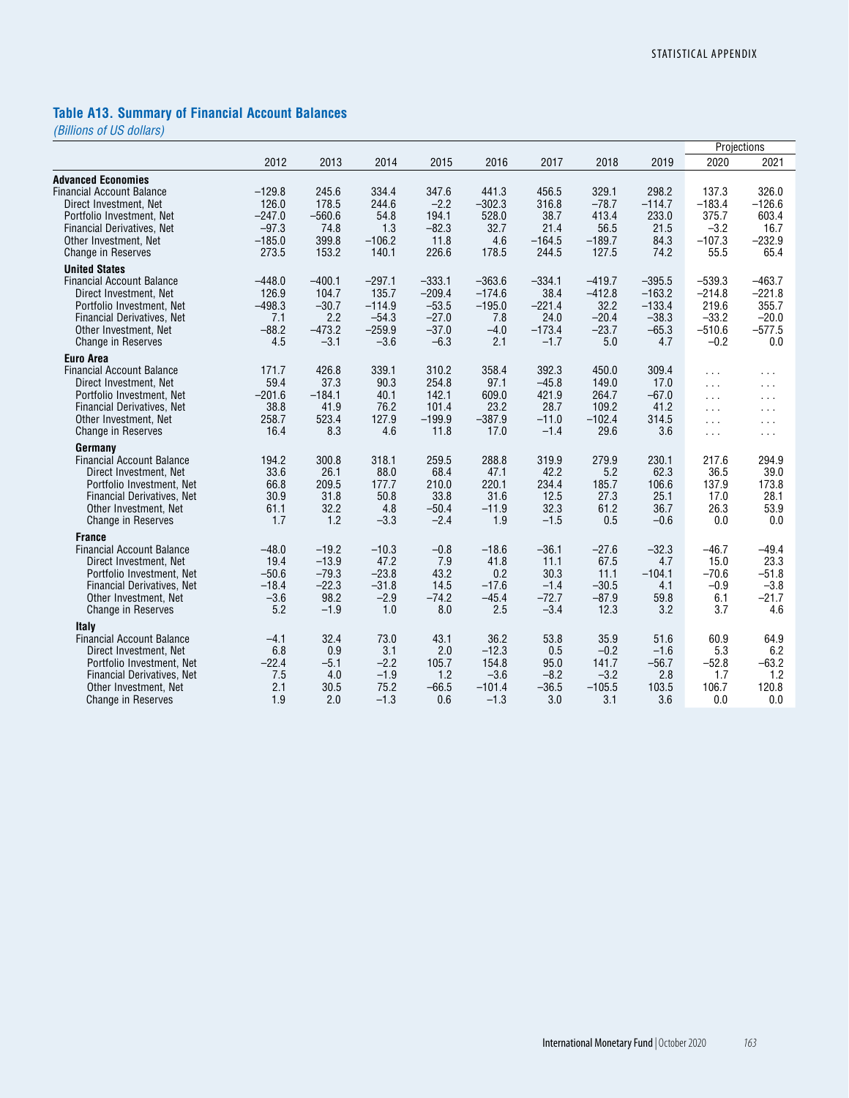# **Table A13. Summary of Financial Account Balances**

|                                   |          |          |          |          |          |          |          |          | Projections          |                      |
|-----------------------------------|----------|----------|----------|----------|----------|----------|----------|----------|----------------------|----------------------|
|                                   | 2012     | 2013     | 2014     | 2015     | 2016     | 2017     | 2018     | 2019     | 2020                 | 2021                 |
| <b>Advanced Economies</b>         |          |          |          |          |          |          |          |          |                      |                      |
| <b>Financial Account Balance</b>  | $-129.8$ | 245.6    | 334.4    | 347.6    | 441.3    | 456.5    | 329.1    | 298.2    | 137.3                | 326.0                |
| Direct Investment, Net            | 126.0    | 178.5    | 244.6    | $-2.2$   | $-302.3$ | 316.8    | $-78.7$  | $-114.7$ | $-183.4$             | $-126.6$             |
| Portfolio Investment, Net         | $-247.0$ | $-560.6$ | 54.8     | 194.1    | 528.0    | 38.7     | 413.4    | 233.0    | 375.7                | 603.4                |
| Financial Derivatives, Net        | $-97.3$  | 74.8     | 1.3      | $-82.3$  | 32.7     | 21.4     | 56.5     | 21.5     | $-3.2$               | 16.7                 |
| Other Investment, Net             | $-185.0$ | 399.8    | $-106.2$ | 11.8     | 4.6      | $-164.5$ | $-189.7$ | 84.3     | $-107.3$             | $-232.9$             |
| Change in Reserves                | 273.5    | 153.2    | 140.1    | 226.6    | 178.5    | 244.5    | 127.5    | 74.2     | 55.5                 | 65.4                 |
| <b>United States</b>              |          |          |          |          |          |          |          |          |                      |                      |
| <b>Financial Account Balance</b>  | $-448.0$ | $-400.1$ | $-297.1$ | $-333.1$ | $-363.6$ | $-334.1$ | $-419.7$ | $-395.5$ | $-539.3$             | $-463.7$             |
| Direct Investment, Net            | 126.9    | 104.7    | 135.7    | $-209.4$ | $-174.6$ | 38.4     | $-412.8$ | $-163.2$ | $-214.8$             | $-221.8$             |
| Portfolio Investment, Net         | $-498.3$ | $-30.7$  | $-114.9$ | $-53.5$  | $-195.0$ | $-221.4$ | 32.2     | $-133.4$ | 219.6                | 355.7                |
| <b>Financial Derivatives, Net</b> | 7.1      | 2.2      | $-54.3$  | $-27.0$  | 7.8      | 24.0     | $-20.4$  | $-38.3$  | $-33.2$              | $-20.0$              |
| Other Investment, Net             | $-88.2$  | $-473.2$ | $-259.9$ | $-37.0$  | $-4.0$   | $-173.4$ | $-23.7$  | $-65.3$  | $-510.6$             | $-577.5$             |
| <b>Change in Reserves</b>         | 4.5      | $-3.1$   | $-3.6$   | $-6.3$   | 2.1      | $-1.7$   | 5.0      | 4.7      | $-0.2$               | 0.0                  |
| <b>Euro Area</b>                  |          |          |          |          |          |          |          |          |                      |                      |
| <b>Financial Account Balance</b>  | 171.7    | 426.8    | 339.1    | 310.2    | 358.4    | 392.3    | 450.0    | 309.4    | $\cdots$             | $\sim$ $\sim$ $\sim$ |
| Direct Investment. Net            | 59.4     | 37.3     | 90.3     | 254.8    | 97.1     | $-45.8$  | 149.0    | 17.0     | $\sim 10$            | $\cdots$             |
| Portfolio Investment, Net         | $-201.6$ | $-184.1$ | 40.1     | 142.1    | 609.0    | 421.9    | 264.7    | $-67.0$  | $\sim 10$            | $\sim$ $\sim$ $\sim$ |
| <b>Financial Derivatives, Net</b> | 38.8     | 41.9     | 76.2     | 101.4    | 23.2     | 28.7     | 109.2    | 41.2     | $\sim$ $\sim$ $\sim$ | $\sim 100$           |
| Other Investment, Net             | 258.7    | 523.4    | 127.9    | $-199.9$ | $-387.9$ | $-11.0$  | $-102.4$ | 314.5    | $\cdots$             | $\sim 100$           |
| <b>Change in Reserves</b>         | 16.4     | 8.3      | 4.6      | 11.8     | 17.0     | $-1.4$   | 29.6     | 3.6      | $\sim$ $\sim$ $\sim$ | $\sim$ $\sim$ $\sim$ |
| Germany                           |          |          |          |          |          |          |          |          |                      |                      |
| <b>Financial Account Balance</b>  | 194.2    | 300.8    | 318.1    | 259.5    | 288.8    | 319.9    | 279.9    | 230.1    | 217.6                | 294.9                |
| Direct Investment, Net            | 33.6     | 26.1     | 88.0     | 68.4     | 47.1     | 42.2     | 5.2      | 62.3     | 36.5                 | 39.0                 |
| Portfolio Investment, Net         | 66.8     | 209.5    | 177.7    | 210.0    | 220.1    | 234.4    | 185.7    | 106.6    | 137.9                | 173.8                |
| <b>Financial Derivatives, Net</b> | 30.9     | 31.8     | 50.8     | 33.8     | 31.6     | 12.5     | 27.3     | 25.1     | 17.0                 | 28.1                 |
| Other Investment, Net             | 61.1     | 32.2     | 4.8      | $-50.4$  | $-11.9$  | 32.3     | 61.2     | 36.7     | 26.3                 | 53.9                 |
| <b>Change in Reserves</b>         | 1.7      | 1.2      | $-3.3$   | $-2.4$   | 1.9      | $-1.5$   | 0.5      | $-0.6$   | 0.0                  | 0.0                  |
| <b>France</b>                     |          |          |          |          |          |          |          |          |                      |                      |
| <b>Financial Account Balance</b>  | $-48.0$  | $-19.2$  | $-10.3$  | $-0.8$   | $-18.6$  | $-36.1$  | $-27.6$  | $-32.3$  | $-46.7$              | $-49.4$              |
| Direct Investment, Net            | 19.4     | $-13.9$  | 47.2     | 7.9      | 41.8     | 11.1     | 67.5     | 4.7      | 15.0                 | 23.3                 |
| Portfolio Investment, Net         | $-50.6$  | $-79.3$  | $-23.8$  | 43.2     | 0.2      | 30.3     | 11.1     | $-104.1$ | $-70.6$              | $-51.8$              |
| Financial Derivatives, Net        | $-18.4$  | $-22.3$  | $-31.8$  | 14.5     | $-17.6$  | $-1.4$   | $-30.5$  | 4.1      | $-0.9$               | $-3.8$               |
| Other Investment, Net             | $-3.6$   | 98.2     | $-2.9$   | $-74.2$  | $-45.4$  | $-72.7$  | $-87.9$  | 59.8     | 6.1                  | $-21.7$              |
| Change in Reserves                | 5.2      | $-1.9$   | 1.0      | 8.0      | 2.5      | $-3.4$   | 12.3     | 3.2      | 3.7                  | 4.6                  |
| <b>Italy</b>                      |          |          |          |          |          |          |          |          |                      |                      |
| <b>Financial Account Balance</b>  | $-4.1$   | 32.4     | 73.0     | 43.1     | 36.2     | 53.8     | 35.9     | 51.6     | 60.9                 | 64.9                 |
| Direct Investment, Net            | 6.8      | 0.9      | 3.1      | 2.0      | $-12.3$  | 0.5      | $-0.2$   | $-1.6$   | 5.3                  | 6.2                  |
| Portfolio Investment, Net         | $-22.4$  | $-5.1$   | $-2.2$   | 105.7    | 154.8    | 95.0     | 141.7    | $-56.7$  | $-52.8$              | $-63.2$              |
| Financial Derivatives, Net        | 7.5      | 4.0      | $-1.9$   | 1.2      | $-3.6$   | $-8.2$   | $-3.2$   | 2.8      | 1.7                  | 1.2                  |
| Other Investment, Net             | 2.1      | 30.5     | 75.2     | $-66.5$  | $-101.4$ | $-36.5$  | $-105.5$ | 103.5    | 106.7                | 120.8                |
| <b>Change in Reserves</b>         | 1.9      | 2.0      | $-1.3$   | 0.6      | $-1.3$   | 3.0      | 3.1      | 3.6      | 0.0                  | 0.0                  |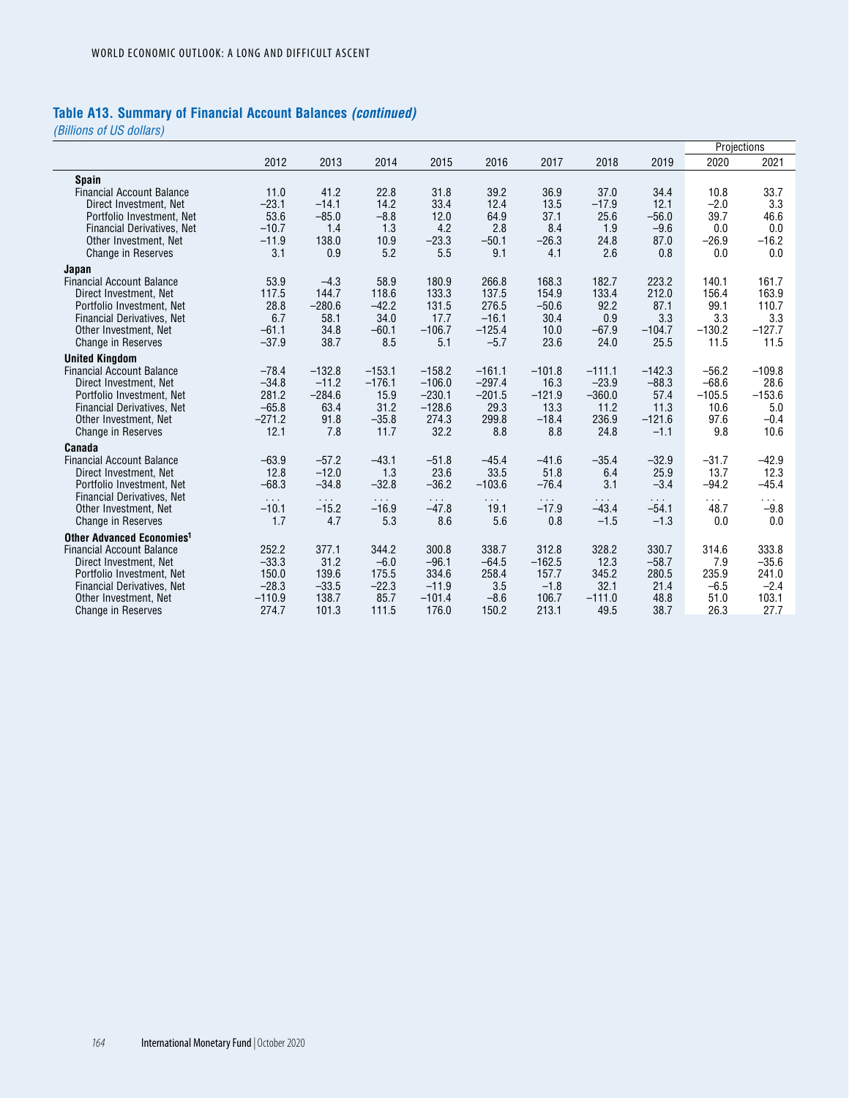### **Table A13. Summary of Financial Account Balances** *(continued)*

|                                                                                 |                       |                       |                       |                          |                    |                       |                       |                          |                 | Projections        |
|---------------------------------------------------------------------------------|-----------------------|-----------------------|-----------------------|--------------------------|--------------------|-----------------------|-----------------------|--------------------------|-----------------|--------------------|
|                                                                                 | 2012                  | 2013                  | 2014                  | 2015                     | 2016               | 2017                  | 2018                  | 2019                     | 2020            | 2021               |
| <b>Spain</b>                                                                    |                       |                       |                       |                          |                    |                       |                       |                          |                 |                    |
| <b>Financial Account Balance</b>                                                | 11.0                  | 41.2                  | 22.8                  | 31.8                     | 39.2               | 36.9                  | 37.0                  | 34.4                     | 10.8            | 33.7               |
| Direct Investment, Net                                                          | $-23.1$               | $-14.1$               | 14.2                  | 33.4                     | 12.4               | 13.5                  | $-17.9$               | 12.1                     | $-2.0$          | 3.3                |
| Portfolio Investment, Net                                                       | 53.6                  | $-85.0$               | $-8.8$                | 12.0                     | 64.9               | 37.1                  | 25.6                  | $-56.0$                  | 39.7            | 46.6               |
| <b>Financial Derivatives, Net</b>                                               | $-10.7$               | 1.4                   | 1.3                   | 4.2                      | 2.8                | 8.4                   | 1.9                   | $-9.6$                   | 0.0             | 0.0                |
| Other Investment, Net                                                           | $-11.9$               | 138.0                 | 10.9                  | $-23.3$                  | $-50.1$            | $-26.3$               | 24.8                  | 87.0                     | $-26.9$         | $-16.2$            |
| <b>Change in Reserves</b>                                                       | 3.1                   | 0.9                   | 5.2                   | 5.5                      | 9.1                | 4.1                   | 2.6                   | 0.8                      | 0.0             | 0.0                |
| Japan                                                                           |                       |                       |                       |                          |                    |                       |                       |                          |                 |                    |
| <b>Financial Account Balance</b>                                                | 53.9                  | $-4.3$                | 58.9                  | 180.9                    | 266.8              | 168.3                 | 182.7                 | 223.2                    | 140.1           | 161.7              |
| Direct Investment, Net                                                          | 117.5                 | 144.7                 | 118.6                 | 133.3                    | 137.5              | 154.9                 | 133.4                 | 212.0                    | 156.4           | 163.9              |
| Portfolio Investment, Net                                                       | 28.8                  | $-280.6$              | $-42.2$               | 131.5                    | 276.5              | $-50.6$               | 92.2                  | 87.1                     | 99.1            | 110.7              |
| <b>Financial Derivatives, Net</b>                                               | 6.7                   | 58.1                  | 34.0                  | 17.7                     | $-16.1$            | 30.4                  | 0.9                   | 3.3                      | 3.3             | 3.3                |
| Other Investment. Net                                                           | $-61.1$               | 34.8                  | $-60.1$               | $-106.7$                 | $-125.4$           | 10.0                  | $-67.9$               | $-104.7$                 | $-130.2$        | $-127.7$           |
| <b>Change in Reserves</b>                                                       | $-37.9$               | 38.7                  | 8.5                   | 5.1                      | $-5.7$             | 23.6                  | 24.0                  | 25.5                     | 11.5            | 11.5               |
| <b>United Kingdom</b>                                                           |                       |                       |                       |                          |                    |                       |                       |                          |                 |                    |
| <b>Financial Account Balance</b>                                                | $-78.4$               | $-132.8$              | $-153.1$              | $-158.2$                 | $-161.1$           | $-101.8$              | $-111.1$              | $-142.3$                 | $-56.2$         | $-109.8$           |
| Direct Investment, Net                                                          | $-34.8$               | $-11.2$               | $-176.1$              | $-106.0$                 | $-297.4$           | 16.3                  | $-23.9$               | $-88.3$                  | $-68.6$         | 28.6               |
| Portfolio Investment, Net                                                       | 281.2                 | $-284.6$              | 15.9                  | $-230.1$                 | $-201.5$           | $-121.9$              | $-360.0$              | 57.4                     | $-105.5$        | $-153.6$           |
| <b>Financial Derivatives, Net</b>                                               | $-65.8$               | 63.4                  | 31.2                  | $-128.6$                 | 29.3               | 13.3                  | 11.2                  | 11.3                     | 10.6            | 5.0                |
| Other Investment, Net<br><b>Change in Reserves</b>                              | $-271.2$<br>12.1      | 91.8<br>7.8           | $-35.8$<br>11.7       | 274.3<br>32.2            | 299.8<br>8.8       | $-18.4$<br>8.8        | 236.9<br>24.8         | $-121.6$<br>$-1.1$       | 97.6<br>9.8     | $-0.4$<br>10.6     |
|                                                                                 |                       |                       |                       |                          |                    |                       |                       |                          |                 |                    |
| Canada                                                                          |                       |                       |                       |                          |                    |                       |                       |                          |                 |                    |
| <b>Financial Account Balance</b>                                                | $-63.9$               | $-57.2$               | $-43.1$               | $-51.8$                  | $-45.4$            | $-41.6$               | $-35.4$               | $-32.9$                  | $-31.7$         | $-42.9$            |
| Direct Investment, Net                                                          | 12.8<br>$-68.3$       | $-12.0$<br>$-34.8$    | 1.3<br>$-32.8$        | 23.6<br>$-36.2$          | 33.5<br>$-103.6$   | 51.8<br>$-76.4$       | 6.4<br>3.1            | 25.9<br>$-3.4$           | 13.7<br>$-94.2$ | 12.3<br>$-45.4$    |
| Portfolio Investment, Net<br>Financial Derivatives, Net                         |                       |                       |                       |                          |                    |                       |                       |                          |                 |                    |
| Other Investment, Net                                                           | $\sim 100$<br>$-10.1$ | $\sim 100$<br>$-15.2$ | $\sim 100$<br>$-16.9$ | $\sim$ $\sim$<br>$-47.8$ | $\sim 100$<br>19.1 | $\sim 100$<br>$-17.9$ | $\sim 100$<br>$-43.4$ | $\sim$ $\sim$<br>$-54.1$ | .<br>48.7       | $\cdots$<br>$-9.8$ |
| <b>Change in Reserves</b>                                                       | 1.7                   | 4.7                   | 5.3                   | 8.6                      | 5.6                | 0.8                   | $-1.5$                | $-1.3$                   | 0.0             | 0.0                |
|                                                                                 |                       |                       |                       |                          |                    |                       |                       |                          |                 |                    |
| <b>Other Advanced Economies<sup>1</sup></b><br><b>Financial Account Balance</b> | 252.2                 | 377.1                 | 344.2                 | 300.8                    | 338.7              | 312.8                 | 328.2                 | 330.7                    | 314.6           | 333.8              |
| Direct Investment, Net                                                          | $-33.3$               | 31.2                  | $-6.0$                | $-96.1$                  | $-64.5$            | $-162.5$              | 12.3                  | $-58.7$                  | 7.9             | $-35.6$            |
| Portfolio Investment, Net                                                       | 150.0                 | 139.6                 | 175.5                 | 334.6                    | 258.4              | 157.7                 | 345.2                 | 280.5                    | 235.9           | 241.0              |
| Financial Derivatives, Net                                                      | $-28.3$               | $-33.5$               | $-22.3$               | $-11.9$                  | 3.5                | $-1.8$                | 32.1                  | 21.4                     | $-6.5$          | $-2.4$             |
| Other Investment, Net                                                           | $-110.9$              | 138.7                 | 85.7                  | $-101.4$                 | $-8.6$             | 106.7                 | $-111.0$              | 48.8                     | 51.0            | 103.1              |
| <b>Change in Reserves</b>                                                       | 274.7                 | 101.3                 | 111.5                 | 176.0                    | 150.2              | 213.1                 | 49.5                  | 38.7                     | 26.3            | 27.7               |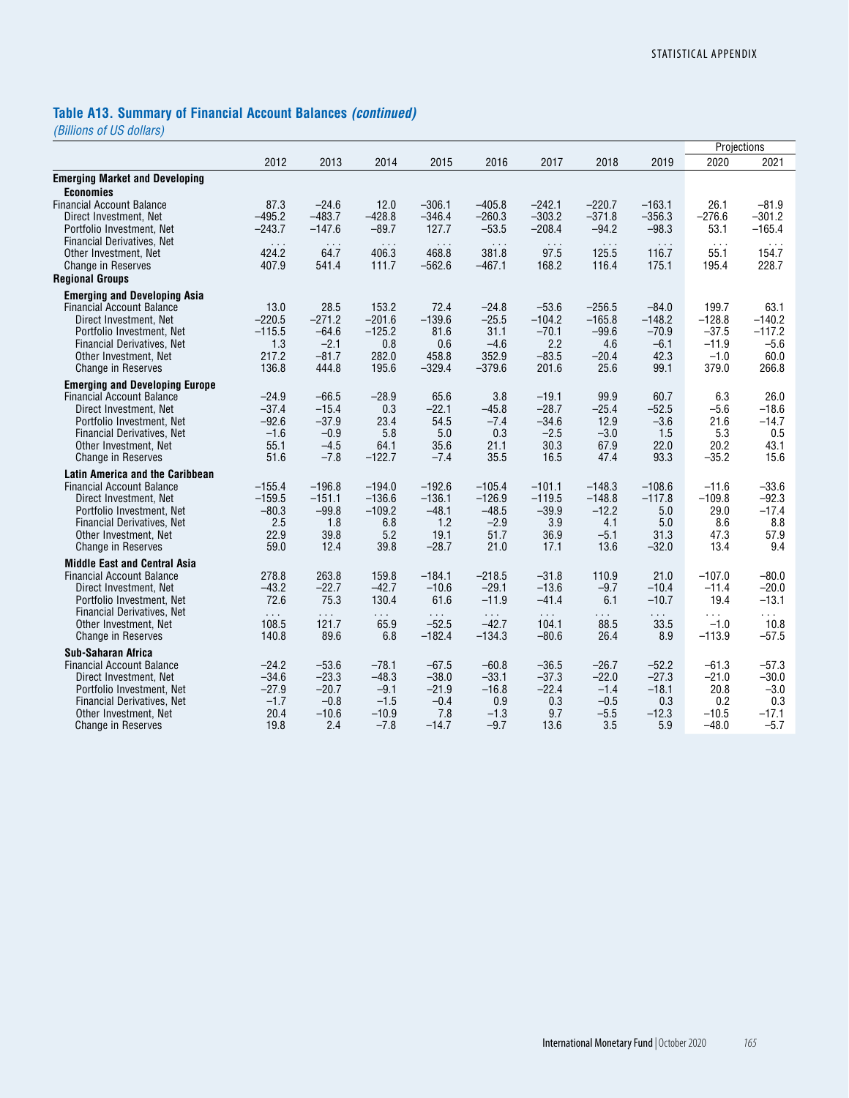# **Table A13. Summary of Financial Account Balances** *(continued)*

|                                        |                      |                      |               |               |                      |               |            |               | Projections          |           |
|----------------------------------------|----------------------|----------------------|---------------|---------------|----------------------|---------------|------------|---------------|----------------------|-----------|
|                                        | 2012                 | 2013                 | 2014          | 2015          | 2016                 | 2017          | 2018       | 2019          | 2020                 | 2021      |
| <b>Emerging Market and Developing</b>  |                      |                      |               |               |                      |               |            |               |                      |           |
| <b>Economies</b>                       |                      |                      |               |               |                      |               |            |               |                      |           |
| <b>Financial Account Balance</b>       | 87.3                 | $-24.6$              | 12.0          | $-306.1$      | $-405.8$             | $-242.1$      | $-220.7$   | $-163.1$      | 26.1                 | $-81.9$   |
| Direct Investment. Net                 | $-495.2$             | $-483.7$             | $-428.8$      | $-346.4$      | $-260.3$             | $-303.2$      | $-371.8$   | $-356.3$      | $-276.6$             | $-301.2$  |
| Portfolio Investment, Net              | $-243.7$             | $-147.6$             | $-89.7$       | 127.7         | $-53.5$              | $-208.4$      | $-94.2$    | $-98.3$       | 53.1                 | $-165.4$  |
| <b>Financial Derivatives, Net</b>      | $\sim$ $\sim$ $\sim$ | $\sim$ $\sim$ $\sim$ | $\sim 10$     | $\sim 10$     | $\sim$ $\sim$ $\sim$ | $\sim$ $\sim$ | $\sim 100$ | $\sim 10$     | $\sim$ $\sim$ $\sim$ | $\cdots$  |
| Other Investment, Net                  | 424.2                | 64.7                 | 406.3         | 468.8         | 381.8                | 97.5          | 125.5      | 116.7         | 55.1                 | 154.7     |
| <b>Change in Reserves</b>              | 407.9                | 541.4                | 111.7         | $-562.6$      | $-467.1$             | 168.2         | 116.4      | 175.1         | 195.4                | 228.7     |
| <b>Regional Groups</b>                 |                      |                      |               |               |                      |               |            |               |                      |           |
| <b>Emerging and Developing Asia</b>    |                      |                      |               |               |                      |               |            |               |                      |           |
| <b>Financial Account Balance</b>       | 13.0                 | 28.5                 | 153.2         | 72.4          | $-24.8$              | $-53.6$       | $-256.5$   | $-84.0$       | 199.7                | 63.1      |
| Direct Investment, Net                 | $-220.5$             | $-271.2$             | $-201.6$      | $-139.6$      | $-25.5$              | $-104.2$      | $-165.8$   | $-148.2$      | $-128.8$             | $-140.2$  |
| Portfolio Investment, Net              | $-115.5$             | $-64.6$              | $-125.2$      | 81.6          | 31.1                 | $-70.1$       | $-99.6$    | $-70.9$       | $-37.5$              | $-117.2$  |
| <b>Financial Derivatives. Net</b>      | 1.3                  | $-2.1$               | 0.8           | 0.6           | $-4.6$               | 2.2           | 4.6        | $-6.1$        | $-11.9$              | $-5.6$    |
| Other Investment, Net                  | 217.2                | $-81.7$              | 282.0         | 458.8         | 352.9                | $-83.5$       | $-20.4$    | 42.3          | $-1.0$               | 60.0      |
| <b>Change in Reserves</b>              | 136.8                | 444.8                | 195.6         | $-329.4$      | $-379.6$             | 201.6         | 25.6       | 99.1          | 379.0                | 266.8     |
| <b>Emerging and Developing Europe</b>  |                      |                      |               |               |                      |               |            |               |                      |           |
| <b>Financial Account Balance</b>       | $-24.9$              | $-66.5$              | $-28.9$       | 65.6          | 3.8                  | $-19.1$       | 99.9       | 60.7          | 6.3                  | 26.0      |
| Direct Investment, Net                 | $-37.4$              | $-15.4$              | 0.3           | $-22.1$       | $-45.8$              | $-28.7$       | $-25.4$    | $-52.5$       | $-5.6$               | $-18.6$   |
| Portfolio Investment, Net              | $-92.6$              | $-37.9$              | 23.4          | 54.5          | $-7.4$               | $-34.6$       | 12.9       | $-3.6$        | 21.6                 | $-14.7$   |
| <b>Financial Derivatives, Net</b>      | $-1.6$               | $-0.9$               | 5.8           | 5.0           | 0.3                  | $-2.5$        | $-3.0$     | 1.5           | 5.3                  | 0.5       |
| Other Investment, Net                  | 55.1                 | $-4.5$               | 64.1          | 35.6          | 21.1                 | 30.3          | 67.9       | 22.0          | 20.2                 | 43.1      |
| <b>Change in Reserves</b>              | 51.6                 | $-7.8$               | $-122.7$      | $-7.4$        | 35.5                 | 16.5          | 47.4       | 93.3          | $-35.2$              | 15.6      |
| <b>Latin America and the Caribbean</b> |                      |                      |               |               |                      |               |            |               |                      |           |
| <b>Financial Account Balance</b>       | $-155.4$             | $-196.8$             | $-194.0$      | $-192.6$      | $-105.4$             | $-101.1$      | $-148.3$   | $-108.6$      | $-11.6$              | $-33.6$   |
| Direct Investment. Net                 | $-159.5$             | $-151.1$             | $-136.6$      | $-136.1$      | $-126.9$             | $-119.5$      | $-148.8$   | $-117.8$      | $-109.8$             | $-92.3$   |
| Portfolio Investment, Net              | $-80.3$              | $-99.8$              | $-109.2$      | $-48.1$       | $-48.5$              | $-39.9$       | $-12.2$    | 5.0           | 29.0                 | $-17.4$   |
| <b>Financial Derivatives, Net</b>      | 2.5                  | 1.8                  | 6.8           | 1.2           | $-2.9$               | 3.9           | 4.1        | 5.0           | 8.6                  | 8.8       |
| Other Investment, Net                  | 22.9                 | 39.8                 | 5.2           | 19.1          | 51.7                 | 36.9          | $-5.1$     | 31.3          | 47.3                 | 57.9      |
| <b>Change in Reserves</b>              | 59.0                 | 12.4                 | 39.8          | $-28.7$       | 21.0                 | 17.1          | 13.6       | $-32.0$       | 13.4                 | 9.4       |
| <b>Middle East and Central Asia</b>    |                      |                      |               |               |                      |               |            |               |                      |           |
| <b>Financial Account Balance</b>       | 278.8                | 263.8                | 159.8         | $-184.1$      | $-218.5$             | $-31.8$       | 110.9      | 21.0          | $-107.0$             | $-80.0$   |
| Direct Investment, Net                 | $-43.2$              | $-22.7$              | $-42.7$       | $-10.6$       | $-29.1$              | $-13.6$       | $-9.7$     | $-10.4$       | $-11.4$              | $-20.0$   |
| Portfolio Investment, Net              | 72.6                 | 75.3                 | 130.4         | 61.6          | $-11.9$              | $-41.4$       | 6.1        | $-10.7$       | 19.4                 | $-13.1$   |
| Financial Derivatives, Net             | $\sim 10$            | $\sim$ $\sim$        | $\sim$ $\sim$ | $\sim$ $\sim$ | $\sim$ $\sim$ $\sim$ | $\sim 100$    | .          | $\sim$ $\sim$ | $\sim 100$           | $\sim 10$ |
| Other Investment. Net                  | 108.5                | 121.7                | 65.9          | $-52.5$       | $-42.7$              | 104.1         | 88.5       | 33.5          | $-1.0$               | 10.8      |
| <b>Change in Reserves</b>              | 140.8                | 89.6                 | 6.8           | $-182.4$      | $-134.3$             | $-80.6$       | 26.4       | 8.9           | $-113.9$             | $-57.5$   |
| Sub-Saharan Africa                     |                      |                      |               |               |                      |               |            |               |                      |           |
| <b>Financial Account Balance</b>       | $-24.2$              | $-53.6$              | $-78.1$       | $-67.5$       | $-60.8$              | $-36.5$       | $-26.7$    | $-52.2$       | $-61.3$              | $-57.3$   |
| Direct Investment, Net                 | $-34.6$              | $-23.3$              | $-48.3$       | $-38.0$       | $-33.1$              | $-37.3$       | $-22.0$    | $-27.3$       | $-21.0$              | $-30.0$   |
| Portfolio Investment, Net              | $-27.9$              | $-20.7$              | $-9.1$        | $-21.9$       | $-16.8$              | $-22.4$       | $-1.4$     | $-18.1$       | 20.8                 | $-3.0$    |
| <b>Financial Derivatives. Net</b>      | $-1.7$               | $-0.8$               | $-1.5$        | $-0.4$        | 0.9                  | 0.3           | $-0.5$     | 0.3           | 0.2                  | 0.3       |
| Other Investment, Net                  | 20.4                 | $-10.6$              | $-10.9$       | 7.8           | $-1.3$               | 9.7           | $-5.5$     | $-12.3$       | $-10.5$              | $-17.1$   |
| <b>Change in Reserves</b>              | 19.8                 | 2.4                  | $-7.8$        | $-14.7$       | $-9.7$               | 13.6          | 3.5        | 5.9           | $-48.0$              | $-5.7$    |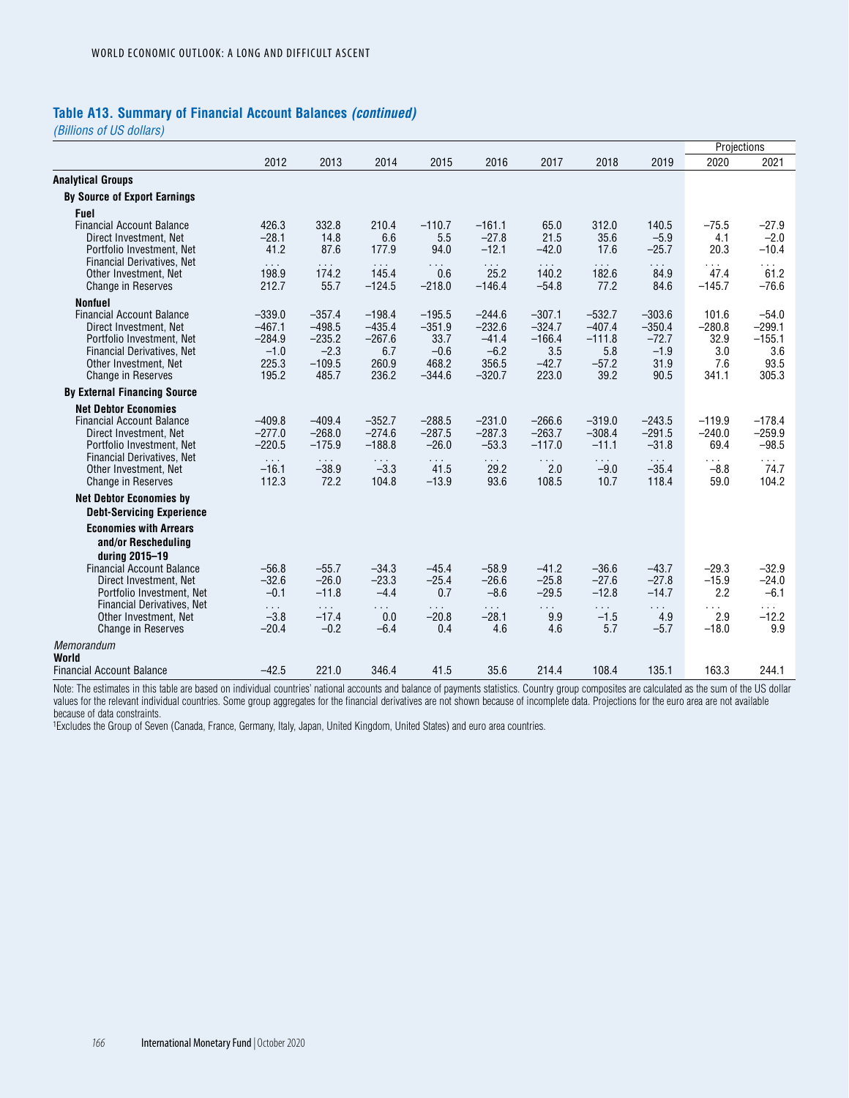### **Table A13. Summary of Financial Account Balances** *(continued)*

*(Billions of US dollars)*

|                                                                |                               |                       |                        |                             |                    |                    |                     |                    | Projections        |                    |
|----------------------------------------------------------------|-------------------------------|-----------------------|------------------------|-----------------------------|--------------------|--------------------|---------------------|--------------------|--------------------|--------------------|
|                                                                | 2012                          | 2013                  | 2014                   | 2015                        | 2016               | 2017               | 2018                | 2019               | 2020               | 2021               |
| <b>Analytical Groups</b>                                       |                               |                       |                        |                             |                    |                    |                     |                    |                    |                    |
| <b>By Source of Export Earnings</b>                            |                               |                       |                        |                             |                    |                    |                     |                    |                    |                    |
| <b>Fuel</b>                                                    |                               |                       |                        |                             |                    |                    |                     |                    |                    |                    |
| <b>Financial Account Balance</b>                               | 426.3                         | 332.8                 | 210.4                  | $-110.7$                    | $-161.1$           | 65.0               | 312.0               | 140.5              | $-75.5$            | $-27.9$            |
| Direct Investment. Net                                         | $-28.1$<br>41.2               | 14.8<br>87.6          | 6.6                    | 5.5                         | $-27.8$<br>$-12.1$ | 21.5               | 35.6<br>17.6        | $-5.9$             | 4.1                | $-2.0$             |
| Portfolio Investment, Net<br><b>Financial Derivatives, Net</b> |                               |                       | 177.9                  | 94.0                        |                    | $-42.0$            |                     | $-25.7$            | 20.3               | $-10.4$            |
| Other Investment, Net                                          | $\sim$ $\sim$ $\sim$<br>198.9 | $\sim$<br>174.2       | $\sim$ $\sim$<br>145.4 | $\sim$ $\sim$ $\sim$<br>0.6 | .<br>25.2          | $\sim$<br>140.2    | $\sim 100$<br>182.6 | .<br>84.9          | $\sim 100$<br>47.4 | .<br>61.2          |
| <b>Change in Reserves</b>                                      | 212.7                         | 55.7                  | $-124.5$               | $-218.0$                    | $-146.4$           | $-54.8$            | 77.2                | 84.6               | $-145.7$           | $-76.6$            |
| <b>Nonfuel</b>                                                 |                               |                       |                        |                             |                    |                    |                     |                    |                    |                    |
| <b>Financial Account Balance</b>                               | $-339.0$                      | $-357.4$              | $-198.4$               | $-195.5$                    | $-244.6$           | $-307.1$           | $-532.7$            | $-303.6$           | 101.6              | $-54.0$            |
| Direct Investment, Net                                         | $-467.1$                      | $-498.5$              | $-435.4$               | $-351.9$                    | $-232.6$           | $-324.7$           | $-407.4$            | $-350.4$           | $-280.8$           | $-299.1$           |
| Portfolio Investment, Net<br><b>Financial Derivatives, Net</b> | $-284.9$<br>$-1.0$            | $-235.2$<br>$-2.3$    | $-267.6$<br>6.7        | 33.7<br>$-0.6$              | $-41.4$<br>$-6.2$  | $-166.4$<br>3.5    | $-111.8$<br>5.8     | $-72.7$<br>$-1.9$  | 32.9<br>3.0        | $-155.1$<br>3.6    |
| Other Investment, Net                                          | 225.3                         | $-109.5$              | 260.9                  | 468.2                       | 356.5              | $-42.7$            | $-57.2$             | 31.9               | 7.6                | 93.5               |
| <b>Change in Reserves</b>                                      | 195.2                         | 485.7                 | 236.2                  | $-344.6$                    | $-320.7$           | 223.0              | 39.2                | 90.5               | 341.1              | 305.3              |
| <b>By External Financing Source</b>                            |                               |                       |                        |                             |                    |                    |                     |                    |                    |                    |
| <b>Net Debtor Economies</b>                                    |                               |                       |                        |                             |                    |                    |                     |                    |                    |                    |
| <b>Financial Account Balance</b>                               | $-409.8$                      | $-409.4$              | $-352.7$               | $-288.5$                    | $-231.0$           | $-266.6$           | $-319.0$            | $-243.5$           | $-119.9$           | $-178.4$           |
| Direct Investment, Net                                         | $-277.0$                      | $-268.0$              | $-274.6$               | $-287.5$                    | $-287.3$           | $-263.7$           | $-308.4$            | $-291.5$           | $-240.0$           | $-259.9$           |
| Portfolio Investment, Net<br><b>Financial Derivatives, Net</b> | $-220.5$                      | $-175.9$              | $-188.8$               | $-26.0$                     | $-53.3$            | $-117.0$           | $-11.1$             | $-31.8$            | 69.4               | $-98.5$            |
| Other Investment, Net                                          | $\sim 100$<br>$-16.1$         | $\sim 100$<br>$-38.9$ | $\sim$ .<br>$-3.3$     | $\sim 100$<br>41.5          | $\cdots$<br>29.2   | $\sim 100$<br>2.0  | $\sim$ .<br>$-9.0$  | $\sim$<br>$-35.4$  | $\cdots$<br>$-8.8$ | $\sim 100$<br>74.7 |
| <b>Change in Reserves</b>                                      | 112.3                         | 72.2                  | 104.8                  | $-13.9$                     | 93.6               | 108.5              | 10.7                | 118.4              | 59.0               | 104.2              |
| <b>Net Debtor Economies by</b>                                 |                               |                       |                        |                             |                    |                    |                     |                    |                    |                    |
| <b>Debt-Servicing Experience</b>                               |                               |                       |                        |                             |                    |                    |                     |                    |                    |                    |
| <b>Economies with Arrears</b>                                  |                               |                       |                        |                             |                    |                    |                     |                    |                    |                    |
| and/or Rescheduling                                            |                               |                       |                        |                             |                    |                    |                     |                    |                    |                    |
| during 2015-19                                                 |                               |                       |                        |                             |                    |                    |                     |                    |                    |                    |
| <b>Financial Account Balance</b><br>Direct Investment. Net     | $-56.8$<br>$-32.6$            | $-55.7$<br>$-26.0$    | $-34.3$<br>$-23.3$     | $-45.4$<br>$-25.4$          | $-58.9$<br>$-26.6$ | $-41.2$<br>$-25.8$ | $-36.6$<br>$-27.6$  | $-43.7$<br>$-27.8$ | $-29.3$<br>$-15.9$ | $-32.9$<br>$-24.0$ |
| Portfolio Investment, Net                                      | $-0.1$                        | $-11.8$               | $-4.4$                 | 0.7                         | $-8.6$             | $-29.5$            | $-12.8$             | $-14.7$            | 2.2                | $-6.1$             |
| Financial Derivatives, Net                                     | $\sim 100$                    | $\sim 100$            | $\sim 100$             | $\sim$ $\sim$               | $\sim$ $\sim$      | $\sim 100$         | $\sim 100$          | $\sim 100$         | $\sim 100$         | $\cdots$           |
| Other Investment, Net                                          | $-3.8$                        | $-17.4$               | 0.0                    | $-20.8$                     | $-28.1$            | 9.9                | $-1.5$              | 4.9                | 2.9                | $-12.2$            |
| <b>Change in Reserves</b>                                      | $-20.4$                       | $-0.2$                | $-6.4$                 | 0.4                         | 4.6                | 4.6                | 5.7                 | $-5.7$             | $-18.0$            | 9.9                |
| Memorandum<br>World                                            |                               |                       |                        |                             |                    |                    |                     |                    |                    |                    |
| <b>Financial Account Balance</b>                               | $-42.5$                       | 221.0                 | 346.4                  | 41.5                        | 35.6               | 214.4              | 108.4               | 135.1              | 163.3              | 244.1              |
|                                                                |                               |                       |                        |                             |                    |                    |                     |                    |                    |                    |

Note: The estimates in this table are based on individual countries' national accounts and balance of payments statistics. Country group composites are calculated as the sum of the US dollar values for the relevant individual countries. Some group aggregates for the financial derivatives are not shown because of incomplete data. Projections for the euro area are not available because of data constraints.

1Excludes the Group of Seven (Canada, France, Germany, Italy, Japan, United Kingdom, United States) and euro area countries.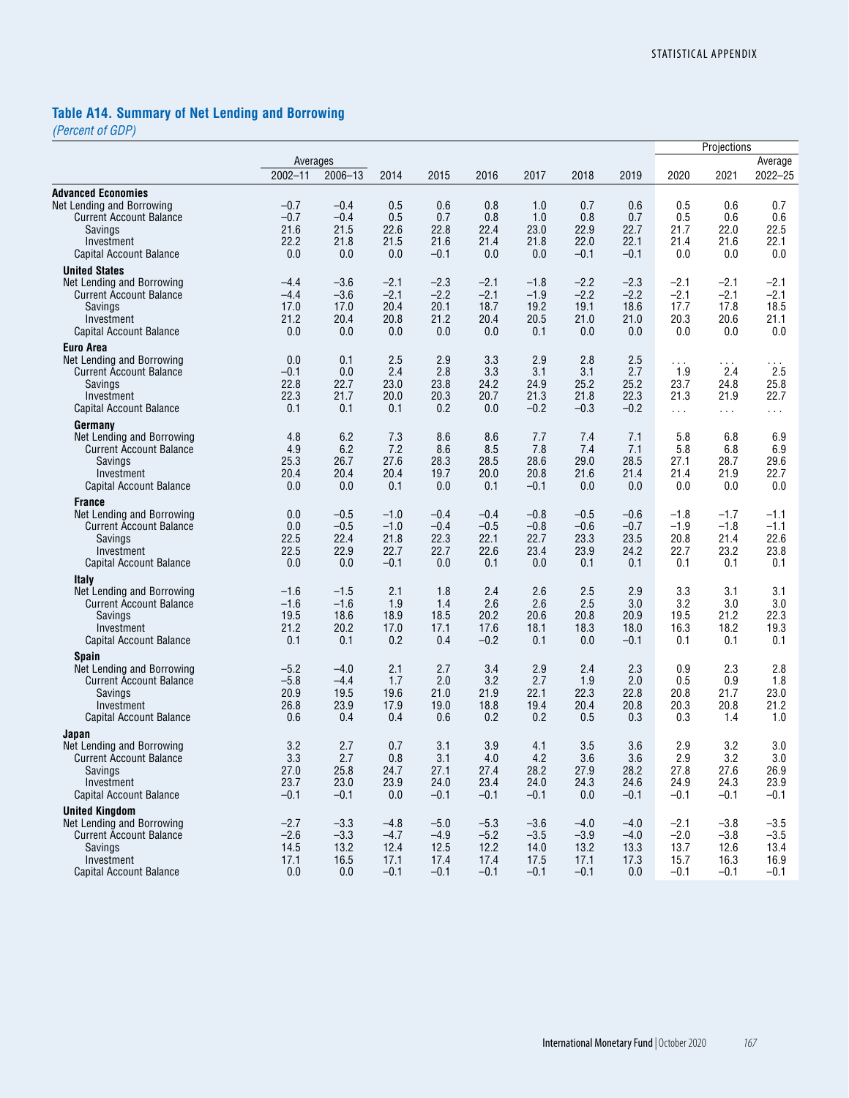# **Table A14. Summary of Net Lending and Borrowing**

*(Percent of GDP)*

|                                                   |              |              |              |              |              |                |              |              | Projections  |                      |                      |  |
|---------------------------------------------------|--------------|--------------|--------------|--------------|--------------|----------------|--------------|--------------|--------------|----------------------|----------------------|--|
|                                                   | Averages     |              |              |              |              |                |              |              |              |                      | Average              |  |
|                                                   | $2002 - 11$  | $2006 - 13$  | 2014         | 2015         | 2016         | 2017           | 2018         | 2019         | 2020         | 2021                 | 2022-25              |  |
| <b>Advanced Economies</b>                         |              |              |              |              |              |                |              |              |              |                      |                      |  |
| Net Lending and Borrowing                         | $-0.7$       | $-0.4$       | 0.5          | 0.6          | 0.8          | 1.0            | 0.7          | 0.6          | 0.5          | 0.6                  | 0.7                  |  |
| <b>Current Account Balance</b>                    | $-0.7$       | $-0.4$       | 0.5          | 0.7          | 0.8          | 1.0            | 0.8          | 0.7          | 0.5          | 0.6                  | 0.6                  |  |
| Savings                                           | 21.6         | 21.5         | 22.6         | 22.8<br>21.6 | 22.4         | 23.0           | 22.9<br>22.0 | 22.7<br>22.1 | 21.7<br>21.4 | 22.0                 | 22.5                 |  |
| Investment<br>Capital Account Balance             | 22.2<br>0.0  | 21.8<br>0.0  | 21.5<br>0.0  | $-0.1$       | 21.4<br>0.0  | 21.8<br>0.0    | $-0.1$       | $-0.1$       | 0.0          | 21.6<br>0.0          | 22.1<br>0.0          |  |
|                                                   |              |              |              |              |              |                |              |              |              |                      |                      |  |
| <b>United States</b><br>Net Lending and Borrowing | -4.4         | $-3.6$       | $-2.1$       | $-2.3$       | $-2.1$       | $-1.8$         | $-2.2$       | $-2.3$       | $-2.1$       | $-2.1$               | $-2.1$               |  |
| <b>Current Account Balance</b>                    | $-4.4$       | $-3.6$       | $-2.1$       | $-2.2$       | $-2.1$       | $-1.9$         | $-2.2$       | $-2.2$       | $-2.1$       | $-2.1$               | $-2.1$               |  |
| Savings                                           | 17.0         | 17.0         | 20.4         | 20.1         | 18.7         | 19.2           | 19.1         | 18.6         | 17.7         | 17.8                 | 18.5                 |  |
| Investment                                        | 21.2         | 20.4         | 20.8         | 21.2         | 20.4         | 20.5           | 21.0         | 21.0         | 20.3         | 20.6                 | 21.1                 |  |
| <b>Capital Account Balance</b>                    | 0.0          | 0.0          | 0.0          | 0.0          | 0.0          | 0.1            | 0.0          | 0.0          | 0.0          | 0.0                  | 0.0                  |  |
| <b>Euro Area</b>                                  |              |              |              |              |              |                |              |              |              |                      |                      |  |
| Net Lending and Borrowing                         | 0.0          | 0.1          | 2.5          | 2.9          | 3.3          | 2.9            | 2.8          | 2.5          | $\cdots$     | $\sim$ $\sim$ $\sim$ | $\sim$ $\sim$ $\sim$ |  |
| <b>Current Account Balance</b>                    | $-0.1$       | 0.0          | 2.4          | 2.8          | 3.3          | 3.1            | 3.1          | 2.7          | 1.9          | 2.4                  | 2.5                  |  |
| Savings                                           | 22.8         | 22.7         | 23.0         | 23.8         | 24.2         | 24.9           | 25.2         | 25.2         | 23.7         | 24.8                 | 25.8                 |  |
| Investment                                        | 22.3         | 21.7         | 20.0         | 20.3         | 20.7         | 21.3           | 21.8         | 22.3         | 21.3         | 21.9                 | 22.7                 |  |
| <b>Capital Account Balance</b>                    | 0.1          | 0.1          | 0.1          | 0.2          | 0.0          | $-0.2$         | $-0.3$       | $-0.2$       | $\sim$       | $\sim$ $\sim$ $\sim$ | $\sim 100$           |  |
| Germany                                           |              |              |              |              |              |                |              |              |              |                      |                      |  |
| Net Lending and Borrowing                         | 4.8          | 6.2          | 7.3          | 8.6          | 8.6          | 7.7            | 7.4          | 7.1          | 5.8          | 6.8                  | 6.9                  |  |
| <b>Current Account Balance</b>                    | 4.9          | 6.2          | 7.2          | 8.6          | 8.5          | 7.8            | 7.4          | 7.1          | 5.8          | 6.8                  | 6.9                  |  |
| Savings<br>Investment                             | 25.3         | 26.7         | 27.6         | 28.3         | 28.5         | 28.6           | 29.0         | 28.5         | 27.1         | 28.7                 | 29.6                 |  |
| Capital Account Balance                           | 20.4<br>0.0  | 20.4<br>0.0  | 20.4<br>0.1  | 19.7<br>0.0  | 20.0<br>0.1  | 20.8<br>$-0.1$ | 21.6<br>0.0  | 21.4<br>0.0  | 21.4<br>0.0  | 21.9<br>0.0          | 22.7<br>0.0          |  |
|                                                   |              |              |              |              |              |                |              |              |              |                      |                      |  |
| <b>France</b><br>Net Lending and Borrowing        | 0.0          | $-0.5$       | $-1.0$       | $-0.4$       | $-0.4$       | $-0.8$         | $-0.5$       | $-0.6$       | $-1.8$       | $-1.7$               | -1.1                 |  |
| <b>Current Account Balance</b>                    | 0.0          | $-0.5$       | $-1.0$       | $-0.4$       | $-0.5$       | $-0.8$         | $-0.6$       | $-0.7$       | $-1.9$       | $-1.8$               | $-1.1$               |  |
| Savings                                           | 22.5         | 22.4         | 21.8         | 22.3         | 22.1         | 22.7           | 23.3         | 23.5         | 20.8         | 21.4                 | 22.6                 |  |
| Investment                                        | 22.5         | 22.9         | 22.7         | 22.7         | 22.6         | 23.4           | 23.9         | 24.2         | 22.7         | 23.2                 | 23.8                 |  |
| <b>Capital Account Balance</b>                    | 0.0          | 0.0          | $-0.1$       | 0.0          | 0.1          | 0.0            | 0.1          | 0.1          | 0.1          | 0.1                  | 0.1                  |  |
| <b>Italy</b>                                      |              |              |              |              |              |                |              |              |              |                      |                      |  |
| Net Lending and Borrowing                         | $-1.6$       | $-1.5$       | 2.1          | 1.8          | 2.4          | 2.6            | 2.5          | 2.9          | 3.3          | 3.1                  | 3.1                  |  |
| <b>Current Account Balance</b>                    | $-1.6$       | $-1.6$       | 1.9          | 1.4          | 2.6          | 2.6            | 2.5          | 3.0          | 3.2          | 3.0                  | 3.0                  |  |
| Savings                                           | 19.5         | 18.6         | 18.9         | 18.5         | 20.2         | 20.6           | 20.8         | 20.9         | 19.5         | 21.2                 | 22.3                 |  |
| Investment                                        | 21.2         | 20.2         | 17.0         | 17.1         | 17.6         | 18.1           | 18.3         | 18.0         | 16.3         | 18.2                 | 19.3                 |  |
| Capital Account Balance                           | 0.1          | 0.1          | 0.2          | 0.4          | $-0.2$       | 0.1            | 0.0          | $-0.1$       | 0.1          | 0.1                  | 0.1                  |  |
| <b>Spain</b>                                      |              |              |              |              |              |                |              |              |              |                      |                      |  |
| Net Lending and Borrowing                         | $-5.2$       | $-4.0$       | 2.1          | 2.7          | 3.4          | 2.9            | 2.4          | 2.3          | 0.9          | 2.3                  | 2.8                  |  |
| <b>Current Account Balance</b>                    | $-5.8$       | $-4.4$       | 1.7          | 2.0          | 3.2          | 2.7            | 1.9          | 2.0          | 0.5          | 0.9                  | 1.8                  |  |
| Savings<br>Investment                             | 20.9<br>26.8 | 19.5<br>23.9 | 19.6<br>17.9 | 21.0<br>19.0 | 21.9<br>18.8 | 22.1<br>19.4   | 22.3<br>20.4 | 22.8<br>20.8 | 20.8<br>20.3 | 21.7<br>20.8         | 23.0<br>21.2         |  |
| <b>Capital Account Balance</b>                    | 0.6          | 0.4          | 0.4          | 0.6          | 0.2          | 0.2            | 0.5          | 0.3          | 0.3          | 1.4                  | 1.0                  |  |
|                                                   |              |              |              |              |              |                |              |              |              |                      |                      |  |
| Japan<br>Net Lending and Borrowing                | 3.2          | 2.7          | 0.7          | 3.1          | 3.9          | 4.1            | 3.5          | 3.6          | 2.9          | 3.2                  | 3.0                  |  |
| <b>Current Account Balance</b>                    | 3.3          | 2.7          | 0.8          | 3.1          | 4.0          | 4.2            | 3.6          | 3.6          | 2.9          | 3.2                  | 3.0                  |  |
| Savings                                           | 27.0         | 25.8         | 24.7         | 27.1         | 27.4         | 28.2           | 27.9         | 28.2         | 27.8         | 27.6                 | 26.9                 |  |
| Investment                                        | 23.7         | 23.0         | 23.9         | 24.0         | 23.4         | 24.0           | 24.3         | 24.6         | 24.9         | 24.3                 | 23.9                 |  |
| Capital Account Balance                           | $-0.1$       | $-0.1$       | 0.0          | $-0.1$       | $-0.1$       | $-0.1$         | 0.0          | $-0.1$       | $-0.1$       | $-0.1$               | $-0.1$               |  |
| <b>United Kinadom</b>                             |              |              |              |              |              |                |              |              |              |                      |                      |  |
| Net Lending and Borrowing                         | $-2.7$       | $-3.3$       | $-4.8$       | $-5.0$       | $-5.3$       | $-3.6$         | $-4.0$       | $-4.0$       | $-2.1$       | $-3.8$               | $-3.5$               |  |
| <b>Current Account Balance</b>                    | $-2.6$       | $-3.3$       | $-4.7$       | $-4.9$       | $-5.2$       | $-3.5$         | $-3.9$       | $-4.0$       | $-2.0$       | $-3.8$               | $-3.5$               |  |
| Savings                                           | 14.5         | 13.2         | 12.4         | 12.5         | 12.2         | 14.0           | 13.2         | 13.3         | 13.7         | 12.6                 | 13.4                 |  |
| Investment                                        | 17.1         | 16.5         | 17.1         | 17.4         | 17.4         | 17.5           | 17.1         | 17.3         | 15.7         | 16.3                 | 16.9                 |  |
| Capital Account Balance                           | 0.0          | 0.0          | $-0.1$       | $-0.1$       | $-0.1$       | $-0.1$         | $-0.1$       | 0.0          | $-0.1$       | $-0.1$               | $-0.1$               |  |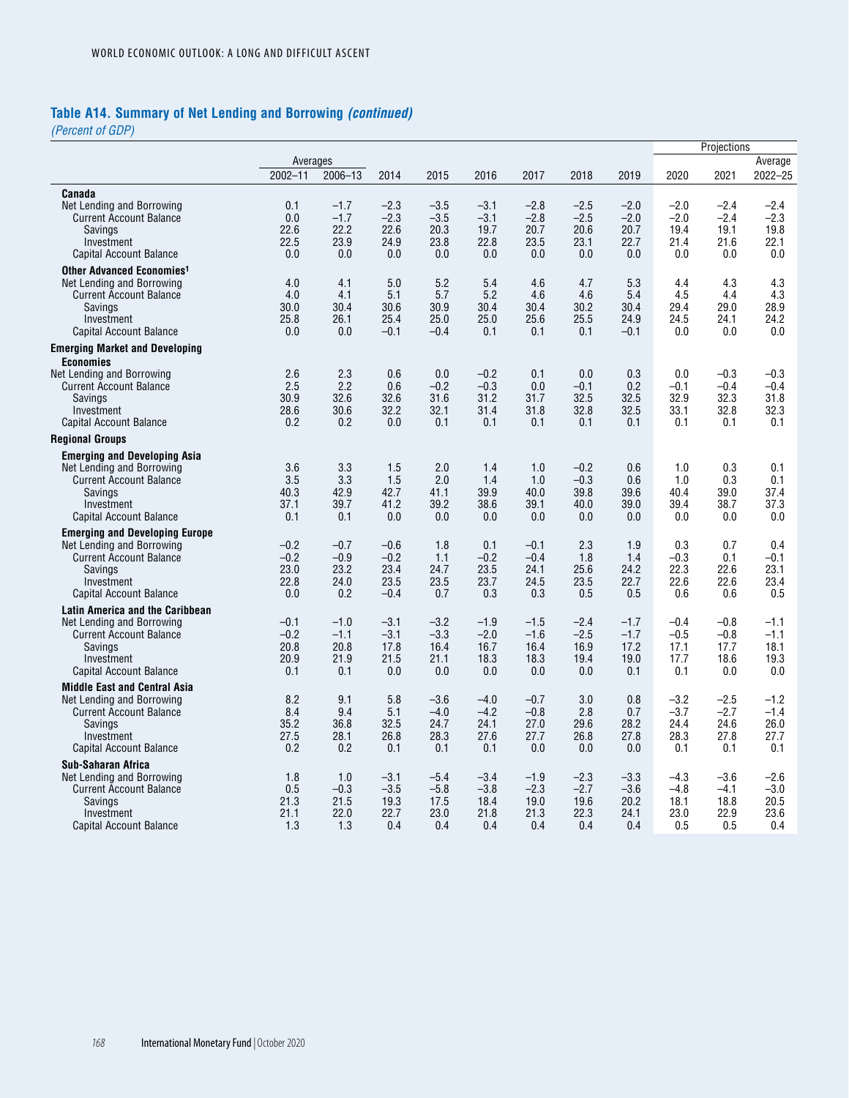# **Table A14. Summary of Net Lending and Borrowing** *(continued)*

*(Percent of GDP)*

|                                                              |              |              |                |                  |                  |                  |              |              |                  | Projections      |                  |
|--------------------------------------------------------------|--------------|--------------|----------------|------------------|------------------|------------------|--------------|--------------|------------------|------------------|------------------|
|                                                              | Averages     |              |                |                  |                  |                  |              |              |                  |                  | Average          |
|                                                              | $2002 - 11$  | 2006-13      | 2014           | 2015             | 2016             | 2017             | 2018         | 2019         | 2020             | 2021             | $2022 - 25$      |
| Canada                                                       |              |              |                |                  |                  |                  |              |              |                  |                  |                  |
| Net Lending and Borrowing                                    | 0.1          | $-1.7$       | $-2.3$         | $-3.5$           | $-3.1$           | $-2.8$           | $-2.5$       | $-2.0$       | $-2.0$           | $-2.4$           | $-2.4$           |
| <b>Current Account Balance</b>                               | 0.0          | $-1.7$       | $-2.3$         | $-3.5$           | $-3.1$           | $-2.8$           | $-2.5$       | $-2.0$       | $-2.0$           | $-2.4$           | $-2.3$           |
| Savings                                                      | 22.6<br>22.5 | 22.2<br>23.9 | 22.6<br>24.9   | 20.3<br>23.8     | 19.7<br>22.8     | 20.7             | 20.6<br>23.1 | 20.7         | 19.4<br>21.4     | 19.1             | 19.8             |
| Investment<br>Capital Account Balance                        | 0.0          | 0.0          | 0.0            | 0.0              | 0.0              | 23.5<br>0.0      | 0.0          | 22.7<br>0.0  | 0.0              | 21.6<br>0.0      | 22.1<br>0.0      |
| Other Advanced Economies <sup>1</sup>                        |              |              |                |                  |                  |                  |              |              |                  |                  |                  |
| Net Lending and Borrowing                                    | 4.0          | 4.1          | 5.0            | 5.2              | 5.4              | 4.6              | 4.7          | 5.3          | 4.4              | 4.3              | 4.3              |
| <b>Current Account Balance</b>                               | 4.0          | 4.1          | 5.1            | 5.7              | 5.2              | 4.6              | 4.6          | 5.4          | 4.5              | 4.4              | 4.3              |
| Savings                                                      | 30.0         | 30.4         | 30.6           | 30.9             | 30.4             | 30.4             | 30.2         | 30.4         | 29.4             | 29.0             | 28.9             |
| Investment                                                   | 25.8         | 26.1         | 25.4           | 25.0             | 25.0             | 25.6             | 25.5         | 24.9         | 24.5             | 24.1             | 24.2             |
| Capital Account Balance                                      | 0.0          | 0.0          | $-0.1$         | $-0.4$           | 0.1              | 0.1              | 0.1          | $-0.1$       | 0.0              | 0.0              | 0.0              |
| <b>Emerging Market and Developing</b><br><b>Economies</b>    |              |              |                |                  |                  |                  |              |              |                  |                  |                  |
| Net Lending and Borrowing                                    | 2.6          | 2.3          | 0.6            | 0.0              | $-0.2$           | 0.1              | 0.0          | 0.3          | 0.0              | $-0.3$           | $-0.3$           |
| <b>Current Account Balance</b>                               | 2.5          | 2.2          | 0.6            | $-0.2$           | $-0.3$           | 0.0              | $-0.1$       | 0.2          | $-0.1$           | $-0.4$           | $-0.4$           |
| Savings<br>Investment                                        | 30.9<br>28.6 | 32.6<br>30.6 | 32.6<br>32.2   | 31.6<br>32.1     | 31.2<br>31.4     | 31.7<br>31.8     | 32.5<br>32.8 | 32.5<br>32.5 | 32.9<br>33.1     | 32.3<br>32.8     | 31.8<br>32.3     |
| <b>Capital Account Balance</b>                               | 0.2          | 0.2          | 0.0            | 0.1              | 0.1              | 0.1              | 0.1          | 0.1          | 0.1              | 0.1              | 0.1              |
| <b>Regional Groups</b>                                       |              |              |                |                  |                  |                  |              |              |                  |                  |                  |
| <b>Emerging and Developing Asia</b>                          |              |              |                |                  |                  |                  |              |              |                  |                  |                  |
| Net Lending and Borrowing                                    | 3.6          | 3.3          | 1.5            | 2.0              | 1.4              | 1.0              | $-0.2$       | 0.6          | 1.0              | 0.3              | 0.1              |
| <b>Current Account Balance</b>                               | 3.5          | 3.3          | 1.5            | 2.0              | 1.4              | 1.0              | $-0.3$       | 0.6          | 1.0              | 0.3              | 0.1              |
| Savings                                                      | 40.3<br>37.1 | 42.9<br>39.7 | 42.7<br>41.2   | 41.1<br>39.2     | 39.9<br>38.6     | 40.0<br>39.1     | 39.8<br>40.0 | 39.6<br>39.0 | 40.4<br>39.4     | 39.0<br>38.7     | 37.4<br>37.3     |
| Investment<br><b>Capital Account Balance</b>                 | 0.1          | 0.1          | 0.0            | 0.0              | 0.0              | 0.0              | 0.0          | 0.0          | 0.0              | 0.0              | 0.0              |
| <b>Emerging and Developing Europe</b>                        |              |              |                |                  |                  |                  |              |              |                  |                  |                  |
| Net Lending and Borrowing                                    | $-0.2$       | $-0.7$       | $-0.6$         | 1.8              | 0.1              | $-0.1$           | 2.3          | 1.9          | 0.3              | 0.7              | 0.4              |
| <b>Current Account Balance</b>                               | $-0.2$       | $-0.9$       | $-0.2$         | 1.1              | $-0.2$           | $-0.4$           | 1.8          | 1.4          | $-0.3$           | 0.1              | $-0.1$           |
| Savings                                                      | 23.0         | 23.2         | 23.4           | 24.7             | 23.5             | 24.1             | 25.6         | 24.2         | 22.3             | 22.6             | 23.1             |
| Investment                                                   | 22.8<br>0.0  | 24.0<br>0.2  | 23.5<br>$-0.4$ | 23.5<br>0.7      | 23.7<br>0.3      | 24.5<br>0.3      | 23.5<br>0.5  | 22.7<br>0.5  | 22.6<br>0.6      | 22.6<br>0.6      | 23.4<br>0.5      |
| Capital Account Balance                                      |              |              |                |                  |                  |                  |              |              |                  |                  |                  |
| Latin America and the Caribbean<br>Net Lending and Borrowing | $-0.1$       | $-1.0$       | $-3.1$         | $-3.2$           | $-1.9$           | $-1.5$           | $-2.4$       | $-1.7$       | $-0.4$           | $-0.8$           | $-1.1$           |
| <b>Current Account Balance</b>                               | $-0.2$       | $-1.1$       | $-3.1$         | $-3.3$           | $-2.0$           | $-1.6$           | $-2.5$       | $-1.7$       | $-0.5$           | $-0.8$           | $-1.1$           |
| <b>Savings</b>                                               | 20.8         | 20.8         | 17.8           | 16.4             | 16.7             | 16.4             | 16.9         | 17.2         | 17.1             | 17.7             | 18.1             |
| Investment                                                   | 20.9         | 21.9         | 21.5           | 21.1             | 18.3             | 18.3             | 19.4         | 19.0         | 17.7             | 18.6             | 19.3             |
| Capital Account Balance                                      | 0.1          | 0.1          | 0.0            | 0.0              | 0.0              | 0.0              | 0.0          | 0.1          | 0.1              | 0.0              | 0.0              |
| <b>Middle East and Central Asia</b>                          |              |              |                |                  |                  |                  |              |              |                  |                  |                  |
| Net Lending and Borrowing<br><b>Current Account Balance</b>  | 8.2<br>8.4   | 9.1<br>9.4   | 5.8<br>5.1     | $-3.6$<br>$-4.0$ | $-4.0$<br>$-4.2$ | $-0.7$<br>$-0.8$ | 3.0<br>2.8   | 0.8<br>0.7   | $-3.2$<br>$-3.7$ | $-2.5$<br>$-2.7$ | $-1.2$<br>$-1.4$ |
| Savings                                                      | 35.2         | 36.8         | 32.5           | 24.7             | 24.1             | 27.0             | 29.6         | 28.2         | 24.4             | 24.6             | 26.0             |
| Investment                                                   | 27.5         | 28.1         | 26.8           | 28.3             | 27.6             | 27.7             | 26.8         | 27.8         | 28.3             | 27.8             | 27.7             |
| <b>Capital Account Balance</b>                               | 0.2          | 0.2          | 0.1            | 0.1              | 0.1              | 0.0              | 0.0          | 0.0          | 0.1              | 0.1              | 0.1              |
| <b>Sub-Saharan Africa</b>                                    |              |              |                |                  |                  |                  |              |              |                  |                  |                  |
| Net Lending and Borrowing                                    | 1.8          | 1.0          | $-3.1$         | $-5.4$           | $-3.4$           | $-1.9$           | $-2.3$       | $-3.3$       | $-4.3$           | $-3.6$           | $-2.6$           |
| <b>Current Account Balance</b>                               | 0.5          | $-0.3$       | $-3.5$         | $-5.8$           | $-3.8$           | $-2.3$           | $-2.7$       | $-3.6$       | $-4.8$           | $-4.1$           | $-3.0$           |
| Savings<br>Investment                                        | 21.3<br>21.1 | 21.5<br>22.0 | 19.3<br>22.7   | 17.5<br>23.0     | 18.4<br>21.8     | 19.0<br>21.3     | 19.6<br>22.3 | 20.2<br>24.1 | 18.1<br>23.0     | 18.8<br>22.9     | 20.5<br>23.6     |
| <b>Capital Account Balance</b>                               | 1.3          | 1.3          | 0.4            | 0.4              | 0.4              | 0.4              | 0.4          | 0.4          | 0.5              | 0.5              | 0.4              |
|                                                              |              |              |                |                  |                  |                  |              |              |                  |                  |                  |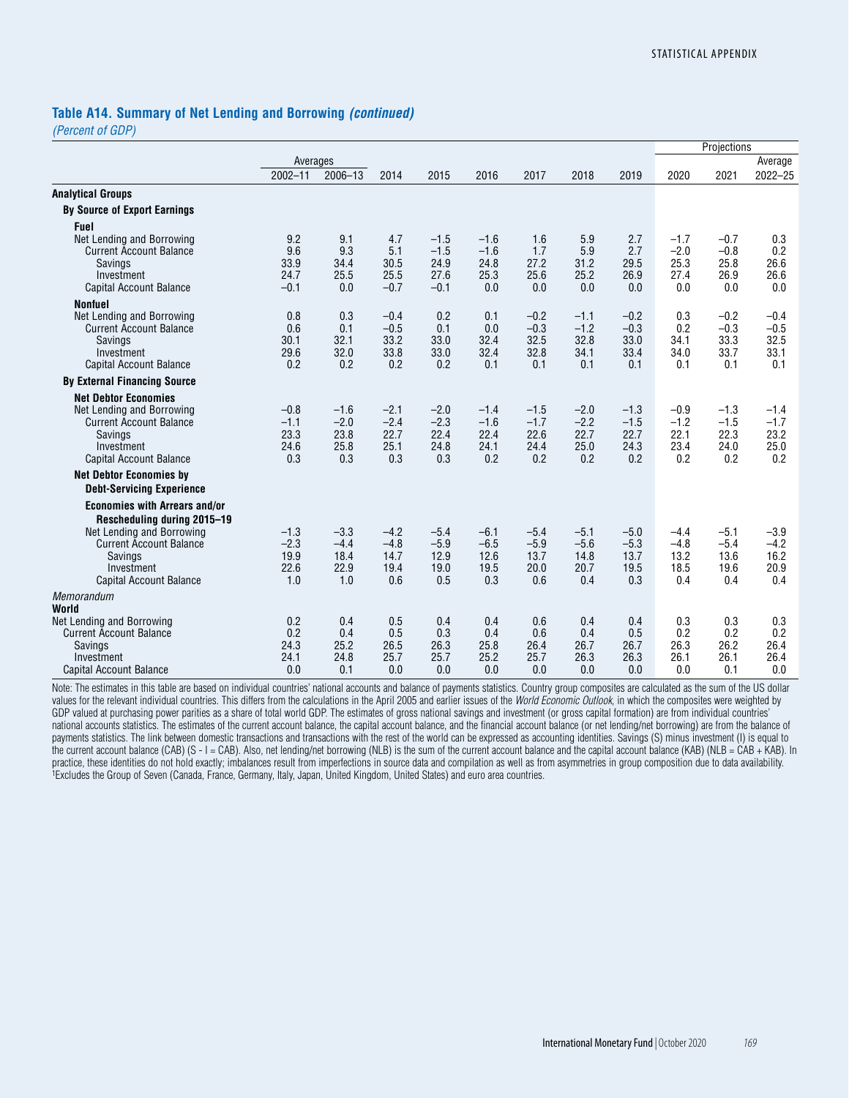### **Table A14. Summary of Net Lending and Borrowing** *(continued)*

*(Percent of GDP)*

|                                                                     |              |              |              |              |              |              |              |              |              | Projections  |              |
|---------------------------------------------------------------------|--------------|--------------|--------------|--------------|--------------|--------------|--------------|--------------|--------------|--------------|--------------|
|                                                                     | Averages     |              |              |              |              |              |              |              |              |              | Average      |
|                                                                     | $2002 - 11$  | 2006-13      | 2014         | 2015         | 2016         | 2017         | 2018         | 2019         | 2020         | 2021         | $2022 - 25$  |
| <b>Analytical Groups</b>                                            |              |              |              |              |              |              |              |              |              |              |              |
| <b>By Source of Export Earnings</b>                                 |              |              |              |              |              |              |              |              |              |              |              |
| <b>Fuel</b>                                                         |              |              |              |              |              |              |              |              |              |              |              |
| Net Lending and Borrowing                                           | 9.2          | 9.1          | 4.7          | $-1.5$       | $-1.6$       | 1.6          | 5.9          | 2.7          | $-1.7$       | $-0.7$       | 0.3          |
| <b>Current Account Balance</b>                                      | 9.6          | 9.3          | 5.1          | $-1.5$       | $-1.6$       | 1.7          | 5.9          | 2.7          | $-2.0$       | $-0.8$       | 0.2          |
| Savings                                                             | 33.9<br>24.7 | 34.4<br>25.5 | 30.5<br>25.5 | 24.9<br>27.6 | 24.8<br>25.3 | 27.2<br>25.6 | 31.2<br>25.2 | 29.5<br>26.9 | 25.3<br>27.4 | 25.8<br>26.9 | 26.6<br>26.6 |
| Investment<br>Capital Account Balance                               | $-0.1$       | 0.0          | $-0.7$       | $-0.1$       | 0.0          | 0.0          | 0.0          | 0.0          | 0.0          | 0.0          | 0.0          |
|                                                                     |              |              |              |              |              |              |              |              |              |              |              |
| <b>Nonfuel</b><br>Net Lending and Borrowing                         | 0.8          | 0.3          | $-0.4$       | 0.2          | 0.1          | $-0.2$       | $-1.1$       | $-0.2$       | 0.3          | $-0.2$       | $-0.4$       |
| <b>Current Account Balance</b>                                      | 0.6          | 0.1          | $-0.5$       | 0.1          | 0.0          | $-0.3$       | $-1.2$       | $-0.3$       | 0.2          | $-0.3$       | $-0.5$       |
| Savings                                                             | 30.1         | 32.1         | 33.2         | 33.0         | 32.4         | 32.5         | 32.8         | 33.0         | 34.1         | 33.3         | 32.5         |
| Investment                                                          | 29.6         | 32.0         | 33.8         | 33.0         | 32.4         | 32.8         | 34.1         | 33.4         | 34.0         | 33.7         | 33.1         |
| Capital Account Balance                                             | 0.2          | 0.2          | 0.2          | 0.2          | 0.1          | 0.1          | 0.1          | 0.1          | 0.1          | 0.1          | 0.1          |
| <b>By External Financing Source</b>                                 |              |              |              |              |              |              |              |              |              |              |              |
| <b>Net Debtor Economies</b>                                         |              |              |              |              |              |              |              |              |              |              |              |
| Net Lending and Borrowing                                           | $-0.8$       | $-1.6$       | $-2.1$       | $-2.0$       | $-1.4$       | $-1.5$       | $-2.0$       | $-1.3$       | $-0.9$       | $-1.3$       | $-1.4$       |
| <b>Current Account Balance</b>                                      | $-1.1$       | $-2.0$       | $-2.4$       | $-2.3$       | $-1.6$       | $-1.7$       | $-2.2$       | $-1.5$       | $-1.2$       | $-1.5$       | $-1.7$       |
| Savings                                                             | 23.3         | 23.8         | 22.7         | 22.4         | 22.4         | 22.6         | 22.7         | 22.7         | 22.1         | 22.3         | 23.2         |
| Investment<br>Capital Account Balance                               | 24.6<br>0.3  | 25.8<br>0.3  | 25.1<br>0.3  | 24.8<br>0.3  | 24.1<br>0.2  | 24.4<br>0.2  | 25.0<br>0.2  | 24.3<br>0.2  | 23.4<br>0.2  | 24.0<br>0.2  | 25.0<br>0.2  |
|                                                                     |              |              |              |              |              |              |              |              |              |              |              |
| <b>Net Debtor Economies by</b>                                      |              |              |              |              |              |              |              |              |              |              |              |
| <b>Debt-Servicing Experience</b>                                    |              |              |              |              |              |              |              |              |              |              |              |
| <b>Economies with Arrears and/or</b><br>Rescheduling during 2015-19 |              |              |              |              |              |              |              |              |              |              |              |
| Net Lending and Borrowing                                           | $-1.3$       | $-3.3$       | $-4.2$       | $-5.4$       | $-6.1$       | $-5.4$       | $-5.1$       | $-5.0$       | $-4.4$       | $-5.1$       | $-3.9$       |
| <b>Current Account Balance</b>                                      | $-2.3$       | $-4.4$       | $-4.8$       | $-5.9$       | $-6.5$       | $-5.9$       | $-5.6$       | $-5.3$       | $-4.8$       | $-5.4$       | $-4.2$       |
| Savings                                                             | 19.9         | 18.4         | 14.7         | 12.9         | 12.6         | 13.7         | 14.8         | 13.7         | 13.2         | 13.6         | 16.2         |
| Investment                                                          | 22.6<br>1.0  | 22.9<br>1.0  | 19.4<br>0.6  | 19.0<br>0.5  | 19.5<br>0.3  | 20.0<br>0.6  | 20.7<br>0.4  | 19.5<br>0.3  | 18.5<br>0.4  | 19.6<br>0.4  | 20.9<br>0.4  |
| Capital Account Balance                                             |              |              |              |              |              |              |              |              |              |              |              |
| Memorandum<br>World                                                 |              |              |              |              |              |              |              |              |              |              |              |
| Net Lending and Borrowing                                           | 0.2          | 0.4          | 0.5          | 0.4          | 0.4          | 0.6          | 0.4          | 0.4          | 0.3          | 0.3          | 0.3          |
| <b>Current Account Balance</b>                                      | 0.2          | 0.4          | 0.5          | 0.3          | 0.4          | 0.6          | 0.4          | 0.5          | 0.2          | 0.2          | 0.2          |
| Savings                                                             | 24.3         | 25.2         | 26.5         | 26.3         | 25.8         | 26.4         | 26.7         | 26.7         | 26.3         | 26.2         | 26.4         |
| Investment<br><b>Capital Account Balance</b>                        | 24.1<br>0.0  | 24.8<br>0.1  | 25.7<br>0.0  | 25.7<br>0.0  | 25.2<br>0.0  | 25.7<br>0.0  | 26.3<br>0.0  | 26.3<br>0.0  | 26.1<br>0.0  | 26.1<br>0.1  | 26.4<br>0.0  |
|                                                                     |              |              |              |              |              |              |              |              |              |              |              |

Note: The estimates in this table are based on individual countries' national accounts and balance of payments statistics. Country group composites are calculated as the sum of the US dollar values for the relevant individual countries. This differs from the calculations in the April 2005 and earlier issues of the *World Economic Outlook*, in which the composites were weighted by GDP valued at purchasing power parities as a share of total world GDP. The estimates of gross national savings and investment (or gross capital formation) are from individual countries' national accounts statistics. The estimates of the current account balance, the capital account balance, and the financial account balance (or net lending/net borrowing) are from the balance of payments statistics. The link between domestic transactions and transactions with the rest of the world can be expressed as accounting identities. Savings (S) minus investment (I) is equal to the current account balance (CAB) (S - I = CAB). Also, net lending/net borrowing (NLB) is the sum of the current account balance and the capital account balance (KAB) (NLB = CAB + KAB). In practice, these identities do not hold exactly; imbalances result from imperfections in source data and compilation as well as from asymmetries in group composition due to data availability. 1Excludes the Group of Seven (Canada, France, Germany, Italy, Japan, United Kingdom, United States) and euro area countries.